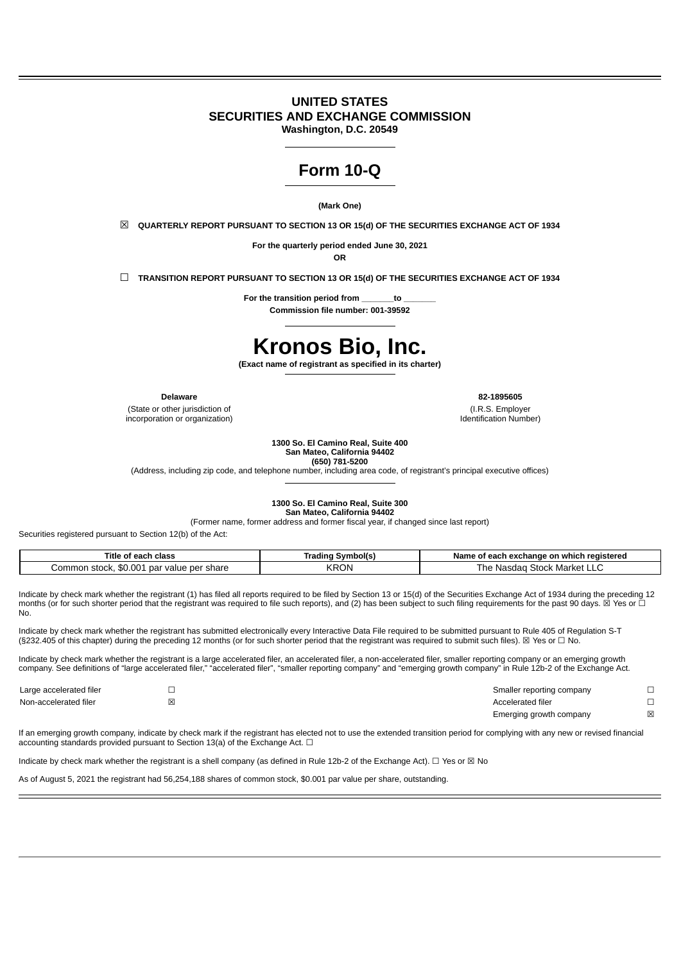# **UNITED STATES SECURITIES AND EXCHANGE COMMISSION Washington, D.C. 20549**

# **Form 10-Q**

**(Mark One)**

☒ **QUARTERLY REPORT PURSUANT TO SECTION 13 OR 15(d) OF THE SECURITIES EXCHANGE ACT OF 1934**

**For the quarterly period ended June 30, 2021**

**OR**

☐ **TRANSITION REPORT PURSUANT TO SECTION 13 OR 15(d) OF THE SECURITIES EXCHANGE ACT OF 1934**

**For the transition period from \_\_\_\_\_\_\_to \_\_\_\_\_\_\_ Commission file number: 001-39592**

# **Kronos Bio, Inc.**

**(Exact name of registrant as specified in its charter)**

(State or other jurisdiction of incorporation or organization)

**Delaware 82-1895605**

(I.R.S. Employer Identification Number)

**1300 So. El Camino Real, Suite 400 San Mateo, California 94402**

**(650) 781-5200**

(Address, including zip code, and telephone number, including area code, of registrant's principal executive offices)

**1300 So. El Camino Real, Suite 300 San Mateo, California 94402**

(Former name, former address and former fiscal year, if changed since last report)

Securities registered pursuant to Section 12(b) of the Act:

| <b>Title</b><br>of each class                              | Trading Symbol(s) | e of each exchange on which registered."<br>Name |  |  |  |  |  |
|------------------------------------------------------------|-------------------|--------------------------------------------------|--|--|--|--|--|
| \$0.001<br>Common stock, "<br>share<br>per<br>nar<br>value | KRON              | ™he<br>Stock<br>: Market LLC<br>≅ Nasdau -       |  |  |  |  |  |

Indicate by check mark whether the registrant (1) has filed all reports required to be filed by Section 13 or 15(d) of the Securities Exchange Act of 1934 during the preceding 12 months (or for such shorter period that the registrant was required to file such reports), and (2) has been subject to such filing requirements for the past 90 days. ⊠ Yes or □ No.

Indicate by check mark whether the registrant has submitted electronically every Interactive Data File required to be submitted pursuant to Rule 405 of Regulation S-T (§232.405 of this chapter) during the preceding 12 months (or for such shorter period that the registrant was required to submit such files). ☒ Yes or ☐ No.

Indicate by check mark whether the registrant is a large accelerated filer, an accelerated filer, a non-accelerated filer, smaller reporting company or an emerging growth company. See definitions of "large accelerated filer," "accelerated filer", "smaller reporting company" and "emerging growth company" in Rule 12b-2 of the Exchange Act.

| Large accelerated filer | Smaller reporting company |  |
|-------------------------|---------------------------|--|
| Non-accelerated filer   | Accelerated filer         |  |
|                         | Emerging growth company   |  |

If an emerging growth company, indicate by check mark if the registrant has elected not to use the extended transition period for complying with any new or revised financial accounting standards provided pursuant to Section 13(a) of the Exchange Act.  $\Box$ 

Indicate by check mark whether the registrant is a shell company (as defined in Rule 12b-2 of the Exchange Act). □ Yes or ⊠ No

As of August 5, 2021 the registrant had 56,254,188 shares of common stock, \$0.001 par value per share, outstanding.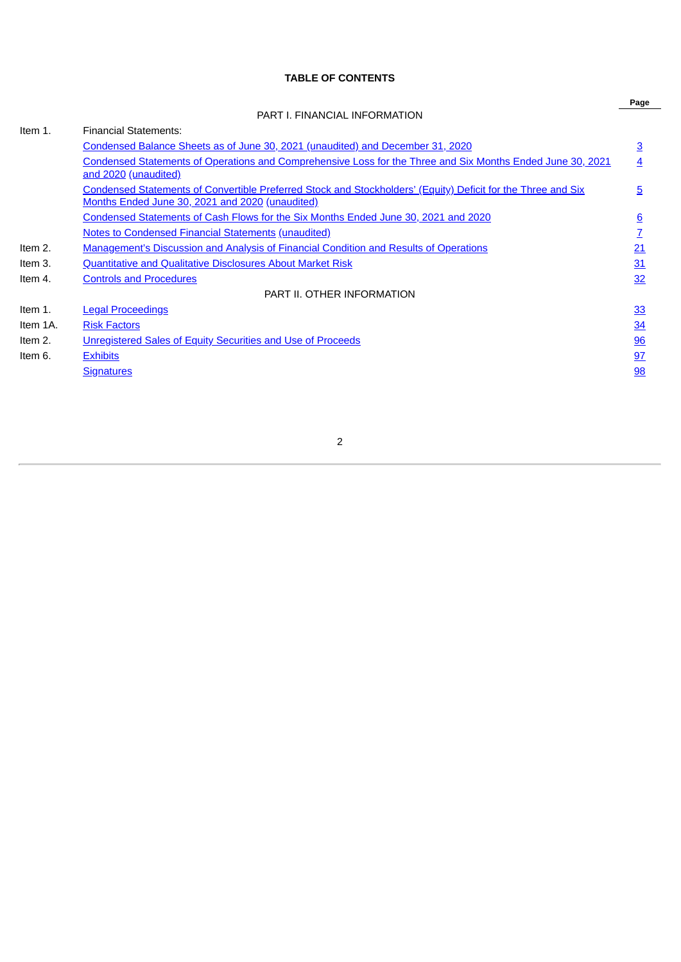# **TABLE OF CONTENTS**

|          |                                                                                                                                                                 | Page             |
|----------|-----------------------------------------------------------------------------------------------------------------------------------------------------------------|------------------|
|          | PART I. FINANCIAL INFORMATION                                                                                                                                   |                  |
| Item 1.  | <b>Financial Statements:</b>                                                                                                                                    |                  |
|          | Condensed Balance Sheets as of June 30, 2021 (unaudited) and December 31, 2020                                                                                  | $\overline{3}$   |
|          | Condensed Statements of Operations and Comprehensive Loss for the Three and Six Months Ended June 30, 2021                                                      | 4                |
|          | and 2020 (unaudited)                                                                                                                                            |                  |
|          | Condensed Statements of Convertible Preferred Stock and Stockholders' (Equity) Deficit for the Three and Six<br>Months Ended June 30, 2021 and 2020 (unaudited) | 5                |
|          | Condensed Statements of Cash Flows for the Six Months Ended June 30, 2021 and 2020                                                                              | $6 \overline{6}$ |
|          | <b>Notes to Condensed Financial Statements (unaudited)</b>                                                                                                      | $\overline{7}$   |
| Item 2.  | <b>Management's Discussion and Analysis of Financial Condition and Results of Operations</b>                                                                    | 21               |
| Item 3.  | <b>Quantitative and Qualitative Disclosures About Market Risk</b>                                                                                               | 31               |
| Item 4.  | <b>Controls and Procedures</b>                                                                                                                                  | 32               |
|          | PART II. OTHER INFORMATION                                                                                                                                      |                  |
| Item 1.  | <b>Legal Proceedings</b>                                                                                                                                        | 33               |
| Item 1A. | <b>Risk Factors</b>                                                                                                                                             | 34               |
| Item 2.  | <u>Unregistered Sales of Equity Securities and Use of Proceeds</u>                                                                                              | 96               |
| Item 6.  | <b>Exhibits</b>                                                                                                                                                 | 97               |
|          | <b>Signatures</b>                                                                                                                                               | 98               |
|          |                                                                                                                                                                 |                  |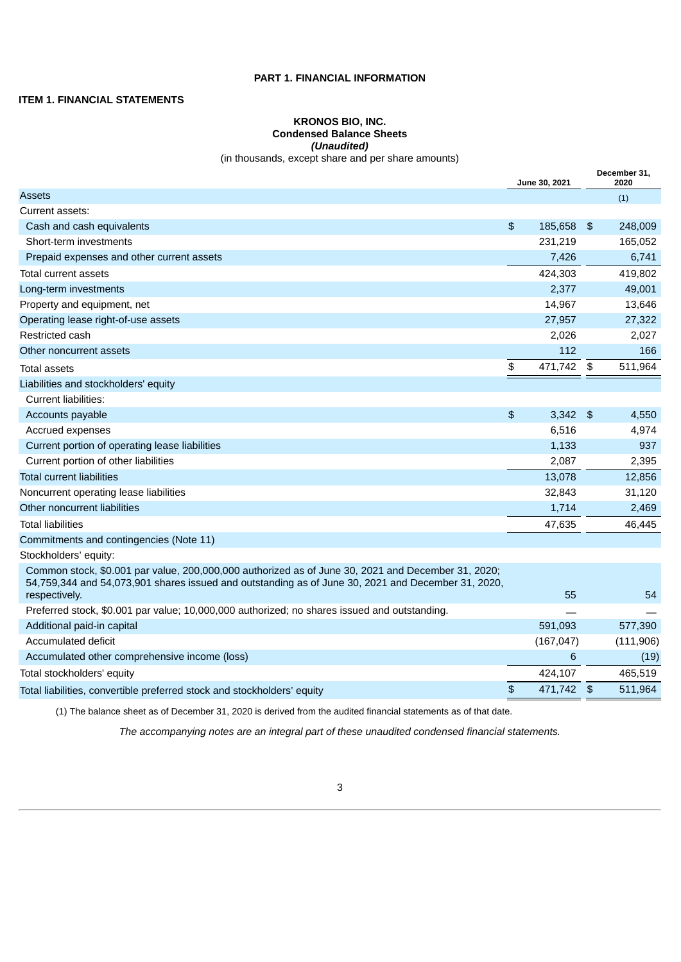# **PART 1. FINANCIAL INFORMATION**

# <span id="page-2-0"></span>**ITEM 1. FINANCIAL STATEMENTS**

# **KRONOS BIO, INC. Condensed Balance Sheets** *(Unaudited)*

(in thousands, except share and per share amounts)

|                                                                                                                                                                                                                           |    |            | December 31,<br>2020 |           |  |
|---------------------------------------------------------------------------------------------------------------------------------------------------------------------------------------------------------------------------|----|------------|----------------------|-----------|--|
| Assets                                                                                                                                                                                                                    |    |            |                      | (1)       |  |
| Current assets:                                                                                                                                                                                                           |    |            |                      |           |  |
| Cash and cash equivalents                                                                                                                                                                                                 | \$ | 185,658    | \$                   | 248,009   |  |
| Short-term investments                                                                                                                                                                                                    |    | 231,219    |                      | 165,052   |  |
| Prepaid expenses and other current assets                                                                                                                                                                                 |    | 7,426      |                      | 6,741     |  |
| <b>Total current assets</b>                                                                                                                                                                                               |    | 424,303    |                      | 419,802   |  |
| Long-term investments                                                                                                                                                                                                     |    | 2,377      |                      | 49,001    |  |
| Property and equipment, net                                                                                                                                                                                               |    | 14,967     |                      | 13,646    |  |
| Operating lease right-of-use assets                                                                                                                                                                                       |    | 27,957     |                      | 27,322    |  |
| Restricted cash                                                                                                                                                                                                           |    | 2,026      |                      | 2,027     |  |
| Other noncurrent assets                                                                                                                                                                                                   |    | 112        |                      | 166       |  |
| <b>Total assets</b>                                                                                                                                                                                                       | \$ | 471,742 \$ |                      | 511,964   |  |
| Liabilities and stockholders' equity                                                                                                                                                                                      |    |            |                      |           |  |
| Current liabilities:                                                                                                                                                                                                      |    |            |                      |           |  |
| Accounts payable                                                                                                                                                                                                          | \$ | $3,342$ \$ |                      | 4,550     |  |
| Accrued expenses                                                                                                                                                                                                          |    | 6,516      |                      | 4,974     |  |
| Current portion of operating lease liabilities                                                                                                                                                                            |    | 1,133      |                      | 937       |  |
| Current portion of other liabilities                                                                                                                                                                                      |    | 2,087      |                      | 2,395     |  |
| <b>Total current liabilities</b>                                                                                                                                                                                          |    | 13,078     |                      | 12,856    |  |
| Noncurrent operating lease liabilities                                                                                                                                                                                    |    | 32,843     |                      | 31,120    |  |
| Other noncurrent liabilities                                                                                                                                                                                              |    | 1,714      |                      | 2,469     |  |
| <b>Total liabilities</b>                                                                                                                                                                                                  |    | 47,635     |                      | 46,445    |  |
| Commitments and contingencies (Note 11)                                                                                                                                                                                   |    |            |                      |           |  |
| Stockholders' equity:                                                                                                                                                                                                     |    |            |                      |           |  |
| Common stock, \$0.001 par value, 200,000,000 authorized as of June 30, 2021 and December 31, 2020;<br>54,759,344 and 54,073,901 shares issued and outstanding as of June 30, 2021 and December 31, 2020,<br>respectively. |    | 55         |                      | 54        |  |
| Preferred stock, \$0.001 par value; 10,000,000 authorized; no shares issued and outstanding.                                                                                                                              |    |            |                      |           |  |
| Additional paid-in capital                                                                                                                                                                                                |    | 591,093    |                      | 577,390   |  |
| Accumulated deficit                                                                                                                                                                                                       |    | (167, 047) |                      | (111,906) |  |
| Accumulated other comprehensive income (loss)                                                                                                                                                                             |    | 6          |                      | (19)      |  |
| Total stockholders' equity                                                                                                                                                                                                |    | 424,107    |                      | 465,519   |  |
| Total liabilities, convertible preferred stock and stockholders' equity                                                                                                                                                   | \$ | 471,742    | \$                   | 511,964   |  |

<span id="page-2-1"></span>(1) The balance sheet as of December 31, 2020 is derived from the audited financial statements as of that date.

*The accompanying notes are an integral part of these unaudited condensed financial statements.*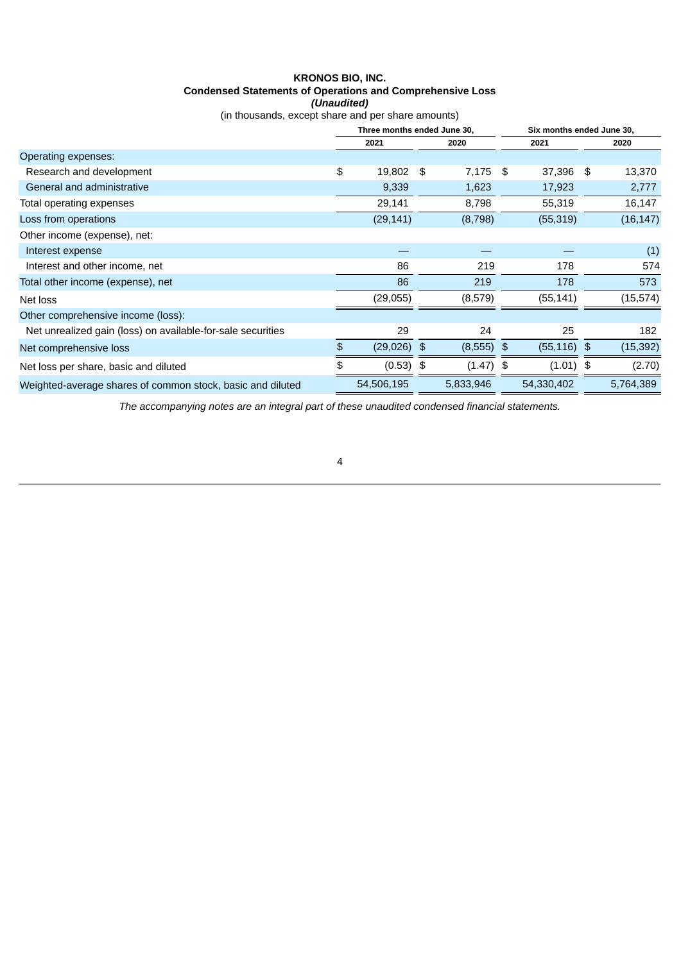# **KRONOS BIO, INC. Condensed Statements of Operations and Comprehensive Loss** *(Unaudited)*

(in thousands, except share and per share amounts)

|              |           |            |                         |                             | Six months ended June 30,          |    |                                         |  |  |  |
|--------------|-----------|------------|-------------------------|-----------------------------|------------------------------------|----|-----------------------------------------|--|--|--|
| 2021<br>2020 |           |            | 2021                    |                             | 2020                               |    |                                         |  |  |  |
|              |           |            |                         |                             |                                    |    |                                         |  |  |  |
| \$           | 19,802    | \$         | 7,175                   |                             |                                    | \$ | 13,370                                  |  |  |  |
|              | 9,339     |            | 1,623                   |                             | 17,923                             |    | 2,777                                   |  |  |  |
|              | 29,141    |            | 8,798                   |                             | 55,319                             |    | 16,147                                  |  |  |  |
|              | (29, 141) |            | (8,798)                 |                             | (55, 319)                          |    | (16, 147)                               |  |  |  |
|              |           |            |                         |                             |                                    |    |                                         |  |  |  |
|              |           |            |                         |                             |                                    |    | (1)                                     |  |  |  |
|              | 86        |            | 219                     |                             | 178                                |    | 574                                     |  |  |  |
|              | 86        |            | 219                     |                             | 178                                |    | 573                                     |  |  |  |
|              | (29,055)  |            | (8,579)                 |                             | (55,141)                           |    | (15, 574)                               |  |  |  |
|              |           |            |                         |                             |                                    |    |                                         |  |  |  |
|              | 29        |            | 24                      |                             | 25                                 |    | 182                                     |  |  |  |
| \$           |           |            |                         |                             |                                    |    | (15, 392)                               |  |  |  |
|              |           | \$         |                         |                             |                                    |    | (2.70)                                  |  |  |  |
|              |           |            | 5,833,946               |                             | 54,330,402                         |    | 5,764,389                               |  |  |  |
|              |           | 54,506,195 | $(29,026)$ \$<br>(0.53) | Three months ended June 30, | -\$<br>$(8,555)$ \$<br>$(1.47)$ \$ |    | 37,396<br>$(55, 116)$ \$<br>$(1.01)$ \$ |  |  |  |

<span id="page-3-0"></span>*The accompanying notes are an integral part of these unaudited condensed financial statements.*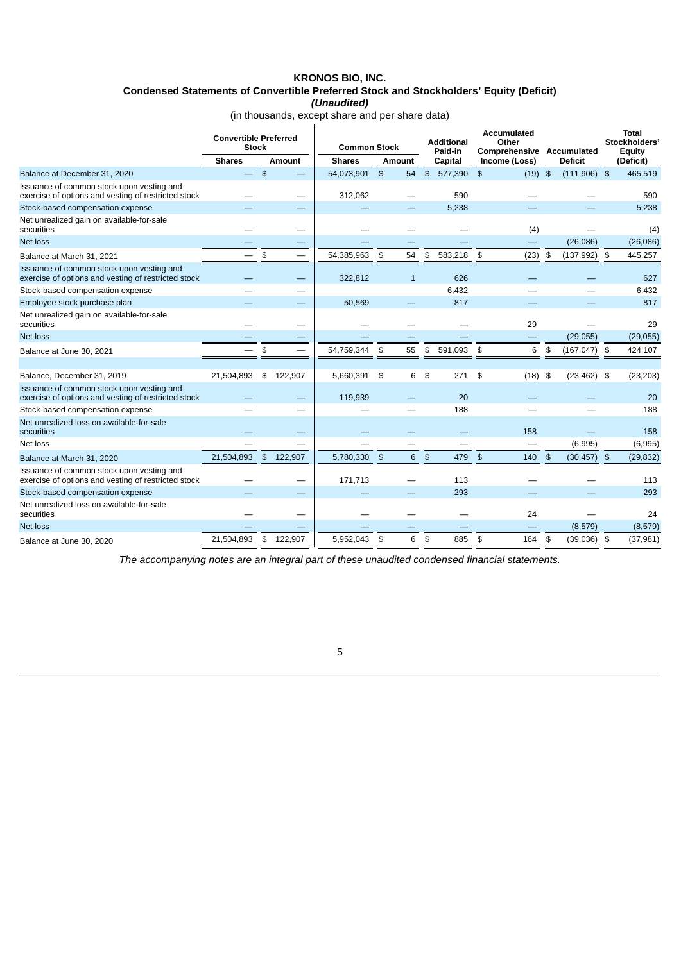# **KRONOS BIO, INC. Condensed Statements of Convertible Preferred Stock and Stockholders' Equity (Deficit)** *(Unaudited)*

(in thousands, except share and per share data)

|                                                                                                  | <b>Convertible Preferred</b><br><b>Stock</b> |               |           | <b>Common Stock</b> |               |              |               | <b>Additional</b><br>Paid-in |               | <b>Accumulated</b><br>Other<br>Comprehensive Accumulated |               |                 | <b>Total</b><br>Stockholders'<br>Equity |
|--------------------------------------------------------------------------------------------------|----------------------------------------------|---------------|-----------|---------------------|---------------|--------------|---------------|------------------------------|---------------|----------------------------------------------------------|---------------|-----------------|-----------------------------------------|
|                                                                                                  | <b>Shares</b>                                |               | Amount    | <b>Shares</b>       |               | Amount       |               | Capital                      | Income (Loss) |                                                          |               | Deficit         | (Deficit)                               |
| Balance at December 31, 2020                                                                     |                                              | $\frac{1}{2}$ |           | 54,073,901          | $\sqrt{5}$    | 54           | \$            | 577,390                      | $\frac{1}{2}$ | $(19)$ \$                                                |               | $(111,906)$ \$  | 465,519                                 |
| Issuance of common stock upon vesting and<br>exercise of options and vesting of restricted stock |                                              |               |           | 312,062             |               |              |               | 590                          |               |                                                          |               |                 | 590                                     |
| Stock-based compensation expense                                                                 |                                              |               |           |                     |               |              |               | 5,238                        |               |                                                          |               |                 | 5,238                                   |
| Net unrealized gain on available-for-sale<br>securities                                          |                                              |               |           |                     |               |              |               |                              |               | (4)                                                      |               |                 | (4)                                     |
| <b>Net loss</b>                                                                                  |                                              |               |           |                     |               |              |               |                              |               |                                                          |               | (26,086)        | (26,086)                                |
| Balance at March 31, 2021                                                                        |                                              | \$            |           | 54,385,963          | \$            | 54           | \$            | 583,218                      | \$            | (23)                                                     | \$            | $(137,992)$ \$  | 445,257                                 |
| Issuance of common stock upon vesting and<br>exercise of options and vesting of restricted stock |                                              |               |           | 322,812             |               | $\mathbf{1}$ |               | 626                          |               |                                                          |               |                 | 627                                     |
| Stock-based compensation expense                                                                 |                                              |               |           |                     |               |              |               | 6,432                        |               |                                                          |               |                 | 6,432                                   |
| Employee stock purchase plan                                                                     |                                              |               |           | 50.569              |               |              |               | 817                          |               |                                                          |               |                 | 817                                     |
| Net unrealized gain on available-for-sale<br>securities                                          |                                              |               |           |                     |               |              |               |                              |               | 29                                                       |               |                 | 29                                      |
| <b>Net loss</b>                                                                                  |                                              |               |           |                     |               |              |               |                              |               |                                                          |               | (29,055)        | (29, 055)                               |
| Balance at June 30, 2021                                                                         |                                              | \$            |           | 54,759,344          | \$            | 55           | \$            | 591,093                      | \$            | 6                                                        | \$            | $(167, 047)$ \$ | 424,107                                 |
|                                                                                                  |                                              |               |           |                     |               |              |               |                              |               |                                                          |               |                 |                                         |
| Balance, December 31, 2019                                                                       | 21,504,893                                   |               | \$122,907 | 5,660,391 \$        |               | 6            | \$            | 271                          | \$            | $(18)$ \$                                                |               | $(23, 462)$ \$  | (23, 203)                               |
| Issuance of common stock upon vesting and<br>exercise of options and vesting of restricted stock |                                              |               |           | 119,939             |               |              |               | 20                           |               |                                                          |               |                 | 20                                      |
| Stock-based compensation expense                                                                 |                                              |               |           |                     |               |              |               | 188                          |               |                                                          |               |                 | 188                                     |
| Net unrealized loss on available-for-sale<br>securities                                          |                                              |               |           |                     |               |              |               |                              |               | 158                                                      |               |                 | 158                                     |
| Net loss                                                                                         |                                              |               |           |                     |               |              |               |                              |               |                                                          |               | (6,995)         | (6,995)                                 |
| Balance at March 31, 2020                                                                        | 21,504,893                                   | $\sqrt{2}$    | 122,907   | 5,780,330           | $\frac{4}{5}$ | 6            | $\frac{3}{2}$ | 479                          | $\frac{2}{3}$ | 140                                                      | $\frac{3}{2}$ | $(30, 457)$ \$  | (29, 832)                               |
| Issuance of common stock upon vesting and<br>exercise of options and vesting of restricted stock |                                              |               |           | 171,713             |               |              |               | 113                          |               |                                                          |               |                 | 113                                     |
| Stock-based compensation expense                                                                 |                                              |               |           |                     |               |              |               | 293                          |               |                                                          |               |                 | 293                                     |
| Net unrealized loss on available-for-sale<br>securities                                          |                                              |               |           |                     |               |              |               |                              |               | 24                                                       |               |                 | 24                                      |
| Net loss                                                                                         |                                              |               |           |                     |               |              |               |                              |               |                                                          |               | (8,579)         | (8,579)                                 |
| Balance at June 30, 2020                                                                         | 21.504.893                                   |               | \$122.907 | 5,952,043           | \$            | 6            | \$            | 885                          | \$            | 164                                                      | \$            | $(39,036)$ \$   | (37, 981)                               |

<span id="page-4-0"></span>*The accompanying notes are an integral part of these unaudited condensed financial statements.*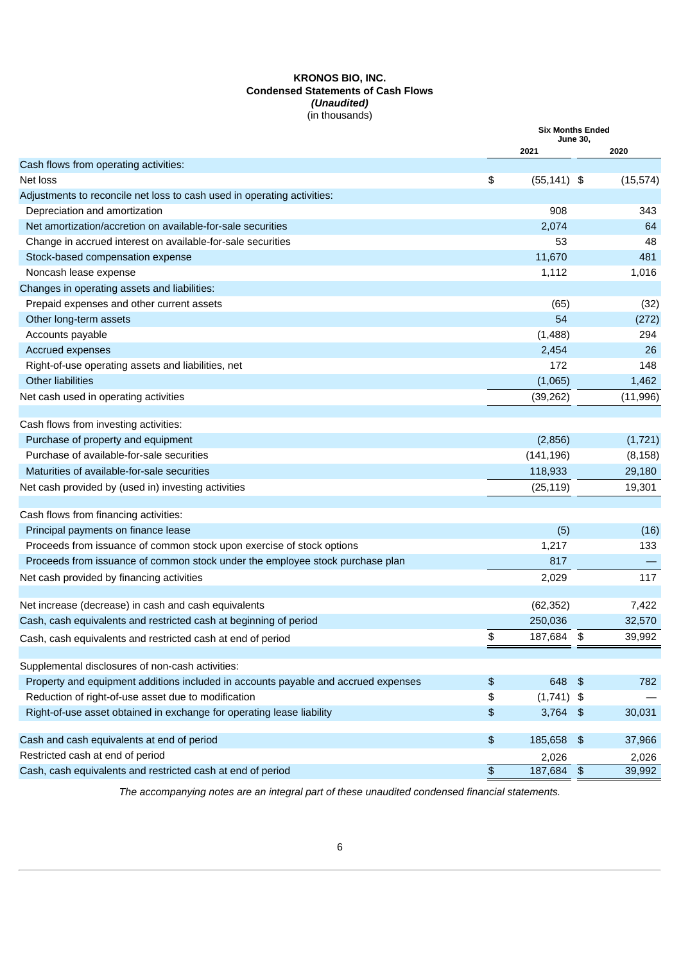# **KRONOS BIO, INC. Condensed Statements of Cash Flows** *(Unaudited)* (in thousands)

|                                                                                    |               | <b>Six Months Ended</b> | June 30,      |           |
|------------------------------------------------------------------------------------|---------------|-------------------------|---------------|-----------|
|                                                                                    |               | 2021                    |               | 2020      |
| Cash flows from operating activities:                                              |               |                         |               |           |
| Net loss                                                                           | \$            | $(55, 141)$ \$          |               | (15, 574) |
| Adjustments to reconcile net loss to cash used in operating activities:            |               |                         |               |           |
| Depreciation and amortization                                                      |               | 908                     |               | 343       |
| Net amortization/accretion on available-for-sale securities                        |               | 2,074                   |               | 64        |
| Change in accrued interest on available-for-sale securities                        |               | 53                      |               | 48        |
| Stock-based compensation expense                                                   |               | 11,670                  |               | 481       |
| Noncash lease expense                                                              |               | 1,112                   |               | 1,016     |
| Changes in operating assets and liabilities:                                       |               |                         |               |           |
| Prepaid expenses and other current assets                                          |               | (65)                    |               | (32)      |
| Other long-term assets                                                             |               | 54                      |               | (272)     |
| Accounts payable                                                                   |               | (1, 488)                |               | 294       |
| Accrued expenses                                                                   |               | 2,454                   |               | 26        |
| Right-of-use operating assets and liabilities, net                                 |               | 172                     |               | 148       |
| <b>Other liabilities</b>                                                           |               | (1,065)                 |               | 1,462     |
| Net cash used in operating activities                                              |               | (39, 262)               |               | (11,996)  |
| Cash flows from investing activities:                                              |               |                         |               |           |
| Purchase of property and equipment                                                 |               | (2,856)                 |               | (1,721)   |
| Purchase of available-for-sale securities                                          |               | (141, 196)              |               | (8, 158)  |
| Maturities of available-for-sale securities                                        |               | 118,933                 |               | 29,180    |
| Net cash provided by (used in) investing activities                                |               | (25, 119)               |               | 19,301    |
| Cash flows from financing activities:                                              |               |                         |               |           |
| Principal payments on finance lease                                                |               | (5)                     |               | (16)      |
| Proceeds from issuance of common stock upon exercise of stock options              |               | 1,217                   |               | 133       |
| Proceeds from issuance of common stock under the employee stock purchase plan      |               | 817                     |               |           |
| Net cash provided by financing activities                                          |               | 2,029                   |               | 117       |
|                                                                                    |               |                         |               |           |
| Net increase (decrease) in cash and cash equivalents                               |               | (62, 352)               |               | 7,422     |
| Cash, cash equivalents and restricted cash at beginning of period                  |               | 250,036                 |               | 32,570    |
| Cash, cash equivalents and restricted cash at end of period                        | \$.           | 187,684                 | \$            | 39,992    |
| Supplemental disclosures of non-cash activities:                                   |               |                         |               |           |
| Property and equipment additions included in accounts payable and accrued expenses | \$            | 648                     | $\frac{1}{2}$ | 782       |
| Reduction of right-of-use asset due to modification                                | \$            | $(1,741)$ \$            |               |           |
| Right-of-use asset obtained in exchange for operating lease liability              | $\,$          | 3,764                   | - \$          | 30,031    |
| Cash and cash equivalents at end of period                                         | $\frac{1}{2}$ | 185,658                 | $\frac{1}{2}$ | 37,966    |
| Restricted cash at end of period                                                   |               | 2,026                   |               | 2,026     |
| Cash, cash equivalents and restricted cash at end of period                        | $\,$          | 187,684 \$              |               | 39,992    |

<span id="page-5-0"></span>*The accompanying notes are an integral part of these unaudited condensed financial statements.*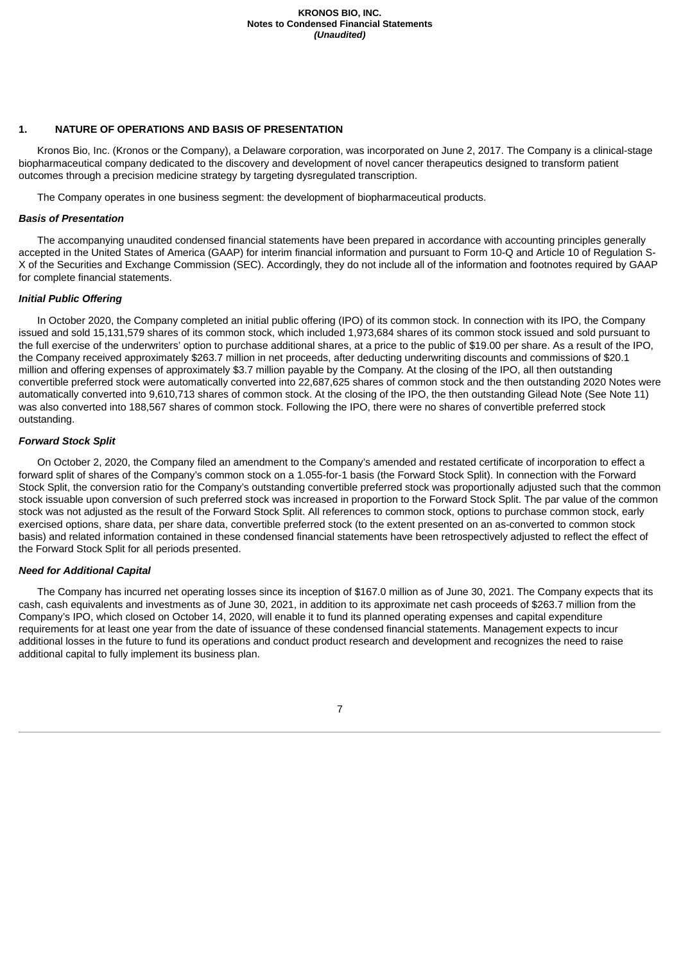# **1. NATURE OF OPERATIONS AND BASIS OF PRESENTATION**

Kronos Bio, Inc. (Kronos or the Company), a Delaware corporation, was incorporated on June 2, 2017. The Company is a clinical-stage biopharmaceutical company dedicated to the discovery and development of novel cancer therapeutics designed to transform patient outcomes through a precision medicine strategy by targeting dysregulated transcription.

The Company operates in one business segment: the development of biopharmaceutical products.

# *Basis of Presentation*

The accompanying unaudited condensed financial statements have been prepared in accordance with accounting principles generally accepted in the United States of America (GAAP) for interim financial information and pursuant to Form 10-Q and Article 10 of Regulation S-X of the Securities and Exchange Commission (SEC). Accordingly, they do not include all of the information and footnotes required by GAAP for complete financial statements.

# *Initial Public Offering*

In October 2020, the Company completed an initial public offering (IPO) of its common stock. In connection with its IPO, the Company issued and sold 15,131,579 shares of its common stock, which included 1,973,684 shares of its common stock issued and sold pursuant to the full exercise of the underwriters' option to purchase additional shares, at a price to the public of \$19.00 per share. As a result of the IPO, the Company received approximately \$263.7 million in net proceeds, after deducting underwriting discounts and commissions of \$20.1 million and offering expenses of approximately \$3.7 million payable by the Company. At the closing of the IPO, all then outstanding convertible preferred stock were automatically converted into 22,687,625 shares of common stock and the then outstanding 2020 Notes were automatically converted into 9,610,713 shares of common stock. At the closing of the IPO, the then outstanding Gilead Note (See Note 11) was also converted into 188,567 shares of common stock. Following the IPO, there were no shares of convertible preferred stock outstanding.

# *Forward Stock Split*

On October 2, 2020, the Company filed an amendment to the Company's amended and restated certificate of incorporation to effect a forward split of shares of the Company's common stock on a 1.055-for-1 basis (the Forward Stock Split). In connection with the Forward Stock Split, the conversion ratio for the Company's outstanding convertible preferred stock was proportionally adjusted such that the common stock issuable upon conversion of such preferred stock was increased in proportion to the Forward Stock Split. The par value of the common stock was not adjusted as the result of the Forward Stock Split. All references to common stock, options to purchase common stock, early exercised options, share data, per share data, convertible preferred stock (to the extent presented on an as-converted to common stock basis) and related information contained in these condensed financial statements have been retrospectively adjusted to reflect the effect of the Forward Stock Split for all periods presented.

# *Need for Additional Capital*

The Company has incurred net operating losses since its inception of \$167.0 million as of June 30, 2021. The Company expects that its cash, cash equivalents and investments as of June 30, 2021, in addition to its approximate net cash proceeds of \$263.7 million from the Company's IPO, which closed on October 14, 2020, will enable it to fund its planned operating expenses and capital expenditure requirements for at least one year from the date of issuance of these condensed financial statements. Management expects to incur additional losses in the future to fund its operations and conduct product research and development and recognizes the need to raise additional capital to fully implement its business plan.

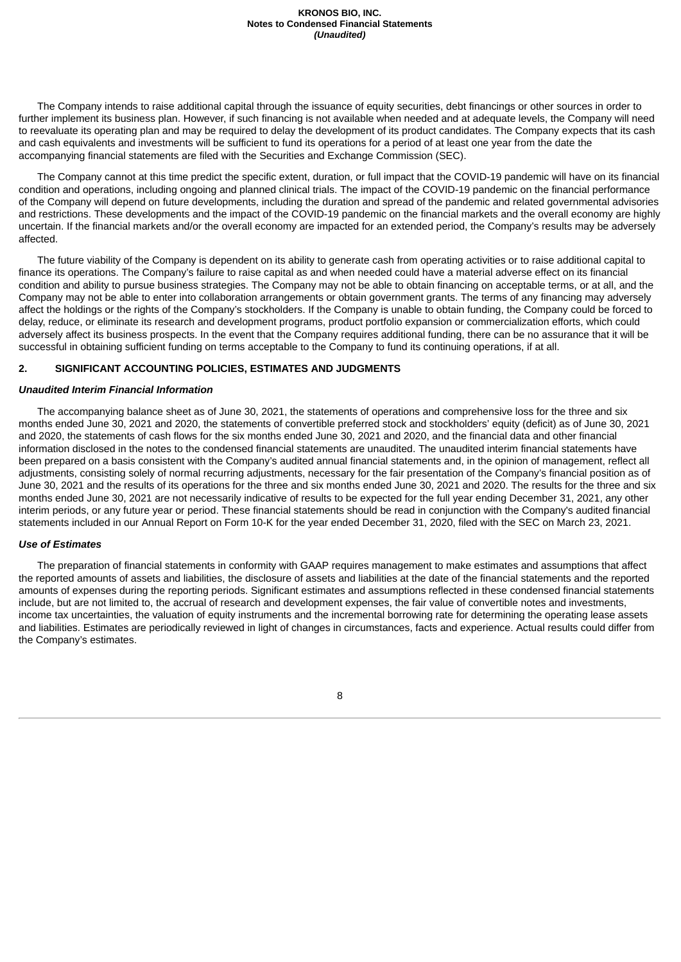The Company intends to raise additional capital through the issuance of equity securities, debt financings or other sources in order to further implement its business plan. However, if such financing is not available when needed and at adequate levels, the Company will need to reevaluate its operating plan and may be required to delay the development of its product candidates. The Company expects that its cash and cash equivalents and investments will be sufficient to fund its operations for a period of at least one year from the date the accompanying financial statements are filed with the Securities and Exchange Commission (SEC).

The Company cannot at this time predict the specific extent, duration, or full impact that the COVID-19 pandemic will have on its financial condition and operations, including ongoing and planned clinical trials. The impact of the COVID-19 pandemic on the financial performance of the Company will depend on future developments, including the duration and spread of the pandemic and related governmental advisories and restrictions. These developments and the impact of the COVID-19 pandemic on the financial markets and the overall economy are highly uncertain. If the financial markets and/or the overall economy are impacted for an extended period, the Company's results may be adversely affected.

The future viability of the Company is dependent on its ability to generate cash from operating activities or to raise additional capital to finance its operations. The Company's failure to raise capital as and when needed could have a material adverse effect on its financial condition and ability to pursue business strategies. The Company may not be able to obtain financing on acceptable terms, or at all, and the Company may not be able to enter into collaboration arrangements or obtain government grants. The terms of any financing may adversely affect the holdings or the rights of the Company's stockholders. If the Company is unable to obtain funding, the Company could be forced to delay, reduce, or eliminate its research and development programs, product portfolio expansion or commercialization efforts, which could adversely affect its business prospects. In the event that the Company requires additional funding, there can be no assurance that it will be successful in obtaining sufficient funding on terms acceptable to the Company to fund its continuing operations, if at all.

# **2. SIGNIFICANT ACCOUNTING POLICIES, ESTIMATES AND JUDGMENTS**

### *Unaudited Interim Financial Information*

The accompanying balance sheet as of June 30, 2021, the statements of operations and comprehensive loss for the three and six months ended June 30, 2021 and 2020, the statements of convertible preferred stock and stockholders' equity (deficit) as of June 30, 2021 and 2020, the statements of cash flows for the six months ended June 30, 2021 and 2020, and the financial data and other financial information disclosed in the notes to the condensed financial statements are unaudited. The unaudited interim financial statements have been prepared on a basis consistent with the Company's audited annual financial statements and, in the opinion of management, reflect all adjustments, consisting solely of normal recurring adjustments, necessary for the fair presentation of the Company's financial position as of June 30, 2021 and the results of its operations for the three and six months ended June 30, 2021 and 2020. The results for the three and six months ended June 30, 2021 are not necessarily indicative of results to be expected for the full year ending December 31, 2021, any other interim periods, or any future year or period. These financial statements should be read in conjunction with the Company's audited financial statements included in our Annual Report on Form 10-K for the year ended December 31, 2020, filed with the SEC on March 23, 2021.

# *Use of Estimates*

The preparation of financial statements in conformity with GAAP requires management to make estimates and assumptions that affect the reported amounts of assets and liabilities, the disclosure of assets and liabilities at the date of the financial statements and the reported amounts of expenses during the reporting periods. Significant estimates and assumptions reflected in these condensed financial statements include, but are not limited to, the accrual of research and development expenses, the fair value of convertible notes and investments, income tax uncertainties, the valuation of equity instruments and the incremental borrowing rate for determining the operating lease assets and liabilities. Estimates are periodically reviewed in light of changes in circumstances, facts and experience. Actual results could differ from the Company's estimates.

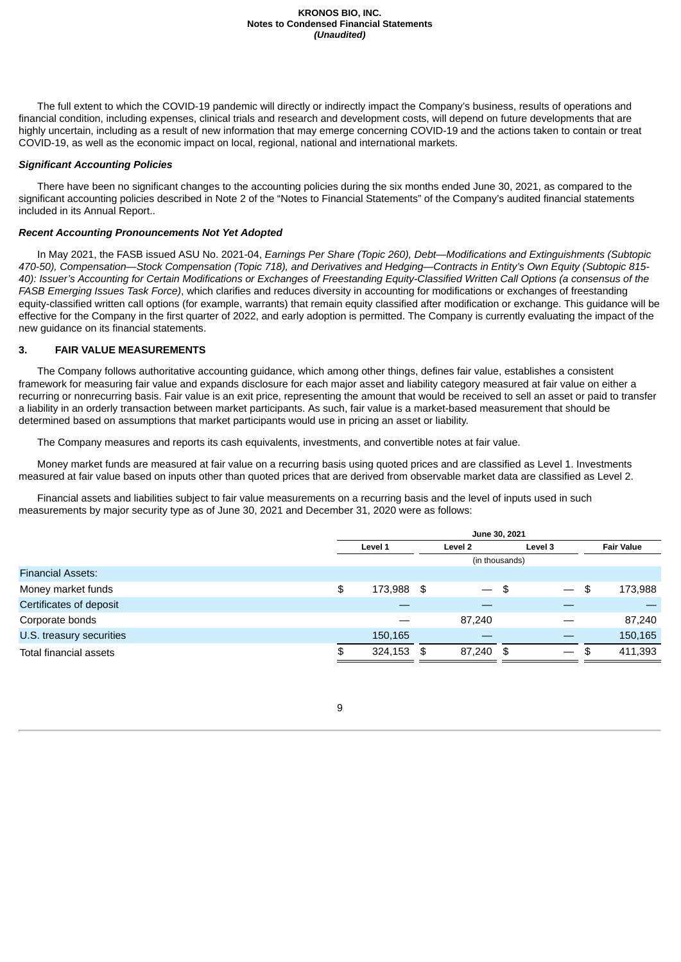The full extent to which the COVID-19 pandemic will directly or indirectly impact the Company's business, results of operations and financial condition, including expenses, clinical trials and research and development costs, will depend on future developments that are highly uncertain, including as a result of new information that may emerge concerning COVID-19 and the actions taken to contain or treat COVID-19, as well as the economic impact on local, regional, national and international markets.

# *Significant Accounting Policies*

There have been no significant changes to the accounting policies during the six months ended June 30, 2021, as compared to the significant accounting policies described in Note 2 of the "Notes to Financial Statements" of the Company's audited financial statements included in its Annual Report..

# *Recent Accounting Pronouncements Not Yet Adopted*

In May 2021, the FASB issued ASU No. 2021-04, *Earnings Per Share (Topic 260), Debt—Modifications and Extinguishments (Subtopic* 470-50). Compensation—Stock Compensation (Topic 718), and Derivatives and Hedging—Contracts in Entity's Own Equity (Subtopic 815-40): Issuer's Accounting for Certain Modifications or Exchanges of Freestanding Equity-Classified Written Call Options (a consensus of the *FASB Emerging Issues Task Force)*, which clarifies and reduces diversity in accounting for modifications or exchanges of freestanding equity-classified written call options (for example, warrants) that remain equity classified after modification or exchange. This guidance will be effective for the Company in the first quarter of 2022, and early adoption is permitted. The Company is currently evaluating the impact of the new guidance on its financial statements.

# **3. FAIR VALUE MEASUREMENTS**

The Company follows authoritative accounting guidance, which among other things, defines fair value, establishes a consistent framework for measuring fair value and expands disclosure for each major asset and liability category measured at fair value on either a recurring or nonrecurring basis. Fair value is an exit price, representing the amount that would be received to sell an asset or paid to transfer a liability in an orderly transaction between market participants. As such, fair value is a market-based measurement that should be determined based on assumptions that market participants would use in pricing an asset or liability.

The Company measures and reports its cash equivalents, investments, and convertible notes at fair value.

Money market funds are measured at fair value on a recurring basis using quoted prices and are classified as Level 1. Investments measured at fair value based on inputs other than quoted prices that are derived from observable market data are classified as Level 2.

Financial assets and liabilities subject to fair value measurements on a recurring basis and the level of inputs used in such measurements by major security type as of June 30, 2021 and December 31, 2020 were as follows:

|                          | June 30, 2021 |            |      |                          |                |                          |      |                   |  |  |  |  |
|--------------------------|---------------|------------|------|--------------------------|----------------|--------------------------|------|-------------------|--|--|--|--|
|                          |               | Level 1    |      | Level 2                  |                | Level 3                  |      | <b>Fair Value</b> |  |  |  |  |
|                          |               |            |      |                          | (in thousands) |                          |      |                   |  |  |  |  |
| <b>Financial Assets:</b> |               |            |      |                          |                |                          |      |                   |  |  |  |  |
| Money market funds       | \$            | 173,988 \$ |      | $\overline{\phantom{a}}$ | - \$           | $\qquad \qquad -$        | \$   | 173,988           |  |  |  |  |
| Certificates of deposit  |               |            |      |                          |                |                          |      |                   |  |  |  |  |
| Corporate bonds          |               |            |      | 87,240                   |                |                          |      | 87,240            |  |  |  |  |
| U.S. treasury securities |               | 150,165    |      |                          |                |                          |      | 150,165           |  |  |  |  |
| Total financial assets   | \$            | 324,153    | - \$ | 87,240 \$                |                | $\overline{\phantom{a}}$ | - \$ | 411,393           |  |  |  |  |
|                          |               |            |      |                          |                |                          |      |                   |  |  |  |  |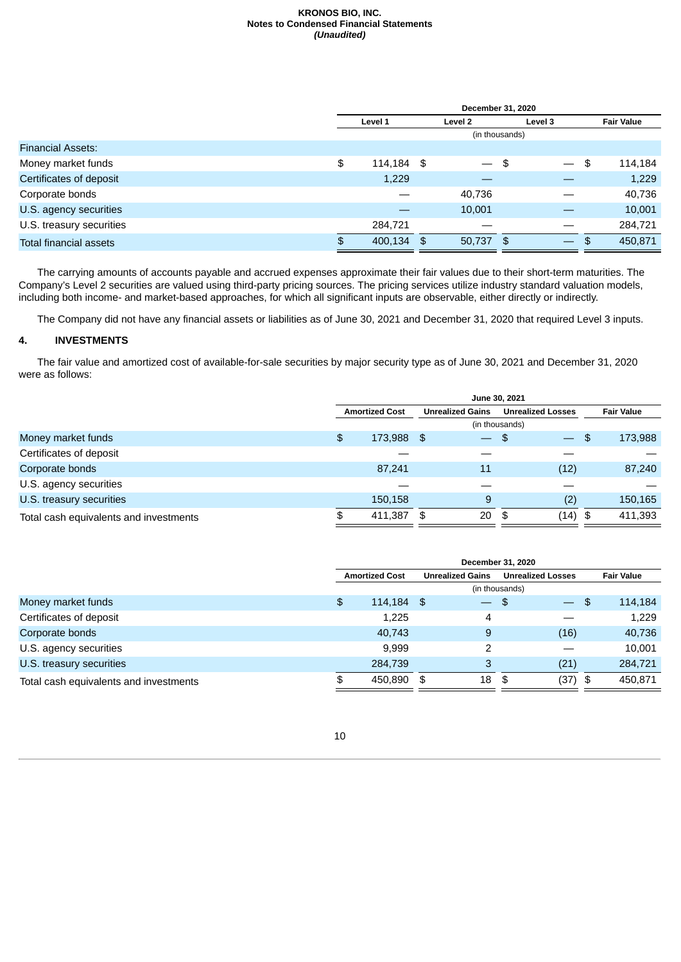|                          | December 31, 2020 |            |  |           |                |                               |      |                   |  |  |  |  |
|--------------------------|-------------------|------------|--|-----------|----------------|-------------------------------|------|-------------------|--|--|--|--|
|                          |                   | Level 1    |  | Level 2   |                | Level 3                       |      | <b>Fair Value</b> |  |  |  |  |
|                          |                   |            |  |           | (in thousands) |                               |      |                   |  |  |  |  |
| <b>Financial Assets:</b> |                   |            |  |           |                |                               |      |                   |  |  |  |  |
| Money market funds       | \$                | 114,184 \$ |  |           | \$             | $\overbrace{\phantom{aaaaa}}$ | \$   | 114,184           |  |  |  |  |
| Certificates of deposit  |                   | 1,229      |  |           |                |                               |      | 1,229             |  |  |  |  |
| Corporate bonds          |                   |            |  | 40,736    |                |                               |      | 40,736            |  |  |  |  |
| U.S. agency securities   |                   |            |  | 10,001    |                |                               |      | 10,001            |  |  |  |  |
| U.S. treasury securities |                   | 284,721    |  | __        |                |                               |      | 284,721           |  |  |  |  |
| Total financial assets   | \$.               | 400,134 \$ |  | 50,737 \$ |                | $\overline{\phantom{0}}$      | - \$ | 450,871           |  |  |  |  |

The carrying amounts of accounts payable and accrued expenses approximate their fair values due to their short-term maturities. The Company's Level 2 securities are valued using third-party pricing sources. The pricing services utilize industry standard valuation models, including both income- and market-based approaches, for which all significant inputs are observable, either directly or indirectly.

The Company did not have any financial assets or liabilities as of June 30, 2021 and December 31, 2020 that required Level 3 inputs.

# **4. INVESTMENTS**

The fair value and amortized cost of available-for-sale securities by major security type as of June 30, 2021 and December 31, 2020 were as follows:

|                                        | June 30, 2021         |            |                         |                |                          |     |                   |  |  |  |  |  |
|----------------------------------------|-----------------------|------------|-------------------------|----------------|--------------------------|-----|-------------------|--|--|--|--|--|
|                                        | <b>Amortized Cost</b> |            | <b>Unrealized Gains</b> |                | <b>Unrealized Losses</b> |     | <b>Fair Value</b> |  |  |  |  |  |
|                                        |                       |            |                         | (in thousands) |                          |     |                   |  |  |  |  |  |
| Money market funds                     | \$                    | 173,988 \$ | $\equiv$                | -\$            | $\frac{1}{2}$            | -\$ | 173,988           |  |  |  |  |  |
| Certificates of deposit                |                       |            |                         |                |                          |     |                   |  |  |  |  |  |
| Corporate bonds                        |                       | 87,241     | 11                      |                | (12)                     |     | 87,240            |  |  |  |  |  |
| U.S. agency securities                 |                       |            |                         |                |                          |     |                   |  |  |  |  |  |
| U.S. treasury securities               |                       | 150.158    | 9                       |                | (2)                      |     | 150,165           |  |  |  |  |  |
| Total cash equivalents and investments | \$                    | 411,387    | 20<br>\$                | - \$           | $(14)$ \$                |     | 411,393           |  |  |  |  |  |

|                                        | December 31, 2020     |            |                         |                          |                          |                   |     |                   |  |  |  |  |
|----------------------------------------|-----------------------|------------|-------------------------|--------------------------|--------------------------|-------------------|-----|-------------------|--|--|--|--|
|                                        | <b>Amortized Cost</b> |            | <b>Unrealized Gains</b> |                          | <b>Unrealized Losses</b> |                   |     | <b>Fair Value</b> |  |  |  |  |
|                                        |                       |            |                         |                          | (in thousands)           |                   |     |                   |  |  |  |  |
| Money market funds                     | \$                    | 114,184 \$ |                         | $\overline{\phantom{0}}$ | - \$                     | $\qquad \qquad -$ | -\$ | 114,184           |  |  |  |  |
| Certificates of deposit                |                       | 1,225      |                         | 4                        |                          |                   |     | 1,229             |  |  |  |  |
| Corporate bonds                        |                       | 40,743     |                         | 9                        |                          | (16)              |     | 40,736            |  |  |  |  |
| U.S. agency securities                 |                       | 9.999      |                         | 2                        |                          |                   |     | 10,001            |  |  |  |  |
| U.S. treasury securities               |                       | 284,739    |                         | 3                        |                          | (21)              |     | 284,721           |  |  |  |  |
| Total cash equivalents and investments | \$                    | 450,890    | \$                      | 18                       | - \$                     | (37)              | -\$ | 450,871           |  |  |  |  |

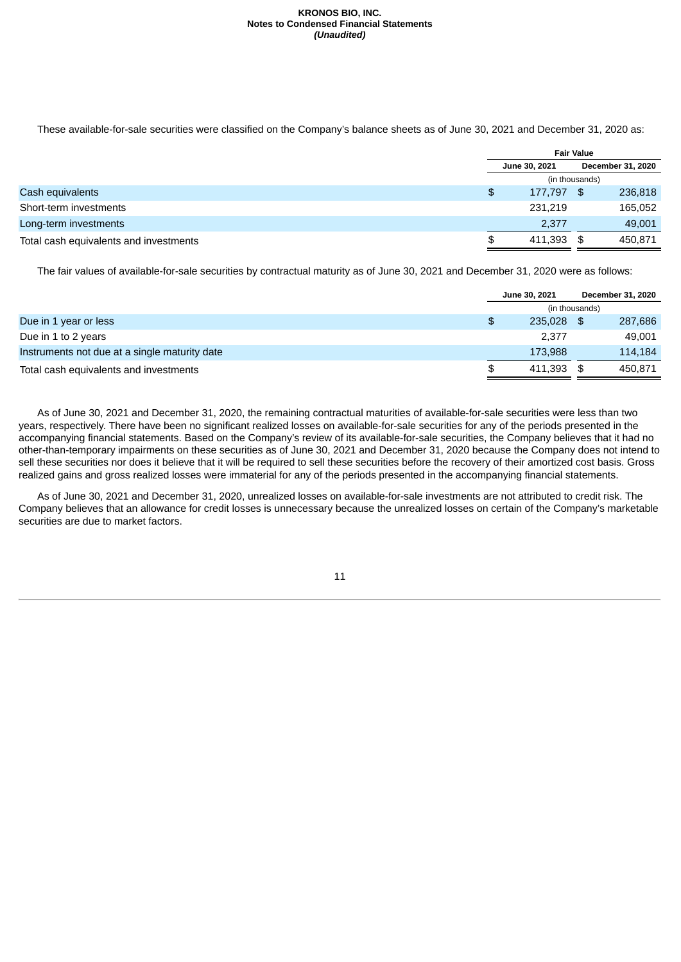These available-for-sale securities were classified on the Company's balance sheets as of June 30, 2021 and December 31, 2020 as:

|                                        | <b>Fair Value</b> |     |                   |  |  |  |
|----------------------------------------|-------------------|-----|-------------------|--|--|--|
|                                        | June 30, 2021     |     | December 31, 2020 |  |  |  |
|                                        | (in thousands)    |     |                   |  |  |  |
| Cash equivalents                       | \$<br>177.797     | -\$ | 236,818           |  |  |  |
| Short-term investments                 | 231.219           |     | 165,052           |  |  |  |
| Long-term investments                  | 2.377             |     | 49,001            |  |  |  |
| Total cash equivalents and investments | \$<br>411,393     | \$  | 450,871           |  |  |  |

The fair values of available-for-sale securities by contractual maturity as of June 30, 2021 and December 31, 2020 were as follows:

|                                               | June 30, 2021  |      | December 31, 2020 |
|-----------------------------------------------|----------------|------|-------------------|
|                                               | (in thousands) |      |                   |
| Due in 1 year or less                         | 235.028        | ∣ \$ | 287,686           |
| Due in 1 to 2 years                           | 2.377          |      | 49.001            |
| Instruments not due at a single maturity date | 173.988        |      | 114.184           |
| Total cash equivalents and investments        | 411.393        |      | 450.871           |

As of June 30, 2021 and December 31, 2020, the remaining contractual maturities of available-for-sale securities were less than two years, respectively. There have been no significant realized losses on available-for-sale securities for any of the periods presented in the accompanying financial statements. Based on the Company's review of its available-for-sale securities, the Company believes that it had no other-than-temporary impairments on these securities as of June 30, 2021 and December 31, 2020 because the Company does not intend to sell these securities nor does it believe that it will be required to sell these securities before the recovery of their amortized cost basis. Gross realized gains and gross realized losses were immaterial for any of the periods presented in the accompanying financial statements.

As of June 30, 2021 and December 31, 2020, unrealized losses on available-for-sale investments are not attributed to credit risk. The Company believes that an allowance for credit losses is unnecessary because the unrealized losses on certain of the Company's marketable securities are due to market factors.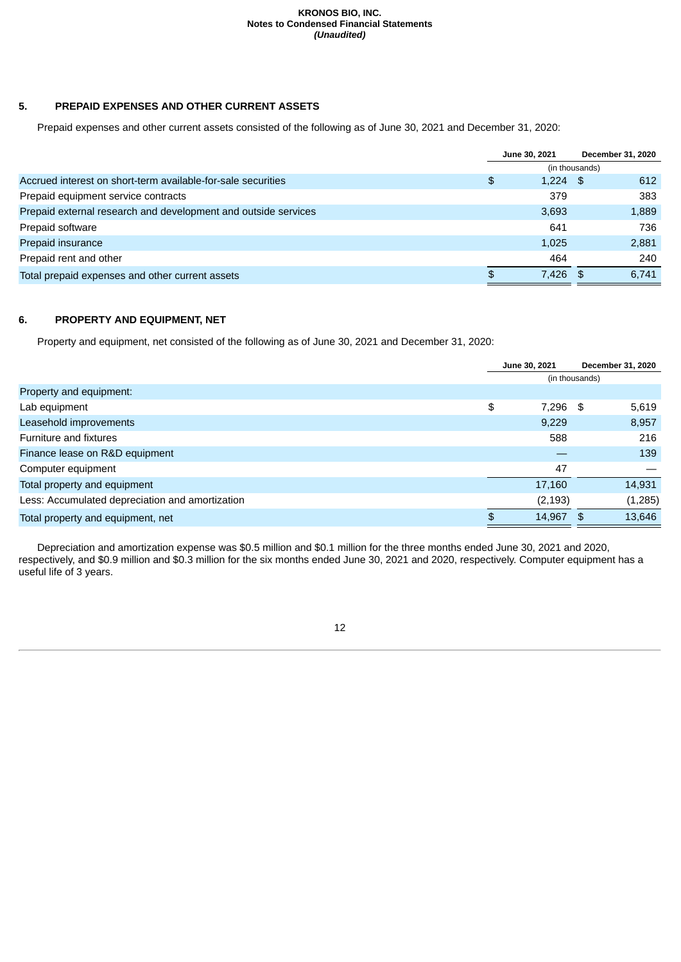# **5. PREPAID EXPENSES AND OTHER CURRENT ASSETS**

Prepaid expenses and other current assets consisted of the following as of June 30, 2021 and December 31, 2020:

|                                                                | June 30, 2021 |                |      | December 31, 2020 |
|----------------------------------------------------------------|---------------|----------------|------|-------------------|
|                                                                |               | (in thousands) |      |                   |
| Accrued interest on short-term available-for-sale securities   | \$            | 1,224          | - \$ | 612               |
| Prepaid equipment service contracts                            |               | 379            |      | 383               |
| Prepaid external research and development and outside services |               | 3.693          |      | 1,889             |
| Prepaid software                                               |               | 641            |      | 736               |
| <b>Prepaid insurance</b>                                       |               | 1.025          |      | 2,881             |
| Prepaid rent and other                                         |               | 464            |      | 240               |
| Total prepaid expenses and other current assets                | \$            | 7.426          | - \$ | 6,741             |

# **6. PROPERTY AND EQUIPMENT, NET**

Property and equipment, net consisted of the following as of June 30, 2021 and December 31, 2020:

|                                                 | June 30, 2021 |                |      | December 31, 2020 |
|-------------------------------------------------|---------------|----------------|------|-------------------|
|                                                 |               | (in thousands) |      |                   |
| Property and equipment:                         |               |                |      |                   |
| Lab equipment                                   | \$            | 7.296          | - SS | 5,619             |
| Leasehold improvements                          |               | 9,229          |      | 8,957             |
| Furniture and fixtures                          |               | 588            |      | 216               |
| Finance lease on R&D equipment                  |               |                |      | 139               |
| Computer equipment                              |               | 47             |      |                   |
| Total property and equipment                    |               | 17,160         |      | 14,931            |
| Less: Accumulated depreciation and amortization |               | (2, 193)       |      | (1,285)           |
| Total property and equipment, net               | \$            | 14,967         | -\$  | 13,646            |

Depreciation and amortization expense was \$0.5 million and \$0.1 million for the three months ended June 30, 2021 and 2020, respectively, and \$0.9 million and \$0.3 million for the six months ended June 30, 2021 and 2020, respectively. Computer equipment has a useful life of 3 years.

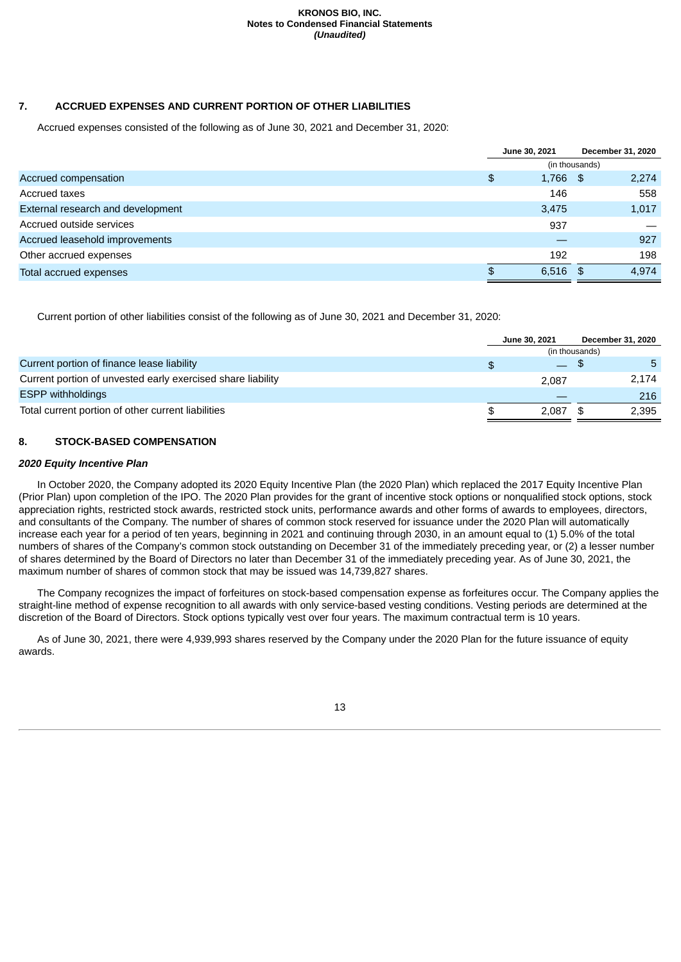# **7. ACCRUED EXPENSES AND CURRENT PORTION OF OTHER LIABILITIES**

Accrued expenses consisted of the following as of June 30, 2021 and December 31, 2020:

|                                   | June 30, 2021 |                |      | December 31, 2020 |
|-----------------------------------|---------------|----------------|------|-------------------|
|                                   |               | (in thousands) |      |                   |
| Accrued compensation              | \$            | 1,766          | - \$ | 2,274             |
| Accrued taxes                     |               | 146            |      | 558               |
| External research and development |               | 3,475          |      | 1,017             |
| Accrued outside services          |               | 937            |      |                   |
| Accrued leasehold improvements    |               |                |      | 927               |
| Other accrued expenses            |               | 192            |      | 198               |
| Total accrued expenses            | \$            | 6,516          | - \$ | 4,974             |

Current portion of other liabilities consist of the following as of June 30, 2021 and December 31, 2020:

| June 30, 2021 | December 31, 2020 |
|---------------|-------------------|
|               | (in thousands)    |
|               | -51               |
| 2.087         | 2.174             |
|               | 216               |
| 2.087         | 2.395             |
|               |                   |

# **8. STOCK-BASED COMPENSATION**

# *2020 Equity Incentive Plan*

In October 2020, the Company adopted its 2020 Equity Incentive Plan (the 2020 Plan) which replaced the 2017 Equity Incentive Plan (Prior Plan) upon completion of the IPO. The 2020 Plan provides for the grant of incentive stock options or nonqualified stock options, stock appreciation rights, restricted stock awards, restricted stock units, performance awards and other forms of awards to employees, directors, and consultants of the Company. The number of shares of common stock reserved for issuance under the 2020 Plan will automatically increase each year for a period of ten years, beginning in 2021 and continuing through 2030, in an amount equal to (1) 5.0% of the total numbers of shares of the Company's common stock outstanding on December 31 of the immediately preceding year, or (2) a lesser number of shares determined by the Board of Directors no later than December 31 of the immediately preceding year. As of June 30, 2021, the maximum number of shares of common stock that may be issued was 14,739,827 shares.

The Company recognizes the impact of forfeitures on stock-based compensation expense as forfeitures occur. The Company applies the straight-line method of expense recognition to all awards with only service-based vesting conditions. Vesting periods are determined at the discretion of the Board of Directors. Stock options typically vest over four years. The maximum contractual term is 10 years.

As of June 30, 2021, there were 4,939,993 shares reserved by the Company under the 2020 Plan for the future issuance of equity awards.

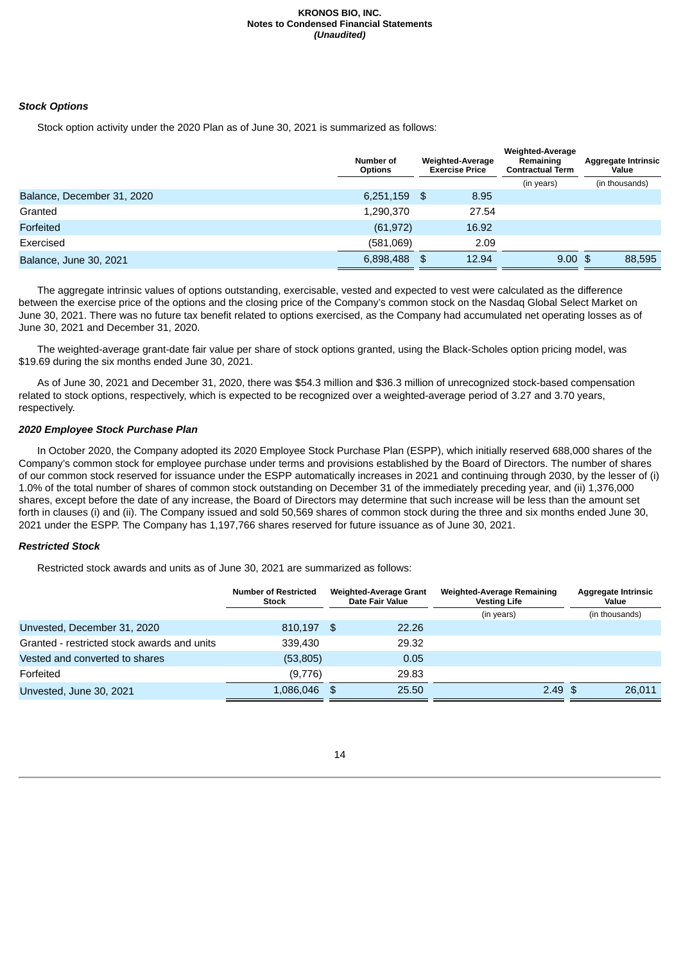# *Stock Options*

Stock option activity under the 2020 Plan as of June 30, 2021 is summarized as follows:

|                            | Number of<br><b>Weighted-Average</b><br><b>Exercise Price</b><br><b>Options</b> |             | Remaining<br><b>Contractual Term</b> |                | <b>Weighted-Average</b> |  |
|----------------------------|---------------------------------------------------------------------------------|-------------|--------------------------------------|----------------|-------------------------|--|
|                            |                                                                                 |             | (in years)                           | (in thousands) |                         |  |
| Balance, December 31, 2020 | 6,251,159                                                                       | 8.95<br>\$  |                                      |                |                         |  |
| Granted                    | 1,290,370                                                                       | 27.54       |                                      |                |                         |  |
| <b>Forfeited</b>           | (61, 972)                                                                       | 16.92       |                                      |                |                         |  |
| Exercised                  | (581,069)                                                                       | 2.09        |                                      |                |                         |  |
| Balance, June 30, 2021     | 6,898,488                                                                       | 12.94<br>\$ | $9.00 \text{ }$ \$                   | 88.595         |                         |  |

The aggregate intrinsic values of options outstanding, exercisable, vested and expected to vest were calculated as the difference between the exercise price of the options and the closing price of the Company's common stock on the Nasdaq Global Select Market on June 30, 2021. There was no future tax benefit related to options exercised, as the Company had accumulated net operating losses as of June 30, 2021 and December 31, 2020.

The weighted-average grant-date fair value per share of stock options granted, using the Black-Scholes option pricing model, was \$19.69 during the six months ended June 30, 2021.

As of June 30, 2021 and December 31, 2020, there was \$54.3 million and \$36.3 million of unrecognized stock-based compensation related to stock options, respectively, which is expected to be recognized over a weighted-average period of 3.27 and 3.70 years, respectively.

# *2020 Employee Stock Purchase Plan*

In October 2020, the Company adopted its 2020 Employee Stock Purchase Plan (ESPP), which initially reserved 688,000 shares of the Company's common stock for employee purchase under terms and provisions established by the Board of Directors. The number of shares of our common stock reserved for issuance under the ESPP automatically increases in 2021 and continuing through 2030, by the lesser of (i) 1.0% of the total number of shares of common stock outstanding on December 31 of the immediately preceding year, and (ii) 1,376,000 shares, except before the date of any increase, the Board of Directors may determine that such increase will be less than the amount set forth in clauses (i) and (ii). The Company issued and sold 50,569 shares of common stock during the three and six months ended June 30, 2021 under the ESPP. The Company has 1,197,766 shares reserved for future issuance as of June 30, 2021.

# *Restricted Stock*

Restricted stock awards and units as of June 30, 2021 are summarized as follows:

|                                             | <b>Number of Restricted</b><br><b>Stock</b> |      | <b>Weighted-Average Grant</b><br>Date Fair Value | Weighted-Average Remaining<br><b>Vesting Life</b> | <b>Aggregate Intrinsic</b><br>Value |
|---------------------------------------------|---------------------------------------------|------|--------------------------------------------------|---------------------------------------------------|-------------------------------------|
|                                             |                                             |      |                                                  | (in years)                                        | (in thousands)                      |
| Unvested, December 31, 2020                 | 810,197                                     | - \$ | 22.26                                            |                                                   |                                     |
| Granted - restricted stock awards and units | 339,430                                     |      | 29.32                                            |                                                   |                                     |
| Vested and converted to shares              | (53, 805)                                   |      | 0.05                                             |                                                   |                                     |
| Forfeited                                   | (9,776)                                     |      | 29.83                                            |                                                   |                                     |
| Unvested, June 30, 2021                     | 1,086,046 \$                                |      | 25.50                                            | $2.49$ \$                                         | 26.011                              |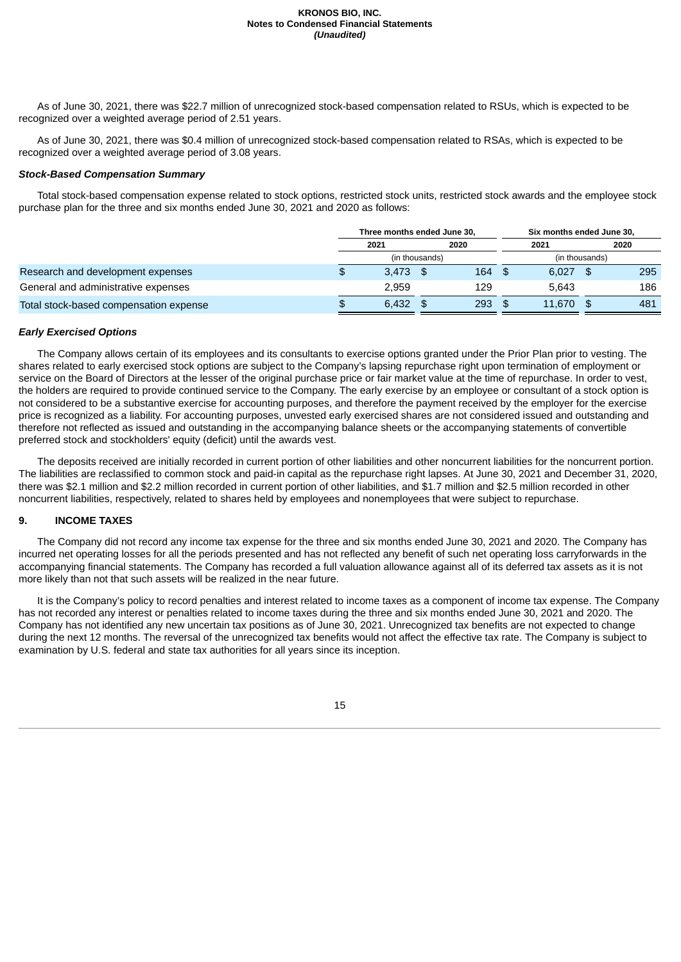As of June 30, 2021, there was \$22.7 million of unrecognized stock-based compensation related to RSUs, which is expected to be recognized over a weighted average period of 2.51 years.

As of June 30, 2021, there was \$0.4 million of unrecognized stock-based compensation related to RSAs, which is expected to be recognized over a weighted average period of 3.08 years.

# *Stock-Based Compensation Summary*

Total stock-based compensation expense related to stock options, restricted stock units, restricted stock awards and the employee stock purchase plan for the three and six months ended June 30, 2021 and 2020 as follows:

|                                        | Three months ended June 30, |                |      |     | Six months ended June 30, |        |  |     |
|----------------------------------------|-----------------------------|----------------|------|-----|---------------------------|--------|--|-----|
|                                        |                             | 2021           | 2020 |     |                           | 2021   |  |     |
|                                        |                             | (in thousands) |      |     | (in thousands)            |        |  |     |
| Research and development expenses      | \$                          | 3.473          |      | 164 | - \$                      | 6,027  |  | 295 |
| General and administrative expenses    |                             | 2.959          |      | 129 |                           | 5.643  |  | 186 |
| Total stock-based compensation expense | \$                          | 6.432          |      | 293 |                           | 11,670 |  | 481 |

# *Early Exercised Options*

The Company allows certain of its employees and its consultants to exercise options granted under the Prior Plan prior to vesting. The shares related to early exercised stock options are subject to the Company's lapsing repurchase right upon termination of employment or service on the Board of Directors at the lesser of the original purchase price or fair market value at the time of repurchase. In order to vest, the holders are required to provide continued service to the Company. The early exercise by an employee or consultant of a stock option is not considered to be a substantive exercise for accounting purposes, and therefore the payment received by the employer for the exercise price is recognized as a liability. For accounting purposes, unvested early exercised shares are not considered issued and outstanding and therefore not reflected as issued and outstanding in the accompanying balance sheets or the accompanying statements of convertible preferred stock and stockholders' equity (deficit) until the awards vest.

The deposits received are initially recorded in current portion of other liabilities and other noncurrent liabilities for the noncurrent portion. The liabilities are reclassified to common stock and paid-in capital as the repurchase right lapses. At June 30, 2021 and December 31, 2020, there was \$2.1 million and \$2.2 million recorded in current portion of other liabilities, and \$1.7 million and \$2.5 million recorded in other noncurrent liabilities, respectively, related to shares held by employees and nonemployees that were subject to repurchase.

# **9. INCOME TAXES**

The Company did not record any income tax expense for the three and six months ended June 30, 2021 and 2020. The Company has incurred net operating losses for all the periods presented and has not reflected any benefit of such net operating loss carryforwards in the accompanying financial statements. The Company has recorded a full valuation allowance against all of its deferred tax assets as it is not more likely than not that such assets will be realized in the near future.

It is the Company's policy to record penalties and interest related to income taxes as a component of income tax expense. The Company has not recorded any interest or penalties related to income taxes during the three and six months ended June 30, 2021 and 2020. The Company has not identified any new uncertain tax positions as of June 30, 2021. Unrecognized tax benefits are not expected to change during the next 12 months. The reversal of the unrecognized tax benefits would not affect the effective tax rate. The Company is subject to examination by U.S. federal and state tax authorities for all years since its inception.

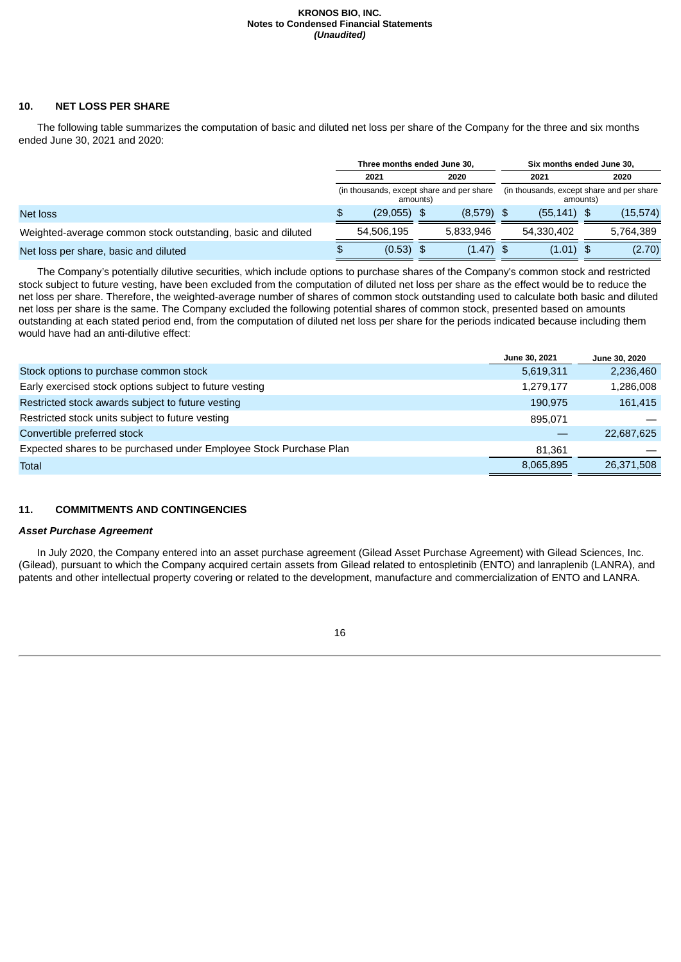# **10. NET LOSS PER SHARE**

The following table summarizes the computation of basic and diluted net loss per share of the Company for the three and six months ended June 30, 2021 and 2020:

|                                                              | Three months ended June 30.                            |               |      |              | Six months ended June 30.                              |                |  |           |  |
|--------------------------------------------------------------|--------------------------------------------------------|---------------|------|--------------|--------------------------------------------------------|----------------|--|-----------|--|
|                                                              | 2021<br>2020                                           |               | 2021 |              | 2020                                                   |                |  |           |  |
|                                                              | (in thousands, except share and per share)<br>amounts) |               |      |              | (in thousands, except share and per share)<br>amounts) |                |  |           |  |
| Net loss                                                     |                                                        | $(29,055)$ \$ |      | $(8,579)$ \$ |                                                        | $(55, 141)$ \$ |  | (15, 574) |  |
| Weighted-average common stock outstanding, basic and diluted |                                                        | 54.506.195    |      | 5.833.946    |                                                        | 54.330.402     |  | 5,764,389 |  |
| Net loss per share, basic and diluted                        | \$                                                     | $(0.53)$ \$   |      | $(1.47)$ \$  |                                                        | $(1.01)$ \$    |  | (2.70)    |  |

The Company's potentially dilutive securities, which include options to purchase shares of the Company's common stock and restricted stock subject to future vesting, have been excluded from the computation of diluted net loss per share as the effect would be to reduce the net loss per share. Therefore, the weighted-average number of shares of common stock outstanding used to calculate both basic and diluted net loss per share is the same. The Company excluded the following potential shares of common stock, presented based on amounts outstanding at each stated period end, from the computation of diluted net loss per share for the periods indicated because including them would have had an anti-dilutive effect:

|                                                                    | June 30, 2021 | June 30, 2020 |
|--------------------------------------------------------------------|---------------|---------------|
| Stock options to purchase common stock                             | 5,619,311     | 2,236,460     |
| Early exercised stock options subject to future vesting            | 1,279,177     | 1,286,008     |
| Restricted stock awards subject to future vesting                  | 190.975       | 161.415       |
| Restricted stock units subject to future vesting                   | 895.071       |               |
| Convertible preferred stock                                        |               | 22,687,625    |
| Expected shares to be purchased under Employee Stock Purchase Plan | 81,361        |               |
| <b>Total</b>                                                       | 8,065,895     | 26.371.508    |

# **11. COMMITMENTS AND CONTINGENCIES**

# *Asset Purchase Agreement*

In July 2020, the Company entered into an asset purchase agreement (Gilead Asset Purchase Agreement) with Gilead Sciences, Inc. (Gilead), pursuant to which the Company acquired certain assets from Gilead related to entospletinib (ENTO) and lanraplenib (LANRA), and patents and other intellectual property covering or related to the development, manufacture and commercialization of ENTO and LANRA.

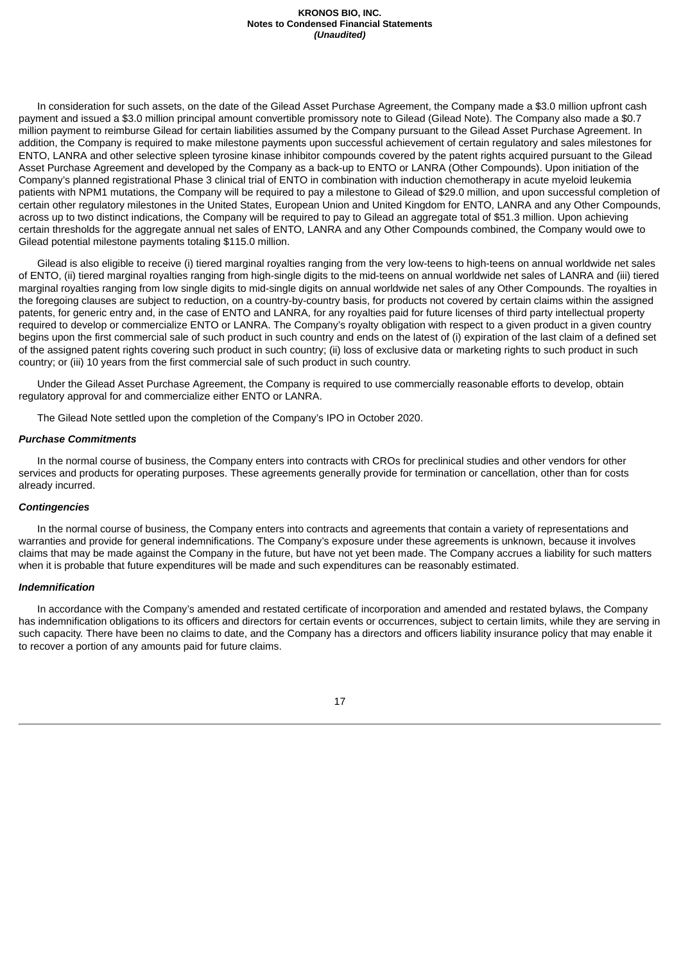In consideration for such assets, on the date of the Gilead Asset Purchase Agreement, the Company made a \$3.0 million upfront cash payment and issued a \$3.0 million principal amount convertible promissory note to Gilead (Gilead Note). The Company also made a \$0.7 million payment to reimburse Gilead for certain liabilities assumed by the Company pursuant to the Gilead Asset Purchase Agreement. In addition, the Company is required to make milestone payments upon successful achievement of certain regulatory and sales milestones for ENTO, LANRA and other selective spleen tyrosine kinase inhibitor compounds covered by the patent rights acquired pursuant to the Gilead Asset Purchase Agreement and developed by the Company as a back-up to ENTO or LANRA (Other Compounds). Upon initiation of the Company's planned registrational Phase 3 clinical trial of ENTO in combination with induction chemotherapy in acute myeloid leukemia patients with NPM1 mutations, the Company will be required to pay a milestone to Gilead of \$29.0 million, and upon successful completion of certain other regulatory milestones in the United States, European Union and United Kingdom for ENTO, LANRA and any Other Compounds, across up to two distinct indications, the Company will be required to pay to Gilead an aggregate total of \$51.3 million. Upon achieving certain thresholds for the aggregate annual net sales of ENTO, LANRA and any Other Compounds combined, the Company would owe to Gilead potential milestone payments totaling \$115.0 million.

Gilead is also eligible to receive (i) tiered marginal royalties ranging from the very low-teens to high-teens on annual worldwide net sales of ENTO, (ii) tiered marginal royalties ranging from high-single digits to the mid-teens on annual worldwide net sales of LANRA and (iii) tiered marginal royalties ranging from low single digits to mid-single digits on annual worldwide net sales of any Other Compounds. The royalties in the foregoing clauses are subject to reduction, on a country-by-country basis, for products not covered by certain claims within the assigned patents, for generic entry and, in the case of ENTO and LANRA, for any royalties paid for future licenses of third party intellectual property required to develop or commercialize ENTO or LANRA. The Company's royalty obligation with respect to a given product in a given country begins upon the first commercial sale of such product in such country and ends on the latest of (i) expiration of the last claim of a defined set of the assigned patent rights covering such product in such country; (ii) loss of exclusive data or marketing rights to such product in such country; or (iii) 10 years from the first commercial sale of such product in such country.

Under the Gilead Asset Purchase Agreement, the Company is required to use commercially reasonable efforts to develop, obtain regulatory approval for and commercialize either ENTO or LANRA.

The Gilead Note settled upon the completion of the Company's IPO in October 2020.

### *Purchase Commitments*

In the normal course of business, the Company enters into contracts with CROs for preclinical studies and other vendors for other services and products for operating purposes. These agreements generally provide for termination or cancellation, other than for costs already incurred.

# *Contingencies*

In the normal course of business, the Company enters into contracts and agreements that contain a variety of representations and warranties and provide for general indemnifications. The Company's exposure under these agreements is unknown, because it involves claims that may be made against the Company in the future, but have not yet been made. The Company accrues a liability for such matters when it is probable that future expenditures will be made and such expenditures can be reasonably estimated.

### *Indemnification*

In accordance with the Company's amended and restated certificate of incorporation and amended and restated bylaws, the Company has indemnification obligations to its officers and directors for certain events or occurrences, subject to certain limits, while they are serving in such capacity. There have been no claims to date, and the Company has a directors and officers liability insurance policy that may enable it to recover a portion of any amounts paid for future claims.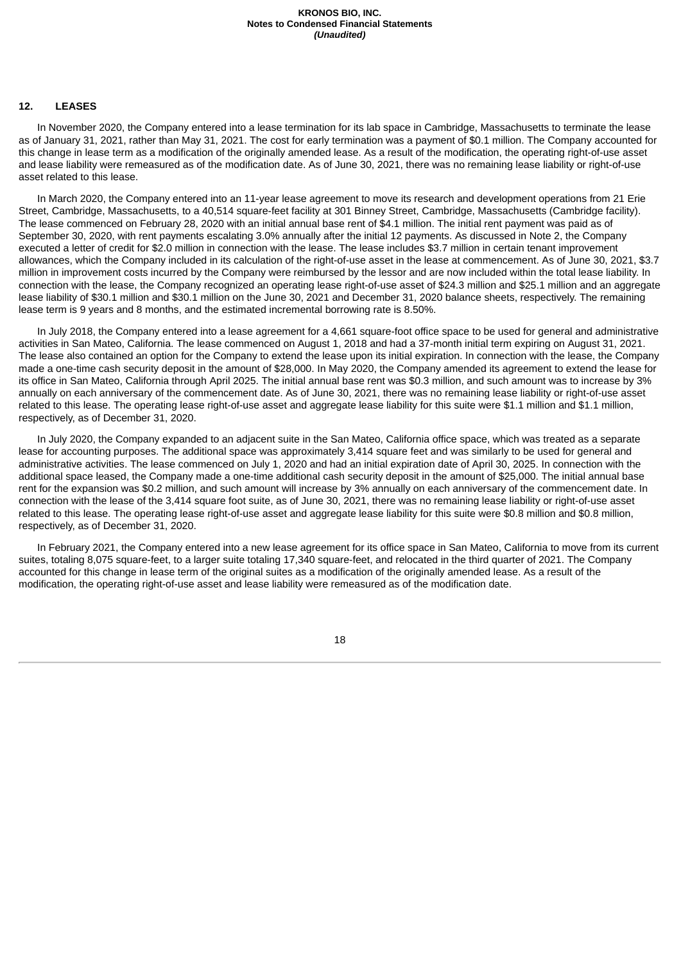# **12. LEASES**

In November 2020, the Company entered into a lease termination for its lab space in Cambridge, Massachusetts to terminate the lease as of January 31, 2021, rather than May 31, 2021. The cost for early termination was a payment of \$0.1 million. The Company accounted for this change in lease term as a modification of the originally amended lease. As a result of the modification, the operating right-of-use asset and lease liability were remeasured as of the modification date. As of June 30, 2021, there was no remaining lease liability or right-of-use asset related to this lease.

In March 2020, the Company entered into an 11-year lease agreement to move its research and development operations from 21 Erie Street, Cambridge, Massachusetts, to a 40,514 square-feet facility at 301 Binney Street, Cambridge, Massachusetts (Cambridge facility). The lease commenced on February 28, 2020 with an initial annual base rent of \$4.1 million. The initial rent payment was paid as of September 30, 2020, with rent payments escalating 3.0% annually after the initial 12 payments. As discussed in Note 2, the Company executed a letter of credit for \$2.0 million in connection with the lease. The lease includes \$3.7 million in certain tenant improvement allowances, which the Company included in its calculation of the right-of-use asset in the lease at commencement. As of June 30, 2021, \$3.7 million in improvement costs incurred by the Company were reimbursed by the lessor and are now included within the total lease liability. In connection with the lease, the Company recognized an operating lease right-of-use asset of \$24.3 million and \$25.1 million and an aggregate lease liability of \$30.1 million and \$30.1 million on the June 30, 2021 and December 31, 2020 balance sheets, respectively. The remaining lease term is 9 years and 8 months, and the estimated incremental borrowing rate is 8.50%.

In July 2018, the Company entered into a lease agreement for a 4,661 square-foot office space to be used for general and administrative activities in San Mateo, California. The lease commenced on August 1, 2018 and had a 37-month initial term expiring on August 31, 2021. The lease also contained an option for the Company to extend the lease upon its initial expiration. In connection with the lease, the Company made a one-time cash security deposit in the amount of \$28,000. In May 2020, the Company amended its agreement to extend the lease for its office in San Mateo, California through April 2025. The initial annual base rent was \$0.3 million, and such amount was to increase by 3% annually on each anniversary of the commencement date. As of June 30, 2021, there was no remaining lease liability or right-of-use asset related to this lease. The operating lease right-of-use asset and aggregate lease liability for this suite were \$1.1 million and \$1.1 million, respectively, as of December 31, 2020.

In July 2020, the Company expanded to an adjacent suite in the San Mateo, California office space, which was treated as a separate lease for accounting purposes. The additional space was approximately 3,414 square feet and was similarly to be used for general and administrative activities. The lease commenced on July 1, 2020 and had an initial expiration date of April 30, 2025. In connection with the additional space leased, the Company made a one-time additional cash security deposit in the amount of \$25,000. The initial annual base rent for the expansion was \$0.2 million, and such amount will increase by 3% annually on each anniversary of the commencement date. In connection with the lease of the 3,414 square foot suite, as of June 30, 2021, there was no remaining lease liability or right-of-use asset related to this lease. The operating lease right-of-use asset and aggregate lease liability for this suite were \$0.8 million and \$0.8 million, respectively, as of December 31, 2020.

In February 2021, the Company entered into a new lease agreement for its office space in San Mateo, California to move from its current suites, totaling 8,075 square-feet, to a larger suite totaling 17,340 square-feet, and relocated in the third quarter of 2021. The Company accounted for this change in lease term of the original suites as a modification of the originally amended lease. As a result of the modification, the operating right-of-use asset and lease liability were remeasured as of the modification date.

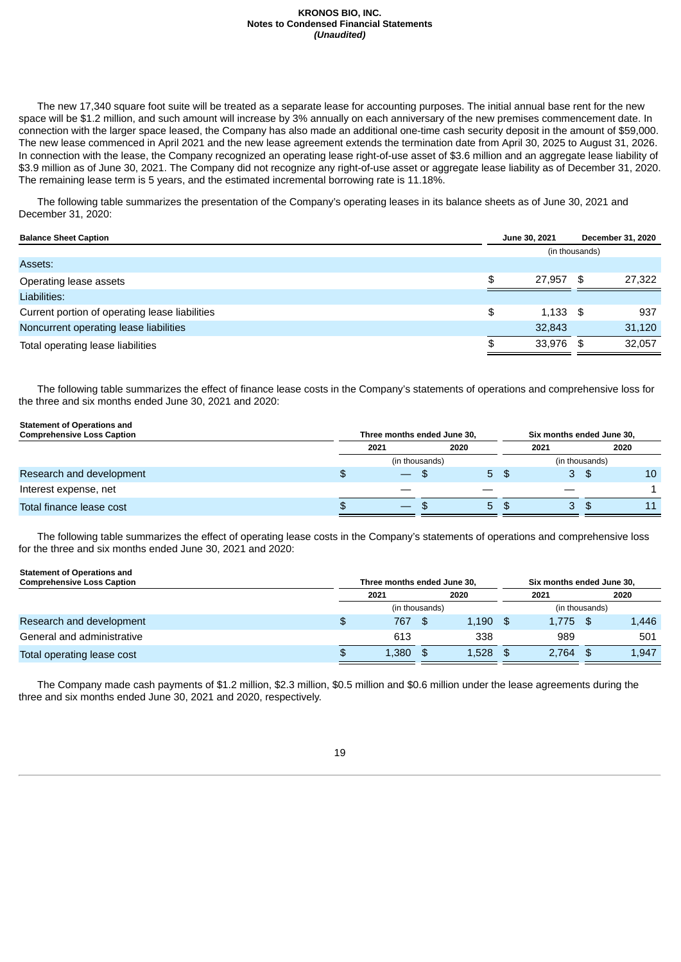The new 17,340 square foot suite will be treated as a separate lease for accounting purposes. The initial annual base rent for the new space will be \$1.2 million, and such amount will increase by 3% annually on each anniversary of the new premises commencement date. In connection with the larger space leased, the Company has also made an additional one-time cash security deposit in the amount of \$59,000. The new lease commenced in April 2021 and the new lease agreement extends the termination date from April 30, 2025 to August 31, 2026. In connection with the lease, the Company recognized an operating lease right-of-use asset of \$3.6 million and an aggregate lease liability of \$3.9 million as of June 30, 2021. The Company did not recognize any right-of-use asset or aggregate lease liability as of December 31, 2020. The remaining lease term is 5 years, and the estimated incremental borrowing rate is 11.18%.

The following table summarizes the presentation of the Company's operating leases in its balance sheets as of June 30, 2021 and December 31, 2020:

| <b>Balance Sheet Caption</b>                   | June 30, 2021 |        | December 31, 2020 |        |
|------------------------------------------------|---------------|--------|-------------------|--------|
|                                                |               |        | (in thousands)    |        |
| Assets:                                        |               |        |                   |        |
| Operating lease assets                         | \$            | 27.957 | - SS              | 27.322 |
| Liabilities:                                   |               |        |                   |        |
| Current portion of operating lease liabilities | \$            | 1.133  | - SS              | 937    |
| Noncurrent operating lease liabilities         |               | 32,843 |                   | 31,120 |
| Total operating lease liabilities              | <b>C</b><br>Ъ | 33.976 | \$.               | 32,057 |

The following table summarizes the effect of finance lease costs in the Company's statements of operations and comprehensive loss for the three and six months ended June 30, 2021 and 2020:

| <b>Statement of Operations and</b><br><b>Comprehensive Loss Caption</b> | Three months ended June 30, |      |      |      |                | Six months ended June 30, |      |      |  |  |
|-------------------------------------------------------------------------|-----------------------------|------|------|------|----------------|---------------------------|------|------|--|--|
|                                                                         |                             | 2021 | 2020 |      |                | 2021                      |      | 2020 |  |  |
|                                                                         | (in thousands)              |      |      |      | (in thousands) |                           |      |      |  |  |
| Research and development                                                | \$.                         |      |      | 5S   |                | 3                         | - \$ | 10   |  |  |
| Interest expense, net                                                   |                             |      |      |      |                |                           |      |      |  |  |
| Total finance lease cost                                                | \$.                         |      |      | 5 \$ |                | 3                         | - \$ |      |  |  |

The following table summarizes the effect of operating lease costs in the Company's statements of operations and comprehensive loss for the three and six months ended June 30, 2021 and 2020:

| <b>Statement of Operations and</b><br><b>Comprehensive Loss Caption</b> |      | Three months ended June 30, |                | Six months ended June 30, |  |                |   |       |  |
|-------------------------------------------------------------------------|------|-----------------------------|----------------|---------------------------|--|----------------|---|-------|--|
|                                                                         | 2021 |                             |                | 2020                      |  | 2021           |   | 2020  |  |
|                                                                         |      |                             | (in thousands) |                           |  | (in thousands) |   |       |  |
| Research and development                                                | \$   | 767                         | \$             | $1.190$ \$                |  | 1.775          | 8 | 1,446 |  |
| General and administrative                                              |      | 613                         |                | 338                       |  | 989            |   | 501   |  |
| Total operating lease cost                                              | \$   | 1.380                       | \$             | $1.528$ \$                |  | 2.764          |   | 1,947 |  |

The Company made cash payments of \$1.2 million, \$2.3 million, \$0.5 million and \$0.6 million under the lease agreements during the three and six months ended June 30, 2021 and 2020, respectively.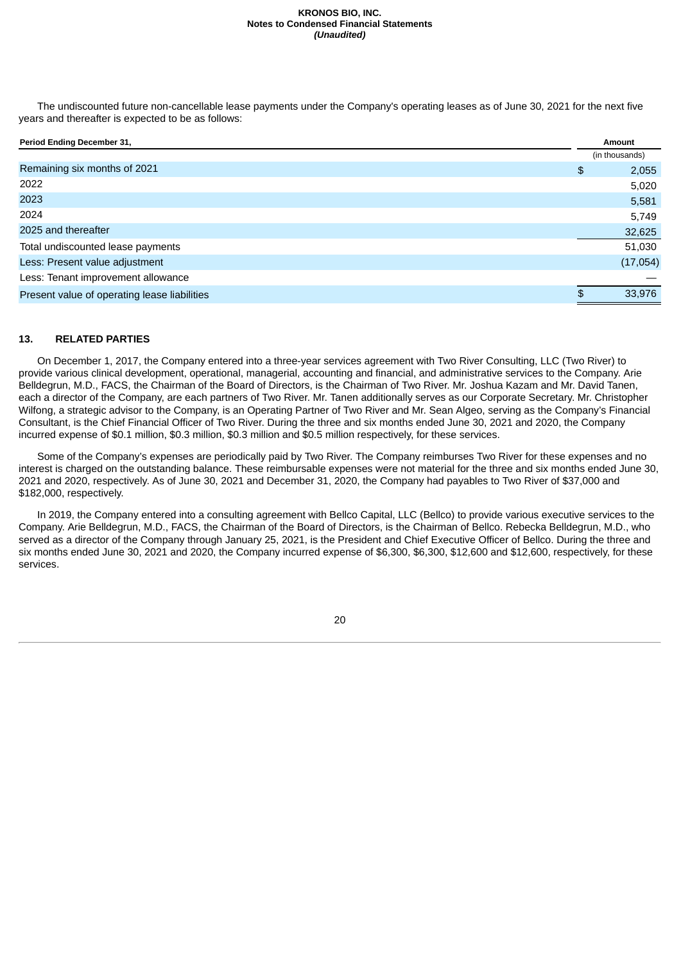The undiscounted future non-cancellable lease payments under the Company's operating leases as of June 30, 2021 for the next five years and thereafter is expected to be as follows:

| Period Ending December 31,                   | Amount         |
|----------------------------------------------|----------------|
|                                              | (in thousands) |
| Remaining six months of 2021                 | \$<br>2,055    |
| 2022                                         | 5,020          |
| 2023                                         | 5,581          |
| 2024                                         | 5,749          |
| 2025 and thereafter                          | 32,625         |
| Total undiscounted lease payments            | 51,030         |
| Less: Present value adjustment               | (17,054)       |
| Less: Tenant improvement allowance           |                |
| Present value of operating lease liabilities | \$<br>33,976   |

# **13. RELATED PARTIES**

On December 1, 2017, the Company entered into a three-year services agreement with Two River Consulting, LLC (Two River) to provide various clinical development, operational, managerial, accounting and financial, and administrative services to the Company. Arie Belldegrun, M.D., FACS, the Chairman of the Board of Directors, is the Chairman of Two River. Mr. Joshua Kazam and Mr. David Tanen, each a director of the Company, are each partners of Two River. Mr. Tanen additionally serves as our Corporate Secretary. Mr. Christopher Wilfong, a strategic advisor to the Company, is an Operating Partner of Two River and Mr. Sean Algeo, serving as the Company's Financial Consultant, is the Chief Financial Officer of Two River. During the three and six months ended June 30, 2021 and 2020, the Company incurred expense of \$0.1 million, \$0.3 million, \$0.3 million and \$0.5 million respectively, for these services.

Some of the Company's expenses are periodically paid by Two River. The Company reimburses Two River for these expenses and no interest is charged on the outstanding balance. These reimbursable expenses were not material for the three and six months ended June 30, 2021 and 2020, respectively. As of June 30, 2021 and December 31, 2020, the Company had payables to Two River of \$37,000 and \$182,000, respectively.

<span id="page-19-0"></span>In 2019, the Company entered into a consulting agreement with Bellco Capital, LLC (Bellco) to provide various executive services to the Company. Arie Belldegrun, M.D., FACS, the Chairman of the Board of Directors, is the Chairman of Bellco. Rebecka Belldegrun, M.D., who served as a director of the Company through January 25, 2021, is the President and Chief Executive Officer of Bellco. During the three and six months ended June 30, 2021 and 2020, the Company incurred expense of \$6,300, \$6,300, \$12,600 and \$12,600, respectively, for these services.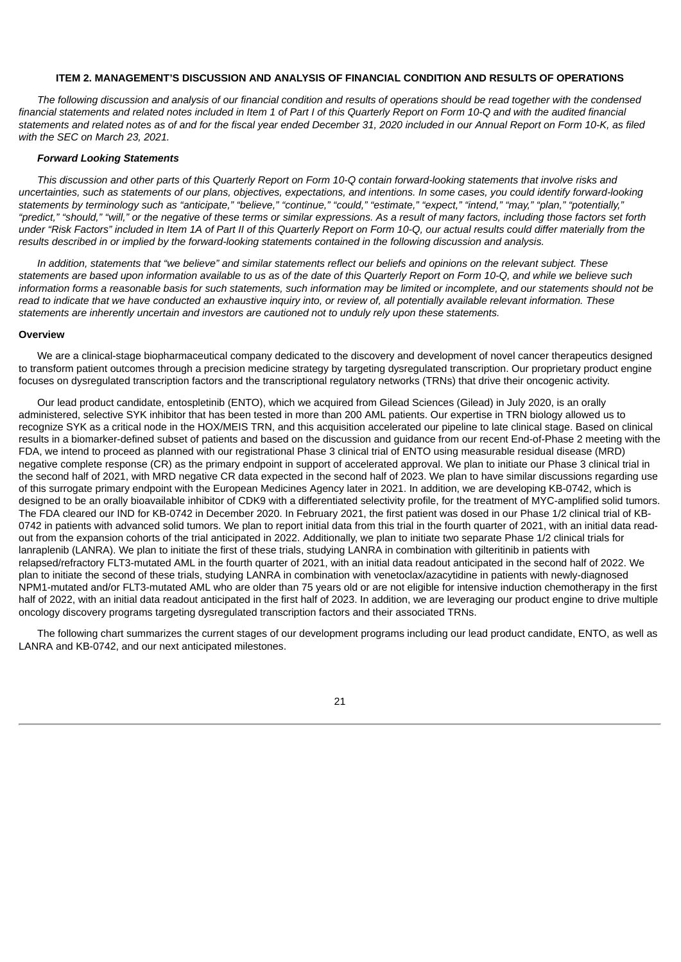# **ITEM 2. MANAGEMENT'S DISCUSSION AND ANALYSIS OF FINANCIAL CONDITION AND RESULTS OF OPERATIONS**

The following discussion and analysis of our financial condition and results of operations should be read together with the condensed financial statements and related notes included in Item 1 of Part I of this Quarterly Report on Form 10-Q and with the audited financial statements and related notes as of and for the fiscal year ended December 31, 2020 included in our Annual Report on Form 10-K, as filed *with the SEC on March 23, 2021.*

### *Forward Looking Statements*

This discussion and other parts of this Quarterly Report on Form 10-Q contain forward-looking statements that involve risks and uncertainties, such as statements of our plans, objectives, expectations, and intentions. In some cases, you could identify forward-looking statements by terminology such as "anticipate," "believe," "continue," "could," "estimate," "expect," "intend," "may," "plan," "potentially," "predict," "should," "will," or the negative of these terms or similar expressions. As a result of many factors, including those factors set forth under "Risk Factors" included in Item 1A of Part II of this Quarterly Report on Form 10-Q, our actual results could differ materially from the results described in or implied by the forward-looking statements contained in the following discussion and analysis.

In addition, statements that "we believe" and similar statements reflect our beliefs and opinions on the relevant subject. These statements are based upon information available to us as of the date of this Ouarterly Report on Form 10-O, and while we believe such information forms a reasonable basis for such statements, such information may be limited or incomplete, and our statements should not be read to indicate that we have conducted an exhaustive inquiry into, or review of, all potentially available relevant information. These *statements are inherently uncertain and investors are cautioned not to unduly rely upon these statements.*

### **Overview**

We are a clinical-stage biopharmaceutical company dedicated to the discovery and development of novel cancer therapeutics designed to transform patient outcomes through a precision medicine strategy by targeting dysregulated transcription. Our proprietary product engine focuses on dysregulated transcription factors and the transcriptional regulatory networks (TRNs) that drive their oncogenic activity.

Our lead product candidate, entospletinib (ENTO), which we acquired from Gilead Sciences (Gilead) in July 2020, is an orally administered, selective SYK inhibitor that has been tested in more than 200 AML patients. Our expertise in TRN biology allowed us to recognize SYK as a critical node in the HOX/MEIS TRN, and this acquisition accelerated our pipeline to late clinical stage. Based on clinical results in a biomarker-defined subset of patients and based on the discussion and guidance from our recent End-of-Phase 2 meeting with the FDA, we intend to proceed as planned with our registrational Phase 3 clinical trial of ENTO using measurable residual disease (MRD) negative complete response (CR) as the primary endpoint in support of accelerated approval. We plan to initiate our Phase 3 clinical trial in the second half of 2021, with MRD negative CR data expected in the second half of 2023. We plan to have similar discussions regarding use of this surrogate primary endpoint with the European Medicines Agency later in 2021. In addition, we are developing KB-0742, which is designed to be an orally bioavailable inhibitor of CDK9 with a differentiated selectivity profile, for the treatment of MYC-amplified solid tumors. The FDA cleared our IND for KB-0742 in December 2020. In February 2021, the first patient was dosed in our Phase 1/2 clinical trial of KB-0742 in patients with advanced solid tumors. We plan to report initial data from this trial in the fourth quarter of 2021, with an initial data readout from the expansion cohorts of the trial anticipated in 2022. Additionally, we plan to initiate two separate Phase 1/2 clinical trials for lanraplenib (LANRA). We plan to initiate the first of these trials, studying LANRA in combination with gilteritinib in patients with relapsed/refractory FLT3-mutated AML in the fourth quarter of 2021, with an initial data readout anticipated in the second half of 2022. We plan to initiate the second of these trials, studying LANRA in combination with venetoclax/azacytidine in patients with newly-diagnosed NPM1-mutated and/or FLT3-mutated AML who are older than 75 years old or are not eligible for intensive induction chemotherapy in the first half of 2022, with an initial data readout anticipated in the first half of 2023. In addition, we are leveraging our product engine to drive multiple oncology discovery programs targeting dysregulated transcription factors and their associated TRNs.

The following chart summarizes the current stages of our development programs including our lead product candidate, ENTO, as well as LANRA and KB-0742, and our next anticipated milestones.

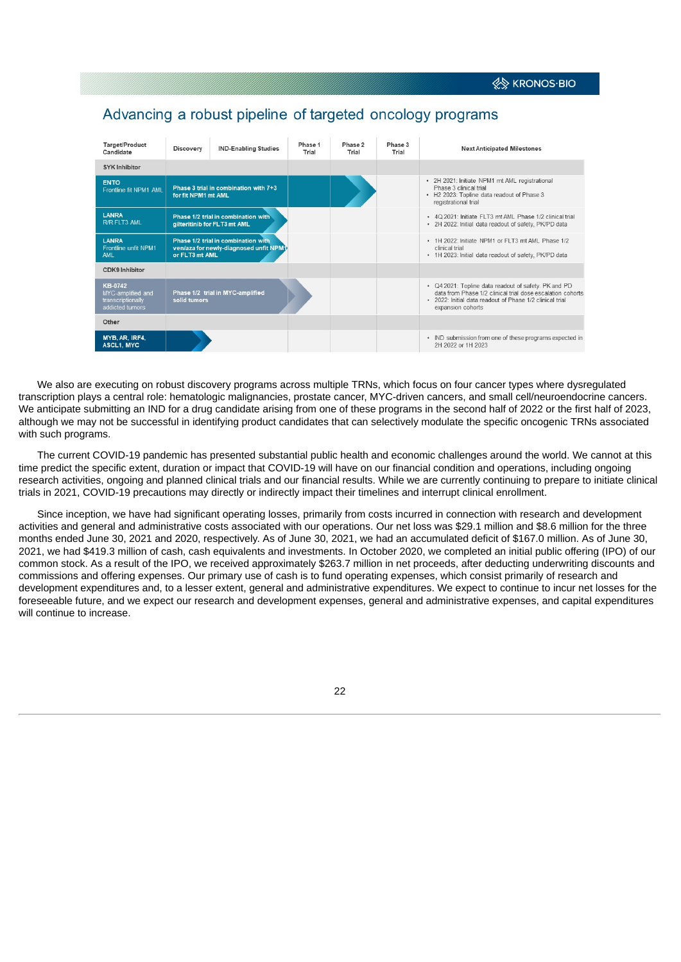#### Target/Product<br>Candidate Phase 3<br>Trial Phase 1 Phase 2 **IND-Enabling Studies** Discovery Next Anticipated Milestones Tria Trial **SYK Inhibitor** . 2H 2021: Initiate NPM1 mt AML registrational ENTO Phase 3 trial in combination with 7+3<br>for fit NPM1 mt AML e fit NPM1 AM Phase 3 clinical trial<br>• H2 2023: Topline data readout of Phase 3 registrational trial LANRA<br>R/R FLT3 AML • 4Q 2021: Initiate FLT3 mt AML Phase 1/2 clinical trial<br>• 2H 2022: Initial data readout of safety, PK/PD data Phase 1/2 trial in combination with<br>gilteritinib for FLT3 mt AML • 1H 2022: Initiate NPM1 or FLT3 mt AML Phase 1/2 LANRA Phase 1/2 trial in combination v LANRA<br>Frontline unfit NPM1<br>AML ven/aza for newly-diagnosed unfit NF<br>or FLT3 mt AML clinical trial<br>• 1H 2023: Initial data readout of safety, PK/PD data CDK9 Inhibitor KB-0742 • Q4 2021: Topline data readout of safety. PK and PD **KB-0742**<br>MYC-amplifie<br>transcriptiona<br>addicted tum se 1/2 trial in MYC-amplified data from Phase 1/2 clinical trial dose escalation cohorts<br>2022: Initial data readout of Phase 1/2 clinical trial expansion cohorts Other MYB, AR, IRF4. • IND submission from one of these programs expected in **ASCI 1 MYC** 2H 2022 or 1H 2023

# Advancing a robust pipeline of targeted oncology programs

We also are executing on robust discovery programs across multiple TRNs, which focus on four cancer types where dysregulated transcription plays a central role: hematologic malignancies, prostate cancer, MYC-driven cancers, and small cell/neuroendocrine cancers. We anticipate submitting an IND for a drug candidate arising from one of these programs in the second half of 2022 or the first half of 2023, although we may not be successful in identifying product candidates that can selectively modulate the specific oncogenic TRNs associated with such programs.

The current COVID-19 pandemic has presented substantial public health and economic challenges around the world. We cannot at this time predict the specific extent, duration or impact that COVID-19 will have on our financial condition and operations, including ongoing research activities, ongoing and planned clinical trials and our financial results. While we are currently continuing to prepare to initiate clinical trials in 2021, COVID-19 precautions may directly or indirectly impact their timelines and interrupt clinical enrollment.

Since inception, we have had significant operating losses, primarily from costs incurred in connection with research and development activities and general and administrative costs associated with our operations. Our net loss was \$29.1 million and \$8.6 million for the three months ended June 30, 2021 and 2020, respectively. As of June 30, 2021, we had an accumulated deficit of \$167.0 million. As of June 30, 2021, we had \$419.3 million of cash, cash equivalents and investments. In October 2020, we completed an initial public offering (IPO) of our common stock. As a result of the IPO, we received approximately \$263.7 million in net proceeds, after deducting underwriting discounts and commissions and offering expenses. Our primary use of cash is to fund operating expenses, which consist primarily of research and development expenditures and, to a lesser extent, general and administrative expenditures. We expect to continue to incur net losses for the foreseeable future, and we expect our research and development expenses, general and administrative expenses, and capital expenditures will continue to increase.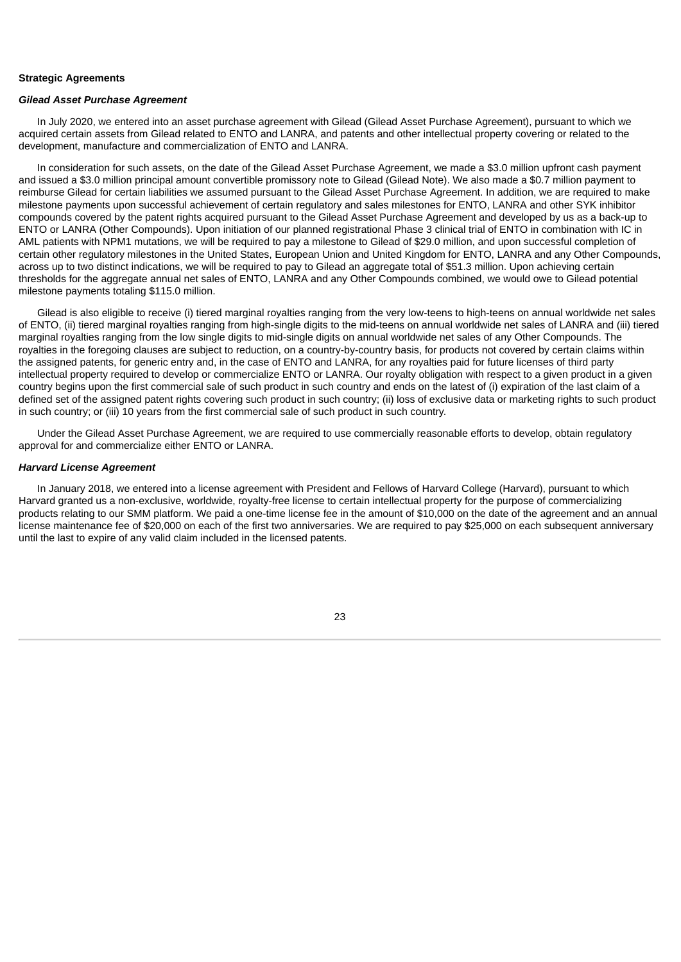### **Strategic Agreements**

### *Gilead Asset Purchase Agreement*

In July 2020, we entered into an asset purchase agreement with Gilead (Gilead Asset Purchase Agreement), pursuant to which we acquired certain assets from Gilead related to ENTO and LANRA, and patents and other intellectual property covering or related to the development, manufacture and commercialization of ENTO and LANRA.

In consideration for such assets, on the date of the Gilead Asset Purchase Agreement, we made a \$3.0 million upfront cash payment and issued a \$3.0 million principal amount convertible promissory note to Gilead (Gilead Note). We also made a \$0.7 million payment to reimburse Gilead for certain liabilities we assumed pursuant to the Gilead Asset Purchase Agreement. In addition, we are required to make milestone payments upon successful achievement of certain regulatory and sales milestones for ENTO, LANRA and other SYK inhibitor compounds covered by the patent rights acquired pursuant to the Gilead Asset Purchase Agreement and developed by us as a back-up to ENTO or LANRA (Other Compounds). Upon initiation of our planned registrational Phase 3 clinical trial of ENTO in combination with IC in AML patients with NPM1 mutations, we will be required to pay a milestone to Gilead of \$29.0 million, and upon successful completion of certain other regulatory milestones in the United States, European Union and United Kingdom for ENTO, LANRA and any Other Compounds, across up to two distinct indications, we will be required to pay to Gilead an aggregate total of \$51.3 million. Upon achieving certain thresholds for the aggregate annual net sales of ENTO, LANRA and any Other Compounds combined, we would owe to Gilead potential milestone payments totaling \$115.0 million.

Gilead is also eligible to receive (i) tiered marginal royalties ranging from the very low-teens to high-teens on annual worldwide net sales of ENTO, (ii) tiered marginal royalties ranging from high-single digits to the mid-teens on annual worldwide net sales of LANRA and (iii) tiered marginal royalties ranging from the low single digits to mid-single digits on annual worldwide net sales of any Other Compounds. The royalties in the foregoing clauses are subject to reduction, on a country-by-country basis, for products not covered by certain claims within the assigned patents, for generic entry and, in the case of ENTO and LANRA, for any royalties paid for future licenses of third party intellectual property required to develop or commercialize ENTO or LANRA. Our royalty obligation with respect to a given product in a given country begins upon the first commercial sale of such product in such country and ends on the latest of (i) expiration of the last claim of a defined set of the assigned patent rights covering such product in such country; (ii) loss of exclusive data or marketing rights to such product in such country; or (iii) 10 years from the first commercial sale of such product in such country.

Under the Gilead Asset Purchase Agreement, we are required to use commercially reasonable efforts to develop, obtain regulatory approval for and commercialize either ENTO or LANRA.

### *Harvard License Agreement*

In January 2018, we entered into a license agreement with President and Fellows of Harvard College (Harvard), pursuant to which Harvard granted us a non-exclusive, worldwide, royalty-free license to certain intellectual property for the purpose of commercializing products relating to our SMM platform. We paid a one-time license fee in the amount of \$10,000 on the date of the agreement and an annual license maintenance fee of \$20,000 on each of the first two anniversaries. We are required to pay \$25,000 on each subsequent anniversary until the last to expire of any valid claim included in the licensed patents.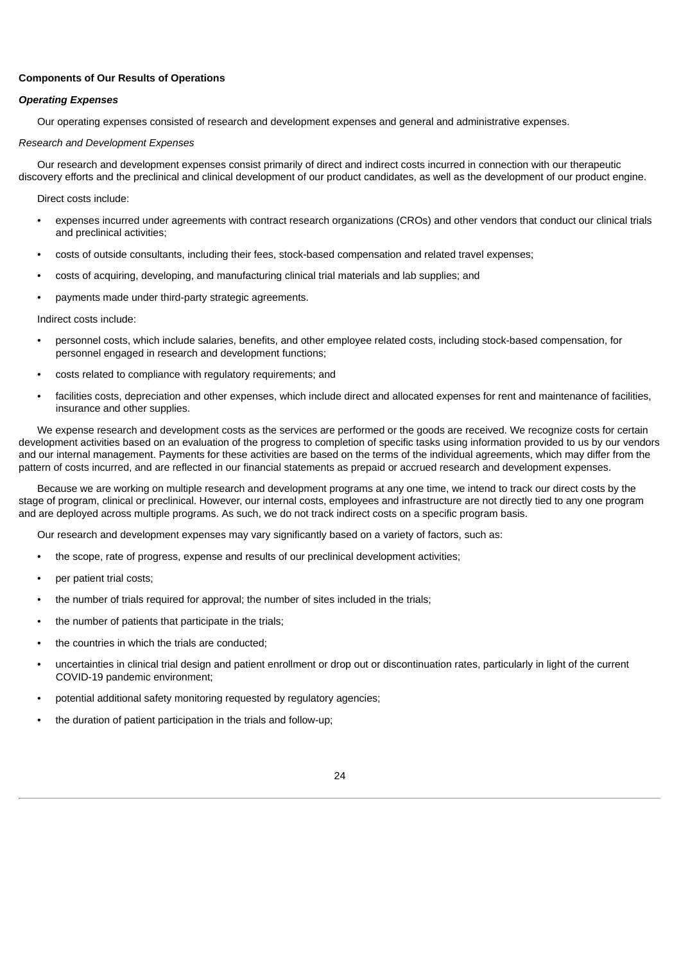# **Components of Our Results of Operations**

# *Operating Expenses*

Our operating expenses consisted of research and development expenses and general and administrative expenses.

# *Research and Development Expenses*

Our research and development expenses consist primarily of direct and indirect costs incurred in connection with our therapeutic discovery efforts and the preclinical and clinical development of our product candidates, as well as the development of our product engine.

Direct costs include:

- expenses incurred under agreements with contract research organizations (CROs) and other vendors that conduct our clinical trials and preclinical activities;
- costs of outside consultants, including their fees, stock-based compensation and related travel expenses;
- costs of acquiring, developing, and manufacturing clinical trial materials and lab supplies; and
- payments made under third-party strategic agreements.

Indirect costs include:

- personnel costs, which include salaries, benefits, and other employee related costs, including stock-based compensation, for personnel engaged in research and development functions;
- costs related to compliance with regulatory requirements; and
- facilities costs, depreciation and other expenses, which include direct and allocated expenses for rent and maintenance of facilities, insurance and other supplies.

We expense research and development costs as the services are performed or the goods are received. We recognize costs for certain development activities based on an evaluation of the progress to completion of specific tasks using information provided to us by our vendors and our internal management. Payments for these activities are based on the terms of the individual agreements, which may differ from the pattern of costs incurred, and are reflected in our financial statements as prepaid or accrued research and development expenses.

Because we are working on multiple research and development programs at any one time, we intend to track our direct costs by the stage of program, clinical or preclinical. However, our internal costs, employees and infrastructure are not directly tied to any one program and are deployed across multiple programs. As such, we do not track indirect costs on a specific program basis.

Our research and development expenses may vary significantly based on a variety of factors, such as:

- the scope, rate of progress, expense and results of our preclinical development activities;
- per patient trial costs;
- the number of trials required for approval; the number of sites included in the trials;
- the number of patients that participate in the trials;
- the countries in which the trials are conducted;
- uncertainties in clinical trial design and patient enrollment or drop out or discontinuation rates, particularly in light of the current COVID-19 pandemic environment;
- potential additional safety monitoring requested by regulatory agencies;
- the duration of patient participation in the trials and follow-up;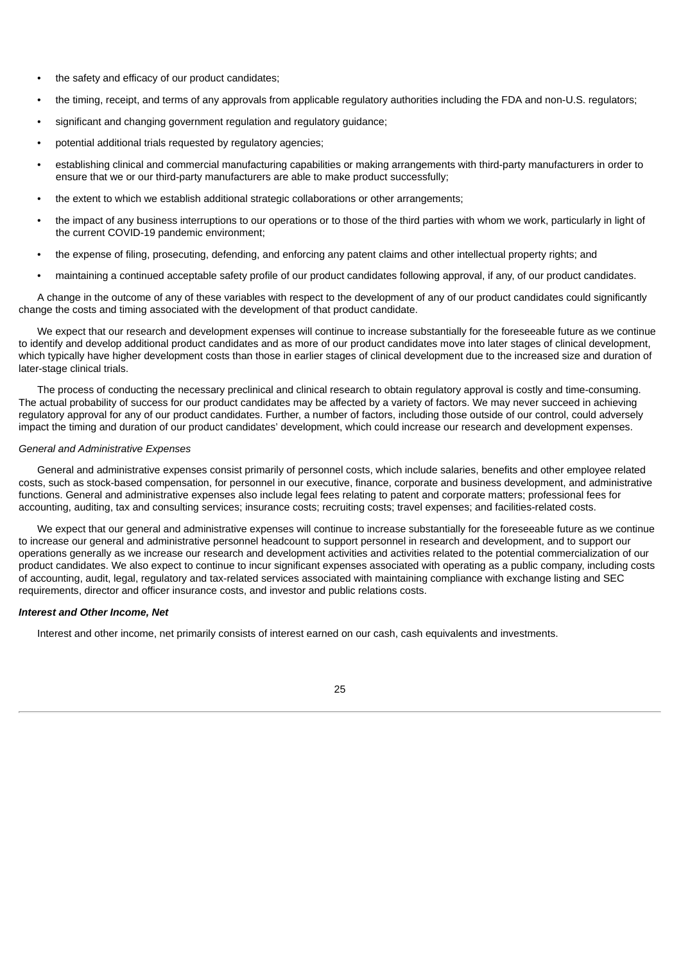- the safety and efficacy of our product candidates;
- the timing, receipt, and terms of any approvals from applicable regulatory authorities including the FDA and non-U.S. regulators;
- significant and changing government regulation and regulatory guidance;
- potential additional trials requested by regulatory agencies;
- establishing clinical and commercial manufacturing capabilities or making arrangements with third-party manufacturers in order to ensure that we or our third-party manufacturers are able to make product successfully;
- the extent to which we establish additional strategic collaborations or other arrangements;
- the impact of any business interruptions to our operations or to those of the third parties with whom we work, particularly in light of the current COVID-19 pandemic environment;
- the expense of filing, prosecuting, defending, and enforcing any patent claims and other intellectual property rights; and
- maintaining a continued acceptable safety profile of our product candidates following approval, if any, of our product candidates.

A change in the outcome of any of these variables with respect to the development of any of our product candidates could significantly change the costs and timing associated with the development of that product candidate.

We expect that our research and development expenses will continue to increase substantially for the foreseeable future as we continue to identify and develop additional product candidates and as more of our product candidates move into later stages of clinical development, which typically have higher development costs than those in earlier stages of clinical development due to the increased size and duration of later-stage clinical trials.

The process of conducting the necessary preclinical and clinical research to obtain regulatory approval is costly and time-consuming. The actual probability of success for our product candidates may be affected by a variety of factors. We may never succeed in achieving regulatory approval for any of our product candidates. Further, a number of factors, including those outside of our control, could adversely impact the timing and duration of our product candidates' development, which could increase our research and development expenses.

### *General and Administrative Expenses*

General and administrative expenses consist primarily of personnel costs, which include salaries, benefits and other employee related costs, such as stock-based compensation, for personnel in our executive, finance, corporate and business development, and administrative functions. General and administrative expenses also include legal fees relating to patent and corporate matters; professional fees for accounting, auditing, tax and consulting services; insurance costs; recruiting costs; travel expenses; and facilities-related costs.

We expect that our general and administrative expenses will continue to increase substantially for the foreseeable future as we continue to increase our general and administrative personnel headcount to support personnel in research and development, and to support our operations generally as we increase our research and development activities and activities related to the potential commercialization of our product candidates. We also expect to continue to incur significant expenses associated with operating as a public company, including costs of accounting, audit, legal, regulatory and tax-related services associated with maintaining compliance with exchange listing and SEC requirements, director and officer insurance costs, and investor and public relations costs.

# *Interest and Other Income, Net*

Interest and other income, net primarily consists of interest earned on our cash, cash equivalents and investments.

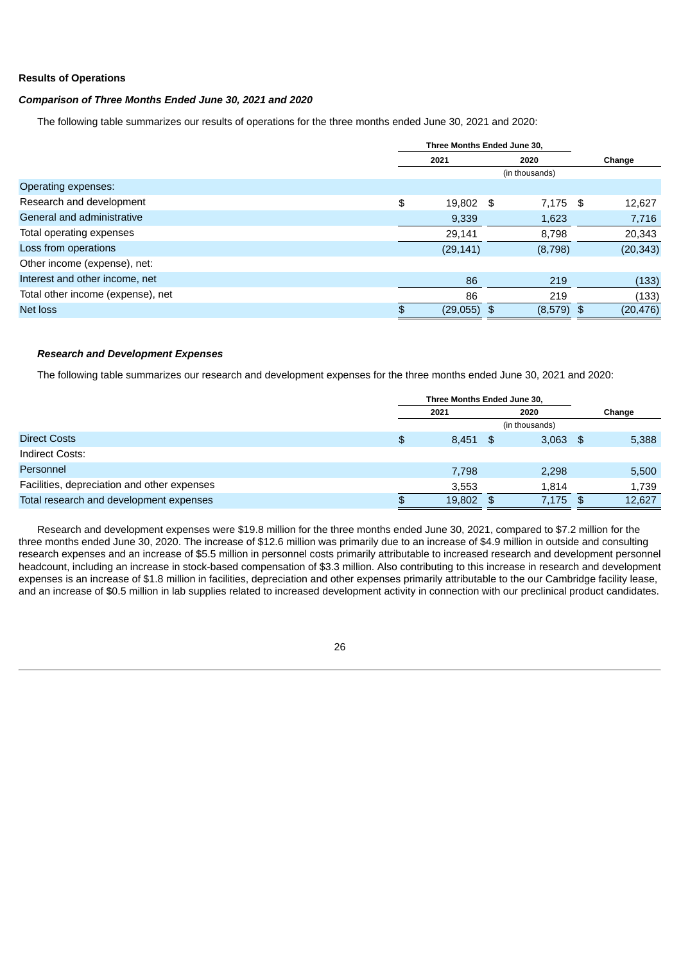# **Results of Operations**

# *Comparison of Three Months Ended June 30, 2021 and 2020*

The following table summarizes our results of operations for the three months ended June 30, 2021 and 2020:

|                                   | Three Months Ended June 30, |           |    |                |      |           |  |
|-----------------------------------|-----------------------------|-----------|----|----------------|------|-----------|--|
|                                   | 2021                        |           |    | 2020           |      | Change    |  |
|                                   |                             |           |    | (in thousands) |      |           |  |
| Operating expenses:               |                             |           |    |                |      |           |  |
| Research and development          | \$                          | 19,802 \$ |    | 7,175          | - \$ | 12,627    |  |
| General and administrative        |                             | 9,339     |    | 1,623          |      | 7,716     |  |
| Total operating expenses          |                             | 29,141    |    | 8,798          |      | 20,343    |  |
| Loss from operations              |                             | (29, 141) |    | (8,798)        |      | (20, 343) |  |
| Other income (expense), net:      |                             |           |    |                |      |           |  |
| Interest and other income, net    |                             | 86        |    | 219            |      | (133)     |  |
| Total other income (expense), net |                             | 86        |    | 219            |      | (133)     |  |
| <b>Net loss</b>                   | \$                          | (29, 055) | \$ | $(8,579)$ \$   |      | (20, 476) |  |
|                                   |                             |           |    |                |      |           |  |

# *Research and Development Expenses*

The following table summarizes our research and development expenses for the three months ended June 30, 2021 and 2020:

|                                             |     | 2021           | 2020 |       |      | Change |  |  |  |
|---------------------------------------------|-----|----------------|------|-------|------|--------|--|--|--|
|                                             |     | (in thousands) |      |       |      |        |  |  |  |
| <b>Direct Costs</b>                         | \$  | $8,451$ \$     |      | 3,063 | - SS | 5,388  |  |  |  |
| Indirect Costs:                             |     |                |      |       |      |        |  |  |  |
| Personnel                                   |     | 7,798          |      | 2,298 |      | 5,500  |  |  |  |
| Facilities, depreciation and other expenses |     | 3,553          |      | 1.814 |      | 1,739  |  |  |  |
| Total research and development expenses     | \$. | 19,802 \$      |      | 7,175 | \$   | 12,627 |  |  |  |

Research and development expenses were \$19.8 million for the three months ended June 30, 2021, compared to \$7.2 million for the three months ended June 30, 2020. The increase of \$12.6 million was primarily due to an increase of \$4.9 million in outside and consulting research expenses and an increase of \$5.5 million in personnel costs primarily attributable to increased research and development personnel headcount, including an increase in stock-based compensation of \$3.3 million. Also contributing to this increase in research and development expenses is an increase of \$1.8 million in facilities, depreciation and other expenses primarily attributable to the our Cambridge facility lease, and an increase of \$0.5 million in lab supplies related to increased development activity in connection with our preclinical product candidates.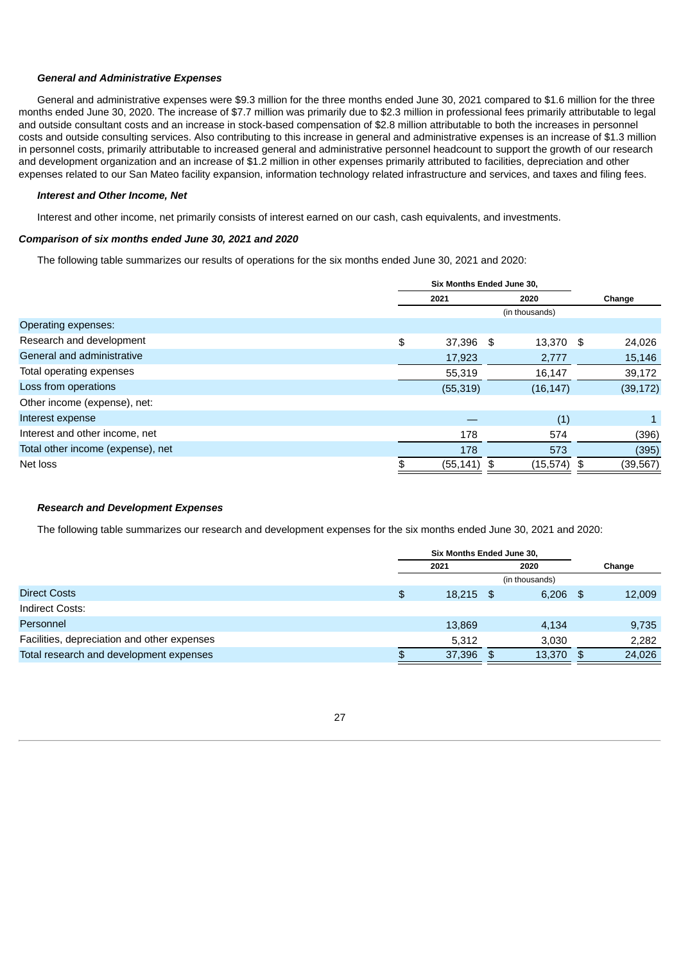# *General and Administrative Expenses*

General and administrative expenses were \$9.3 million for the three months ended June 30, 2021 compared to \$1.6 million for the three months ended June 30, 2020. The increase of \$7.7 million was primarily due to \$2.3 million in professional fees primarily attributable to legal and outside consultant costs and an increase in stock-based compensation of \$2.8 million attributable to both the increases in personnel costs and outside consulting services. Also contributing to this increase in general and administrative expenses is an increase of \$1.3 million in personnel costs, primarily attributable to increased general and administrative personnel headcount to support the growth of our research and development organization and an increase of \$1.2 million in other expenses primarily attributed to facilities, depreciation and other expenses related to our San Mateo facility expansion, information technology related infrastructure and services, and taxes and filing fees.

# *Interest and Other Income, Net*

Interest and other income, net primarily consists of interest earned on our cash, cash equivalents, and investments.

# *Comparison of six months ended June 30, 2021 and 2020*

The following table summarizes our results of operations for the six months ended June 30, 2021 and 2020:

|                                   | Six Months Ended June 30, |                 |      |           |
|-----------------------------------|---------------------------|-----------------|------|-----------|
|                                   | 2021                      | 2020            |      | Change    |
|                                   |                           | (in thousands)  |      |           |
| Operating expenses:               |                           |                 |      |           |
| Research and development          | \$<br>37,396 \$           | 13,370          | - \$ | 24,026    |
| General and administrative        | 17,923                    | 2,777           |      | 15,146    |
| Total operating expenses          | 55,319                    | 16,147          |      | 39,172    |
| Loss from operations              | (55, 319)                 | (16, 147)       |      | (39, 172) |
| Other income (expense), net:      |                           |                 |      |           |
| Interest expense                  |                           | (1)             |      |           |
| Interest and other income, net    | 178                       | 574             |      | (396)     |
| Total other income (expense), net | 178                       | 573             |      | (395)     |
| Net loss                          | \$<br>(55, 141)           | (15, 574)<br>\$ | \$   | (39, 567) |
|                                   |                           |                 |      |           |

# *Research and Development Expenses*

The following table summarizes our research and development expenses for the six months ended June 30, 2021 and 2020:

|                                             | Six Months Ended June 30, |      |                |      |        |
|---------------------------------------------|---------------------------|------|----------------|------|--------|
|                                             | 2021                      | 2020 |                |      | Change |
|                                             |                           |      | (in thousands) |      |        |
| <b>Direct Costs</b>                         | \$<br>$18,215$ \$         |      | 6.206          | - \$ | 12,009 |
| Indirect Costs:                             |                           |      |                |      |        |
| Personnel                                   | 13,869                    |      | 4,134          |      | 9,735  |
| Facilities, depreciation and other expenses | 5.312                     |      | 3.030          |      | 2,282  |
| Total research and development expenses     | 37,396                    | \$   | 13,370         | -S   | 24,026 |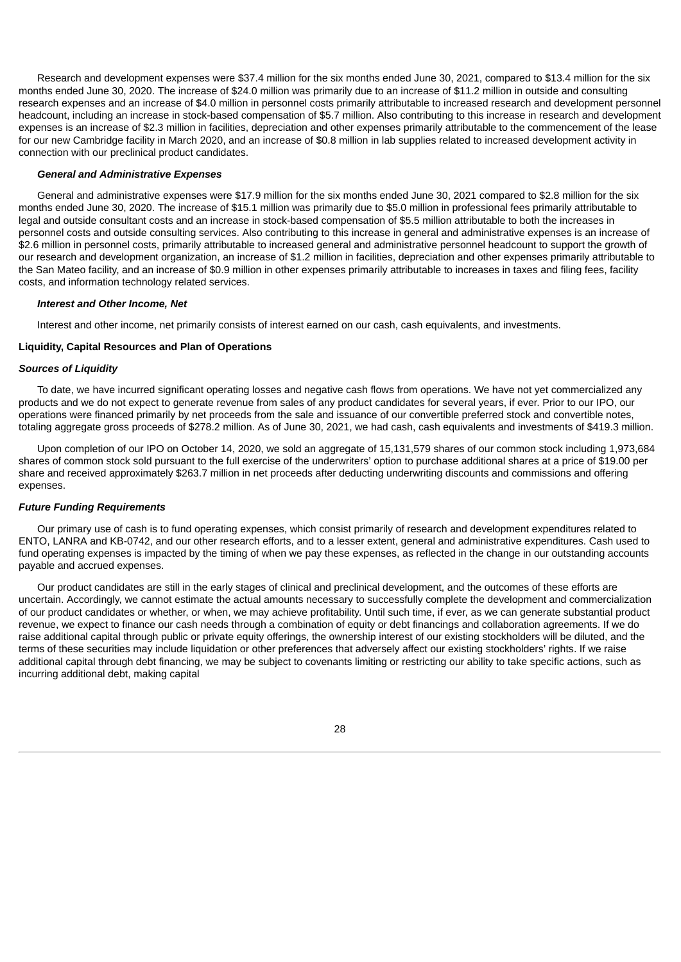Research and development expenses were \$37.4 million for the six months ended June 30, 2021, compared to \$13.4 million for the six months ended June 30, 2020. The increase of \$24.0 million was primarily due to an increase of \$11.2 million in outside and consulting research expenses and an increase of \$4.0 million in personnel costs primarily attributable to increased research and development personnel headcount, including an increase in stock-based compensation of \$5.7 million. Also contributing to this increase in research and development expenses is an increase of \$2.3 million in facilities, depreciation and other expenses primarily attributable to the commencement of the lease for our new Cambridge facility in March 2020, and an increase of \$0.8 million in lab supplies related to increased development activity in connection with our preclinical product candidates.

# *General and Administrative Expenses*

General and administrative expenses were \$17.9 million for the six months ended June 30, 2021 compared to \$2.8 million for the six months ended June 30, 2020. The increase of \$15.1 million was primarily due to \$5.0 million in professional fees primarily attributable to legal and outside consultant costs and an increase in stock-based compensation of \$5.5 million attributable to both the increases in personnel costs and outside consulting services. Also contributing to this increase in general and administrative expenses is an increase of \$2.6 million in personnel costs, primarily attributable to increased general and administrative personnel headcount to support the growth of our research and development organization, an increase of \$1.2 million in facilities, depreciation and other expenses primarily attributable to the San Mateo facility, and an increase of \$0.9 million in other expenses primarily attributable to increases in taxes and filing fees, facility costs, and information technology related services.

### *Interest and Other Income, Net*

Interest and other income, net primarily consists of interest earned on our cash, cash equivalents, and investments.

### **Liquidity, Capital Resources and Plan of Operations**

# *Sources of Liquidity*

To date, we have incurred significant operating losses and negative cash flows from operations. We have not yet commercialized any products and we do not expect to generate revenue from sales of any product candidates for several years, if ever. Prior to our IPO, our operations were financed primarily by net proceeds from the sale and issuance of our convertible preferred stock and convertible notes, totaling aggregate gross proceeds of \$278.2 million. As of June 30, 2021, we had cash, cash equivalents and investments of \$419.3 million.

Upon completion of our IPO on October 14, 2020, we sold an aggregate of 15,131,579 shares of our common stock including 1,973,684 shares of common stock sold pursuant to the full exercise of the underwriters' option to purchase additional shares at a price of \$19.00 per share and received approximately \$263.7 million in net proceeds after deducting underwriting discounts and commissions and offering expenses.

# *Future Funding Requirements*

Our primary use of cash is to fund operating expenses, which consist primarily of research and development expenditures related to ENTO, LANRA and KB-0742, and our other research efforts, and to a lesser extent, general and administrative expenditures. Cash used to fund operating expenses is impacted by the timing of when we pay these expenses, as reflected in the change in our outstanding accounts payable and accrued expenses.

Our product candidates are still in the early stages of clinical and preclinical development, and the outcomes of these efforts are uncertain. Accordingly, we cannot estimate the actual amounts necessary to successfully complete the development and commercialization of our product candidates or whether, or when, we may achieve profitability. Until such time, if ever, as we can generate substantial product revenue, we expect to finance our cash needs through a combination of equity or debt financings and collaboration agreements. If we do raise additional capital through public or private equity offerings, the ownership interest of our existing stockholders will be diluted, and the terms of these securities may include liquidation or other preferences that adversely affect our existing stockholders' rights. If we raise additional capital through debt financing, we may be subject to covenants limiting or restricting our ability to take specific actions, such as incurring additional debt, making capital

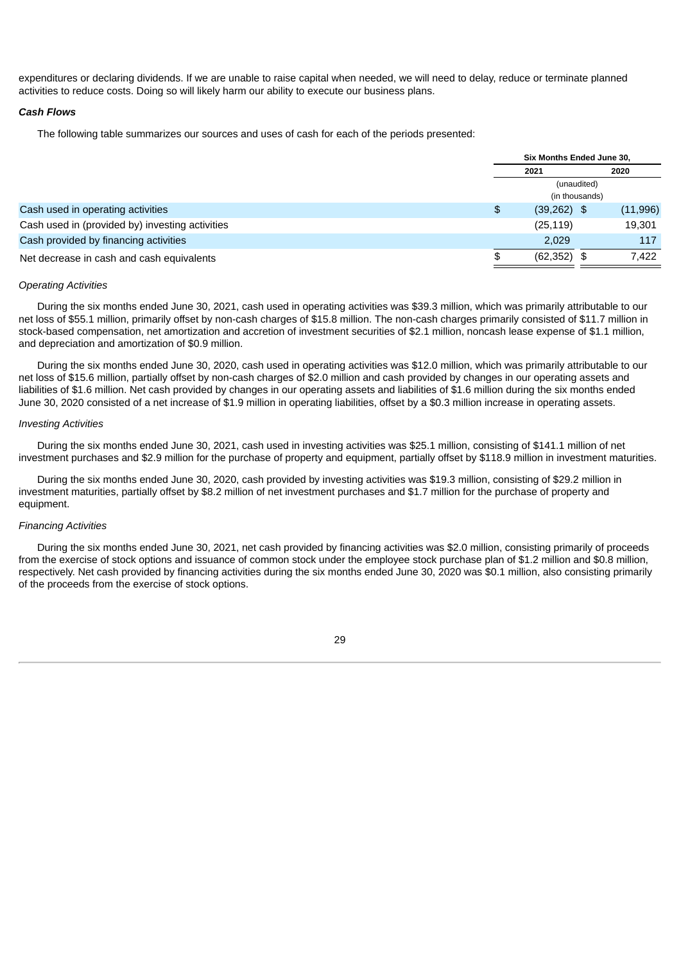expenditures or declaring dividends. If we are unable to raise capital when needed, we will need to delay, reduce or terminate planned activities to reduce costs. Doing so will likely harm our ability to execute our business plans.

### *Cash Flows*

The following table summarizes our sources and uses of cash for each of the periods presented:

|                                                 | Six Months Ended June 30, |          |  |  |  |
|-------------------------------------------------|---------------------------|----------|--|--|--|
|                                                 | 2021                      | 2020     |  |  |  |
|                                                 | (unaudited)               |          |  |  |  |
|                                                 | (in thousands)            |          |  |  |  |
| Cash used in operating activities               | \$<br>$(39,262)$ \$       | (11,996) |  |  |  |
| Cash used in (provided by) investing activities | (25, 119)                 | 19,301   |  |  |  |
| Cash provided by financing activities           | 2.029                     | 117      |  |  |  |
| Net decrease in cash and cash equivalents       | $(62, 352)$ \$            | 7.422    |  |  |  |

# *Operating Activities*

During the six months ended June 30, 2021, cash used in operating activities was \$39.3 million, which was primarily attributable to our net loss of \$55.1 million, primarily offset by non-cash charges of \$15.8 million. The non-cash charges primarily consisted of \$11.7 million in stock-based compensation, net amortization and accretion of investment securities of \$2.1 million, noncash lease expense of \$1.1 million, and depreciation and amortization of \$0.9 million.

During the six months ended June 30, 2020, cash used in operating activities was \$12.0 million, which was primarily attributable to our net loss of \$15.6 million, partially offset by non-cash charges of \$2.0 million and cash provided by changes in our operating assets and liabilities of \$1.6 million. Net cash provided by changes in our operating assets and liabilities of \$1.6 million during the six months ended June 30, 2020 consisted of a net increase of \$1.9 million in operating liabilities, offset by a \$0.3 million increase in operating assets.

### *Investing Activities*

During the six months ended June 30, 2021, cash used in investing activities was \$25.1 million, consisting of \$141.1 million of net investment purchases and \$2.9 million for the purchase of property and equipment, partially offset by \$118.9 million in investment maturities.

During the six months ended June 30, 2020, cash provided by investing activities was \$19.3 million, consisting of \$29.2 million in investment maturities, partially offset by \$8.2 million of net investment purchases and \$1.7 million for the purchase of property and equipment.

### *Financing Activities*

During the six months ended June 30, 2021, net cash provided by financing activities was \$2.0 million, consisting primarily of proceeds from the exercise of stock options and issuance of common stock under the employee stock purchase plan of \$1.2 million and \$0.8 million, respectively. Net cash provided by financing activities during the six months ended June 30, 2020 was \$0.1 million, also consisting primarily of the proceeds from the exercise of stock options.

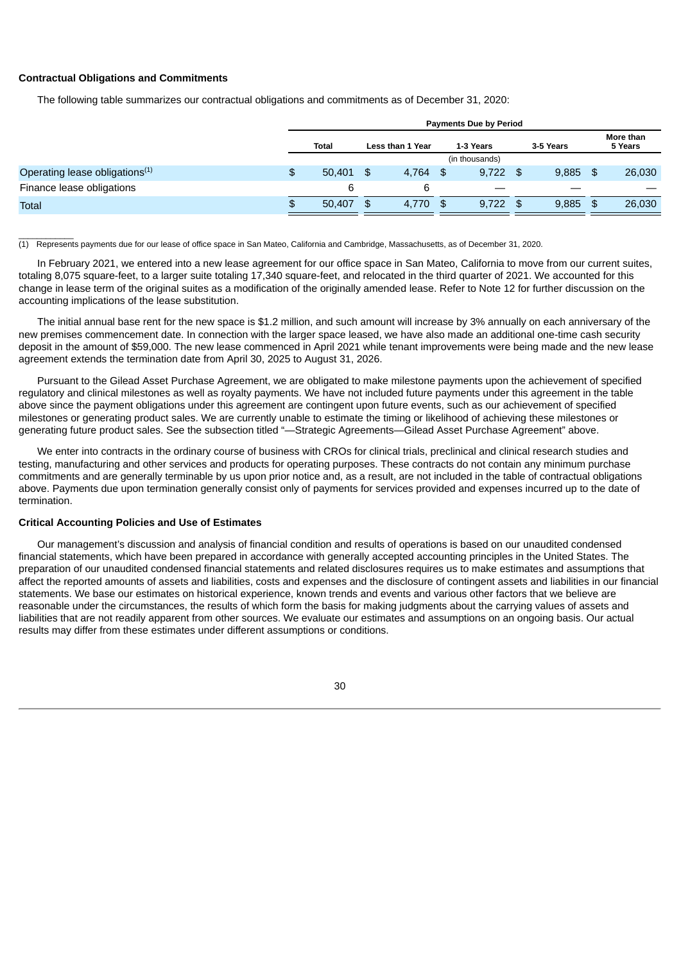# **Contractual Obligations and Commitments**

The following table summarizes our contractual obligations and commitments as of December 31, 2020:

|                                            | <b>Payments Due by Period</b> |              |      |                         |     |                |     |           |    |                      |
|--------------------------------------------|-------------------------------|--------------|------|-------------------------|-----|----------------|-----|-----------|----|----------------------|
|                                            |                               | <b>Total</b> |      | <b>Less than 1 Year</b> |     | 1-3 Years      |     | 3-5 Years |    | More than<br>5 Years |
|                                            |                               |              |      |                         |     | (in thousands) |     |           |    |                      |
| Operating lease obligations <sup>(1)</sup> | \$                            | 50.401       | - \$ | 4.764                   | -\$ | 9.722          | -\$ | 9,885     | \$ | 26,030               |
| Finance lease obligations                  |                               | 6            |      | 6                       |     | _              |     | __        |    | _                    |
| <b>Total</b>                               | \$                            | 50,407       | -\$  | 4.770                   | -\$ | 9.722          | -\$ | 9,885     | \$ | 26,030               |

 $\frac{1}{2}$  ,  $\frac{1}{2}$  ,  $\frac{1}{2}$  ,  $\frac{1}{2}$  ,  $\frac{1}{2}$  ,  $\frac{1}{2}$ (1) Represents payments due for our lease of office space in San Mateo, California and Cambridge, Massachusetts, as of December 31, 2020.

In February 2021, we entered into a new lease agreement for our office space in San Mateo, California to move from our current suites, totaling 8,075 square-feet, to a larger suite totaling 17,340 square-feet, and relocated in the third quarter of 2021. We accounted for this change in lease term of the original suites as a modification of the originally amended lease. Refer to Note 12 for further discussion on the accounting implications of the lease substitution.

The initial annual base rent for the new space is \$1.2 million, and such amount will increase by 3% annually on each anniversary of the new premises commencement date. In connection with the larger space leased, we have also made an additional one-time cash security deposit in the amount of \$59,000. The new lease commenced in April 2021 while tenant improvements were being made and the new lease agreement extends the termination date from April 30, 2025 to August 31, 2026.

Pursuant to the Gilead Asset Purchase Agreement, we are obligated to make milestone payments upon the achievement of specified regulatory and clinical milestones as well as royalty payments. We have not included future payments under this agreement in the table above since the payment obligations under this agreement are contingent upon future events, such as our achievement of specified milestones or generating product sales. We are currently unable to estimate the timing or likelihood of achieving these milestones or generating future product sales. See the subsection titled "—Strategic Agreements—Gilead Asset Purchase Agreement" above.

We enter into contracts in the ordinary course of business with CROs for clinical trials, preclinical and clinical research studies and testing, manufacturing and other services and products for operating purposes. These contracts do not contain any minimum purchase commitments and are generally terminable by us upon prior notice and, as a result, are not included in the table of contractual obligations above. Payments due upon termination generally consist only of payments for services provided and expenses incurred up to the date of termination.

# **Critical Accounting Policies and Use of Estimates**

Our management's discussion and analysis of financial condition and results of operations is based on our unaudited condensed financial statements, which have been prepared in accordance with generally accepted accounting principles in the United States. The preparation of our unaudited condensed financial statements and related disclosures requires us to make estimates and assumptions that affect the reported amounts of assets and liabilities, costs and expenses and the disclosure of contingent assets and liabilities in our financial statements. We base our estimates on historical experience, known trends and events and various other factors that we believe are reasonable under the circumstances, the results of which form the basis for making judgments about the carrying values of assets and liabilities that are not readily apparent from other sources. We evaluate our estimates and assumptions on an ongoing basis. Our actual results may differ from these estimates under different assumptions or conditions.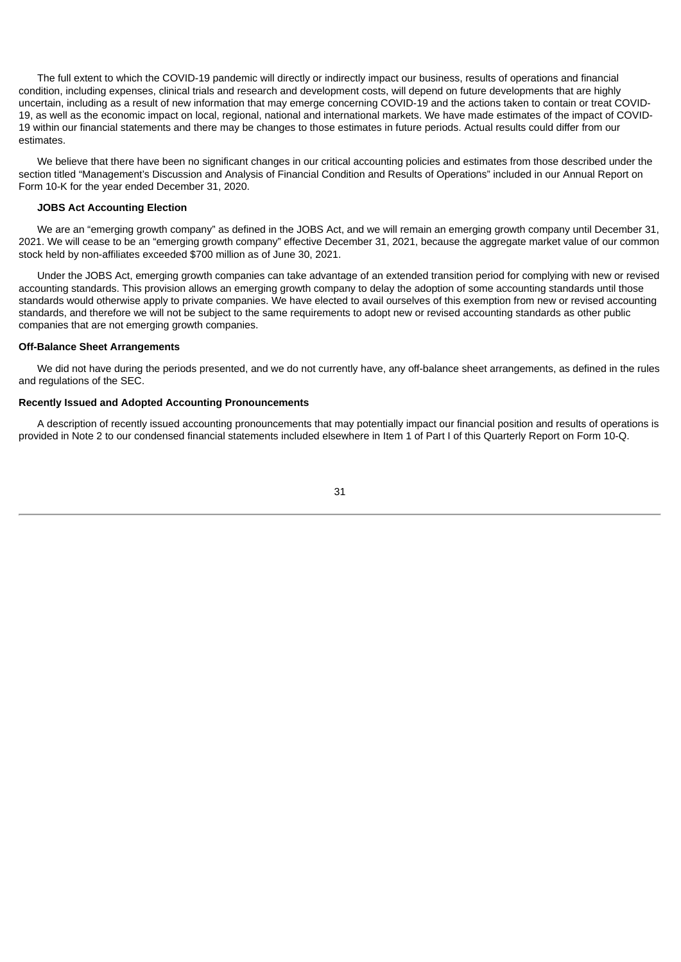The full extent to which the COVID-19 pandemic will directly or indirectly impact our business, results of operations and financial condition, including expenses, clinical trials and research and development costs, will depend on future developments that are highly uncertain, including as a result of new information that may emerge concerning COVID-19 and the actions taken to contain or treat COVID-19, as well as the economic impact on local, regional, national and international markets. We have made estimates of the impact of COVID-19 within our financial statements and there may be changes to those estimates in future periods. Actual results could differ from our estimates.

We believe that there have been no significant changes in our critical accounting policies and estimates from those described under the section titled "Management's Discussion and Analysis of Financial Condition and Results of Operations" included in our Annual Report on Form 10-K for the year ended December 31, 2020.

### **JOBS Act Accounting Election**

We are an "emerging growth company" as defined in the JOBS Act, and we will remain an emerging growth company until December 31, 2021. We will cease to be an "emerging growth company" effective December 31, 2021, because the aggregate market value of our common stock held by non-affiliates exceeded \$700 million as of June 30, 2021.

Under the JOBS Act, emerging growth companies can take advantage of an extended transition period for complying with new or revised accounting standards. This provision allows an emerging growth company to delay the adoption of some accounting standards until those standards would otherwise apply to private companies. We have elected to avail ourselves of this exemption from new or revised accounting standards, and therefore we will not be subject to the same requirements to adopt new or revised accounting standards as other public companies that are not emerging growth companies.

### **Off-Balance Sheet Arrangements**

We did not have during the periods presented, and we do not currently have, any off-balance sheet arrangements, as defined in the rules and regulations of the SEC.

### **Recently Issued and Adopted Accounting Pronouncements**

<span id="page-30-0"></span>A description of recently issued accounting pronouncements that may potentially impact our financial position and results of operations is provided in Note 2 to our condensed financial statements included elsewhere in Item 1 of Part I of this Quarterly Report on Form 10-Q.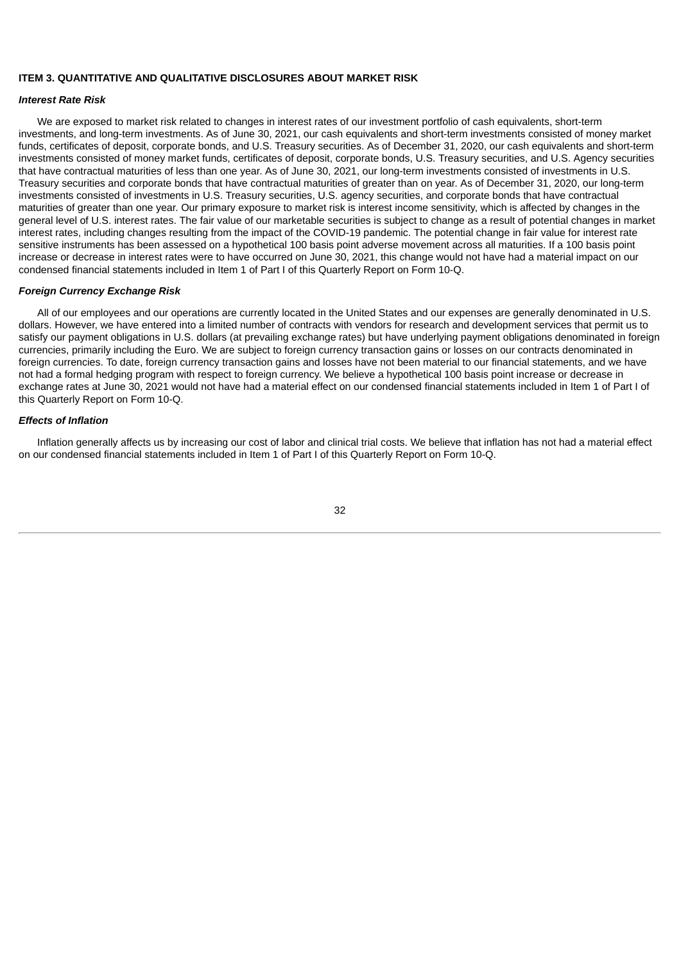# **ITEM 3. QUANTITATIVE AND QUALITATIVE DISCLOSURES ABOUT MARKET RISK**

# *Interest Rate Risk*

We are exposed to market risk related to changes in interest rates of our investment portfolio of cash equivalents, short-term investments, and long-term investments. As of June 30, 2021, our cash equivalents and short-term investments consisted of money market funds, certificates of deposit, corporate bonds, and U.S. Treasury securities. As of December 31, 2020, our cash equivalents and short-term investments consisted of money market funds, certificates of deposit, corporate bonds, U.S. Treasury securities, and U.S. Agency securities that have contractual maturities of less than one year. As of June 30, 2021, our long-term investments consisted of investments in U.S. Treasury securities and corporate bonds that have contractual maturities of greater than on year. As of December 31, 2020, our long-term investments consisted of investments in U.S. Treasury securities, U.S. agency securities, and corporate bonds that have contractual maturities of greater than one year. Our primary exposure to market risk is interest income sensitivity, which is affected by changes in the general level of U.S. interest rates. The fair value of our marketable securities is subject to change as a result of potential changes in market interest rates, including changes resulting from the impact of the COVID-19 pandemic. The potential change in fair value for interest rate sensitive instruments has been assessed on a hypothetical 100 basis point adverse movement across all maturities. If a 100 basis point increase or decrease in interest rates were to have occurred on June 30, 2021, this change would not have had a material impact on our condensed financial statements included in Item 1 of Part I of this Quarterly Report on Form 10-Q.

### *Foreign Currency Exchange Risk*

All of our employees and our operations are currently located in the United States and our expenses are generally denominated in U.S. dollars. However, we have entered into a limited number of contracts with vendors for research and development services that permit us to satisfy our payment obligations in U.S. dollars (at prevailing exchange rates) but have underlying payment obligations denominated in foreign currencies, primarily including the Euro. We are subject to foreign currency transaction gains or losses on our contracts denominated in foreign currencies. To date, foreign currency transaction gains and losses have not been material to our financial statements, and we have not had a formal hedging program with respect to foreign currency. We believe a hypothetical 100 basis point increase or decrease in exchange rates at June 30, 2021 would not have had a material effect on our condensed financial statements included in Item 1 of Part I of this Quarterly Report on Form 10-Q.

# *Effects of Inflation*

<span id="page-31-0"></span>Inflation generally affects us by increasing our cost of labor and clinical trial costs. We believe that inflation has not had a material effect on our condensed financial statements included in Item 1 of Part I of this Quarterly Report on Form 10-Q.

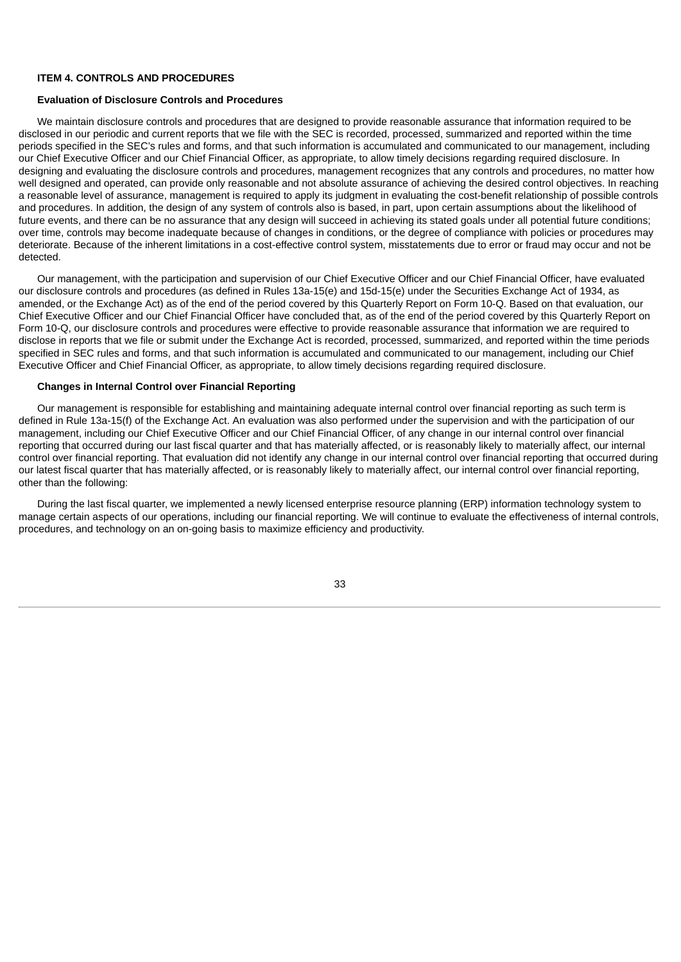### **ITEM 4. CONTROLS AND PROCEDURES**

## **Evaluation of Disclosure Controls and Procedures**

We maintain disclosure controls and procedures that are designed to provide reasonable assurance that information required to be disclosed in our periodic and current reports that we file with the SEC is recorded, processed, summarized and reported within the time periods specified in the SEC's rules and forms, and that such information is accumulated and communicated to our management, including our Chief Executive Officer and our Chief Financial Officer, as appropriate, to allow timely decisions regarding required disclosure. In designing and evaluating the disclosure controls and procedures, management recognizes that any controls and procedures, no matter how well designed and operated, can provide only reasonable and not absolute assurance of achieving the desired control objectives. In reaching a reasonable level of assurance, management is required to apply its judgment in evaluating the cost-benefit relationship of possible controls and procedures. In addition, the design of any system of controls also is based, in part, upon certain assumptions about the likelihood of future events, and there can be no assurance that any design will succeed in achieving its stated goals under all potential future conditions; over time, controls may become inadequate because of changes in conditions, or the degree of compliance with policies or procedures may deteriorate. Because of the inherent limitations in a cost-effective control system, misstatements due to error or fraud may occur and not be detected.

Our management, with the participation and supervision of our Chief Executive Officer and our Chief Financial Officer, have evaluated our disclosure controls and procedures (as defined in Rules 13a-15(e) and 15d-15(e) under the Securities Exchange Act of 1934, as amended, or the Exchange Act) as of the end of the period covered by this Quarterly Report on Form 10-Q. Based on that evaluation, our Chief Executive Officer and our Chief Financial Officer have concluded that, as of the end of the period covered by this Quarterly Report on Form 10-Q, our disclosure controls and procedures were effective to provide reasonable assurance that information we are required to disclose in reports that we file or submit under the Exchange Act is recorded, processed, summarized, and reported within the time periods specified in SEC rules and forms, and that such information is accumulated and communicated to our management, including our Chief Executive Officer and Chief Financial Officer, as appropriate, to allow timely decisions regarding required disclosure.

### **Changes in Internal Control over Financial Reporting**

Our management is responsible for establishing and maintaining adequate internal control over financial reporting as such term is defined in Rule 13a-15(f) of the Exchange Act. An evaluation was also performed under the supervision and with the participation of our management, including our Chief Executive Officer and our Chief Financial Officer, of any change in our internal control over financial reporting that occurred during our last fiscal quarter and that has materially affected, or is reasonably likely to materially affect, our internal control over financial reporting. That evaluation did not identify any change in our internal control over financial reporting that occurred during our latest fiscal quarter that has materially affected, or is reasonably likely to materially affect, our internal control over financial reporting, other than the following:

During the last fiscal quarter, we implemented a newly licensed enterprise resource planning (ERP) information technology system to manage certain aspects of our operations, including our financial reporting. We will continue to evaluate the effectiveness of internal controls, procedures, and technology on an on-going basis to maximize efficiency and productivity.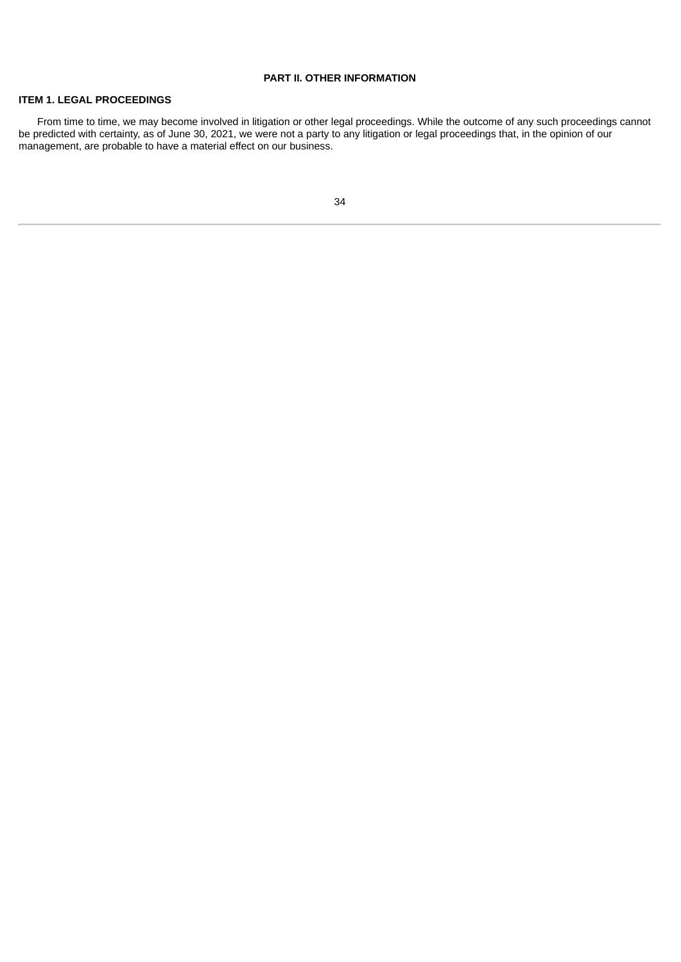# **PART II. OTHER INFORMATION**

# <span id="page-33-0"></span>**ITEM 1. LEGAL PROCEEDINGS**

<span id="page-33-1"></span>From time to time, we may become involved in litigation or other legal proceedings. While the outcome of any such proceedings cannot be predicted with certainty, as of June 30, 2021, we were not a party to any litigation or legal proceedings that, in the opinion of our management, are probable to have a material effect on our business.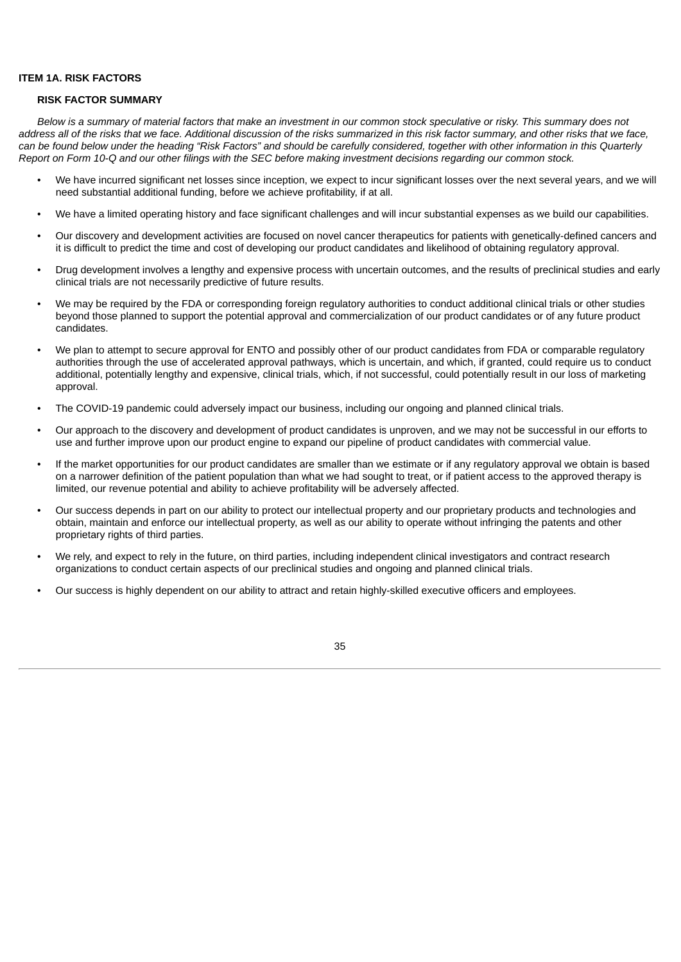### **ITEM 1A. RISK FACTORS**

# **RISK FACTOR SUMMARY**

Below is a summary of material factors that make an investment in our common stock speculative or risky. This summary does not address all of the risks that we face. Additional discussion of the risks summarized in this risk factor summary, and other risks that we face. can be found below under the heading "Risk Factors" and should be carefully considered, together with other information in this Ouarterly Report on Form 10-O and our other filings with the SEC before making investment decisions regarding our common stock.

- We have incurred significant net losses since inception, we expect to incur significant losses over the next several years, and we will need substantial additional funding, before we achieve profitability, if at all.
- We have a limited operating history and face significant challenges and will incur substantial expenses as we build our capabilities.
- Our discovery and development activities are focused on novel cancer therapeutics for patients with genetically-defined cancers and it is difficult to predict the time and cost of developing our product candidates and likelihood of obtaining regulatory approval.
- Drug development involves a lengthy and expensive process with uncertain outcomes, and the results of preclinical studies and early clinical trials are not necessarily predictive of future results.
- We may be required by the FDA or corresponding foreign regulatory authorities to conduct additional clinical trials or other studies beyond those planned to support the potential approval and commercialization of our product candidates or of any future product candidates.
- We plan to attempt to secure approval for ENTO and possibly other of our product candidates from FDA or comparable regulatory authorities through the use of accelerated approval pathways, which is uncertain, and which, if granted, could require us to conduct additional, potentially lengthy and expensive, clinical trials, which, if not successful, could potentially result in our loss of marketing approval.
- The COVID-19 pandemic could adversely impact our business, including our ongoing and planned clinical trials.
- Our approach to the discovery and development of product candidates is unproven, and we may not be successful in our efforts to use and further improve upon our product engine to expand our pipeline of product candidates with commercial value.
- If the market opportunities for our product candidates are smaller than we estimate or if any regulatory approval we obtain is based on a narrower definition of the patient population than what we had sought to treat, or if patient access to the approved therapy is limited, our revenue potential and ability to achieve profitability will be adversely affected.
- Our success depends in part on our ability to protect our intellectual property and our proprietary products and technologies and obtain, maintain and enforce our intellectual property, as well as our ability to operate without infringing the patents and other proprietary rights of third parties.
- We rely, and expect to rely in the future, on third parties, including independent clinical investigators and contract research organizations to conduct certain aspects of our preclinical studies and ongoing and planned clinical trials.
- Our success is highly dependent on our ability to attract and retain highly-skilled executive officers and employees.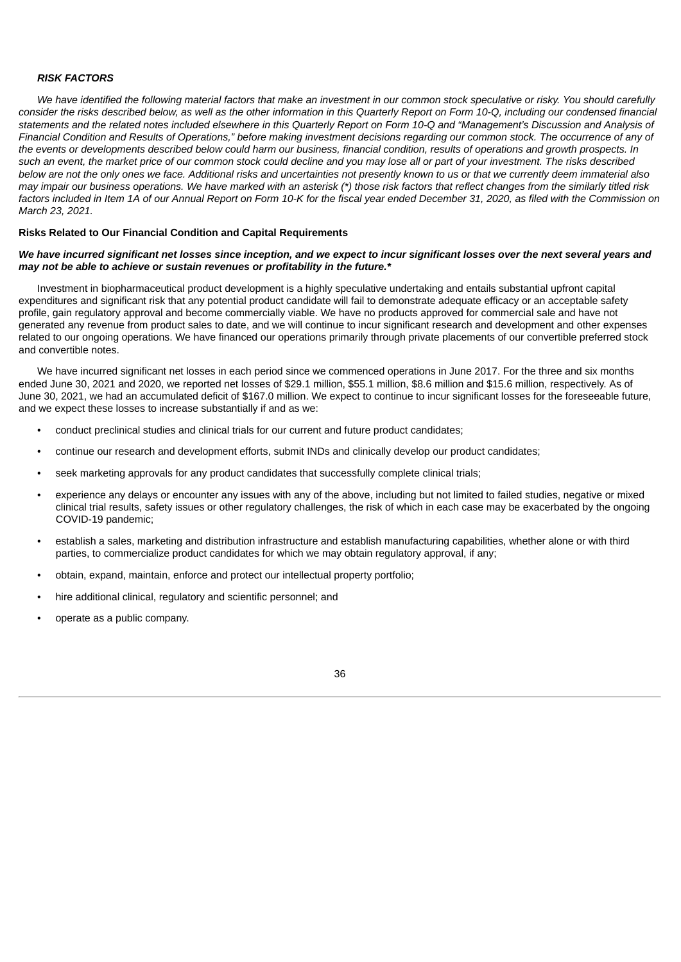# *RISK FACTORS*

We have identified the following material factors that make an investment in our common stock speculative or risky. You should carefully consider the risks described below, as well as the other information in this Quarterly Report on Form 10-Q, including our condensed financial statements and the related notes included elsewhere in this Ouarterly Report on Form 10-O and "Management's Discussion and Analysis of Financial Condition and Results of Operations," before making investment decisions regarding our common stock. The occurrence of any of the events or developments described below could harm our business, financial condition, results of operations and growth prospects. In such an event, the market price of our common stock could decline and you may lose all or part of your investment. The risks described below are not the only ones we face. Additional risks and uncertainties not presently known to us or that we currently deem immaterial also may impair our business operations. We have marked with an asterisk (\*) those risk factors that reflect changes from the similarly titled risk factors included in Item 1A of our Annual Report on Form 10-K for the fiscal year ended December 31, 2020, as filed with the Commission on *March 23, 2021.*

# **Risks Related to Our Financial Condition and Capital Requirements**

# We have incurred significant net losses since inception, and we expect to incur significant losses over the next several years and *may not be able to achieve or sustain revenues or profitability in the future.\**

Investment in biopharmaceutical product development is a highly speculative undertaking and entails substantial upfront capital expenditures and significant risk that any potential product candidate will fail to demonstrate adequate efficacy or an acceptable safety profile, gain regulatory approval and become commercially viable. We have no products approved for commercial sale and have not generated any revenue from product sales to date, and we will continue to incur significant research and development and other expenses related to our ongoing operations. We have financed our operations primarily through private placements of our convertible preferred stock and convertible notes.

We have incurred significant net losses in each period since we commenced operations in June 2017. For the three and six months ended June 30, 2021 and 2020, we reported net losses of \$29.1 million, \$55.1 million, \$8.6 million and \$15.6 million, respectively. As of June 30, 2021, we had an accumulated deficit of \$167.0 million. We expect to continue to incur significant losses for the foreseeable future, and we expect these losses to increase substantially if and as we:

- conduct preclinical studies and clinical trials for our current and future product candidates;
- continue our research and development efforts, submit INDs and clinically develop our product candidates;
- seek marketing approvals for any product candidates that successfully complete clinical trials;
- experience any delays or encounter any issues with any of the above, including but not limited to failed studies, negative or mixed clinical trial results, safety issues or other regulatory challenges, the risk of which in each case may be exacerbated by the ongoing COVID-19 pandemic;
- establish a sales, marketing and distribution infrastructure and establish manufacturing capabilities, whether alone or with third parties, to commercialize product candidates for which we may obtain regulatory approval, if any;
- obtain, expand, maintain, enforce and protect our intellectual property portfolio;
- hire additional clinical, regulatory and scientific personnel; and
- operate as a public company.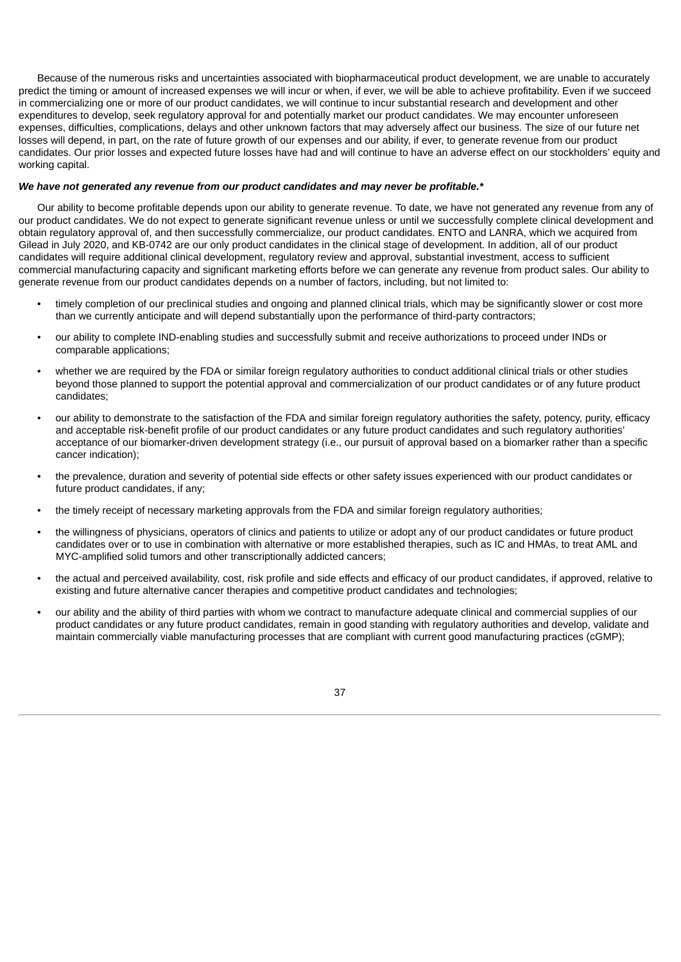Because of the numerous risks and uncertainties associated with biopharmaceutical product development, we are unable to accurately predict the timing or amount of increased expenses we will incur or when, if ever, we will be able to achieve profitability. Even if we succeed in commercializing one or more of our product candidates, we will continue to incur substantial research and development and other expenditures to develop, seek regulatory approval for and potentially market our product candidates. We may encounter unforeseen expenses, difficulties, complications, delays and other unknown factors that may adversely affect our business. The size of our future net losses will depend, in part, on the rate of future growth of our expenses and our ability, if ever, to generate revenue from our product candidates. Our prior losses and expected future losses have had and will continue to have an adverse effect on our stockholders' equity and working capital.

# *We have not generated any revenue from our product candidates and may never be profitable.\**

Our ability to become profitable depends upon our ability to generate revenue. To date, we have not generated any revenue from any of our product candidates. We do not expect to generate significant revenue unless or until we successfully complete clinical development and obtain regulatory approval of, and then successfully commercialize, our product candidates. ENTO and LANRA, which we acquired from Gilead in July 2020, and KB-0742 are our only product candidates in the clinical stage of development. In addition, all of our product candidates will require additional clinical development, regulatory review and approval, substantial investment, access to sufficient commercial manufacturing capacity and significant marketing efforts before we can generate any revenue from product sales. Our ability to generate revenue from our product candidates depends on a number of factors, including, but not limited to:

- timely completion of our preclinical studies and ongoing and planned clinical trials, which may be significantly slower or cost more than we currently anticipate and will depend substantially upon the performance of third-party contractors;
- our ability to complete IND-enabling studies and successfully submit and receive authorizations to proceed under INDs or comparable applications;
- whether we are required by the FDA or similar foreign regulatory authorities to conduct additional clinical trials or other studies beyond those planned to support the potential approval and commercialization of our product candidates or of any future product candidates;
- our ability to demonstrate to the satisfaction of the FDA and similar foreign regulatory authorities the safety, potency, purity, efficacy and acceptable risk-benefit profile of our product candidates or any future product candidates and such regulatory authorities' acceptance of our biomarker-driven development strategy (i.e., our pursuit of approval based on a biomarker rather than a specific cancer indication);
- the prevalence, duration and severity of potential side effects or other safety issues experienced with our product candidates or future product candidates, if any;
- the timely receipt of necessary marketing approvals from the FDA and similar foreign regulatory authorities;
- the willingness of physicians, operators of clinics and patients to utilize or adopt any of our product candidates or future product candidates over or to use in combination with alternative or more established therapies, such as IC and HMAs, to treat AML and MYC-amplified solid tumors and other transcriptionally addicted cancers;
- the actual and perceived availability, cost, risk profile and side effects and efficacy of our product candidates, if approved, relative to existing and future alternative cancer therapies and competitive product candidates and technologies;
- our ability and the ability of third parties with whom we contract to manufacture adequate clinical and commercial supplies of our product candidates or any future product candidates, remain in good standing with regulatory authorities and develop, validate and maintain commercially viable manufacturing processes that are compliant with current good manufacturing practices (cGMP);

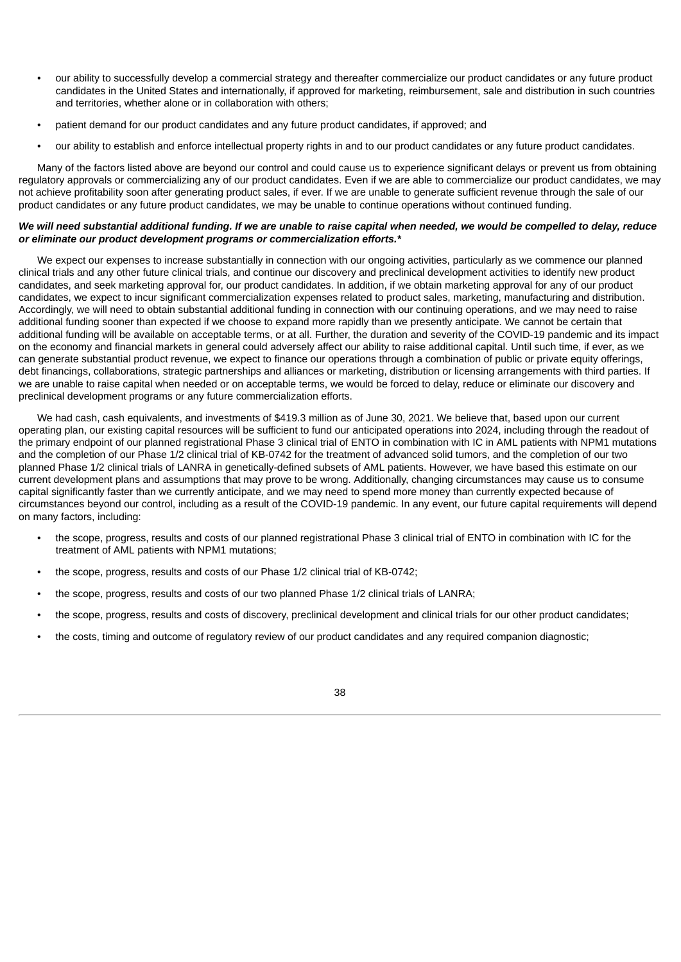- our ability to successfully develop a commercial strategy and thereafter commercialize our product candidates or any future product candidates in the United States and internationally, if approved for marketing, reimbursement, sale and distribution in such countries and territories, whether alone or in collaboration with others;
- patient demand for our product candidates and any future product candidates, if approved; and
- our ability to establish and enforce intellectual property rights in and to our product candidates or any future product candidates.

Many of the factors listed above are beyond our control and could cause us to experience significant delays or prevent us from obtaining regulatory approvals or commercializing any of our product candidates. Even if we are able to commercialize our product candidates, we may not achieve profitability soon after generating product sales, if ever. If we are unable to generate sufficient revenue through the sale of our product candidates or any future product candidates, we may be unable to continue operations without continued funding.

### We will need substantial additional funding. If we are unable to raise capital when needed, we would be compelled to delay, reduce *or eliminate our product development programs or commercialization efforts.\**

We expect our expenses to increase substantially in connection with our ongoing activities, particularly as we commence our planned clinical trials and any other future clinical trials, and continue our discovery and preclinical development activities to identify new product candidates, and seek marketing approval for, our product candidates. In addition, if we obtain marketing approval for any of our product candidates, we expect to incur significant commercialization expenses related to product sales, marketing, manufacturing and distribution. Accordingly, we will need to obtain substantial additional funding in connection with our continuing operations, and we may need to raise additional funding sooner than expected if we choose to expand more rapidly than we presently anticipate. We cannot be certain that additional funding will be available on acceptable terms, or at all. Further, the duration and severity of the COVID-19 pandemic and its impact on the economy and financial markets in general could adversely affect our ability to raise additional capital. Until such time, if ever, as we can generate substantial product revenue, we expect to finance our operations through a combination of public or private equity offerings, debt financings, collaborations, strategic partnerships and alliances or marketing, distribution or licensing arrangements with third parties. If we are unable to raise capital when needed or on acceptable terms, we would be forced to delay, reduce or eliminate our discovery and preclinical development programs or any future commercialization efforts.

We had cash, cash equivalents, and investments of \$419.3 million as of June 30, 2021. We believe that, based upon our current operating plan, our existing capital resources will be sufficient to fund our anticipated operations into 2024, including through the readout of the primary endpoint of our planned registrational Phase 3 clinical trial of ENTO in combination with IC in AML patients with NPM1 mutations and the completion of our Phase 1/2 clinical trial of KB-0742 for the treatment of advanced solid tumors, and the completion of our two planned Phase 1/2 clinical trials of LANRA in genetically-defined subsets of AML patients. However, we have based this estimate on our current development plans and assumptions that may prove to be wrong. Additionally, changing circumstances may cause us to consume capital significantly faster than we currently anticipate, and we may need to spend more money than currently expected because of circumstances beyond our control, including as a result of the COVID-19 pandemic. In any event, our future capital requirements will depend on many factors, including:

- the scope, progress, results and costs of our planned registrational Phase 3 clinical trial of ENTO in combination with IC for the treatment of AML patients with NPM1 mutations;
- the scope, progress, results and costs of our Phase 1/2 clinical trial of KB-0742;
- the scope, progress, results and costs of our two planned Phase 1/2 clinical trials of LANRA;
- the scope, progress, results and costs of discovery, preclinical development and clinical trials for our other product candidates;
- the costs, timing and outcome of regulatory review of our product candidates and any required companion diagnostic;

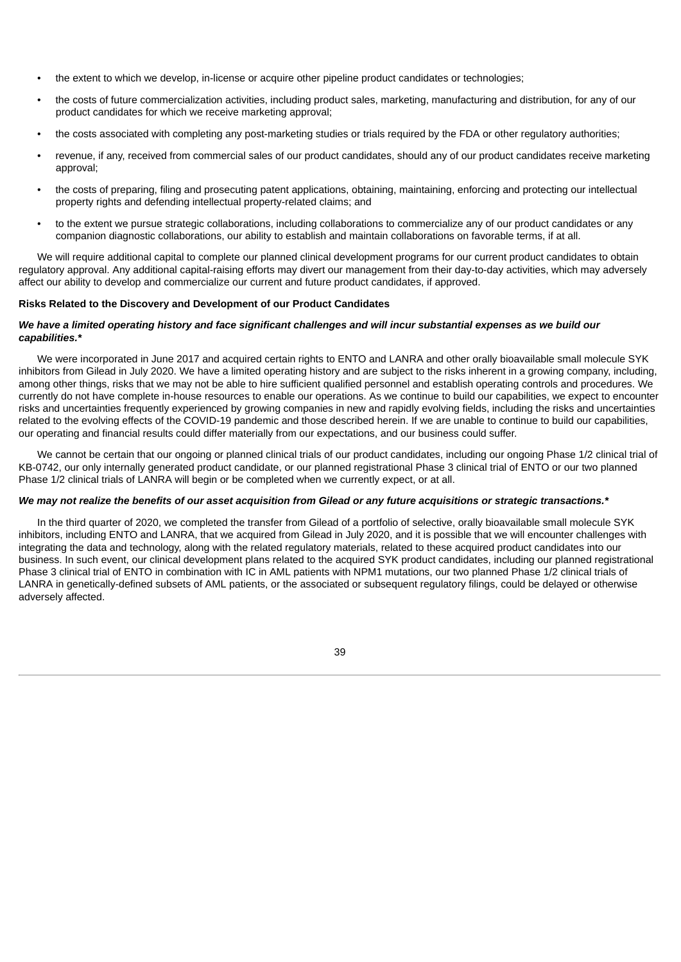- the extent to which we develop, in-license or acquire other pipeline product candidates or technologies;
- the costs of future commercialization activities, including product sales, marketing, manufacturing and distribution, for any of our product candidates for which we receive marketing approval;
- the costs associated with completing any post-marketing studies or trials required by the FDA or other regulatory authorities;
- revenue, if any, received from commercial sales of our product candidates, should any of our product candidates receive marketing approval;
- the costs of preparing, filing and prosecuting patent applications, obtaining, maintaining, enforcing and protecting our intellectual property rights and defending intellectual property-related claims; and
- to the extent we pursue strategic collaborations, including collaborations to commercialize any of our product candidates or any companion diagnostic collaborations, our ability to establish and maintain collaborations on favorable terms, if at all.

We will require additional capital to complete our planned clinical development programs for our current product candidates to obtain regulatory approval. Any additional capital-raising efforts may divert our management from their day-to-day activities, which may adversely affect our ability to develop and commercialize our current and future product candidates, if approved.

## **Risks Related to the Discovery and Development of our Product Candidates**

## We have a limited operating history and face significant challenges and will incur substantial expenses as we build our *capabilities.\**

We were incorporated in June 2017 and acquired certain rights to ENTO and LANRA and other orally bioavailable small molecule SYK inhibitors from Gilead in July 2020. We have a limited operating history and are subject to the risks inherent in a growing company, including, among other things, risks that we may not be able to hire sufficient qualified personnel and establish operating controls and procedures. We currently do not have complete in-house resources to enable our operations. As we continue to build our capabilities, we expect to encounter risks and uncertainties frequently experienced by growing companies in new and rapidly evolving fields, including the risks and uncertainties related to the evolving effects of the COVID-19 pandemic and those described herein. If we are unable to continue to build our capabilities, our operating and financial results could differ materially from our expectations, and our business could suffer.

We cannot be certain that our ongoing or planned clinical trials of our product candidates, including our ongoing Phase 1/2 clinical trial of KB-0742, our only internally generated product candidate, or our planned registrational Phase 3 clinical trial of ENTO or our two planned Phase 1/2 clinical trials of LANRA will begin or be completed when we currently expect, or at all.

### We may not realize the benefits of our asset acquisition from Gilead or any future acquisitions or strategic transactions.\*

In the third quarter of 2020, we completed the transfer from Gilead of a portfolio of selective, orally bioavailable small molecule SYK inhibitors, including ENTO and LANRA, that we acquired from Gilead in July 2020, and it is possible that we will encounter challenges with integrating the data and technology, along with the related regulatory materials, related to these acquired product candidates into our business. In such event, our clinical development plans related to the acquired SYK product candidates, including our planned registrational Phase 3 clinical trial of ENTO in combination with IC in AML patients with NPM1 mutations, our two planned Phase 1/2 clinical trials of LANRA in genetically-defined subsets of AML patients, or the associated or subsequent regulatory filings, could be delayed or otherwise adversely affected.

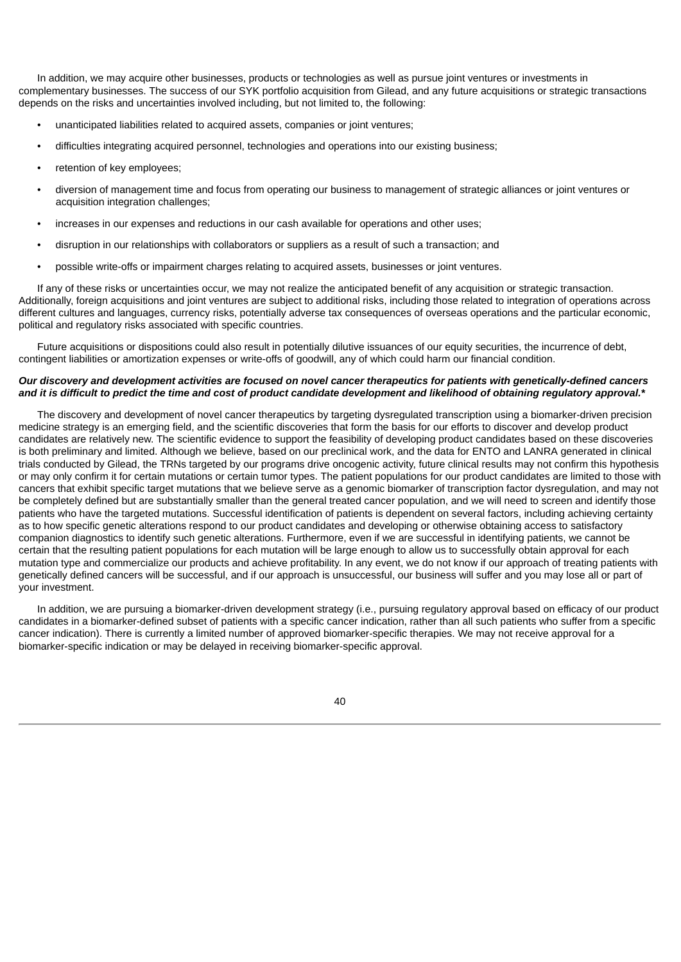In addition, we may acquire other businesses, products or technologies as well as pursue joint ventures or investments in complementary businesses. The success of our SYK portfolio acquisition from Gilead, and any future acquisitions or strategic transactions depends on the risks and uncertainties involved including, but not limited to, the following:

- unanticipated liabilities related to acquired assets, companies or joint ventures;
- difficulties integrating acquired personnel, technologies and operations into our existing business;
- retention of key employees;
- diversion of management time and focus from operating our business to management of strategic alliances or joint ventures or acquisition integration challenges;
- increases in our expenses and reductions in our cash available for operations and other uses;
- disruption in our relationships with collaborators or suppliers as a result of such a transaction; and
- possible write-offs or impairment charges relating to acquired assets, businesses or joint ventures.

If any of these risks or uncertainties occur, we may not realize the anticipated benefit of any acquisition or strategic transaction. Additionally, foreign acquisitions and joint ventures are subject to additional risks, including those related to integration of operations across different cultures and languages, currency risks, potentially adverse tax consequences of overseas operations and the particular economic, political and regulatory risks associated with specific countries.

Future acquisitions or dispositions could also result in potentially dilutive issuances of our equity securities, the incurrence of debt, contingent liabilities or amortization expenses or write-offs of goodwill, any of which could harm our financial condition.

# Our discovery and development activities are focused on novel cancer therapeutics for patients with genetically-defined cancers and it is difficult to predict the time and cost of product candidate development and likelihood of obtaining regulatory approval.\*

The discovery and development of novel cancer therapeutics by targeting dysregulated transcription using a biomarker-driven precision medicine strategy is an emerging field, and the scientific discoveries that form the basis for our efforts to discover and develop product candidates are relatively new. The scientific evidence to support the feasibility of developing product candidates based on these discoveries is both preliminary and limited. Although we believe, based on our preclinical work, and the data for ENTO and LANRA generated in clinical trials conducted by Gilead, the TRNs targeted by our programs drive oncogenic activity, future clinical results may not confirm this hypothesis or may only confirm it for certain mutations or certain tumor types. The patient populations for our product candidates are limited to those with cancers that exhibit specific target mutations that we believe serve as a genomic biomarker of transcription factor dysregulation, and may not be completely defined but are substantially smaller than the general treated cancer population, and we will need to screen and identify those patients who have the targeted mutations. Successful identification of patients is dependent on several factors, including achieving certainty as to how specific genetic alterations respond to our product candidates and developing or otherwise obtaining access to satisfactory companion diagnostics to identify such genetic alterations. Furthermore, even if we are successful in identifying patients, we cannot be certain that the resulting patient populations for each mutation will be large enough to allow us to successfully obtain approval for each mutation type and commercialize our products and achieve profitability. In any event, we do not know if our approach of treating patients with genetically defined cancers will be successful, and if our approach is unsuccessful, our business will suffer and you may lose all or part of your investment.

In addition, we are pursuing a biomarker-driven development strategy (i.e., pursuing regulatory approval based on efficacy of our product candidates in a biomarker-defined subset of patients with a specific cancer indication, rather than all such patients who suffer from a specific cancer indication). There is currently a limited number of approved biomarker-specific therapies. We may not receive approval for a biomarker-specific indication or may be delayed in receiving biomarker-specific approval.

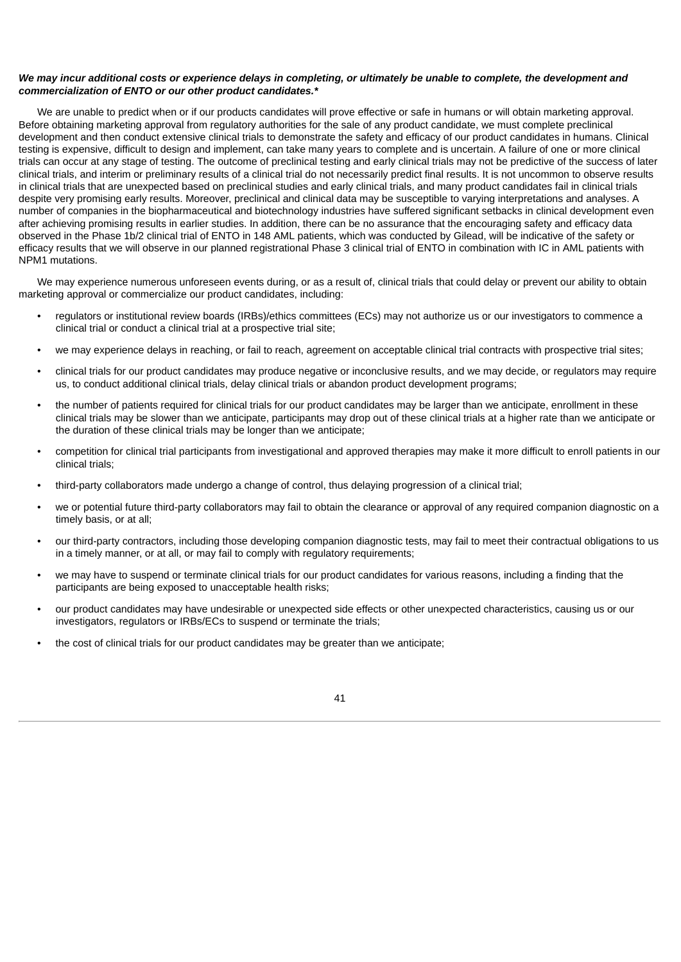## We may incur additional costs or experience delays in completing, or ultimately be unable to complete, the development and *commercialization of ENTO or our other product candidates.\**

We are unable to predict when or if our products candidates will prove effective or safe in humans or will obtain marketing approval. Before obtaining marketing approval from regulatory authorities for the sale of any product candidate, we must complete preclinical development and then conduct extensive clinical trials to demonstrate the safety and efficacy of our product candidates in humans. Clinical testing is expensive, difficult to design and implement, can take many years to complete and is uncertain. A failure of one or more clinical trials can occur at any stage of testing. The outcome of preclinical testing and early clinical trials may not be predictive of the success of later clinical trials, and interim or preliminary results of a clinical trial do not necessarily predict final results. It is not uncommon to observe results in clinical trials that are unexpected based on preclinical studies and early clinical trials, and many product candidates fail in clinical trials despite very promising early results. Moreover, preclinical and clinical data may be susceptible to varying interpretations and analyses. A number of companies in the biopharmaceutical and biotechnology industries have suffered significant setbacks in clinical development even after achieving promising results in earlier studies. In addition, there can be no assurance that the encouraging safety and efficacy data observed in the Phase 1b/2 clinical trial of ENTO in 148 AML patients, which was conducted by Gilead, will be indicative of the safety or efficacy results that we will observe in our planned registrational Phase 3 clinical trial of ENTO in combination with IC in AML patients with NPM1 mutations.

We may experience numerous unforeseen events during, or as a result of, clinical trials that could delay or prevent our ability to obtain marketing approval or commercialize our product candidates, including:

- regulators or institutional review boards (IRBs)/ethics committees (ECs) may not authorize us or our investigators to commence a clinical trial or conduct a clinical trial at a prospective trial site;
- we may experience delays in reaching, or fail to reach, agreement on acceptable clinical trial contracts with prospective trial sites;
- clinical trials for our product candidates may produce negative or inconclusive results, and we may decide, or regulators may require us, to conduct additional clinical trials, delay clinical trials or abandon product development programs;
- the number of patients required for clinical trials for our product candidates may be larger than we anticipate, enrollment in these clinical trials may be slower than we anticipate, participants may drop out of these clinical trials at a higher rate than we anticipate or the duration of these clinical trials may be longer than we anticipate;
- competition for clinical trial participants from investigational and approved therapies may make it more difficult to enroll patients in our clinical trials;
- third-party collaborators made undergo a change of control, thus delaying progression of a clinical trial;
- we or potential future third-party collaborators may fail to obtain the clearance or approval of any required companion diagnostic on a timely basis, or at all;
- our third-party contractors, including those developing companion diagnostic tests, may fail to meet their contractual obligations to us in a timely manner, or at all, or may fail to comply with regulatory requirements;
- we may have to suspend or terminate clinical trials for our product candidates for various reasons, including a finding that the participants are being exposed to unacceptable health risks;
- our product candidates may have undesirable or unexpected side effects or other unexpected characteristics, causing us or our investigators, regulators or IRBs/ECs to suspend or terminate the trials;
- the cost of clinical trials for our product candidates may be greater than we anticipate;

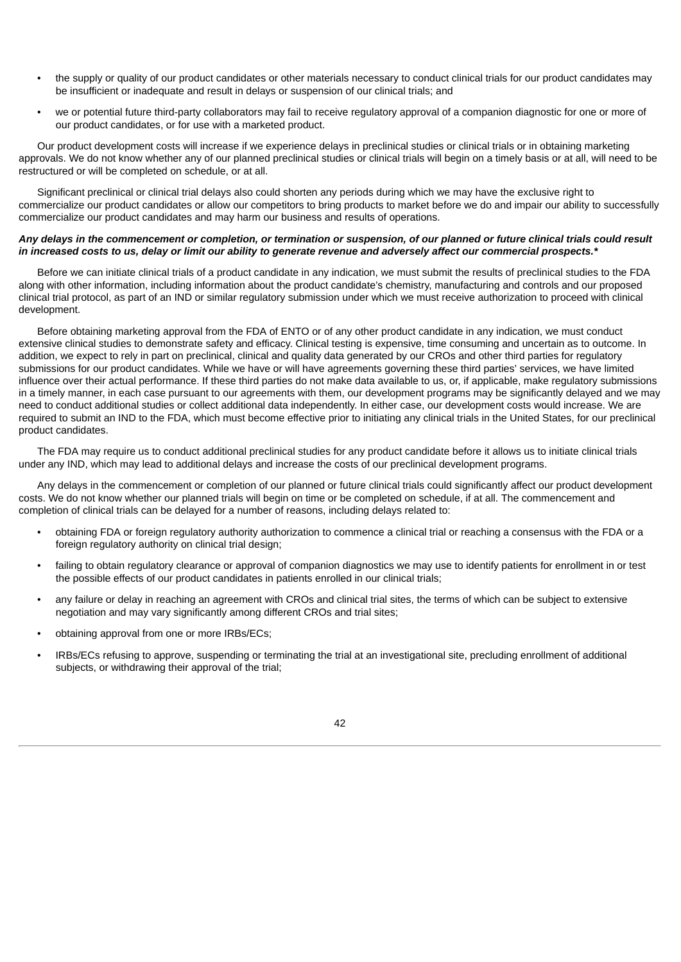- the supply or quality of our product candidates or other materials necessary to conduct clinical trials for our product candidates may be insufficient or inadequate and result in delays or suspension of our clinical trials; and
- we or potential future third-party collaborators may fail to receive regulatory approval of a companion diagnostic for one or more of our product candidates, or for use with a marketed product.

Our product development costs will increase if we experience delays in preclinical studies or clinical trials or in obtaining marketing approvals. We do not know whether any of our planned preclinical studies or clinical trials will begin on a timely basis or at all, will need to be restructured or will be completed on schedule, or at all.

Significant preclinical or clinical trial delays also could shorten any periods during which we may have the exclusive right to commercialize our product candidates or allow our competitors to bring products to market before we do and impair our ability to successfully commercialize our product candidates and may harm our business and results of operations.

## Any delays in the commencement or completion, or termination or suspension, of our planned or future clinical trials could result in increased costs to us, delay or limit our ability to generate revenue and adversely affect our commercial prospects.\*

Before we can initiate clinical trials of a product candidate in any indication, we must submit the results of preclinical studies to the FDA along with other information, including information about the product candidate's chemistry, manufacturing and controls and our proposed clinical trial protocol, as part of an IND or similar regulatory submission under which we must receive authorization to proceed with clinical development.

Before obtaining marketing approval from the FDA of ENTO or of any other product candidate in any indication, we must conduct extensive clinical studies to demonstrate safety and efficacy. Clinical testing is expensive, time consuming and uncertain as to outcome. In addition, we expect to rely in part on preclinical, clinical and quality data generated by our CROs and other third parties for regulatory submissions for our product candidates. While we have or will have agreements governing these third parties' services, we have limited influence over their actual performance. If these third parties do not make data available to us, or, if applicable, make regulatory submissions in a timely manner, in each case pursuant to our agreements with them, our development programs may be significantly delayed and we may need to conduct additional studies or collect additional data independently. In either case, our development costs would increase. We are required to submit an IND to the FDA, which must become effective prior to initiating any clinical trials in the United States, for our preclinical product candidates.

The FDA may require us to conduct additional preclinical studies for any product candidate before it allows us to initiate clinical trials under any IND, which may lead to additional delays and increase the costs of our preclinical development programs.

Any delays in the commencement or completion of our planned or future clinical trials could significantly affect our product development costs. We do not know whether our planned trials will begin on time or be completed on schedule, if at all. The commencement and completion of clinical trials can be delayed for a number of reasons, including delays related to:

- obtaining FDA or foreign regulatory authority authorization to commence a clinical trial or reaching a consensus with the FDA or a foreign regulatory authority on clinical trial design;
- failing to obtain regulatory clearance or approval of companion diagnostics we may use to identify patients for enrollment in or test the possible effects of our product candidates in patients enrolled in our clinical trials;
- any failure or delay in reaching an agreement with CROs and clinical trial sites, the terms of which can be subject to extensive negotiation and may vary significantly among different CROs and trial sites;
- obtaining approval from one or more IRBs/ECs;
- IRBs/ECs refusing to approve, suspending or terminating the trial at an investigational site, precluding enrollment of additional subjects, or withdrawing their approval of the trial;

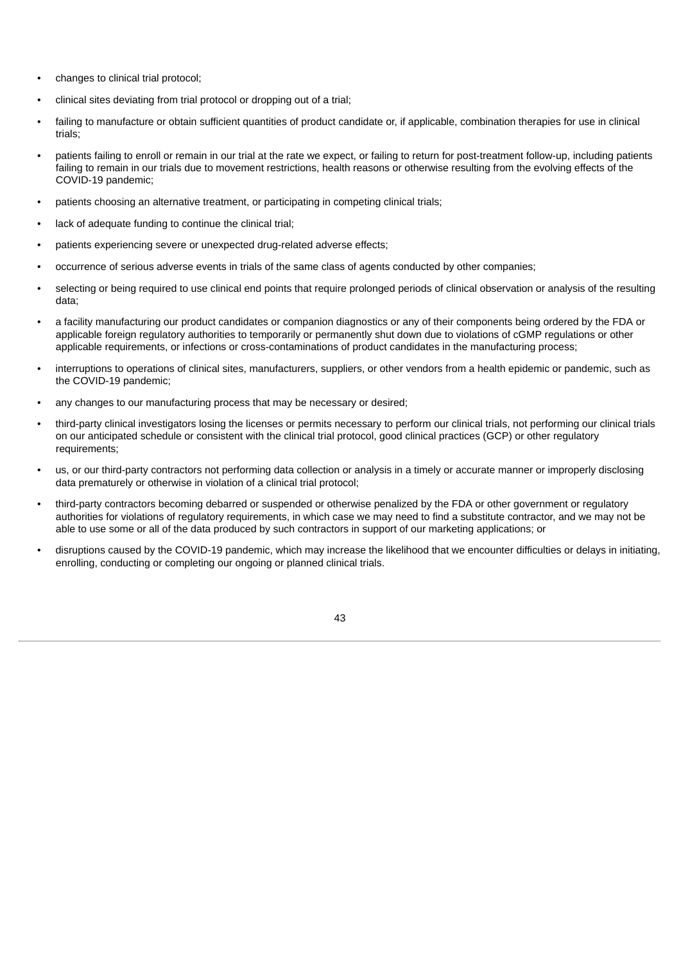- changes to clinical trial protocol;
- clinical sites deviating from trial protocol or dropping out of a trial;
- failing to manufacture or obtain sufficient quantities of product candidate or, if applicable, combination therapies for use in clinical trials;
- patients failing to enroll or remain in our trial at the rate we expect, or failing to return for post-treatment follow-up, including patients failing to remain in our trials due to movement restrictions, health reasons or otherwise resulting from the evolving effects of the COVID-19 pandemic;
- patients choosing an alternative treatment, or participating in competing clinical trials;
- lack of adequate funding to continue the clinical trial;
- patients experiencing severe or unexpected drug-related adverse effects;
- occurrence of serious adverse events in trials of the same class of agents conducted by other companies;
- selecting or being required to use clinical end points that require prolonged periods of clinical observation or analysis of the resulting data;
- a facility manufacturing our product candidates or companion diagnostics or any of their components being ordered by the FDA or applicable foreign regulatory authorities to temporarily or permanently shut down due to violations of cGMP regulations or other applicable requirements, or infections or cross-contaminations of product candidates in the manufacturing process;
- interruptions to operations of clinical sites, manufacturers, suppliers, or other vendors from a health epidemic or pandemic, such as the COVID-19 pandemic;
- any changes to our manufacturing process that may be necessary or desired;
- third-party clinical investigators losing the licenses or permits necessary to perform our clinical trials, not performing our clinical trials on our anticipated schedule or consistent with the clinical trial protocol, good clinical practices (GCP) or other regulatory requirements;
- us, or our third-party contractors not performing data collection or analysis in a timely or accurate manner or improperly disclosing data prematurely or otherwise in violation of a clinical trial protocol;
- third-party contractors becoming debarred or suspended or otherwise penalized by the FDA or other government or regulatory authorities for violations of regulatory requirements, in which case we may need to find a substitute contractor, and we may not be able to use some or all of the data produced by such contractors in support of our marketing applications; or
- disruptions caused by the COVID-19 pandemic, which may increase the likelihood that we encounter difficulties or delays in initiating, enrolling, conducting or completing our ongoing or planned clinical trials.
	- 43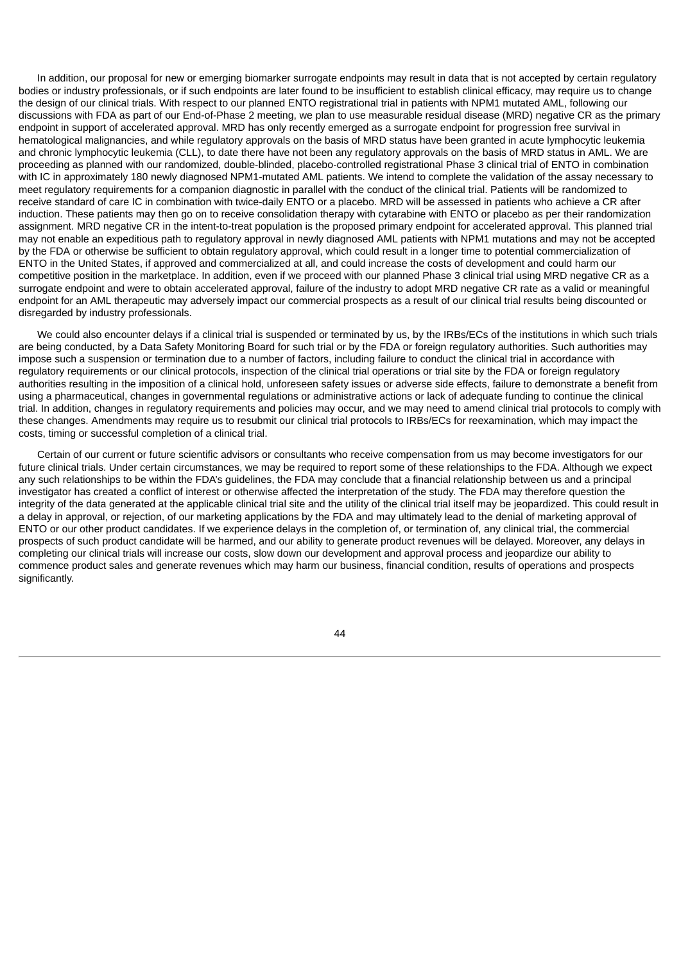In addition, our proposal for new or emerging biomarker surrogate endpoints may result in data that is not accepted by certain regulatory bodies or industry professionals, or if such endpoints are later found to be insufficient to establish clinical efficacy, may require us to change the design of our clinical trials. With respect to our planned ENTO registrational trial in patients with NPM1 mutated AML, following our discussions with FDA as part of our End-of-Phase 2 meeting, we plan to use measurable residual disease (MRD) negative CR as the primary endpoint in support of accelerated approval. MRD has only recently emerged as a surrogate endpoint for progression free survival in hematological malignancies, and while regulatory approvals on the basis of MRD status have been granted in acute lymphocytic leukemia and chronic lymphocytic leukemia (CLL), to date there have not been any regulatory approvals on the basis of MRD status in AML. We are proceeding as planned with our randomized, double-blinded, placebo-controlled registrational Phase 3 clinical trial of ENTO in combination with IC in approximately 180 newly diagnosed NPM1-mutated AML patients. We intend to complete the validation of the assay necessary to meet regulatory requirements for a companion diagnostic in parallel with the conduct of the clinical trial. Patients will be randomized to receive standard of care IC in combination with twice-daily ENTO or a placebo. MRD will be assessed in patients who achieve a CR after induction. These patients may then go on to receive consolidation therapy with cytarabine with ENTO or placebo as per their randomization assignment. MRD negative CR in the intent-to-treat population is the proposed primary endpoint for accelerated approval. This planned trial may not enable an expeditious path to regulatory approval in newly diagnosed AML patients with NPM1 mutations and may not be accepted by the FDA or otherwise be sufficient to obtain regulatory approval, which could result in a longer time to potential commercialization of ENTO in the United States, if approved and commercialized at all, and could increase the costs of development and could harm our competitive position in the marketplace. In addition, even if we proceed with our planned Phase 3 clinical trial using MRD negative CR as a surrogate endpoint and were to obtain accelerated approval, failure of the industry to adopt MRD negative CR rate as a valid or meaningful endpoint for an AML therapeutic may adversely impact our commercial prospects as a result of our clinical trial results being discounted or disregarded by industry professionals.

We could also encounter delays if a clinical trial is suspended or terminated by us, by the IRBs/ECs of the institutions in which such trials are being conducted, by a Data Safety Monitoring Board for such trial or by the FDA or foreign regulatory authorities. Such authorities may impose such a suspension or termination due to a number of factors, including failure to conduct the clinical trial in accordance with regulatory requirements or our clinical protocols, inspection of the clinical trial operations or trial site by the FDA or foreign regulatory authorities resulting in the imposition of a clinical hold, unforeseen safety issues or adverse side effects, failure to demonstrate a benefit from using a pharmaceutical, changes in governmental regulations or administrative actions or lack of adequate funding to continue the clinical trial. In addition, changes in regulatory requirements and policies may occur, and we may need to amend clinical trial protocols to comply with these changes. Amendments may require us to resubmit our clinical trial protocols to IRBs/ECs for reexamination, which may impact the costs, timing or successful completion of a clinical trial.

Certain of our current or future scientific advisors or consultants who receive compensation from us may become investigators for our future clinical trials. Under certain circumstances, we may be required to report some of these relationships to the FDA. Although we expect any such relationships to be within the FDA's guidelines, the FDA may conclude that a financial relationship between us and a principal investigator has created a conflict of interest or otherwise affected the interpretation of the study. The FDA may therefore question the integrity of the data generated at the applicable clinical trial site and the utility of the clinical trial itself may be jeopardized. This could result in a delay in approval, or rejection, of our marketing applications by the FDA and may ultimately lead to the denial of marketing approval of ENTO or our other product candidates. If we experience delays in the completion of, or termination of, any clinical trial, the commercial prospects of such product candidate will be harmed, and our ability to generate product revenues will be delayed. Moreover, any delays in completing our clinical trials will increase our costs, slow down our development and approval process and jeopardize our ability to commence product sales and generate revenues which may harm our business, financial condition, results of operations and prospects significantly.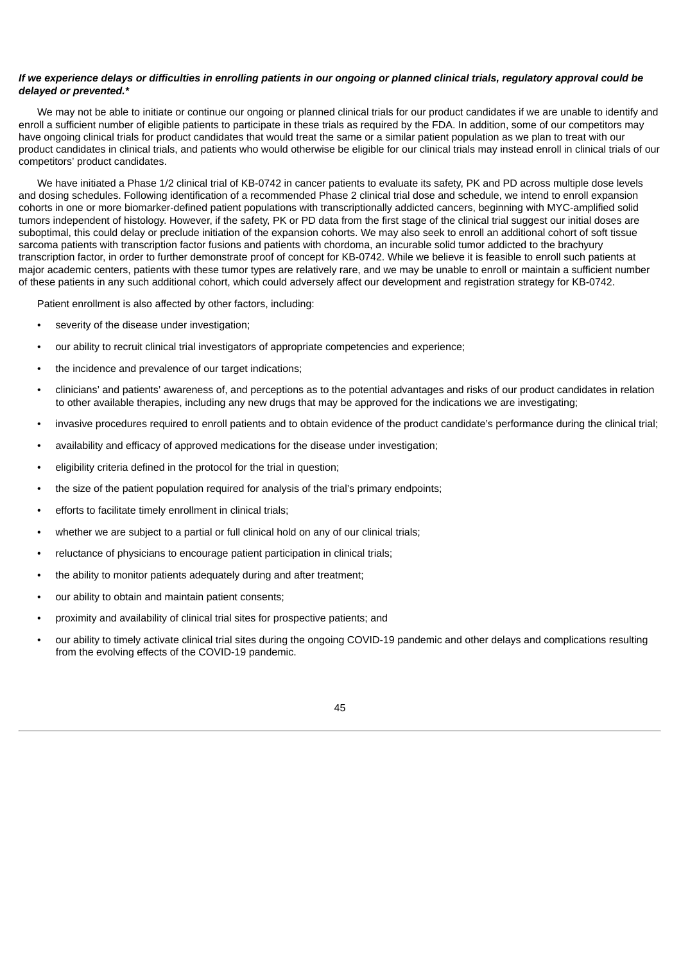## If we experience delays or difficulties in enrolling patients in our ongoing or planned clinical trials, regulatory approval could be *delayed or prevented.\**

We may not be able to initiate or continue our ongoing or planned clinical trials for our product candidates if we are unable to identify and enroll a sufficient number of eligible patients to participate in these trials as required by the FDA. In addition, some of our competitors may have ongoing clinical trials for product candidates that would treat the same or a similar patient population as we plan to treat with our product candidates in clinical trials, and patients who would otherwise be eligible for our clinical trials may instead enroll in clinical trials of our competitors' product candidates.

We have initiated a Phase 1/2 clinical trial of KB-0742 in cancer patients to evaluate its safety. PK and PD across multiple dose levels and dosing schedules. Following identification of a recommended Phase 2 clinical trial dose and schedule, we intend to enroll expansion cohorts in one or more biomarker-defined patient populations with transcriptionally addicted cancers, beginning with MYC-amplified solid tumors independent of histology. However, if the safety, PK or PD data from the first stage of the clinical trial suggest our initial doses are suboptimal, this could delay or preclude initiation of the expansion cohorts. We may also seek to enroll an additional cohort of soft tissue sarcoma patients with transcription factor fusions and patients with chordoma, an incurable solid tumor addicted to the brachyury transcription factor, in order to further demonstrate proof of concept for KB-0742. While we believe it is feasible to enroll such patients at major academic centers, patients with these tumor types are relatively rare, and we may be unable to enroll or maintain a sufficient number of these patients in any such additional cohort, which could adversely affect our development and registration strategy for KB-0742.

Patient enrollment is also affected by other factors, including:

- severity of the disease under investigation;
- our ability to recruit clinical trial investigators of appropriate competencies and experience;
- the incidence and prevalence of our target indications;
- clinicians' and patients' awareness of, and perceptions as to the potential advantages and risks of our product candidates in relation to other available therapies, including any new drugs that may be approved for the indications we are investigating;
- invasive procedures required to enroll patients and to obtain evidence of the product candidate's performance during the clinical trial;
- availability and efficacy of approved medications for the disease under investigation;
- eligibility criteria defined in the protocol for the trial in question;
- the size of the patient population required for analysis of the trial's primary endpoints;
- efforts to facilitate timely enrollment in clinical trials:
- whether we are subject to a partial or full clinical hold on any of our clinical trials;
- reluctance of physicians to encourage patient participation in clinical trials;
- the ability to monitor patients adequately during and after treatment;
- our ability to obtain and maintain patient consents;
- proximity and availability of clinical trial sites for prospective patients; and
- our ability to timely activate clinical trial sites during the ongoing COVID-19 pandemic and other delays and complications resulting from the evolving effects of the COVID-19 pandemic.

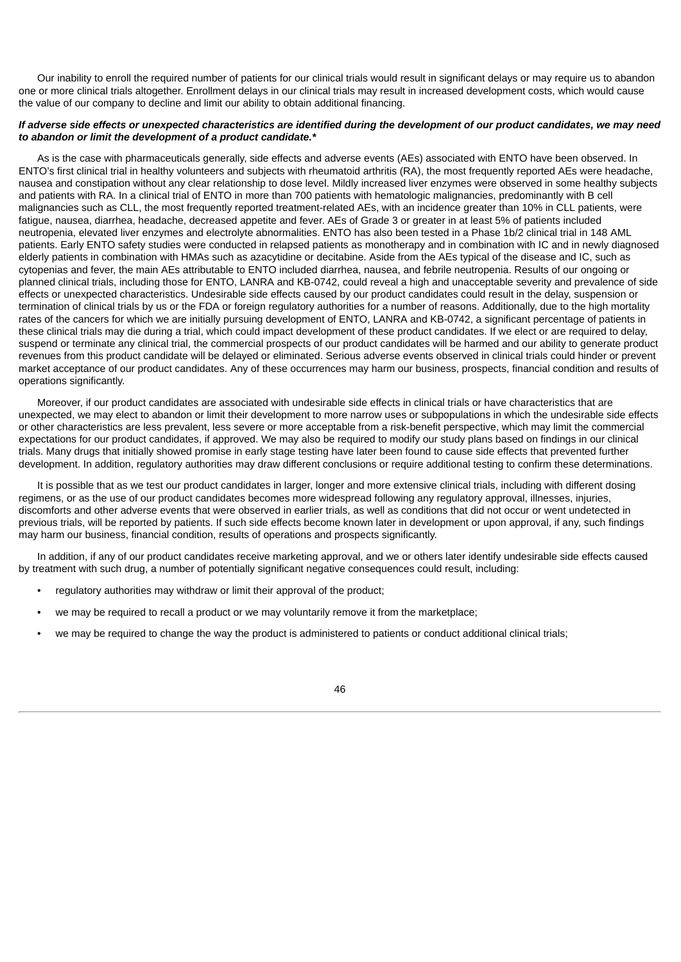Our inability to enroll the required number of patients for our clinical trials would result in significant delays or may require us to abandon one or more clinical trials altogether. Enrollment delays in our clinical trials may result in increased development costs, which would cause the value of our company to decline and limit our ability to obtain additional financing.

## If adverse side effects or unexpected characteristics are identified during the development of our product candidates, we may need *to abandon or limit the development of a product candidate.\**

As is the case with pharmaceuticals generally, side effects and adverse events (AEs) associated with ENTO have been observed. In ENTO's first clinical trial in healthy volunteers and subjects with rheumatoid arthritis (RA), the most frequently reported AEs were headache, nausea and constipation without any clear relationship to dose level. Mildly increased liver enzymes were observed in some healthy subjects and patients with RA. In a clinical trial of ENTO in more than 700 patients with hematologic malignancies, predominantly with B cell malignancies such as CLL, the most frequently reported treatment-related AEs, with an incidence greater than 10% in CLL patients, were fatigue, nausea, diarrhea, headache, decreased appetite and fever. AEs of Grade 3 or greater in at least 5% of patients included neutropenia, elevated liver enzymes and electrolyte abnormalities. ENTO has also been tested in a Phase 1b/2 clinical trial in 148 AML patients. Early ENTO safety studies were conducted in relapsed patients as monotherapy and in combination with IC and in newly diagnosed elderly patients in combination with HMAs such as azacytidine or decitabine. Aside from the AEs typical of the disease and IC, such as cytopenias and fever, the main AEs attributable to ENTO included diarrhea, nausea, and febrile neutropenia. Results of our ongoing or planned clinical trials, including those for ENTO, LANRA and KB-0742, could reveal a high and unacceptable severity and prevalence of side effects or unexpected characteristics. Undesirable side effects caused by our product candidates could result in the delay, suspension or termination of clinical trials by us or the FDA or foreign regulatory authorities for a number of reasons. Additionally, due to the high mortality rates of the cancers for which we are initially pursuing development of ENTO, LANRA and KB-0742, a significant percentage of patients in these clinical trials may die during a trial, which could impact development of these product candidates. If we elect or are required to delay, suspend or terminate any clinical trial, the commercial prospects of our product candidates will be harmed and our ability to generate product revenues from this product candidate will be delayed or eliminated. Serious adverse events observed in clinical trials could hinder or prevent market acceptance of our product candidates. Any of these occurrences may harm our business, prospects, financial condition and results of operations significantly.

Moreover, if our product candidates are associated with undesirable side effects in clinical trials or have characteristics that are unexpected, we may elect to abandon or limit their development to more narrow uses or subpopulations in which the undesirable side effects or other characteristics are less prevalent, less severe or more acceptable from a risk-benefit perspective, which may limit the commercial expectations for our product candidates, if approved. We may also be required to modify our study plans based on findings in our clinical trials. Many drugs that initially showed promise in early stage testing have later been found to cause side effects that prevented further development. In addition, regulatory authorities may draw different conclusions or require additional testing to confirm these determinations.

It is possible that as we test our product candidates in larger, longer and more extensive clinical trials, including with different dosing regimens, or as the use of our product candidates becomes more widespread following any regulatory approval, illnesses, injuries, discomforts and other adverse events that were observed in earlier trials, as well as conditions that did not occur or went undetected in previous trials, will be reported by patients. If such side effects become known later in development or upon approval, if any, such findings may harm our business, financial condition, results of operations and prospects significantly.

In addition, if any of our product candidates receive marketing approval, and we or others later identify undesirable side effects caused by treatment with such drug, a number of potentially significant negative consequences could result, including:

- regulatory authorities may withdraw or limit their approval of the product;
- we may be required to recall a product or we may voluntarily remove it from the marketplace;
- we may be required to change the way the product is administered to patients or conduct additional clinical trials;

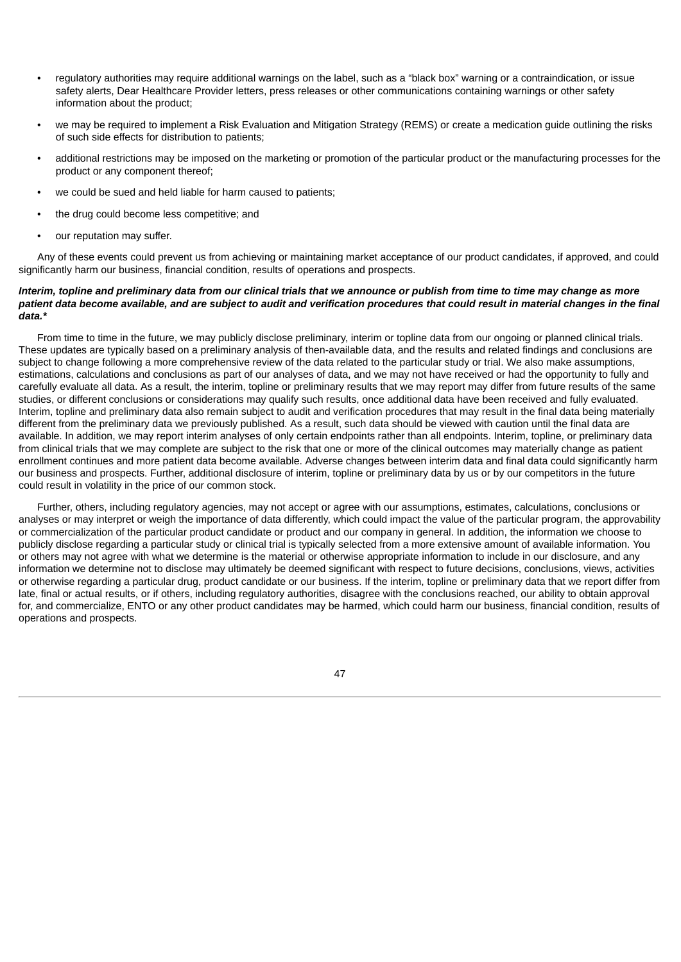- regulatory authorities may require additional warnings on the label, such as a "black box" warning or a contraindication, or issue safety alerts, Dear Healthcare Provider letters, press releases or other communications containing warnings or other safety information about the product;
- we may be required to implement a Risk Evaluation and Mitigation Strategy (REMS) or create a medication guide outlining the risks of such side effects for distribution to patients;
- additional restrictions may be imposed on the marketing or promotion of the particular product or the manufacturing processes for the product or any component thereof;
- we could be sued and held liable for harm caused to patients;
- the drug could become less competitive; and
- our reputation may suffer.

Any of these events could prevent us from achieving or maintaining market acceptance of our product candidates, if approved, and could significantly harm our business, financial condition, results of operations and prospects.

# Interim, topline and preliminary data from our clinical trials that we announce or publish from time to time may change as more patient data become available, and are subject to audit and verification procedures that could result in material changes in the final *data.\**

From time to time in the future, we may publicly disclose preliminary, interim or topline data from our ongoing or planned clinical trials. These updates are typically based on a preliminary analysis of then-available data, and the results and related findings and conclusions are subject to change following a more comprehensive review of the data related to the particular study or trial. We also make assumptions, estimations, calculations and conclusions as part of our analyses of data, and we may not have received or had the opportunity to fully and carefully evaluate all data. As a result, the interim, topline or preliminary results that we may report may differ from future results of the same studies, or different conclusions or considerations may qualify such results, once additional data have been received and fully evaluated. Interim, topline and preliminary data also remain subject to audit and verification procedures that may result in the final data being materially different from the preliminary data we previously published. As a result, such data should be viewed with caution until the final data are available. In addition, we may report interim analyses of only certain endpoints rather than all endpoints. Interim, topline, or preliminary data from clinical trials that we may complete are subject to the risk that one or more of the clinical outcomes may materially change as patient enrollment continues and more patient data become available. Adverse changes between interim data and final data could significantly harm our business and prospects. Further, additional disclosure of interim, topline or preliminary data by us or by our competitors in the future could result in volatility in the price of our common stock.

Further, others, including regulatory agencies, may not accept or agree with our assumptions, estimates, calculations, conclusions or analyses or may interpret or weigh the importance of data differently, which could impact the value of the particular program, the approvability or commercialization of the particular product candidate or product and our company in general. In addition, the information we choose to publicly disclose regarding a particular study or clinical trial is typically selected from a more extensive amount of available information. You or others may not agree with what we determine is the material or otherwise appropriate information to include in our disclosure, and any information we determine not to disclose may ultimately be deemed significant with respect to future decisions, conclusions, views, activities or otherwise regarding a particular drug, product candidate or our business. If the interim, topline or preliminary data that we report differ from late, final or actual results, or if others, including regulatory authorities, disagree with the conclusions reached, our ability to obtain approval for, and commercialize, ENTO or any other product candidates may be harmed, which could harm our business, financial condition, results of operations and prospects.

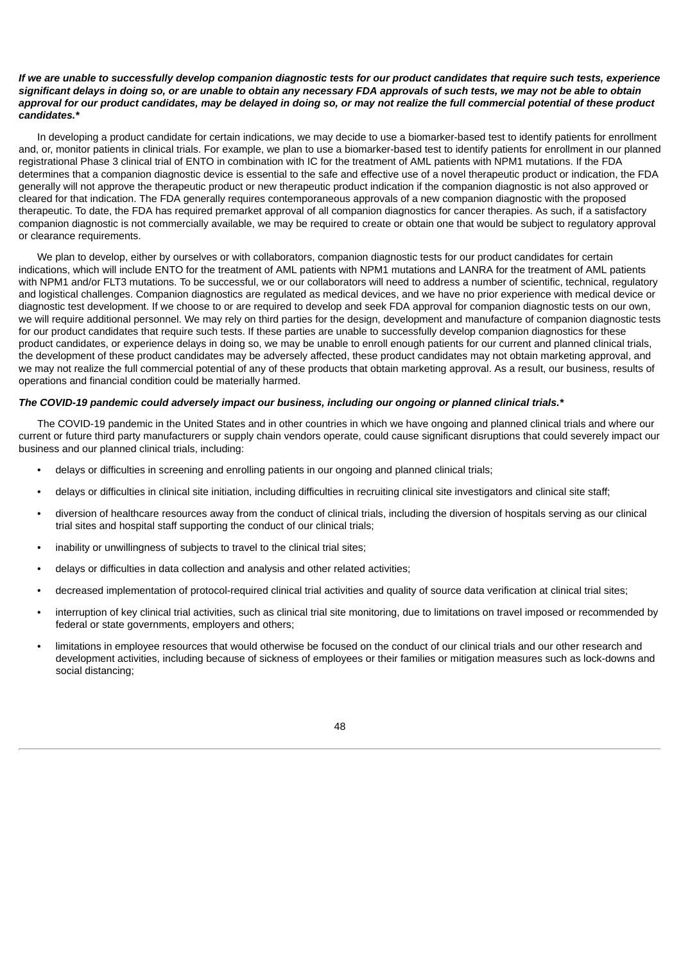## If we are unable to successfully develop companion diagnostic tests for our product candidates that require such tests, experience significant delays in doing so, or are unable to obtain any necessary FDA approvals of such tests, we may not be able to obtain approval for our product candidates, may be delayed in doing so, or may not realize the full commercial potential of these product *candidates.\**

In developing a product candidate for certain indications, we may decide to use a biomarker-based test to identify patients for enrollment and, or, monitor patients in clinical trials. For example, we plan to use a biomarker-based test to identify patients for enrollment in our planned registrational Phase 3 clinical trial of ENTO in combination with IC for the treatment of AML patients with NPM1 mutations. If the FDA determines that a companion diagnostic device is essential to the safe and effective use of a novel therapeutic product or indication, the FDA generally will not approve the therapeutic product or new therapeutic product indication if the companion diagnostic is not also approved or cleared for that indication. The FDA generally requires contemporaneous approvals of a new companion diagnostic with the proposed therapeutic. To date, the FDA has required premarket approval of all companion diagnostics for cancer therapies. As such, if a satisfactory companion diagnostic is not commercially available, we may be required to create or obtain one that would be subject to regulatory approval or clearance requirements.

We plan to develop, either by ourselves or with collaborators, companion diagnostic tests for our product candidates for certain indications, which will include ENTO for the treatment of AML patients with NPM1 mutations and LANRA for the treatment of AML patients with NPM1 and/or FLT3 mutations. To be successful, we or our collaborators will need to address a number of scientific, technical, regulatory and logistical challenges. Companion diagnostics are regulated as medical devices, and we have no prior experience with medical device or diagnostic test development. If we choose to or are required to develop and seek FDA approval for companion diagnostic tests on our own, we will require additional personnel. We may rely on third parties for the design, development and manufacture of companion diagnostic tests for our product candidates that require such tests. If these parties are unable to successfully develop companion diagnostics for these product candidates, or experience delays in doing so, we may be unable to enroll enough patients for our current and planned clinical trials, the development of these product candidates may be adversely affected, these product candidates may not obtain marketing approval, and we may not realize the full commercial potential of any of these products that obtain marketing approval. As a result, our business, results of operations and financial condition could be materially harmed.

#### *The COVID-19 pandemic could adversely impact our business, including our ongoing or planned clinical trials.\**

The COVID-19 pandemic in the United States and in other countries in which we have ongoing and planned clinical trials and where our current or future third party manufacturers or supply chain vendors operate, could cause significant disruptions that could severely impact our business and our planned clinical trials, including:

- delays or difficulties in screening and enrolling patients in our ongoing and planned clinical trials;
- delays or difficulties in clinical site initiation, including difficulties in recruiting clinical site investigators and clinical site staff;
- diversion of healthcare resources away from the conduct of clinical trials, including the diversion of hospitals serving as our clinical trial sites and hospital staff supporting the conduct of our clinical trials;
- inability or unwillingness of subjects to travel to the clinical trial sites;
- delays or difficulties in data collection and analysis and other related activities;
- decreased implementation of protocol-required clinical trial activities and quality of source data verification at clinical trial sites;
- interruption of key clinical trial activities, such as clinical trial site monitoring, due to limitations on travel imposed or recommended by federal or state governments, employers and others;
- limitations in employee resources that would otherwise be focused on the conduct of our clinical trials and our other research and development activities, including because of sickness of employees or their families or mitigation measures such as lock-downs and social distancing;

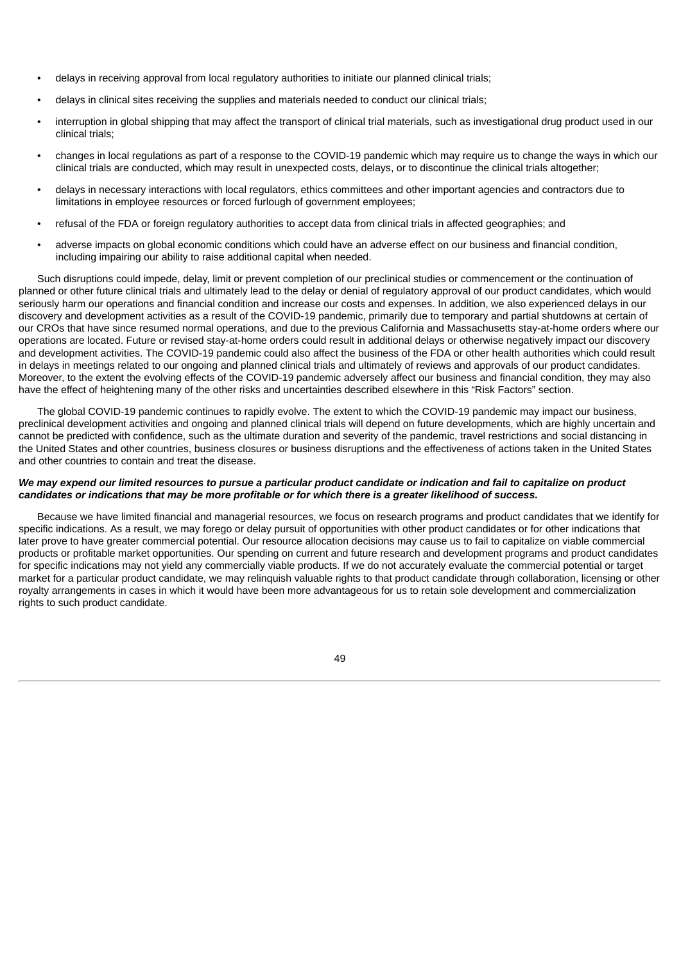- delays in receiving approval from local regulatory authorities to initiate our planned clinical trials;
- delays in clinical sites receiving the supplies and materials needed to conduct our clinical trials;
- interruption in global shipping that may affect the transport of clinical trial materials, such as investigational drug product used in our clinical trials;
- changes in local regulations as part of a response to the COVID-19 pandemic which may require us to change the ways in which our clinical trials are conducted, which may result in unexpected costs, delays, or to discontinue the clinical trials altogether;
- delays in necessary interactions with local regulators, ethics committees and other important agencies and contractors due to limitations in employee resources or forced furlough of government employees;
- refusal of the FDA or foreign regulatory authorities to accept data from clinical trials in affected geographies; and
- adverse impacts on global economic conditions which could have an adverse effect on our business and financial condition, including impairing our ability to raise additional capital when needed.

Such disruptions could impede, delay, limit or prevent completion of our preclinical studies or commencement or the continuation of planned or other future clinical trials and ultimately lead to the delay or denial of regulatory approval of our product candidates, which would seriously harm our operations and financial condition and increase our costs and expenses. In addition, we also experienced delays in our discovery and development activities as a result of the COVID-19 pandemic, primarily due to temporary and partial shutdowns at certain of our CROs that have since resumed normal operations, and due to the previous California and Massachusetts stay-at-home orders where our operations are located. Future or revised stay-at-home orders could result in additional delays or otherwise negatively impact our discovery and development activities. The COVID-19 pandemic could also affect the business of the FDA or other health authorities which could result in delays in meetings related to our ongoing and planned clinical trials and ultimately of reviews and approvals of our product candidates. Moreover, to the extent the evolving effects of the COVID-19 pandemic adversely affect our business and financial condition, they may also have the effect of heightening many of the other risks and uncertainties described elsewhere in this "Risk Factors" section.

The global COVID-19 pandemic continues to rapidly evolve. The extent to which the COVID-19 pandemic may impact our business, preclinical development activities and ongoing and planned clinical trials will depend on future developments, which are highly uncertain and cannot be predicted with confidence, such as the ultimate duration and severity of the pandemic, travel restrictions and social distancing in the United States and other countries, business closures or business disruptions and the effectiveness of actions taken in the United States and other countries to contain and treat the disease.

# We may expend our limited resources to pursue a particular product candidate or indication and fail to capitalize on product candidates or indications that may be more profitable or for which there is a greater likelihood of success.

Because we have limited financial and managerial resources, we focus on research programs and product candidates that we identify for specific indications. As a result, we may forego or delay pursuit of opportunities with other product candidates or for other indications that later prove to have greater commercial potential. Our resource allocation decisions may cause us to fail to capitalize on viable commercial products or profitable market opportunities. Our spending on current and future research and development programs and product candidates for specific indications may not yield any commercially viable products. If we do not accurately evaluate the commercial potential or target market for a particular product candidate, we may relinquish valuable rights to that product candidate through collaboration, licensing or other royalty arrangements in cases in which it would have been more advantageous for us to retain sole development and commercialization rights to such product candidate.

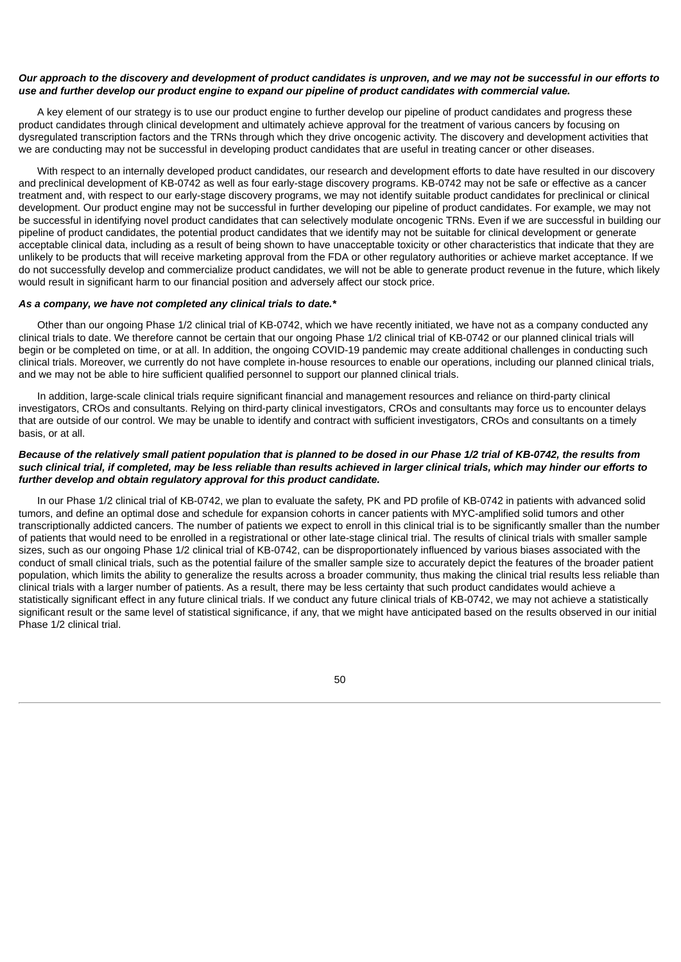## Our approach to the discovery and development of product candidates is unproven, and we may not be successful in our efforts to use and further develop our product engine to expand our pipeline of product candidates with commercial value.

A key element of our strategy is to use our product engine to further develop our pipeline of product candidates and progress these product candidates through clinical development and ultimately achieve approval for the treatment of various cancers by focusing on dysregulated transcription factors and the TRNs through which they drive oncogenic activity. The discovery and development activities that we are conducting may not be successful in developing product candidates that are useful in treating cancer or other diseases.

With respect to an internally developed product candidates, our research and development efforts to date have resulted in our discovery and preclinical development of KB-0742 as well as four early-stage discovery programs. KB-0742 may not be safe or effective as a cancer treatment and, with respect to our early-stage discovery programs, we may not identify suitable product candidates for preclinical or clinical development. Our product engine may not be successful in further developing our pipeline of product candidates. For example, we may not be successful in identifying novel product candidates that can selectively modulate oncogenic TRNs. Even if we are successful in building our pipeline of product candidates, the potential product candidates that we identify may not be suitable for clinical development or generate acceptable clinical data, including as a result of being shown to have unacceptable toxicity or other characteristics that indicate that they are unlikely to be products that will receive marketing approval from the FDA or other regulatory authorities or achieve market acceptance. If we do not successfully develop and commercialize product candidates, we will not be able to generate product revenue in the future, which likely would result in significant harm to our financial position and adversely affect our stock price.

### *As a company, we have not completed any clinical trials to date.\**

Other than our ongoing Phase 1/2 clinical trial of KB-0742, which we have recently initiated, we have not as a company conducted any clinical trials to date. We therefore cannot be certain that our ongoing Phase 1/2 clinical trial of KB-0742 or our planned clinical trials will begin or be completed on time, or at all. In addition, the ongoing COVID-19 pandemic may create additional challenges in conducting such clinical trials. Moreover, we currently do not have complete in-house resources to enable our operations, including our planned clinical trials, and we may not be able to hire sufficient qualified personnel to support our planned clinical trials.

In addition, large-scale clinical trials require significant financial and management resources and reliance on third-party clinical investigators, CROs and consultants. Relying on third-party clinical investigators, CROs and consultants may force us to encounter delays that are outside of our control. We may be unable to identify and contract with sufficient investigators, CROs and consultants on a timely basis, or at all.

# Because of the relatively small patient population that is planned to be dosed in our Phase 1/2 trial of KB-0742, the results from such clinical trial, if completed, may be less reliable than results achieved in larger clinical trials, which may hinder our efforts to *further develop and obtain regulatory approval for this product candidate.*

In our Phase 1/2 clinical trial of KB-0742, we plan to evaluate the safety, PK and PD profile of KB-0742 in patients with advanced solid tumors, and define an optimal dose and schedule for expansion cohorts in cancer patients with MYC-amplified solid tumors and other transcriptionally addicted cancers. The number of patients we expect to enroll in this clinical trial is to be significantly smaller than the number of patients that would need to be enrolled in a registrational or other late-stage clinical trial. The results of clinical trials with smaller sample sizes, such as our ongoing Phase 1/2 clinical trial of KB-0742, can be disproportionately influenced by various biases associated with the conduct of small clinical trials, such as the potential failure of the smaller sample size to accurately depict the features of the broader patient population, which limits the ability to generalize the results across a broader community, thus making the clinical trial results less reliable than clinical trials with a larger number of patients. As a result, there may be less certainty that such product candidates would achieve a statistically significant effect in any future clinical trials. If we conduct any future clinical trials of KB-0742, we may not achieve a statistically significant result or the same level of statistical significance, if any, that we might have anticipated based on the results observed in our initial Phase 1/2 clinical trial.

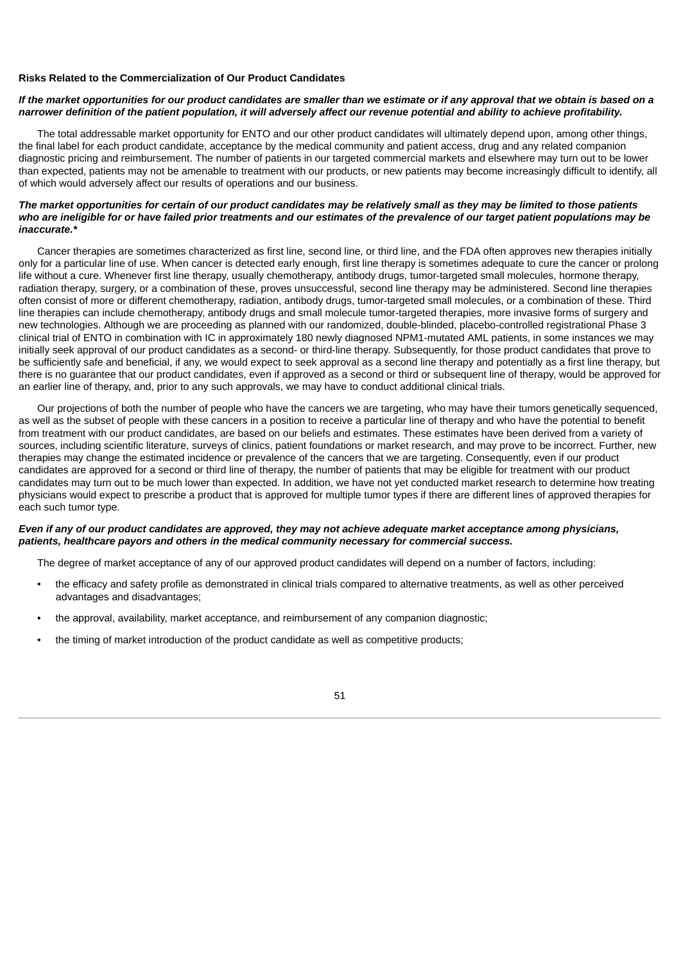### **Risks Related to the Commercialization of Our Product Candidates**

## If the market opportunities for our product candidates are smaller than we estimate or if any approval that we obtain is based on a narrower definition of the patient population, it will adversely affect our revenue potential and ability to achieve profitability.

The total addressable market opportunity for ENTO and our other product candidates will ultimately depend upon, among other things, the final label for each product candidate, acceptance by the medical community and patient access, drug and any related companion diagnostic pricing and reimbursement. The number of patients in our targeted commercial markets and elsewhere may turn out to be lower than expected, patients may not be amenable to treatment with our products, or new patients may become increasingly difficult to identify, all of which would adversely affect our results of operations and our business.

# The market opportunities for certain of our product candidates may be relatively small as they may be limited to those patients who are ineligible for or have failed prior treatments and our estimates of the prevalence of our target patient populations may be *inaccurate.\**

Cancer therapies are sometimes characterized as first line, second line, or third line, and the FDA often approves new therapies initially only for a particular line of use. When cancer is detected early enough, first line therapy is sometimes adequate to cure the cancer or prolong life without a cure. Whenever first line therapy, usually chemotherapy, antibody drugs, tumor-targeted small molecules, hormone therapy, radiation therapy, surgery, or a combination of these, proves unsuccessful, second line therapy may be administered. Second line therapies often consist of more or different chemotherapy, radiation, antibody drugs, tumor-targeted small molecules, or a combination of these. Third line therapies can include chemotherapy, antibody drugs and small molecule tumor-targeted therapies, more invasive forms of surgery and new technologies. Although we are proceeding as planned with our randomized, double-blinded, placebo-controlled registrational Phase 3 clinical trial of ENTO in combination with IC in approximately 180 newly diagnosed NPM1-mutated AML patients, in some instances we may initially seek approval of our product candidates as a second- or third-line therapy. Subsequently, for those product candidates that prove to be sufficiently safe and beneficial, if any, we would expect to seek approval as a second line therapy and potentially as a first line therapy, but there is no guarantee that our product candidates, even if approved as a second or third or subsequent line of therapy, would be approved for an earlier line of therapy, and, prior to any such approvals, we may have to conduct additional clinical trials.

Our projections of both the number of people who have the cancers we are targeting, who may have their tumors genetically sequenced, as well as the subset of people with these cancers in a position to receive a particular line of therapy and who have the potential to benefit from treatment with our product candidates, are based on our beliefs and estimates. These estimates have been derived from a variety of sources, including scientific literature, surveys of clinics, patient foundations or market research, and may prove to be incorrect. Further, new therapies may change the estimated incidence or prevalence of the cancers that we are targeting. Consequently, even if our product candidates are approved for a second or third line of therapy, the number of patients that may be eligible for treatment with our product candidates may turn out to be much lower than expected. In addition, we have not yet conducted market research to determine how treating physicians would expect to prescribe a product that is approved for multiple tumor types if there are different lines of approved therapies for each such tumor type.

## Even if any of our product candidates are approved, they may not achieve adequate market acceptance among physicians, *patients, healthcare payors and others in the medical community necessary for commercial success.*

The degree of market acceptance of any of our approved product candidates will depend on a number of factors, including:

- the efficacy and safety profile as demonstrated in clinical trials compared to alternative treatments, as well as other perceived advantages and disadvantages;
- the approval, availability, market acceptance, and reimbursement of any companion diagnostic;
- the timing of market introduction of the product candidate as well as competitive products;

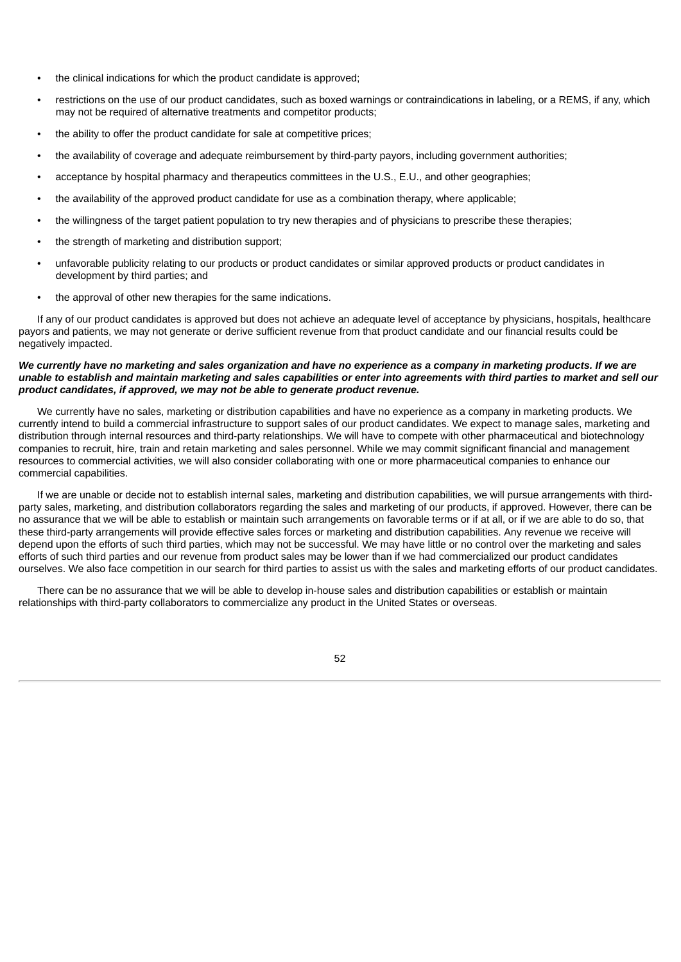- the clinical indications for which the product candidate is approved;
- restrictions on the use of our product candidates, such as boxed warnings or contraindications in labeling, or a REMS, if any, which may not be required of alternative treatments and competitor products:
- the ability to offer the product candidate for sale at competitive prices;
- the availability of coverage and adequate reimbursement by third-party payors, including government authorities;
- acceptance by hospital pharmacy and therapeutics committees in the U.S., E.U., and other geographies;
- the availability of the approved product candidate for use as a combination therapy, where applicable;
- the willingness of the target patient population to try new therapies and of physicians to prescribe these therapies;
- the strength of marketing and distribution support;
- unfavorable publicity relating to our products or product candidates or similar approved products or product candidates in development by third parties; and
- the approval of other new therapies for the same indications.

If any of our product candidates is approved but does not achieve an adequate level of acceptance by physicians, hospitals, healthcare payors and patients, we may not generate or derive sufficient revenue from that product candidate and our financial results could be negatively impacted.

# We currently have no marketing and sales organization and have no experience as a company in marketing products. If we are unable to establish and maintain marketing and sales capabilities or enter into agreements with third parties to market and sell our *product candidates, if approved, we may not be able to generate product revenue.*

We currently have no sales, marketing or distribution capabilities and have no experience as a company in marketing products. We currently intend to build a commercial infrastructure to support sales of our product candidates. We expect to manage sales, marketing and distribution through internal resources and third-party relationships. We will have to compete with other pharmaceutical and biotechnology companies to recruit, hire, train and retain marketing and sales personnel. While we may commit significant financial and management resources to commercial activities, we will also consider collaborating with one or more pharmaceutical companies to enhance our commercial capabilities.

If we are unable or decide not to establish internal sales, marketing and distribution capabilities, we will pursue arrangements with thirdparty sales, marketing, and distribution collaborators regarding the sales and marketing of our products, if approved. However, there can be no assurance that we will be able to establish or maintain such arrangements on favorable terms or if at all, or if we are able to do so, that these third-party arrangements will provide effective sales forces or marketing and distribution capabilities. Any revenue we receive will depend upon the efforts of such third parties, which may not be successful. We may have little or no control over the marketing and sales efforts of such third parties and our revenue from product sales may be lower than if we had commercialized our product candidates ourselves. We also face competition in our search for third parties to assist us with the sales and marketing efforts of our product candidates.

There can be no assurance that we will be able to develop in-house sales and distribution capabilities or establish or maintain relationships with third-party collaborators to commercialize any product in the United States or overseas.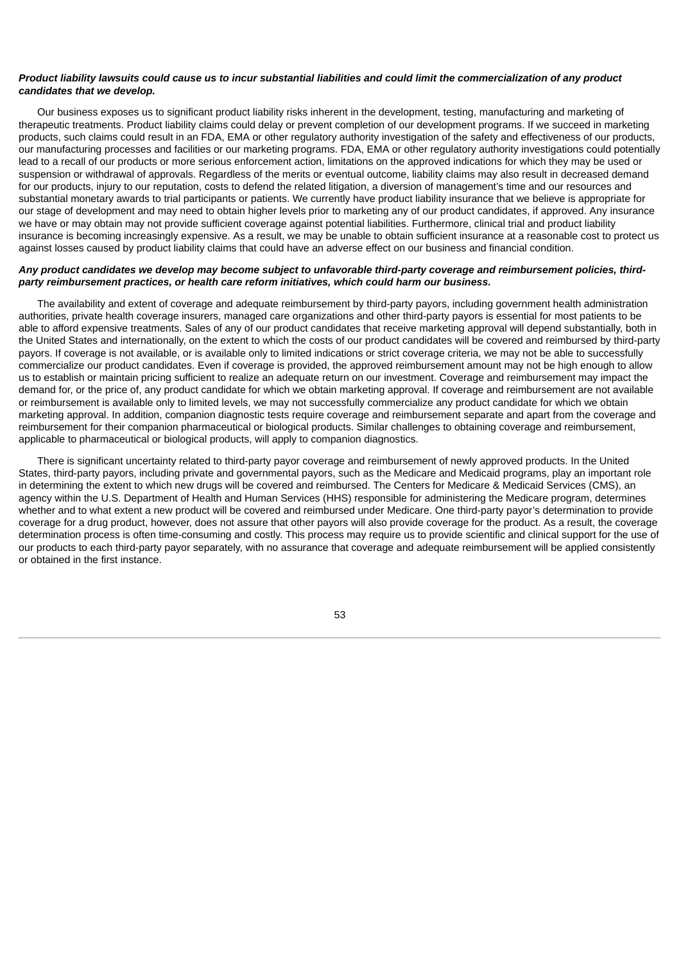### Product liability lawsuits could cause us to incur substantial liabilities and could limit the commercialization of any product *candidates that we develop.*

Our business exposes us to significant product liability risks inherent in the development, testing, manufacturing and marketing of therapeutic treatments. Product liability claims could delay or prevent completion of our development programs. If we succeed in marketing products, such claims could result in an FDA, EMA or other regulatory authority investigation of the safety and effectiveness of our products, our manufacturing processes and facilities or our marketing programs. FDA, EMA or other regulatory authority investigations could potentially lead to a recall of our products or more serious enforcement action, limitations on the approved indications for which they may be used or suspension or withdrawal of approvals. Regardless of the merits or eventual outcome, liability claims may also result in decreased demand for our products, injury to our reputation, costs to defend the related litigation, a diversion of management's time and our resources and substantial monetary awards to trial participants or patients. We currently have product liability insurance that we believe is appropriate for our stage of development and may need to obtain higher levels prior to marketing any of our product candidates, if approved. Any insurance we have or may obtain may not provide sufficient coverage against potential liabilities. Furthermore, clinical trial and product liability insurance is becoming increasingly expensive. As a result, we may be unable to obtain sufficient insurance at a reasonable cost to protect us against losses caused by product liability claims that could have an adverse effect on our business and financial condition.

## Any product candidates we develop may become subject to unfavorable third-party coverage and reimbursement policies, third*party reimbursement practices, or health care reform initiatives, which could harm our business.*

The availability and extent of coverage and adequate reimbursement by third-party payors, including government health administration authorities, private health coverage insurers, managed care organizations and other third-party payors is essential for most patients to be able to afford expensive treatments. Sales of any of our product candidates that receive marketing approval will depend substantially, both in the United States and internationally, on the extent to which the costs of our product candidates will be covered and reimbursed by third-party payors. If coverage is not available, or is available only to limited indications or strict coverage criteria, we may not be able to successfully commercialize our product candidates. Even if coverage is provided, the approved reimbursement amount may not be high enough to allow us to establish or maintain pricing sufficient to realize an adequate return on our investment. Coverage and reimbursement may impact the demand for, or the price of, any product candidate for which we obtain marketing approval. If coverage and reimbursement are not available or reimbursement is available only to limited levels, we may not successfully commercialize any product candidate for which we obtain marketing approval. In addition, companion diagnostic tests require coverage and reimbursement separate and apart from the coverage and reimbursement for their companion pharmaceutical or biological products. Similar challenges to obtaining coverage and reimbursement, applicable to pharmaceutical or biological products, will apply to companion diagnostics.

There is significant uncertainty related to third-party payor coverage and reimbursement of newly approved products. In the United States, third-party payors, including private and governmental payors, such as the Medicare and Medicaid programs, play an important role in determining the extent to which new drugs will be covered and reimbursed. The Centers for Medicare & Medicaid Services (CMS), an agency within the U.S. Department of Health and Human Services (HHS) responsible for administering the Medicare program, determines whether and to what extent a new product will be covered and reimbursed under Medicare. One third-party payor's determination to provide coverage for a drug product, however, does not assure that other payors will also provide coverage for the product. As a result, the coverage determination process is often time-consuming and costly. This process may require us to provide scientific and clinical support for the use of our products to each third-party payor separately, with no assurance that coverage and adequate reimbursement will be applied consistently or obtained in the first instance.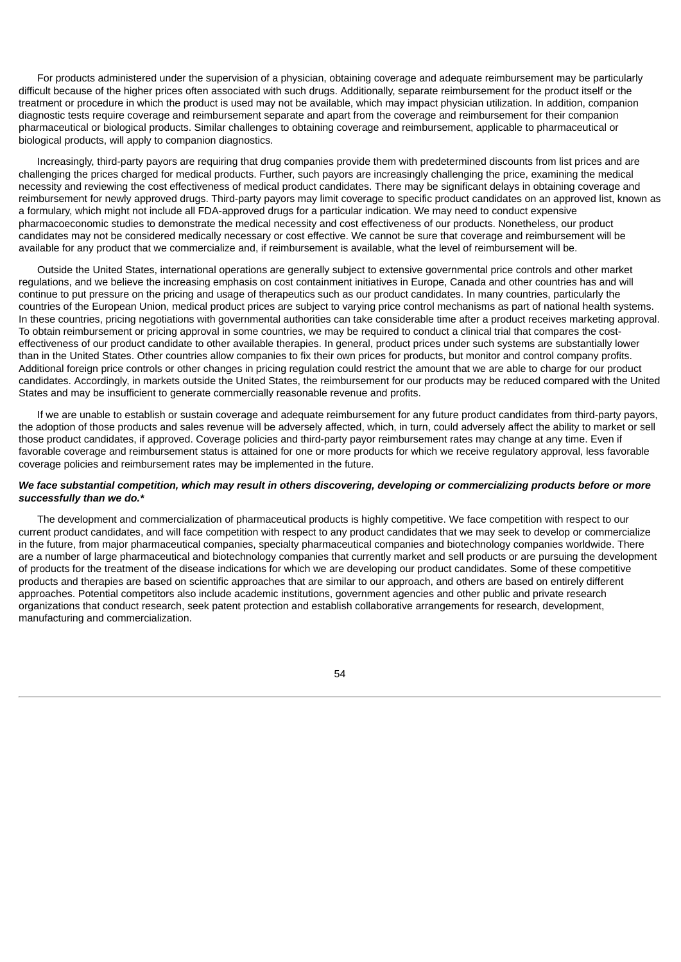For products administered under the supervision of a physician, obtaining coverage and adequate reimbursement may be particularly difficult because of the higher prices often associated with such drugs. Additionally, separate reimbursement for the product itself or the treatment or procedure in which the product is used may not be available, which may impact physician utilization. In addition, companion diagnostic tests require coverage and reimbursement separate and apart from the coverage and reimbursement for their companion pharmaceutical or biological products. Similar challenges to obtaining coverage and reimbursement, applicable to pharmaceutical or biological products, will apply to companion diagnostics.

Increasingly, third-party payors are requiring that drug companies provide them with predetermined discounts from list prices and are challenging the prices charged for medical products. Further, such payors are increasingly challenging the price, examining the medical necessity and reviewing the cost effectiveness of medical product candidates. There may be significant delays in obtaining coverage and reimbursement for newly approved drugs. Third-party payors may limit coverage to specific product candidates on an approved list, known as a formulary, which might not include all FDA-approved drugs for a particular indication. We may need to conduct expensive pharmacoeconomic studies to demonstrate the medical necessity and cost effectiveness of our products. Nonetheless, our product candidates may not be considered medically necessary or cost effective. We cannot be sure that coverage and reimbursement will be available for any product that we commercialize and, if reimbursement is available, what the level of reimbursement will be.

Outside the United States, international operations are generally subject to extensive governmental price controls and other market regulations, and we believe the increasing emphasis on cost containment initiatives in Europe, Canada and other countries has and will continue to put pressure on the pricing and usage of therapeutics such as our product candidates. In many countries, particularly the countries of the European Union, medical product prices are subject to varying price control mechanisms as part of national health systems. In these countries, pricing negotiations with governmental authorities can take considerable time after a product receives marketing approval. To obtain reimbursement or pricing approval in some countries, we may be required to conduct a clinical trial that compares the costeffectiveness of our product candidate to other available therapies. In general, product prices under such systems are substantially lower than in the United States. Other countries allow companies to fix their own prices for products, but monitor and control company profits. Additional foreign price controls or other changes in pricing regulation could restrict the amount that we are able to charge for our product candidates. Accordingly, in markets outside the United States, the reimbursement for our products may be reduced compared with the United States and may be insufficient to generate commercially reasonable revenue and profits.

If we are unable to establish or sustain coverage and adequate reimbursement for any future product candidates from third-party payors, the adoption of those products and sales revenue will be adversely affected, which, in turn, could adversely affect the ability to market or sell those product candidates, if approved. Coverage policies and third-party payor reimbursement rates may change at any time. Even if favorable coverage and reimbursement status is attained for one or more products for which we receive regulatory approval, less favorable coverage policies and reimbursement rates may be implemented in the future.

# We face substantial competition, which may result in others discovering, developing or commercializing products before or more *successfully than we do.\**

The development and commercialization of pharmaceutical products is highly competitive. We face competition with respect to our current product candidates, and will face competition with respect to any product candidates that we may seek to develop or commercialize in the future, from major pharmaceutical companies, specialty pharmaceutical companies and biotechnology companies worldwide. There are a number of large pharmaceutical and biotechnology companies that currently market and sell products or are pursuing the development of products for the treatment of the disease indications for which we are developing our product candidates. Some of these competitive products and therapies are based on scientific approaches that are similar to our approach, and others are based on entirely different approaches. Potential competitors also include academic institutions, government agencies and other public and private research organizations that conduct research, seek patent protection and establish collaborative arrangements for research, development, manufacturing and commercialization.

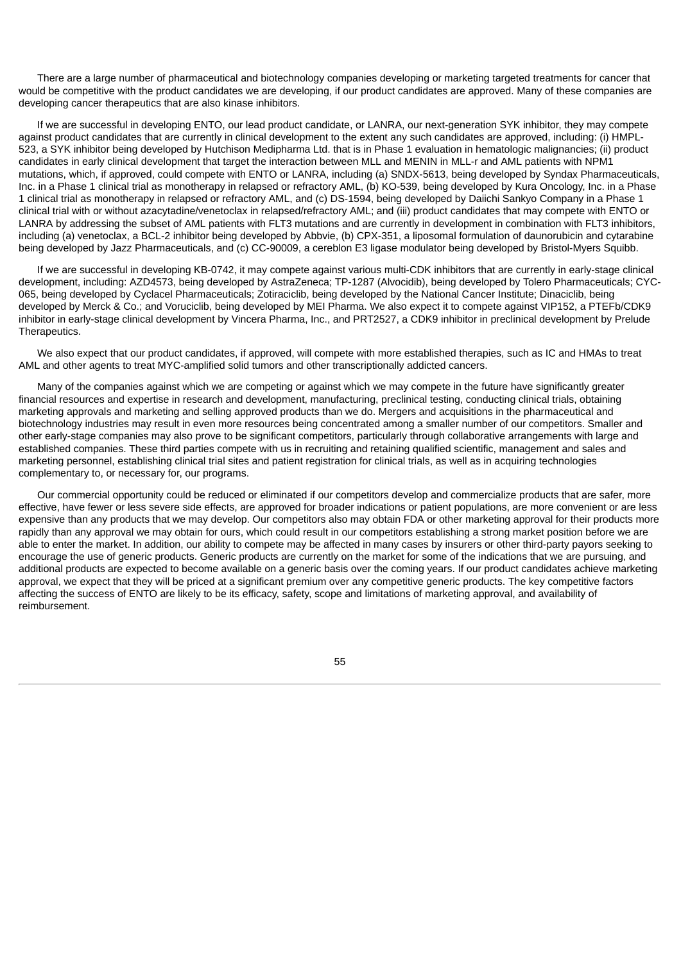There are a large number of pharmaceutical and biotechnology companies developing or marketing targeted treatments for cancer that would be competitive with the product candidates we are developing, if our product candidates are approved. Many of these companies are developing cancer therapeutics that are also kinase inhibitors.

If we are successful in developing ENTO, our lead product candidate, or LANRA, our next-generation SYK inhibitor, they may compete against product candidates that are currently in clinical development to the extent any such candidates are approved, including: (i) HMPL-523, a SYK inhibitor being developed by Hutchison Medipharma Ltd. that is in Phase 1 evaluation in hematologic malignancies; (ii) product candidates in early clinical development that target the interaction between MLL and MENIN in MLL-r and AML patients with NPM1 mutations, which, if approved, could compete with ENTO or LANRA, including (a) SNDX-5613, being developed by Syndax Pharmaceuticals, Inc. in a Phase 1 clinical trial as monotherapy in relapsed or refractory AML, (b) KO-539, being developed by Kura Oncology, Inc. in a Phase 1 clinical trial as monotherapy in relapsed or refractory AML, and (c) DS-1594, being developed by Daiichi Sankyo Company in a Phase 1 clinical trial with or without azacytadine/venetoclax in relapsed/refractory AML; and (iii) product candidates that may compete with ENTO or LANRA by addressing the subset of AML patients with FLT3 mutations and are currently in development in combination with FLT3 inhibitors, including (a) venetoclax, a BCL-2 inhibitor being developed by Abbvie, (b) CPX-351, a liposomal formulation of daunorubicin and cytarabine being developed by Jazz Pharmaceuticals, and (c) CC-90009, a cereblon E3 ligase modulator being developed by Bristol-Myers Squibb.

If we are successful in developing KB-0742, it may compete against various multi-CDK inhibitors that are currently in early-stage clinical development, including: AZD4573, being developed by AstraZeneca; TP-1287 (Alvocidib), being developed by Tolero Pharmaceuticals; CYC-065, being developed by Cyclacel Pharmaceuticals; Zotiraciclib, being developed by the National Cancer Institute; Dinaciclib, being developed by Merck & Co.; and Voruciclib, being developed by MEI Pharma. We also expect it to compete against VIP152, a PTEFb/CDK9 inhibitor in early-stage clinical development by Vincera Pharma, Inc., and PRT2527, a CDK9 inhibitor in preclinical development by Prelude Therapeutics.

We also expect that our product candidates, if approved, will compete with more established therapies, such as IC and HMAs to treat AML and other agents to treat MYC-amplified solid tumors and other transcriptionally addicted cancers.

Many of the companies against which we are competing or against which we may compete in the future have significantly greater financial resources and expertise in research and development, manufacturing, preclinical testing, conducting clinical trials, obtaining marketing approvals and marketing and selling approved products than we do. Mergers and acquisitions in the pharmaceutical and biotechnology industries may result in even more resources being concentrated among a smaller number of our competitors. Smaller and other early-stage companies may also prove to be significant competitors, particularly through collaborative arrangements with large and established companies. These third parties compete with us in recruiting and retaining qualified scientific, management and sales and marketing personnel, establishing clinical trial sites and patient registration for clinical trials, as well as in acquiring technologies complementary to, or necessary for, our programs.

Our commercial opportunity could be reduced or eliminated if our competitors develop and commercialize products that are safer, more effective, have fewer or less severe side effects, are approved for broader indications or patient populations, are more convenient or are less expensive than any products that we may develop. Our competitors also may obtain FDA or other marketing approval for their products more rapidly than any approval we may obtain for ours, which could result in our competitors establishing a strong market position before we are able to enter the market. In addition, our ability to compete may be affected in many cases by insurers or other third-party payors seeking to encourage the use of generic products. Generic products are currently on the market for some of the indications that we are pursuing, and additional products are expected to become available on a generic basis over the coming years. If our product candidates achieve marketing approval, we expect that they will be priced at a significant premium over any competitive generic products. The key competitive factors affecting the success of ENTO are likely to be its efficacy, safety, scope and limitations of marketing approval, and availability of reimbursement.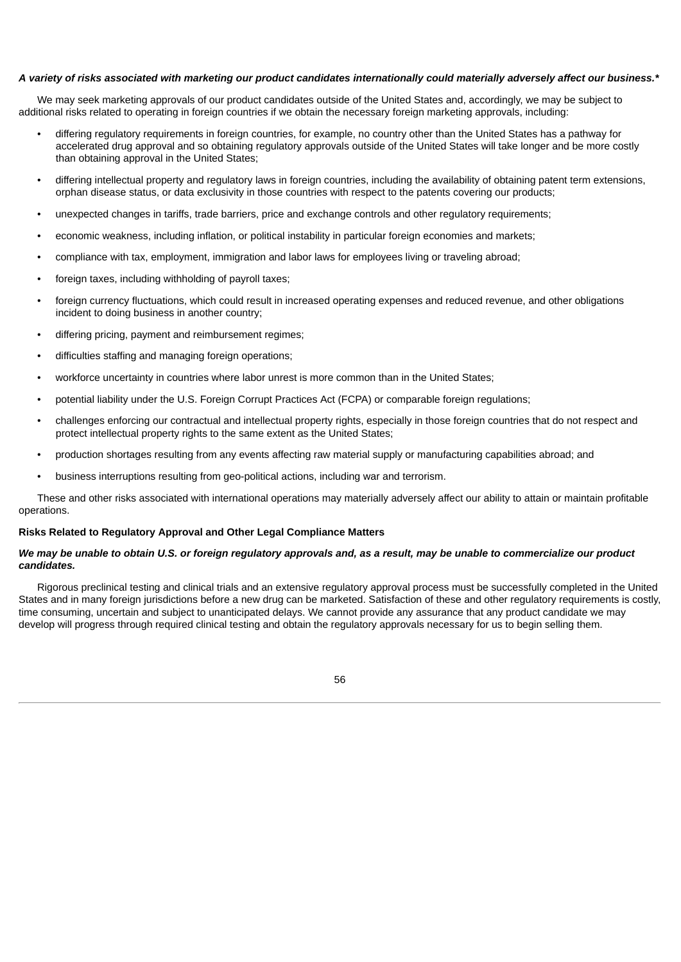### A variety of risks associated with marketing our product candidates internationally could materially adversely affect our business.\*

We may seek marketing approvals of our product candidates outside of the United States and, accordingly, we may be subject to additional risks related to operating in foreign countries if we obtain the necessary foreign marketing approvals, including:

- differing regulatory requirements in foreign countries, for example, no country other than the United States has a pathway for accelerated drug approval and so obtaining regulatory approvals outside of the United States will take longer and be more costly than obtaining approval in the United States;
- differing intellectual property and regulatory laws in foreign countries, including the availability of obtaining patent term extensions, orphan disease status, or data exclusivity in those countries with respect to the patents covering our products;
- unexpected changes in tariffs, trade barriers, price and exchange controls and other regulatory requirements;
- economic weakness, including inflation, or political instability in particular foreign economies and markets;
- compliance with tax, employment, immigration and labor laws for employees living or traveling abroad;
- foreign taxes, including withholding of payroll taxes;
- foreign currency fluctuations, which could result in increased operating expenses and reduced revenue, and other obligations incident to doing business in another country;
- differing pricing, payment and reimbursement regimes;
- difficulties staffing and managing foreign operations;
- workforce uncertainty in countries where labor unrest is more common than in the United States;
- potential liability under the U.S. Foreign Corrupt Practices Act (FCPA) or comparable foreign regulations;
- challenges enforcing our contractual and intellectual property rights, especially in those foreign countries that do not respect and protect intellectual property rights to the same extent as the United States;
- production shortages resulting from any events affecting raw material supply or manufacturing capabilities abroad; and
- business interruptions resulting from geo-political actions, including war and terrorism.

These and other risks associated with international operations may materially adversely affect our ability to attain or maintain profitable operations.

#### **Risks Related to Regulatory Approval and Other Legal Compliance Matters**

## We may be unable to obtain U.S. or foreign regulatory approvals and, as a result, may be unable to commercialize our product *candidates.*

Rigorous preclinical testing and clinical trials and an extensive regulatory approval process must be successfully completed in the United States and in many foreign jurisdictions before a new drug can be marketed. Satisfaction of these and other regulatory requirements is costly, time consuming, uncertain and subject to unanticipated delays. We cannot provide any assurance that any product candidate we may develop will progress through required clinical testing and obtain the regulatory approvals necessary for us to begin selling them.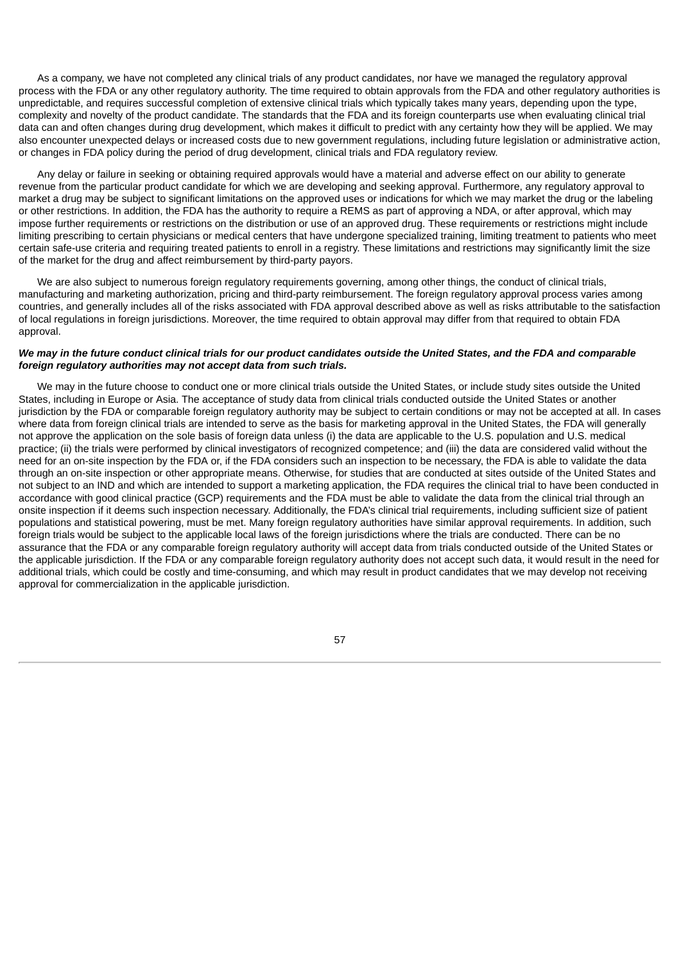As a company, we have not completed any clinical trials of any product candidates, nor have we managed the regulatory approval process with the FDA or any other regulatory authority. The time required to obtain approvals from the FDA and other regulatory authorities is unpredictable, and requires successful completion of extensive clinical trials which typically takes many years, depending upon the type, complexity and novelty of the product candidate. The standards that the FDA and its foreign counterparts use when evaluating clinical trial data can and often changes during drug development, which makes it difficult to predict with any certainty how they will be applied. We may also encounter unexpected delays or increased costs due to new government regulations, including future legislation or administrative action, or changes in FDA policy during the period of drug development, clinical trials and FDA regulatory review.

Any delay or failure in seeking or obtaining required approvals would have a material and adverse effect on our ability to generate revenue from the particular product candidate for which we are developing and seeking approval. Furthermore, any regulatory approval to market a drug may be subject to significant limitations on the approved uses or indications for which we may market the drug or the labeling or other restrictions. In addition, the FDA has the authority to require a REMS as part of approving a NDA, or after approval, which may impose further requirements or restrictions on the distribution or use of an approved drug. These requirements or restrictions might include limiting prescribing to certain physicians or medical centers that have undergone specialized training, limiting treatment to patients who meet certain safe-use criteria and requiring treated patients to enroll in a registry. These limitations and restrictions may significantly limit the size of the market for the drug and affect reimbursement by third-party payors.

We are also subject to numerous foreign regulatory requirements governing, among other things, the conduct of clinical trials, manufacturing and marketing authorization, pricing and third-party reimbursement. The foreign regulatory approval process varies among countries, and generally includes all of the risks associated with FDA approval described above as well as risks attributable to the satisfaction of local regulations in foreign jurisdictions. Moreover, the time required to obtain approval may differ from that required to obtain FDA approval.

# We may in the future conduct clinical trials for our product candidates outside the United States, and the FDA and comparable *foreign regulatory authorities may not accept data from such trials.*

We may in the future choose to conduct one or more clinical trials outside the United States, or include study sites outside the United States, including in Europe or Asia. The acceptance of study data from clinical trials conducted outside the United States or another jurisdiction by the FDA or comparable foreign regulatory authority may be subject to certain conditions or may not be accepted at all. In cases where data from foreign clinical trials are intended to serve as the basis for marketing approval in the United States, the FDA will generally not approve the application on the sole basis of foreign data unless (i) the data are applicable to the U.S. population and U.S. medical practice; (ii) the trials were performed by clinical investigators of recognized competence; and (iii) the data are considered valid without the need for an on-site inspection by the FDA or, if the FDA considers such an inspection to be necessary, the FDA is able to validate the data through an on-site inspection or other appropriate means. Otherwise, for studies that are conducted at sites outside of the United States and not subject to an IND and which are intended to support a marketing application, the FDA requires the clinical trial to have been conducted in accordance with good clinical practice (GCP) requirements and the FDA must be able to validate the data from the clinical trial through an onsite inspection if it deems such inspection necessary. Additionally, the FDA's clinical trial requirements, including sufficient size of patient populations and statistical powering, must be met. Many foreign regulatory authorities have similar approval requirements. In addition, such foreign trials would be subject to the applicable local laws of the foreign jurisdictions where the trials are conducted. There can be no assurance that the FDA or any comparable foreign regulatory authority will accept data from trials conducted outside of the United States or the applicable jurisdiction. If the FDA or any comparable foreign regulatory authority does not accept such data, it would result in the need for additional trials, which could be costly and time-consuming, and which may result in product candidates that we may develop not receiving approval for commercialization in the applicable jurisdiction.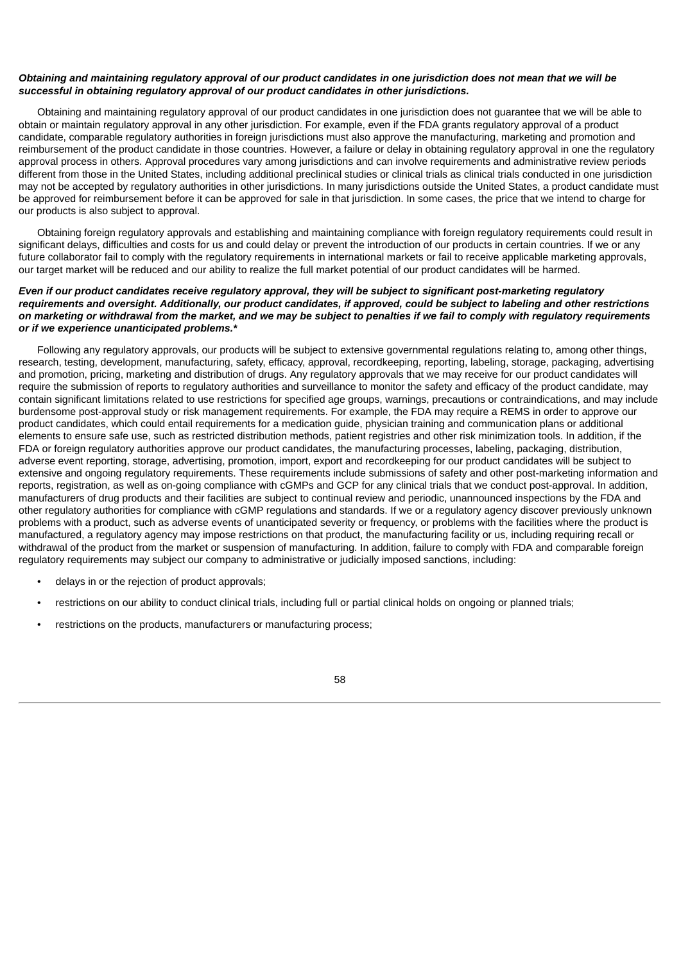## Obtaining and maintaining regulatory approval of our product candidates in one jurisdiction does not mean that we will be *successful in obtaining regulatory approval of our product candidates in other jurisdictions.*

Obtaining and maintaining regulatory approval of our product candidates in one jurisdiction does not guarantee that we will be able to obtain or maintain regulatory approval in any other jurisdiction. For example, even if the FDA grants regulatory approval of a product candidate, comparable regulatory authorities in foreign jurisdictions must also approve the manufacturing, marketing and promotion and reimbursement of the product candidate in those countries. However, a failure or delay in obtaining regulatory approval in one the regulatory approval process in others. Approval procedures vary among jurisdictions and can involve requirements and administrative review periods different from those in the United States, including additional preclinical studies or clinical trials as clinical trials conducted in one jurisdiction may not be accepted by regulatory authorities in other jurisdictions. In many jurisdictions outside the United States, a product candidate must be approved for reimbursement before it can be approved for sale in that jurisdiction. In some cases, the price that we intend to charge for our products is also subject to approval.

Obtaining foreign regulatory approvals and establishing and maintaining compliance with foreign regulatory requirements could result in significant delays, difficulties and costs for us and could delay or prevent the introduction of our products in certain countries. If we or any future collaborator fail to comply with the regulatory requirements in international markets or fail to receive applicable marketing approvals. our target market will be reduced and our ability to realize the full market potential of our product candidates will be harmed.

## Even if our product candidates receive regulatory approval, they will be subject to significant post-marketing regulatory requirements and oversight. Additionally, our product candidates, if approved, could be subject to labeling and other restrictions on marketing or withdrawal from the market, and we may be subject to penalties if we fail to comply with regulatory requirements *or if we experience unanticipated problems.\**

Following any regulatory approvals, our products will be subject to extensive governmental regulations relating to, among other things, research, testing, development, manufacturing, safety, efficacy, approval, recordkeeping, reporting, labeling, storage, packaging, advertising and promotion, pricing, marketing and distribution of drugs. Any regulatory approvals that we may receive for our product candidates will require the submission of reports to regulatory authorities and surveillance to monitor the safety and efficacy of the product candidate, may contain significant limitations related to use restrictions for specified age groups, warnings, precautions or contraindications, and may include burdensome post-approval study or risk management requirements. For example, the FDA may require a REMS in order to approve our product candidates, which could entail requirements for a medication guide, physician training and communication plans or additional elements to ensure safe use, such as restricted distribution methods, patient registries and other risk minimization tools. In addition, if the FDA or foreign regulatory authorities approve our product candidates, the manufacturing processes, labeling, packaging, distribution, adverse event reporting, storage, advertising, promotion, import, export and recordkeeping for our product candidates will be subject to extensive and ongoing regulatory requirements. These requirements include submissions of safety and other post-marketing information and reports, registration, as well as on-going compliance with cGMPs and GCP for any clinical trials that we conduct post-approval. In addition, manufacturers of drug products and their facilities are subject to continual review and periodic, unannounced inspections by the FDA and other regulatory authorities for compliance with cGMP regulations and standards. If we or a regulatory agency discover previously unknown problems with a product, such as adverse events of unanticipated severity or frequency, or problems with the facilities where the product is manufactured, a regulatory agency may impose restrictions on that product, the manufacturing facility or us, including requiring recall or withdrawal of the product from the market or suspension of manufacturing. In addition, failure to comply with FDA and comparable foreign regulatory requirements may subject our company to administrative or judicially imposed sanctions, including:

- delays in or the rejection of product approvals;
- restrictions on our ability to conduct clinical trials, including full or partial clinical holds on ongoing or planned trials;
- restrictions on the products, manufacturers or manufacturing process;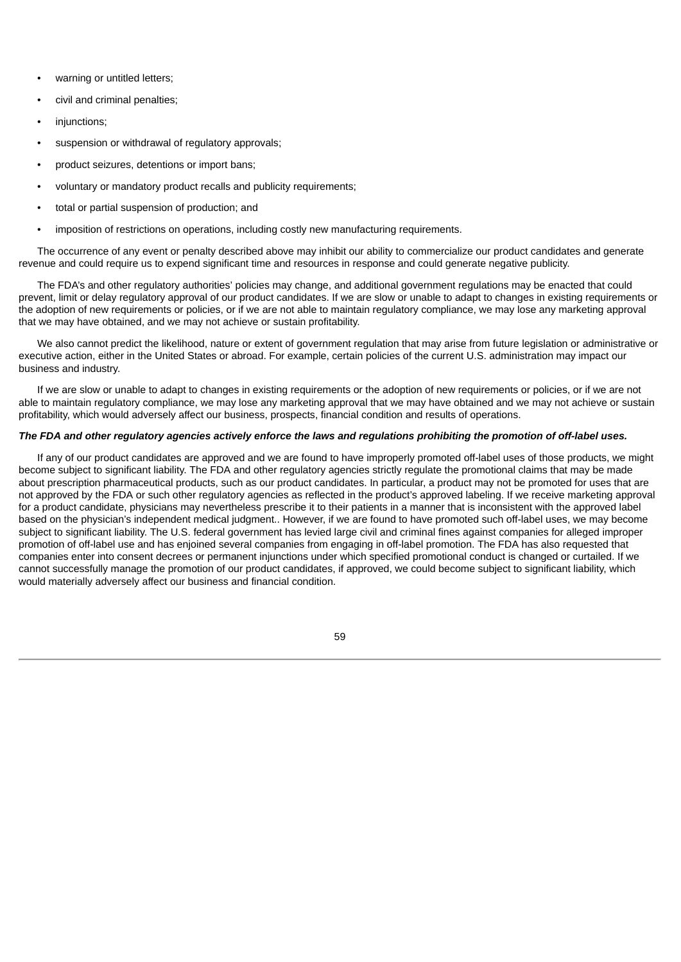- warning or untitled letters;
- civil and criminal penalties;
- injunctions;
- suspension or withdrawal of regulatory approvals;
- product seizures, detentions or import bans;
- voluntary or mandatory product recalls and publicity requirements;
- total or partial suspension of production; and
- imposition of restrictions on operations, including costly new manufacturing requirements.

The occurrence of any event or penalty described above may inhibit our ability to commercialize our product candidates and generate revenue and could require us to expend significant time and resources in response and could generate negative publicity.

The FDA's and other regulatory authorities' policies may change, and additional government regulations may be enacted that could prevent, limit or delay regulatory approval of our product candidates. If we are slow or unable to adapt to changes in existing requirements or the adoption of new requirements or policies, or if we are not able to maintain regulatory compliance, we may lose any marketing approval that we may have obtained, and we may not achieve or sustain profitability.

We also cannot predict the likelihood, nature or extent of government regulation that may arise from future legislation or administrative or executive action, either in the United States or abroad. For example, certain policies of the current U.S. administration may impact our business and industry.

If we are slow or unable to adapt to changes in existing requirements or the adoption of new requirements or policies, or if we are not able to maintain regulatory compliance, we may lose any marketing approval that we may have obtained and we may not achieve or sustain profitability, which would adversely affect our business, prospects, financial condition and results of operations.

# The FDA and other regulatory agencies actively enforce the laws and regulations prohibiting the promotion of off-label uses.

If any of our product candidates are approved and we are found to have improperly promoted off-label uses of those products, we might become subject to significant liability. The FDA and other regulatory agencies strictly regulate the promotional claims that may be made about prescription pharmaceutical products, such as our product candidates. In particular, a product may not be promoted for uses that are not approved by the FDA or such other regulatory agencies as reflected in the product's approved labeling. If we receive marketing approval for a product candidate, physicians may nevertheless prescribe it to their patients in a manner that is inconsistent with the approved label based on the physician's independent medical judgment.. However, if we are found to have promoted such off-label uses, we may become subject to significant liability. The U.S. federal government has levied large civil and criminal fines against companies for alleged improper promotion of off-label use and has enjoined several companies from engaging in off-label promotion. The FDA has also requested that companies enter into consent decrees or permanent injunctions under which specified promotional conduct is changed or curtailed. If we cannot successfully manage the promotion of our product candidates, if approved, we could become subject to significant liability, which would materially adversely affect our business and financial condition.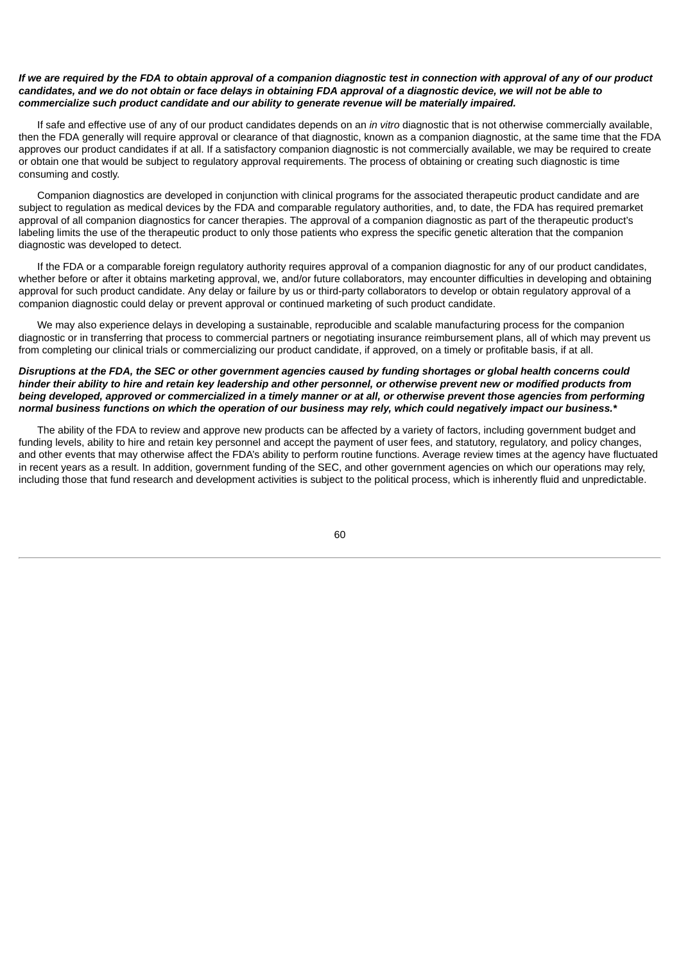## If we are required by the FDA to obtain approval of a companion diagnostic test in connection with approval of any of our product candidates, and we do not obtain or face delays in obtaining FDA approval of a diagnostic device, we will not be able to *commercialize such product candidate and our ability to generate revenue will be materially impaired.*

If safe and effective use of any of our product candidates depends on an *in vitro* diagnostic that is not otherwise commercially available, then the FDA generally will require approval or clearance of that diagnostic, known as a companion diagnostic, at the same time that the FDA approves our product candidates if at all. If a satisfactory companion diagnostic is not commercially available, we may be required to create or obtain one that would be subject to regulatory approval requirements. The process of obtaining or creating such diagnostic is time consuming and costly.

Companion diagnostics are developed in conjunction with clinical programs for the associated therapeutic product candidate and are subject to regulation as medical devices by the FDA and comparable regulatory authorities, and, to date, the FDA has required premarket approval of all companion diagnostics for cancer therapies. The approval of a companion diagnostic as part of the therapeutic product's labeling limits the use of the therapeutic product to only those patients who express the specific genetic alteration that the companion diagnostic was developed to detect.

If the FDA or a comparable foreign regulatory authority requires approval of a companion diagnostic for any of our product candidates, whether before or after it obtains marketing approval, we, and/or future collaborators, may encounter difficulties in developing and obtaining approval for such product candidate. Any delay or failure by us or third-party collaborators to develop or obtain regulatory approval of a companion diagnostic could delay or prevent approval or continued marketing of such product candidate.

We may also experience delays in developing a sustainable, reproducible and scalable manufacturing process for the companion diagnostic or in transferring that process to commercial partners or negotiating insurance reimbursement plans, all of which may prevent us from completing our clinical trials or commercializing our product candidate, if approved, on a timely or profitable basis, if at all.

# Disruptions at the FDA, the SEC or other government agencies caused by funding shortages or global health concerns could hinder their ability to hire and retain key leadership and other personnel, or otherwise prevent new or modified products from being developed, approved or commercialized in a timely manner or at all, or otherwise prevent those agencies from performing normal business functions on which the operation of our business may rely, which could negatively impact our business.\*

The ability of the FDA to review and approve new products can be affected by a variety of factors, including government budget and funding levels, ability to hire and retain key personnel and accept the payment of user fees, and statutory, regulatory, and policy changes, and other events that may otherwise affect the FDA's ability to perform routine functions. Average review times at the agency have fluctuated in recent years as a result. In addition, government funding of the SEC, and other government agencies on which our operations may rely, including those that fund research and development activities is subject to the political process, which is inherently fluid and unpredictable.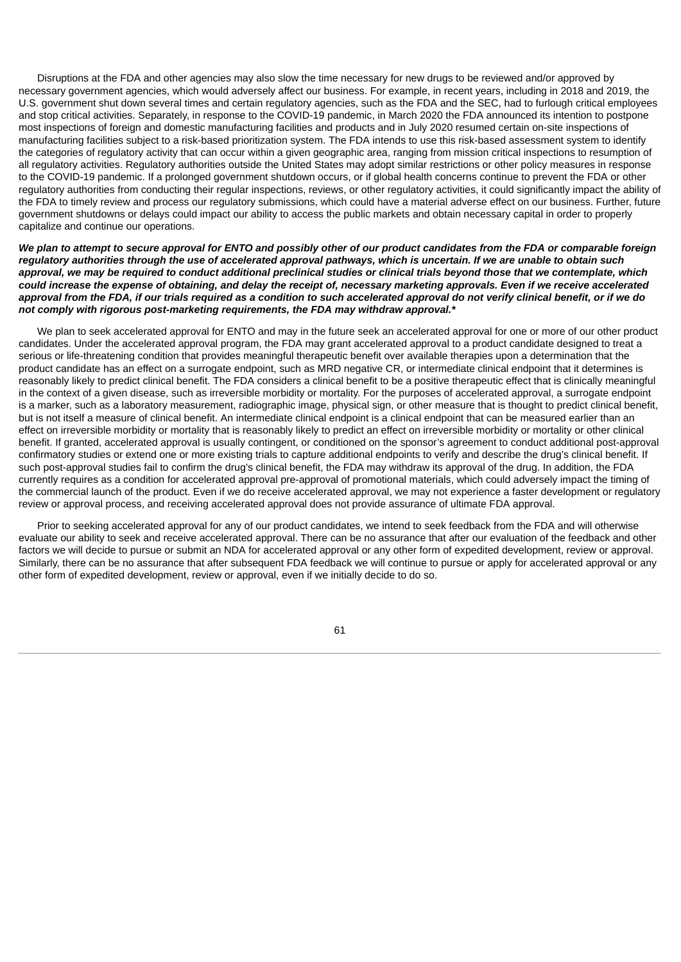Disruptions at the FDA and other agencies may also slow the time necessary for new drugs to be reviewed and/or approved by necessary government agencies, which would adversely affect our business. For example, in recent years, including in 2018 and 2019, the U.S. government shut down several times and certain regulatory agencies, such as the FDA and the SEC, had to furlough critical employees and stop critical activities. Separately, in response to the COVID-19 pandemic, in March 2020 the FDA announced its intention to postpone most inspections of foreign and domestic manufacturing facilities and products and in July 2020 resumed certain on-site inspections of manufacturing facilities subject to a risk-based prioritization system. The FDA intends to use this risk-based assessment system to identify the categories of regulatory activity that can occur within a given geographic area, ranging from mission critical inspections to resumption of all regulatory activities. Regulatory authorities outside the United States may adopt similar restrictions or other policy measures in response to the COVID-19 pandemic. If a prolonged government shutdown occurs, or if global health concerns continue to prevent the FDA or other regulatory authorities from conducting their regular inspections, reviews, or other regulatory activities, it could significantly impact the ability of the FDA to timely review and process our regulatory submissions, which could have a material adverse effect on our business. Further, future government shutdowns or delays could impact our ability to access the public markets and obtain necessary capital in order to properly capitalize and continue our operations.

We plan to attempt to secure approval for ENTO and possibly other of our product candidates from the FDA or comparable foreign requiatory authorities through the use of accelerated approval pathways, which is uncertain. If we are unable to obtain such approval, we may be required to conduct additional preclinical studies or clinical trials beyond those that we contemplate, which could increase the expense of obtaining, and delay the receipt of, necessary marketing approvals. Even if we receive accelerated approval from the FDA, if our trials required as a condition to such accelerated approval do not verify clinical benefit, or if we do *not comply with rigorous post-marketing requirements, the FDA may withdraw approval.\**

We plan to seek accelerated approval for ENTO and may in the future seek an accelerated approval for one or more of our other product candidates. Under the accelerated approval program, the FDA may grant accelerated approval to a product candidate designed to treat a serious or life-threatening condition that provides meaningful therapeutic benefit over available therapies upon a determination that the product candidate has an effect on a surrogate endpoint, such as MRD negative CR, or intermediate clinical endpoint that it determines is reasonably likely to predict clinical benefit. The FDA considers a clinical benefit to be a positive therapeutic effect that is clinically meaningful in the context of a given disease, such as irreversible morbidity or mortality. For the purposes of accelerated approval, a surrogate endpoint is a marker, such as a laboratory measurement, radiographic image, physical sign, or other measure that is thought to predict clinical benefit, but is not itself a measure of clinical benefit. An intermediate clinical endpoint is a clinical endpoint that can be measured earlier than an effect on irreversible morbidity or mortality that is reasonably likely to predict an effect on irreversible morbidity or mortality or other clinical benefit. If granted, accelerated approval is usually contingent, or conditioned on the sponsor's agreement to conduct additional post-approval confirmatory studies or extend one or more existing trials to capture additional endpoints to verify and describe the drug's clinical benefit. If such post-approval studies fail to confirm the drug's clinical benefit, the FDA may withdraw its approval of the drug. In addition, the FDA currently requires as a condition for accelerated approval pre-approval of promotional materials, which could adversely impact the timing of the commercial launch of the product. Even if we do receive accelerated approval, we may not experience a faster development or regulatory review or approval process, and receiving accelerated approval does not provide assurance of ultimate FDA approval.

Prior to seeking accelerated approval for any of our product candidates, we intend to seek feedback from the FDA and will otherwise evaluate our ability to seek and receive accelerated approval. There can be no assurance that after our evaluation of the feedback and other factors we will decide to pursue or submit an NDA for accelerated approval or any other form of expedited development, review or approval. Similarly, there can be no assurance that after subsequent FDA feedback we will continue to pursue or apply for accelerated approval or any other form of expedited development, review or approval, even if we initially decide to do so.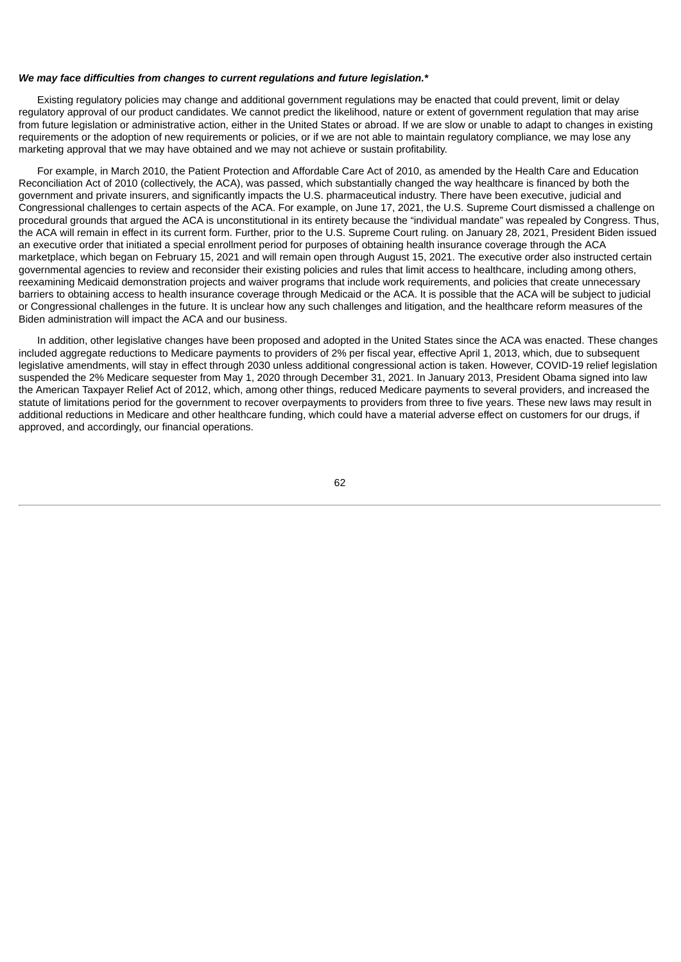#### *We may face difficulties from changes to current regulations and future legislation.\**

Existing regulatory policies may change and additional government regulations may be enacted that could prevent, limit or delay regulatory approval of our product candidates. We cannot predict the likelihood, nature or extent of government regulation that may arise from future legislation or administrative action, either in the United States or abroad. If we are slow or unable to adapt to changes in existing requirements or the adoption of new requirements or policies, or if we are not able to maintain regulatory compliance, we may lose any marketing approval that we may have obtained and we may not achieve or sustain profitability.

For example, in March 2010, the Patient Protection and Affordable Care Act of 2010, as amended by the Health Care and Education Reconciliation Act of 2010 (collectively, the ACA), was passed, which substantially changed the way healthcare is financed by both the government and private insurers, and significantly impacts the U.S. pharmaceutical industry. There have been executive, judicial and Congressional challenges to certain aspects of the ACA. For example, on June 17, 2021, the U.S. Supreme Court dismissed a challenge on procedural grounds that argued the ACA is unconstitutional in its entirety because the "individual mandate" was repealed by Congress. Thus, the ACA will remain in effect in its current form. Further, prior to the U.S. Supreme Court ruling. on January 28, 2021, President Biden issued an executive order that initiated a special enrollment period for purposes of obtaining health insurance coverage through the ACA marketplace, which began on February 15, 2021 and will remain open through August 15, 2021. The executive order also instructed certain governmental agencies to review and reconsider their existing policies and rules that limit access to healthcare, including among others, reexamining Medicaid demonstration projects and waiver programs that include work requirements, and policies that create unnecessary barriers to obtaining access to health insurance coverage through Medicaid or the ACA. It is possible that the ACA will be subject to judicial or Congressional challenges in the future. It is unclear how any such challenges and litigation, and the healthcare reform measures of the Biden administration will impact the ACA and our business.

In addition, other legislative changes have been proposed and adopted in the United States since the ACA was enacted. These changes included aggregate reductions to Medicare payments to providers of 2% per fiscal year, effective April 1, 2013, which, due to subsequent legislative amendments, will stay in effect through 2030 unless additional congressional action is taken. However, COVID-19 relief legislation suspended the 2% Medicare sequester from May 1, 2020 through December 31, 2021. In January 2013, President Obama signed into law the American Taxpayer Relief Act of 2012, which, among other things, reduced Medicare payments to several providers, and increased the statute of limitations period for the government to recover overpayments to providers from three to five years. These new laws may result in additional reductions in Medicare and other healthcare funding, which could have a material adverse effect on customers for our drugs, if approved, and accordingly, our financial operations.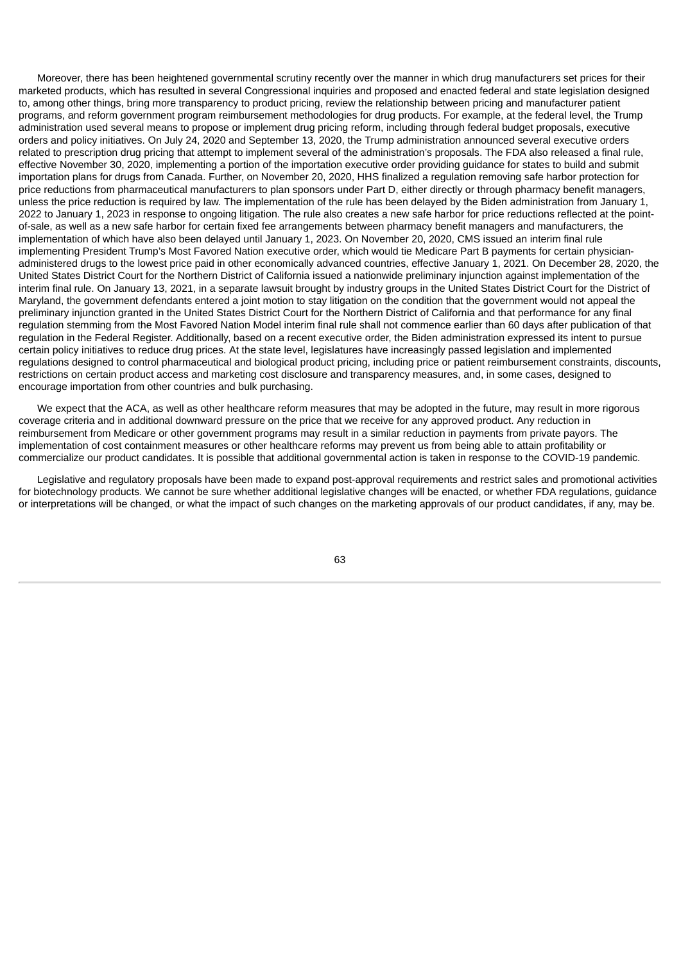Moreover, there has been heightened governmental scrutiny recently over the manner in which drug manufacturers set prices for their marketed products, which has resulted in several Congressional inquiries and proposed and enacted federal and state legislation designed to, among other things, bring more transparency to product pricing, review the relationship between pricing and manufacturer patient programs, and reform government program reimbursement methodologies for drug products. For example, at the federal level, the Trump administration used several means to propose or implement drug pricing reform, including through federal budget proposals, executive orders and policy initiatives. On July 24, 2020 and September 13, 2020, the Trump administration announced several executive orders related to prescription drug pricing that attempt to implement several of the administration's proposals. The FDA also released a final rule, effective November 30, 2020, implementing a portion of the importation executive order providing guidance for states to build and submit importation plans for drugs from Canada. Further, on November 20, 2020, HHS finalized a regulation removing safe harbor protection for price reductions from pharmaceutical manufacturers to plan sponsors under Part D, either directly or through pharmacy benefit managers, unless the price reduction is required by law. The implementation of the rule has been delayed by the Biden administration from January 1, 2022 to January 1, 2023 in response to ongoing litigation. The rule also creates a new safe harbor for price reductions reflected at the pointof-sale, as well as a new safe harbor for certain fixed fee arrangements between pharmacy benefit managers and manufacturers, the implementation of which have also been delayed until January 1, 2023. On November 20, 2020, CMS issued an interim final rule implementing President Trump's Most Favored Nation executive order, which would tie Medicare Part B payments for certain physicianadministered drugs to the lowest price paid in other economically advanced countries, effective January 1, 2021. On December 28, 2020, the United States District Court for the Northern District of California issued a nationwide preliminary injunction against implementation of the interim final rule. On January 13, 2021, in a separate lawsuit brought by industry groups in the United States District Court for the District of Maryland, the government defendants entered a joint motion to stay litigation on the condition that the government would not appeal the preliminary injunction granted in the United States District Court for the Northern District of California and that performance for any final regulation stemming from the Most Favored Nation Model interim final rule shall not commence earlier than 60 days after publication of that regulation in the Federal Register. Additionally, based on a recent executive order, the Biden administration expressed its intent to pursue certain policy initiatives to reduce drug prices. At the state level, legislatures have increasingly passed legislation and implemented regulations designed to control pharmaceutical and biological product pricing, including price or patient reimbursement constraints, discounts, restrictions on certain product access and marketing cost disclosure and transparency measures, and, in some cases, designed to encourage importation from other countries and bulk purchasing.

We expect that the ACA, as well as other healthcare reform measures that may be adopted in the future, may result in more rigorous coverage criteria and in additional downward pressure on the price that we receive for any approved product. Any reduction in reimbursement from Medicare or other government programs may result in a similar reduction in payments from private payors. The implementation of cost containment measures or other healthcare reforms may prevent us from being able to attain profitability or commercialize our product candidates. It is possible that additional governmental action is taken in response to the COVID-19 pandemic.

Legislative and regulatory proposals have been made to expand post-approval requirements and restrict sales and promotional activities for biotechnology products. We cannot be sure whether additional legislative changes will be enacted, or whether FDA regulations, guidance or interpretations will be changed, or what the impact of such changes on the marketing approvals of our product candidates, if any, may be.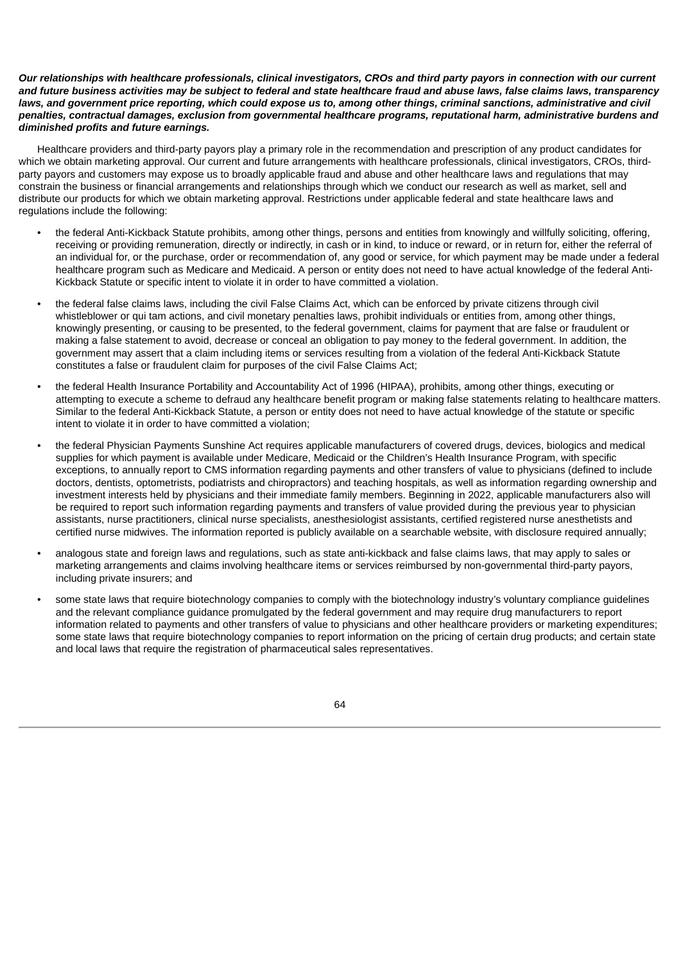# Our relationships with healthcare professionals, clinical investigators, CROs and third party payors in connection with our current and future business activities may be subject to federal and state healthcare fraud and abuse laws, false claims laws, transparency laws, and government price reporting, which could expose us to, among other things, criminal sanctions, administrative and civil *penalties, contractual damages, exclusion from governmental healthcare programs, reputational harm, administrative burdens and diminished profits and future earnings.*

Healthcare providers and third-party payors play a primary role in the recommendation and prescription of any product candidates for which we obtain marketing approval. Our current and future arrangements with healthcare professionals, clinical investigators, CROs, thirdparty payors and customers may expose us to broadly applicable fraud and abuse and other healthcare laws and regulations that may constrain the business or financial arrangements and relationships through which we conduct our research as well as market, sell and distribute our products for which we obtain marketing approval. Restrictions under applicable federal and state healthcare laws and regulations include the following:

- the federal Anti-Kickback Statute prohibits, among other things, persons and entities from knowingly and willfully soliciting, offering, receiving or providing remuneration, directly or indirectly, in cash or in kind, to induce or reward, or in return for, either the referral of an individual for, or the purchase, order or recommendation of, any good or service, for which payment may be made under a federal healthcare program such as Medicare and Medicaid. A person or entity does not need to have actual knowledge of the federal Anti-Kickback Statute or specific intent to violate it in order to have committed a violation.
- the federal false claims laws, including the civil False Claims Act, which can be enforced by private citizens through civil whistleblower or qui tam actions, and civil monetary penalties laws, prohibit individuals or entities from, among other things, knowingly presenting, or causing to be presented, to the federal government, claims for payment that are false or fraudulent or making a false statement to avoid, decrease or conceal an obligation to pay money to the federal government. In addition, the government may assert that a claim including items or services resulting from a violation of the federal Anti-Kickback Statute constitutes a false or fraudulent claim for purposes of the civil False Claims Act;
- the federal Health Insurance Portability and Accountability Act of 1996 (HIPAA), prohibits, among other things, executing or attempting to execute a scheme to defraud any healthcare benefit program or making false statements relating to healthcare matters. Similar to the federal Anti-Kickback Statute, a person or entity does not need to have actual knowledge of the statute or specific intent to violate it in order to have committed a violation;
- the federal Physician Payments Sunshine Act requires applicable manufacturers of covered drugs, devices, biologics and medical supplies for which payment is available under Medicare, Medicaid or the Children's Health Insurance Program, with specific exceptions, to annually report to CMS information regarding payments and other transfers of value to physicians (defined to include doctors, dentists, optometrists, podiatrists and chiropractors) and teaching hospitals, as well as information regarding ownership and investment interests held by physicians and their immediate family members. Beginning in 2022, applicable manufacturers also will be required to report such information regarding payments and transfers of value provided during the previous year to physician assistants, nurse practitioners, clinical nurse specialists, anesthesiologist assistants, certified registered nurse anesthetists and certified nurse midwives. The information reported is publicly available on a searchable website, with disclosure required annually;
- analogous state and foreign laws and regulations, such as state anti-kickback and false claims laws, that may apply to sales or marketing arrangements and claims involving healthcare items or services reimbursed by non-governmental third-party payors, including private insurers; and
- some state laws that require biotechnology companies to comply with the biotechnology industry's voluntary compliance guidelines and the relevant compliance guidance promulgated by the federal government and may require drug manufacturers to report information related to payments and other transfers of value to physicians and other healthcare providers or marketing expenditures; some state laws that require biotechnology companies to report information on the pricing of certain drug products; and certain state and local laws that require the registration of pharmaceutical sales representatives.

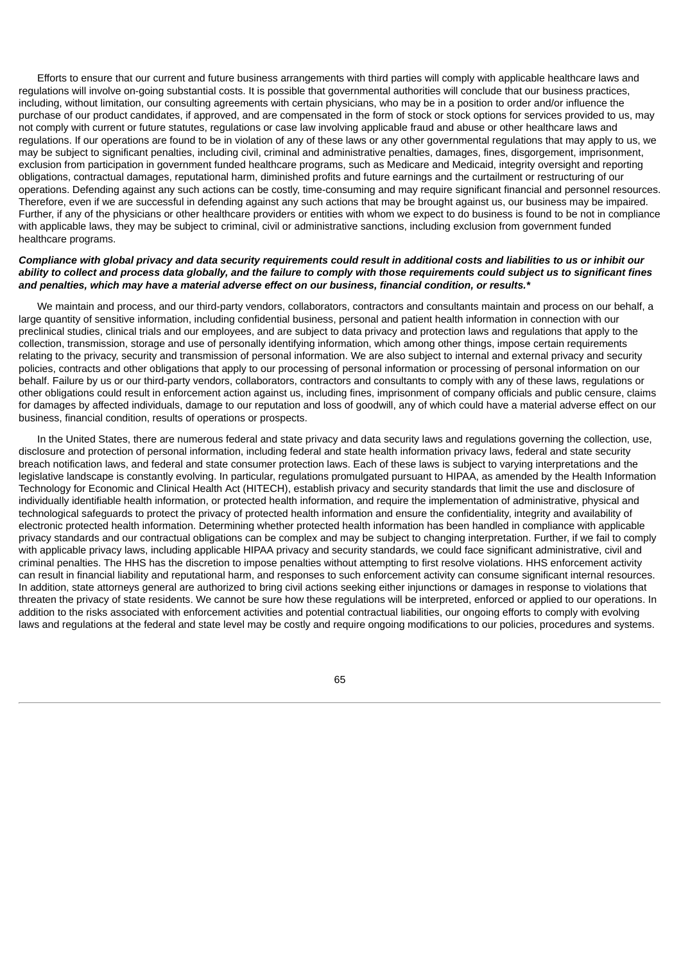Efforts to ensure that our current and future business arrangements with third parties will comply with applicable healthcare laws and regulations will involve on-going substantial costs. It is possible that governmental authorities will conclude that our business practices, including, without limitation, our consulting agreements with certain physicians, who may be in a position to order and/or influence the purchase of our product candidates, if approved, and are compensated in the form of stock or stock options for services provided to us, may not comply with current or future statutes, regulations or case law involving applicable fraud and abuse or other healthcare laws and regulations. If our operations are found to be in violation of any of these laws or any other governmental regulations that may apply to us, we may be subject to significant penalties, including civil, criminal and administrative penalties, damages, fines, disgorgement, imprisonment, exclusion from participation in government funded healthcare programs, such as Medicare and Medicaid, integrity oversight and reporting obligations, contractual damages, reputational harm, diminished profits and future earnings and the curtailment or restructuring of our operations. Defending against any such actions can be costly, time-consuming and may require significant financial and personnel resources. Therefore, even if we are successful in defending against any such actions that may be brought against us, our business may be impaired. Further, if any of the physicians or other healthcare providers or entities with whom we expect to do business is found to be not in compliance with applicable laws, they may be subject to criminal, civil or administrative sanctions, including exclusion from government funded healthcare programs.

# Compliance with global privacy and data security requirements could result in additional costs and liabilities to us or inhibit our ability to collect and process data globally, and the failure to comply with those requirements could subject us to significant fines *and penalties, which may have a material adverse effect on our business, financial condition, or results.\**

We maintain and process, and our third-party vendors, collaborators, contractors and consultants maintain and process on our behalf, a large quantity of sensitive information, including confidential business, personal and patient health information in connection with our preclinical studies, clinical trials and our employees, and are subject to data privacy and protection laws and regulations that apply to the collection, transmission, storage and use of personally identifying information, which among other things, impose certain requirements relating to the privacy, security and transmission of personal information. We are also subject to internal and external privacy and security policies, contracts and other obligations that apply to our processing of personal information or processing of personal information on our behalf. Failure by us or our third-party vendors, collaborators, contractors and consultants to comply with any of these laws, regulations or other obligations could result in enforcement action against us, including fines, imprisonment of company officials and public censure, claims for damages by affected individuals, damage to our reputation and loss of goodwill, any of which could have a material adverse effect on our business, financial condition, results of operations or prospects.

In the United States, there are numerous federal and state privacy and data security laws and regulations governing the collection, use, disclosure and protection of personal information, including federal and state health information privacy laws, federal and state security breach notification laws, and federal and state consumer protection laws. Each of these laws is subject to varying interpretations and the legislative landscape is constantly evolving. In particular, regulations promulgated pursuant to HIPAA, as amended by the Health Information Technology for Economic and Clinical Health Act (HITECH), establish privacy and security standards that limit the use and disclosure of individually identifiable health information, or protected health information, and require the implementation of administrative, physical and technological safeguards to protect the privacy of protected health information and ensure the confidentiality, integrity and availability of electronic protected health information. Determining whether protected health information has been handled in compliance with applicable privacy standards and our contractual obligations can be complex and may be subject to changing interpretation. Further, if we fail to comply with applicable privacy laws, including applicable HIPAA privacy and security standards, we could face significant administrative, civil and criminal penalties. The HHS has the discretion to impose penalties without attempting to first resolve violations. HHS enforcement activity can result in financial liability and reputational harm, and responses to such enforcement activity can consume significant internal resources. In addition, state attorneys general are authorized to bring civil actions seeking either injunctions or damages in response to violations that threaten the privacy of state residents. We cannot be sure how these regulations will be interpreted, enforced or applied to our operations. In addition to the risks associated with enforcement activities and potential contractual liabilities, our ongoing efforts to comply with evolving laws and regulations at the federal and state level may be costly and require ongoing modifications to our policies, procedures and systems.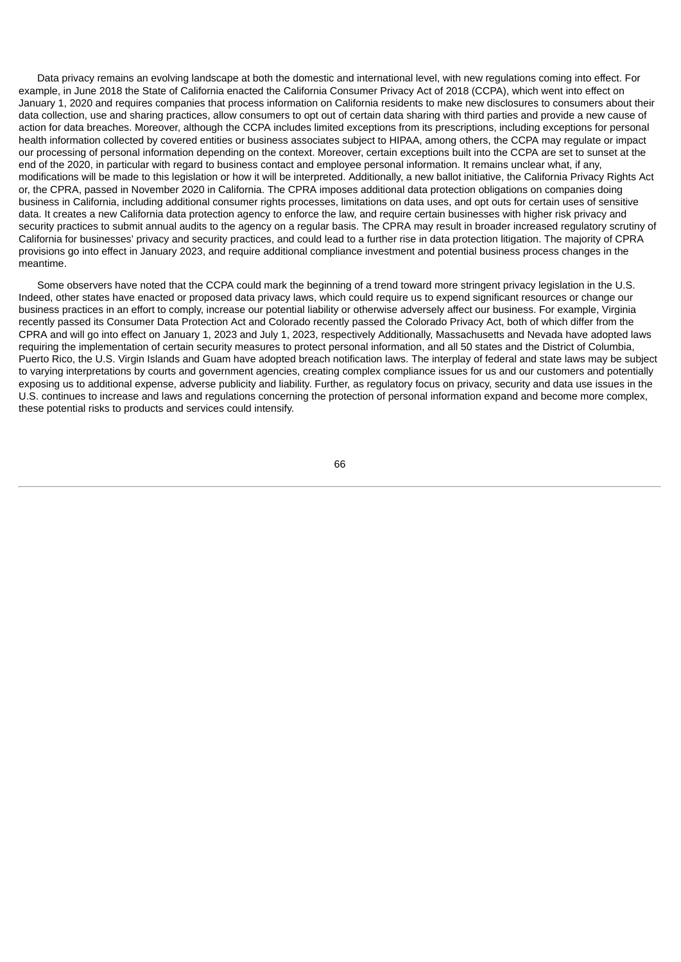Data privacy remains an evolving landscape at both the domestic and international level, with new regulations coming into effect. For example, in June 2018 the State of California enacted the California Consumer Privacy Act of 2018 (CCPA), which went into effect on January 1, 2020 and requires companies that process information on California residents to make new disclosures to consumers about their data collection, use and sharing practices, allow consumers to opt out of certain data sharing with third parties and provide a new cause of action for data breaches. Moreover, although the CCPA includes limited exceptions from its prescriptions, including exceptions for personal health information collected by covered entities or business associates subject to HIPAA, among others, the CCPA may regulate or impact our processing of personal information depending on the context. Moreover, certain exceptions built into the CCPA are set to sunset at the end of the 2020, in particular with regard to business contact and employee personal information. It remains unclear what, if any, modifications will be made to this legislation or how it will be interpreted. Additionally, a new ballot initiative, the California Privacy Rights Act or, the CPRA, passed in November 2020 in California. The CPRA imposes additional data protection obligations on companies doing business in California, including additional consumer rights processes, limitations on data uses, and opt outs for certain uses of sensitive data. It creates a new California data protection agency to enforce the law, and require certain businesses with higher risk privacy and security practices to submit annual audits to the agency on a regular basis. The CPRA may result in broader increased regulatory scrutiny of California for businesses' privacy and security practices, and could lead to a further rise in data protection litigation. The majority of CPRA provisions go into effect in January 2023, and require additional compliance investment and potential business process changes in the meantime.

Some observers have noted that the CCPA could mark the beginning of a trend toward more stringent privacy legislation in the U.S. Indeed, other states have enacted or proposed data privacy laws, which could require us to expend significant resources or change our business practices in an effort to comply, increase our potential liability or otherwise adversely affect our business. For example, Virginia recently passed its Consumer Data Protection Act and Colorado recently passed the Colorado Privacy Act, both of which differ from the CPRA and will go into effect on January 1, 2023 and July 1, 2023, respectively Additionally, Massachusetts and Nevada have adopted laws requiring the implementation of certain security measures to protect personal information, and all 50 states and the District of Columbia, Puerto Rico, the U.S. Virgin Islands and Guam have adopted breach notification laws. The interplay of federal and state laws may be subject to varying interpretations by courts and government agencies, creating complex compliance issues for us and our customers and potentially exposing us to additional expense, adverse publicity and liability. Further, as regulatory focus on privacy, security and data use issues in the U.S. continues to increase and laws and regulations concerning the protection of personal information expand and become more complex, these potential risks to products and services could intensify.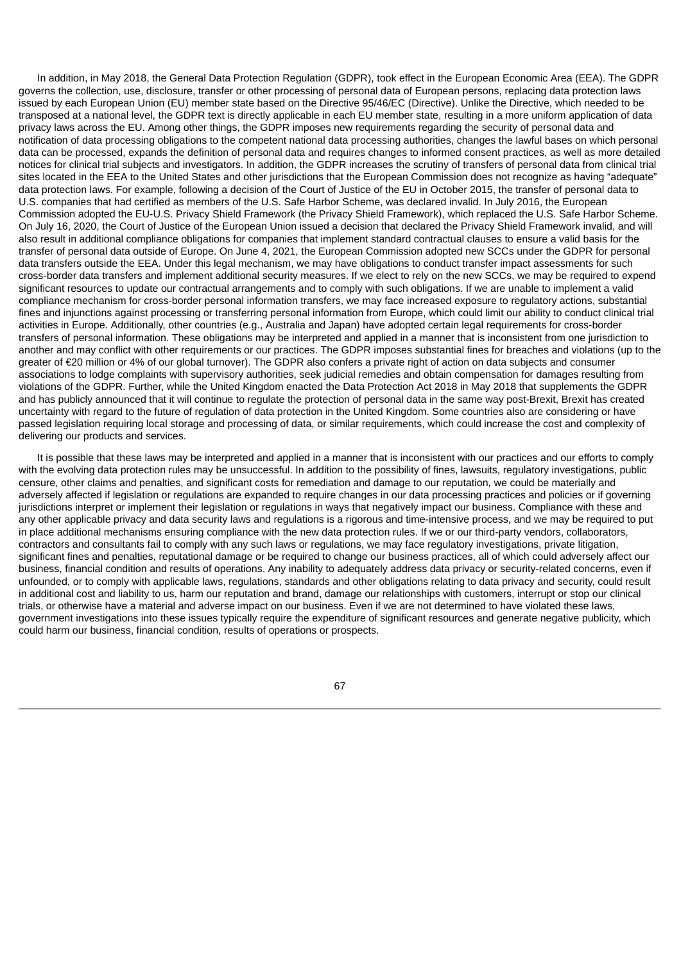In addition, in May 2018, the General Data Protection Regulation (GDPR), took effect in the European Economic Area (EEA). The GDPR governs the collection, use, disclosure, transfer or other processing of personal data of European persons, replacing data protection laws issued by each European Union (EU) member state based on the Directive 95/46/EC (Directive). Unlike the Directive, which needed to be transposed at a national level, the GDPR text is directly applicable in each EU member state, resulting in a more uniform application of data privacy laws across the EU. Among other things, the GDPR imposes new requirements regarding the security of personal data and notification of data processing obligations to the competent national data processing authorities, changes the lawful bases on which personal data can be processed, expands the definition of personal data and requires changes to informed consent practices, as well as more detailed notices for clinical trial subjects and investigators. In addition, the GDPR increases the scrutiny of transfers of personal data from clinical trial sites located in the EEA to the United States and other jurisdictions that the European Commission does not recognize as having "adequate" data protection laws. For example, following a decision of the Court of Justice of the EU in October 2015, the transfer of personal data to U.S. companies that had certified as members of the U.S. Safe Harbor Scheme, was declared invalid. In July 2016, the European Commission adopted the EU-U.S. Privacy Shield Framework (the Privacy Shield Framework), which replaced the U.S. Safe Harbor Scheme. On July 16, 2020, the Court of Justice of the European Union issued a decision that declared the Privacy Shield Framework invalid, and will also result in additional compliance obligations for companies that implement standard contractual clauses to ensure a valid basis for the transfer of personal data outside of Europe. On June 4, 2021, the European Commission adopted new SCCs under the GDPR for personal data transfers outside the EEA. Under this legal mechanism, we may have obligations to conduct transfer impact assessments for such cross-border data transfers and implement additional security measures. If we elect to rely on the new SCCs, we may be required to expend significant resources to update our contractual arrangements and to comply with such obligations. If we are unable to implement a valid compliance mechanism for cross-border personal information transfers, we may face increased exposure to regulatory actions, substantial fines and injunctions against processing or transferring personal information from Europe, which could limit our ability to conduct clinical trial activities in Europe. Additionally, other countries (e.g., Australia and Japan) have adopted certain legal requirements for cross-border transfers of personal information. These obligations may be interpreted and applied in a manner that is inconsistent from one jurisdiction to another and may conflict with other requirements or our practices. The GDPR imposes substantial fines for breaches and violations (up to the greater of €20 million or 4% of our global turnover). The GDPR also confers a private right of action on data subjects and consumer associations to lodge complaints with supervisory authorities, seek judicial remedies and obtain compensation for damages resulting from violations of the GDPR. Further, while the United Kingdom enacted the Data Protection Act 2018 in May 2018 that supplements the GDPR and has publicly announced that it will continue to regulate the protection of personal data in the same way post-Brexit, Brexit has created uncertainty with regard to the future of regulation of data protection in the United Kingdom. Some countries also are considering or have passed legislation requiring local storage and processing of data, or similar requirements, which could increase the cost and complexity of delivering our products and services.

It is possible that these laws may be interpreted and applied in a manner that is inconsistent with our practices and our efforts to comply with the evolving data protection rules may be unsuccessful. In addition to the possibility of fines, lawsuits, regulatory investigations, public censure, other claims and penalties, and significant costs for remediation and damage to our reputation, we could be materially and adversely affected if legislation or regulations are expanded to require changes in our data processing practices and policies or if governing jurisdictions interpret or implement their legislation or regulations in ways that negatively impact our business. Compliance with these and any other applicable privacy and data security laws and regulations is a rigorous and time-intensive process, and we may be required to put in place additional mechanisms ensuring compliance with the new data protection rules. If we or our third-party vendors, collaborators, contractors and consultants fail to comply with any such laws or regulations, we may face regulatory investigations, private litigation, significant fines and penalties, reputational damage or be required to change our business practices, all of which could adversely affect our business, financial condition and results of operations. Any inability to adequately address data privacy or security-related concerns, even if unfounded, or to comply with applicable laws, regulations, standards and other obligations relating to data privacy and security, could result in additional cost and liability to us, harm our reputation and brand, damage our relationships with customers, interrupt or stop our clinical trials, or otherwise have a material and adverse impact on our business. Even if we are not determined to have violated these laws, government investigations into these issues typically require the expenditure of significant resources and generate negative publicity, which could harm our business, financial condition, results of operations or prospects.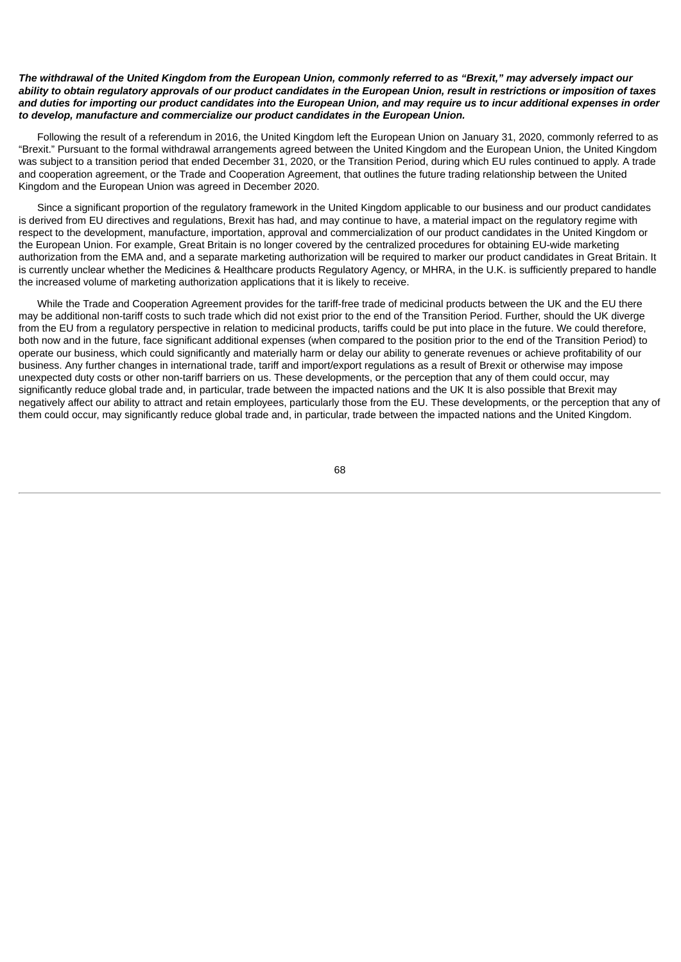## The withdrawal of the United Kingdom from the European Union, commonly referred to as "Brexit," may adversely impact our ability to obtain regulatory approvals of our product candidates in the European Union, result in restrictions or imposition of taxes and duties for importing our product candidates into the European Union, and may require us to incur additional expenses in order *to develop, manufacture and commercialize our product candidates in the European Union.*

Following the result of a referendum in 2016, the United Kingdom left the European Union on January 31, 2020, commonly referred to as "Brexit." Pursuant to the formal withdrawal arrangements agreed between the United Kingdom and the European Union, the United Kingdom was subject to a transition period that ended December 31, 2020, or the Transition Period, during which EU rules continued to apply. A trade and cooperation agreement, or the Trade and Cooperation Agreement, that outlines the future trading relationship between the United Kingdom and the European Union was agreed in December 2020.

Since a significant proportion of the regulatory framework in the United Kingdom applicable to our business and our product candidates is derived from EU directives and regulations, Brexit has had, and may continue to have, a material impact on the regulatory regime with respect to the development, manufacture, importation, approval and commercialization of our product candidates in the United Kingdom or the European Union. For example, Great Britain is no longer covered by the centralized procedures for obtaining EU-wide marketing authorization from the EMA and, and a separate marketing authorization will be required to marker our product candidates in Great Britain. It is currently unclear whether the Medicines & Healthcare products Regulatory Agency, or MHRA, in the U.K. is sufficiently prepared to handle the increased volume of marketing authorization applications that it is likely to receive.

While the Trade and Cooperation Agreement provides for the tariff-free trade of medicinal products between the UK and the EU there may be additional non-tariff costs to such trade which did not exist prior to the end of the Transition Period. Further, should the UK diverge from the EU from a regulatory perspective in relation to medicinal products, tariffs could be put into place in the future. We could therefore, both now and in the future, face significant additional expenses (when compared to the position prior to the end of the Transition Period) to operate our business, which could significantly and materially harm or delay our ability to generate revenues or achieve profitability of our business. Any further changes in international trade, tariff and import/export regulations as a result of Brexit or otherwise may impose unexpected duty costs or other non-tariff barriers on us. These developments, or the perception that any of them could occur, may significantly reduce global trade and, in particular, trade between the impacted nations and the UK It is also possible that Brexit may negatively affect our ability to attract and retain employees, particularly those from the EU. These developments, or the perception that any of them could occur, may significantly reduce global trade and, in particular, trade between the impacted nations and the United Kingdom.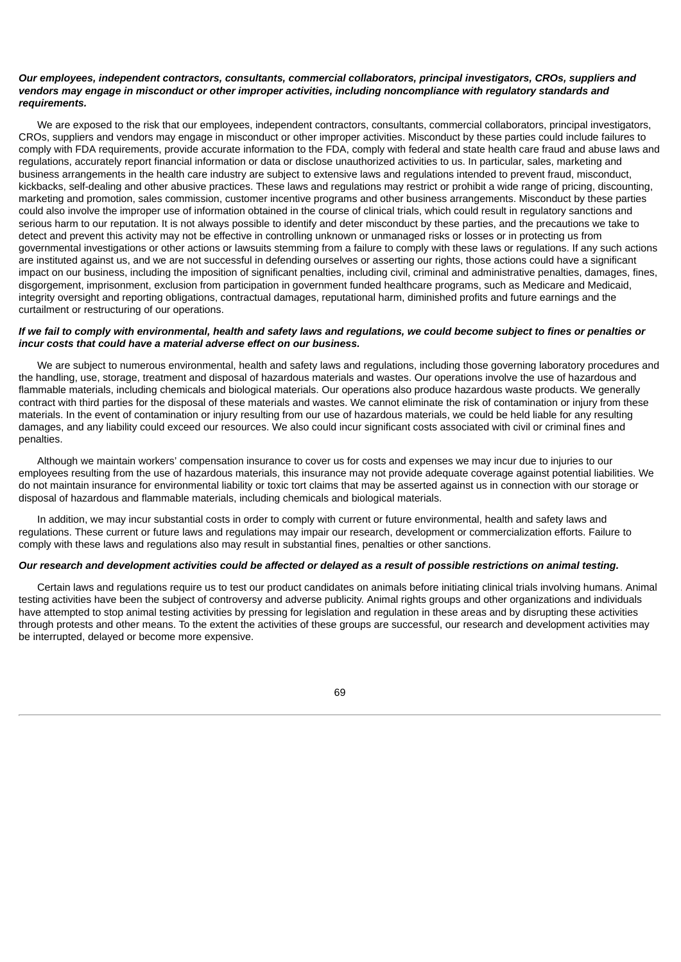### *Our employees, independent contractors, consultants, commercial collaborators, principal investigators, CROs, suppliers and vendors may engage in misconduct or other improper activities, including noncompliance with regulatory standards and requirements.*

We are exposed to the risk that our employees, independent contractors, consultants, commercial collaborators, principal investigators, CROs, suppliers and vendors may engage in misconduct or other improper activities. Misconduct by these parties could include failures to comply with FDA requirements, provide accurate information to the FDA, comply with federal and state health care fraud and abuse laws and regulations, accurately report financial information or data or disclose unauthorized activities to us. In particular, sales, marketing and business arrangements in the health care industry are subject to extensive laws and regulations intended to prevent fraud, misconduct, kickbacks, self-dealing and other abusive practices. These laws and regulations may restrict or prohibit a wide range of pricing, discounting, marketing and promotion, sales commission, customer incentive programs and other business arrangements. Misconduct by these parties could also involve the improper use of information obtained in the course of clinical trials, which could result in regulatory sanctions and serious harm to our reputation. It is not always possible to identify and deter misconduct by these parties, and the precautions we take to detect and prevent this activity may not be effective in controlling unknown or unmanaged risks or losses or in protecting us from governmental investigations or other actions or lawsuits stemming from a failure to comply with these laws or regulations. If any such actions are instituted against us, and we are not successful in defending ourselves or asserting our rights, those actions could have a significant impact on our business, including the imposition of significant penalties, including civil, criminal and administrative penalties, damages, fines, disgorgement, imprisonment, exclusion from participation in government funded healthcare programs, such as Medicare and Medicaid, integrity oversight and reporting obligations, contractual damages, reputational harm, diminished profits and future earnings and the curtailment or restructuring of our operations.

# If we fail to comply with environmental, health and safety laws and regulations, we could become subject to fines or penalties or *incur costs that could have a material adverse effect on our business.*

We are subject to numerous environmental, health and safety laws and regulations, including those governing laboratory procedures and the handling, use, storage, treatment and disposal of hazardous materials and wastes. Our operations involve the use of hazardous and flammable materials, including chemicals and biological materials. Our operations also produce hazardous waste products. We generally contract with third parties for the disposal of these materials and wastes. We cannot eliminate the risk of contamination or injury from these materials. In the event of contamination or injury resulting from our use of hazardous materials, we could be held liable for any resulting damages, and any liability could exceed our resources. We also could incur significant costs associated with civil or criminal fines and penalties.

Although we maintain workers' compensation insurance to cover us for costs and expenses we may incur due to injuries to our employees resulting from the use of hazardous materials, this insurance may not provide adequate coverage against potential liabilities. We do not maintain insurance for environmental liability or toxic tort claims that may be asserted against us in connection with our storage or disposal of hazardous and flammable materials, including chemicals and biological materials.

In addition, we may incur substantial costs in order to comply with current or future environmental, health and safety laws and regulations. These current or future laws and regulations may impair our research, development or commercialization efforts. Failure to comply with these laws and regulations also may result in substantial fines, penalties or other sanctions.

#### Our research and development activities could be affected or delayed as a result of possible restrictions on animal testing.

Certain laws and regulations require us to test our product candidates on animals before initiating clinical trials involving humans. Animal testing activities have been the subject of controversy and adverse publicity. Animal rights groups and other organizations and individuals have attempted to stop animal testing activities by pressing for legislation and regulation in these areas and by disrupting these activities through protests and other means. To the extent the activities of these groups are successful, our research and development activities may be interrupted, delayed or become more expensive.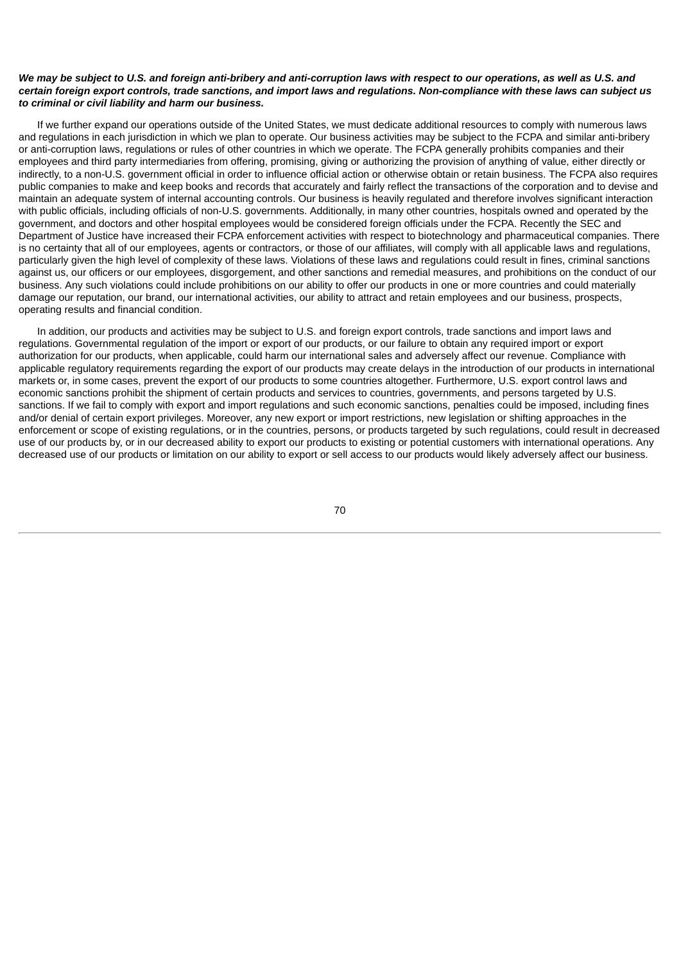### We may be subject to U.S. and foreign anti-bribery and anti-corruption laws with respect to our operations, as well as U.S. and certain foreign export controls, trade sanctions, and import laws and regulations. Non-compliance with these laws can subject us *to criminal or civil liability and harm our business.*

If we further expand our operations outside of the United States, we must dedicate additional resources to comply with numerous laws and regulations in each jurisdiction in which we plan to operate. Our business activities may be subject to the FCPA and similar anti-bribery or anti-corruption laws, regulations or rules of other countries in which we operate. The FCPA generally prohibits companies and their employees and third party intermediaries from offering, promising, giving or authorizing the provision of anything of value, either directly or indirectly, to a non-U.S. government official in order to influence official action or otherwise obtain or retain business. The FCPA also requires public companies to make and keep books and records that accurately and fairly reflect the transactions of the corporation and to devise and maintain an adequate system of internal accounting controls. Our business is heavily regulated and therefore involves significant interaction with public officials, including officials of non-U.S. governments. Additionally, in many other countries, hospitals owned and operated by the government, and doctors and other hospital employees would be considered foreign officials under the FCPA. Recently the SEC and Department of Justice have increased their FCPA enforcement activities with respect to biotechnology and pharmaceutical companies. There is no certainty that all of our employees, agents or contractors, or those of our affiliates, will comply with all applicable laws and regulations, particularly given the high level of complexity of these laws. Violations of these laws and regulations could result in fines, criminal sanctions against us, our officers or our employees, disgorgement, and other sanctions and remedial measures, and prohibitions on the conduct of our business. Any such violations could include prohibitions on our ability to offer our products in one or more countries and could materially damage our reputation, our brand, our international activities, our ability to attract and retain employees and our business, prospects, operating results and financial condition.

In addition, our products and activities may be subject to U.S. and foreign export controls, trade sanctions and import laws and regulations. Governmental regulation of the import or export of our products, or our failure to obtain any required import or export authorization for our products, when applicable, could harm our international sales and adversely affect our revenue. Compliance with applicable regulatory requirements regarding the export of our products may create delays in the introduction of our products in international markets or, in some cases, prevent the export of our products to some countries altogether. Furthermore, U.S. export control laws and economic sanctions prohibit the shipment of certain products and services to countries, governments, and persons targeted by U.S. sanctions. If we fail to comply with export and import regulations and such economic sanctions, penalties could be imposed, including fines and/or denial of certain export privileges. Moreover, any new export or import restrictions, new legislation or shifting approaches in the enforcement or scope of existing regulations, or in the countries, persons, or products targeted by such regulations, could result in decreased use of our products by, or in our decreased ability to export our products to existing or potential customers with international operations. Any decreased use of our products or limitation on our ability to export or sell access to our products would likely adversely affect our business.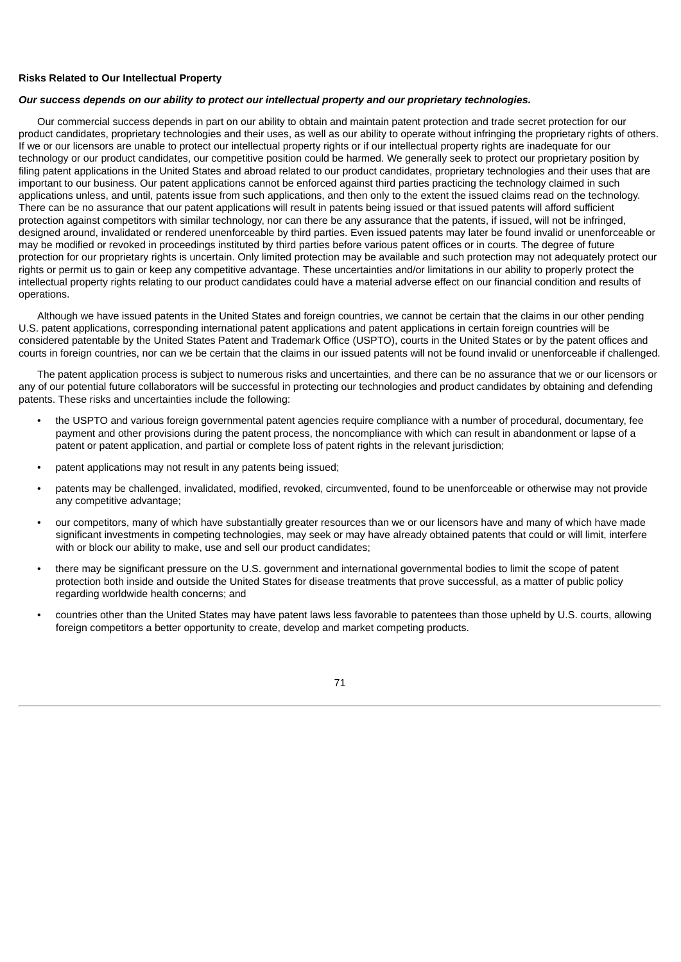### **Risks Related to Our Intellectual Property**

### *Our success depends on our ability to protect our intellectual property and our proprietary technologies.*

Our commercial success depends in part on our ability to obtain and maintain patent protection and trade secret protection for our product candidates, proprietary technologies and their uses, as well as our ability to operate without infringing the proprietary rights of others. If we or our licensors are unable to protect our intellectual property rights or if our intellectual property rights are inadequate for our technology or our product candidates, our competitive position could be harmed. We generally seek to protect our proprietary position by filing patent applications in the United States and abroad related to our product candidates, proprietary technologies and their uses that are important to our business. Our patent applications cannot be enforced against third parties practicing the technology claimed in such applications unless, and until, patents issue from such applications, and then only to the extent the issued claims read on the technology. There can be no assurance that our patent applications will result in patents being issued or that issued patents will afford sufficient protection against competitors with similar technology, nor can there be any assurance that the patents, if issued, will not be infringed, designed around, invalidated or rendered unenforceable by third parties. Even issued patents may later be found invalid or unenforceable or may be modified or revoked in proceedings instituted by third parties before various patent offices or in courts. The degree of future protection for our proprietary rights is uncertain. Only limited protection may be available and such protection may not adequately protect our rights or permit us to gain or keep any competitive advantage. These uncertainties and/or limitations in our ability to properly protect the intellectual property rights relating to our product candidates could have a material adverse effect on our financial condition and results of operations.

Although we have issued patents in the United States and foreign countries, we cannot be certain that the claims in our other pending U.S. patent applications, corresponding international patent applications and patent applications in certain foreign countries will be considered patentable by the United States Patent and Trademark Office (USPTO), courts in the United States or by the patent offices and courts in foreign countries, nor can we be certain that the claims in our issued patents will not be found invalid or unenforceable if challenged.

The patent application process is subject to numerous risks and uncertainties, and there can be no assurance that we or our licensors or any of our potential future collaborators will be successful in protecting our technologies and product candidates by obtaining and defending patents. These risks and uncertainties include the following:

- the USPTO and various foreign governmental patent agencies require compliance with a number of procedural, documentary, fee payment and other provisions during the patent process, the noncompliance with which can result in abandonment or lapse of a patent or patent application, and partial or complete loss of patent rights in the relevant jurisdiction;
- patent applications may not result in any patents being issued;
- patents may be challenged, invalidated, modified, revoked, circumvented, found to be unenforceable or otherwise may not provide any competitive advantage;
- our competitors, many of which have substantially greater resources than we or our licensors have and many of which have made significant investments in competing technologies, may seek or may have already obtained patents that could or will limit, interfere with or block our ability to make, use and sell our product candidates;
- there may be significant pressure on the U.S. government and international governmental bodies to limit the scope of patent protection both inside and outside the United States for disease treatments that prove successful, as a matter of public policy regarding worldwide health concerns; and
- countries other than the United States may have patent laws less favorable to patentees than those upheld by U.S. courts, allowing foreign competitors a better opportunity to create, develop and market competing products.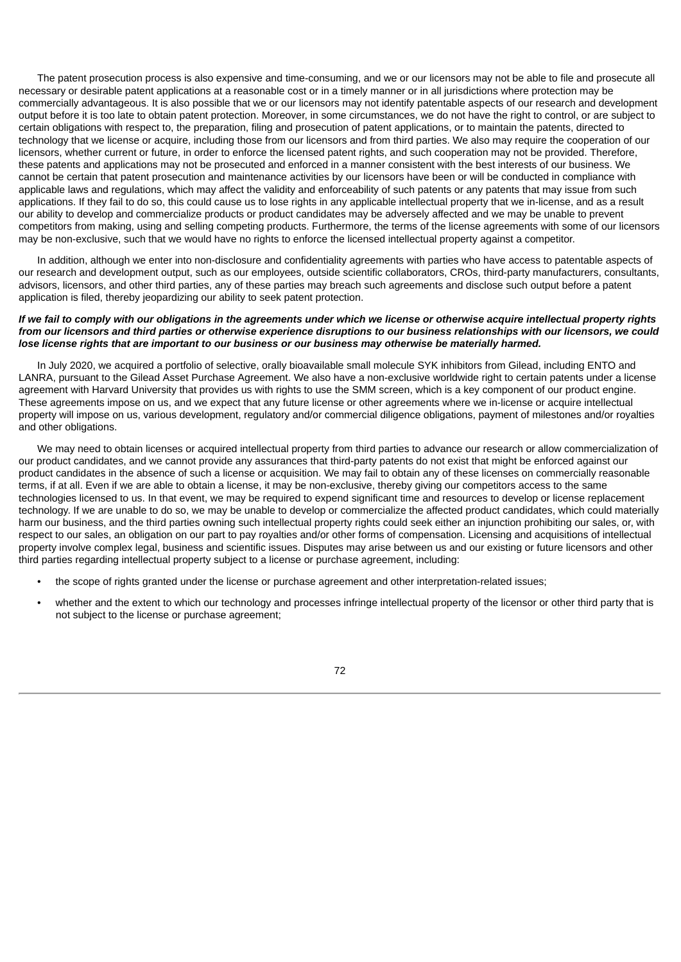The patent prosecution process is also expensive and time-consuming, and we or our licensors may not be able to file and prosecute all necessary or desirable patent applications at a reasonable cost or in a timely manner or in all jurisdictions where protection may be commercially advantageous. It is also possible that we or our licensors may not identify patentable aspects of our research and development output before it is too late to obtain patent protection. Moreover, in some circumstances, we do not have the right to control, or are subject to certain obligations with respect to, the preparation, filing and prosecution of patent applications, or to maintain the patents, directed to technology that we license or acquire, including those from our licensors and from third parties. We also may require the cooperation of our licensors, whether current or future, in order to enforce the licensed patent rights, and such cooperation may not be provided. Therefore, these patents and applications may not be prosecuted and enforced in a manner consistent with the best interests of our business. We cannot be certain that patent prosecution and maintenance activities by our licensors have been or will be conducted in compliance with applicable laws and regulations, which may affect the validity and enforceability of such patents or any patents that may issue from such applications. If they fail to do so, this could cause us to lose rights in any applicable intellectual property that we in-license, and as a result our ability to develop and commercialize products or product candidates may be adversely affected and we may be unable to prevent competitors from making, using and selling competing products. Furthermore, the terms of the license agreements with some of our licensors may be non-exclusive, such that we would have no rights to enforce the licensed intellectual property against a competitor.

In addition, although we enter into non-disclosure and confidentiality agreements with parties who have access to patentable aspects of our research and development output, such as our employees, outside scientific collaborators, CROs, third-party manufacturers, consultants, advisors, licensors, and other third parties, any of these parties may breach such agreements and disclose such output before a patent application is filed, thereby jeopardizing our ability to seek patent protection.

## If we fail to comply with our obligations in the agreements under which we license or otherwise acquire intellectual property rights from our licensors and third parties or otherwise experience disruptions to our business relationships with our licensors, we could lose license rights that are important to our business or our business may otherwise be materially harmed.

In July 2020, we acquired a portfolio of selective, orally bioavailable small molecule SYK inhibitors from Gilead, including ENTO and LANRA, pursuant to the Gilead Asset Purchase Agreement. We also have a non-exclusive worldwide right to certain patents under a license agreement with Harvard University that provides us with rights to use the SMM screen, which is a key component of our product engine. These agreements impose on us, and we expect that any future license or other agreements where we in-license or acquire intellectual property will impose on us, various development, regulatory and/or commercial diligence obligations, payment of milestones and/or royalties and other obligations.

We may need to obtain licenses or acquired intellectual property from third parties to advance our research or allow commercialization of our product candidates, and we cannot provide any assurances that third-party patents do not exist that might be enforced against our product candidates in the absence of such a license or acquisition. We may fail to obtain any of these licenses on commercially reasonable terms, if at all. Even if we are able to obtain a license, it may be non-exclusive, thereby giving our competitors access to the same technologies licensed to us. In that event, we may be required to expend significant time and resources to develop or license replacement technology. If we are unable to do so, we may be unable to develop or commercialize the affected product candidates, which could materially harm our business, and the third parties owning such intellectual property rights could seek either an injunction prohibiting our sales, or, with respect to our sales, an obligation on our part to pay royalties and/or other forms of compensation. Licensing and acquisitions of intellectual property involve complex legal, business and scientific issues. Disputes may arise between us and our existing or future licensors and other third parties regarding intellectual property subject to a license or purchase agreement, including:

- the scope of rights granted under the license or purchase agreement and other interpretation-related issues;
- whether and the extent to which our technology and processes infringe intellectual property of the licensor or other third party that is not subject to the license or purchase agreement;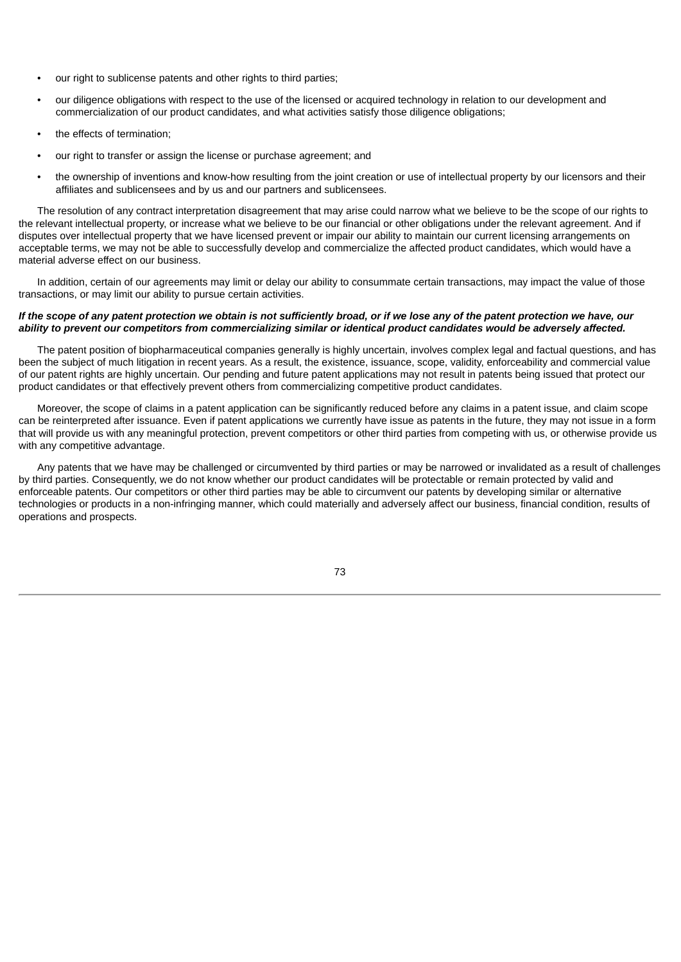- our right to sublicense patents and other rights to third parties;
- our diligence obligations with respect to the use of the licensed or acquired technology in relation to our development and commercialization of our product candidates, and what activities satisfy those diligence obligations;
- the effects of termination;
- our right to transfer or assign the license or purchase agreement; and
- the ownership of inventions and know-how resulting from the joint creation or use of intellectual property by our licensors and their affiliates and sublicensees and by us and our partners and sublicensees.

The resolution of any contract interpretation disagreement that may arise could narrow what we believe to be the scope of our rights to the relevant intellectual property, or increase what we believe to be our financial or other obligations under the relevant agreement. And if disputes over intellectual property that we have licensed prevent or impair our ability to maintain our current licensing arrangements on acceptable terms, we may not be able to successfully develop and commercialize the affected product candidates, which would have a material adverse effect on our business.

In addition, certain of our agreements may limit or delay our ability to consummate certain transactions, may impact the value of those transactions, or may limit our ability to pursue certain activities.

## If the scope of any patent protection we obtain is not sufficiently broad, or if we lose any of the patent protection we have, our ability to prevent our competitors from commercializing similar or identical product candidates would be adversely affected.

The patent position of biopharmaceutical companies generally is highly uncertain, involves complex legal and factual questions, and has been the subject of much litigation in recent years. As a result, the existence, issuance, scope, validity, enforceability and commercial value of our patent rights are highly uncertain. Our pending and future patent applications may not result in patents being issued that protect our product candidates or that effectively prevent others from commercializing competitive product candidates.

Moreover, the scope of claims in a patent application can be significantly reduced before any claims in a patent issue, and claim scope can be reinterpreted after issuance. Even if patent applications we currently have issue as patents in the future, they may not issue in a form that will provide us with any meaningful protection, prevent competitors or other third parties from competing with us, or otherwise provide us with any competitive advantage.

Any patents that we have may be challenged or circumvented by third parties or may be narrowed or invalidated as a result of challenges by third parties. Consequently, we do not know whether our product candidates will be protectable or remain protected by valid and enforceable patents. Our competitors or other third parties may be able to circumvent our patents by developing similar or alternative technologies or products in a non-infringing manner, which could materially and adversely affect our business, financial condition, results of operations and prospects.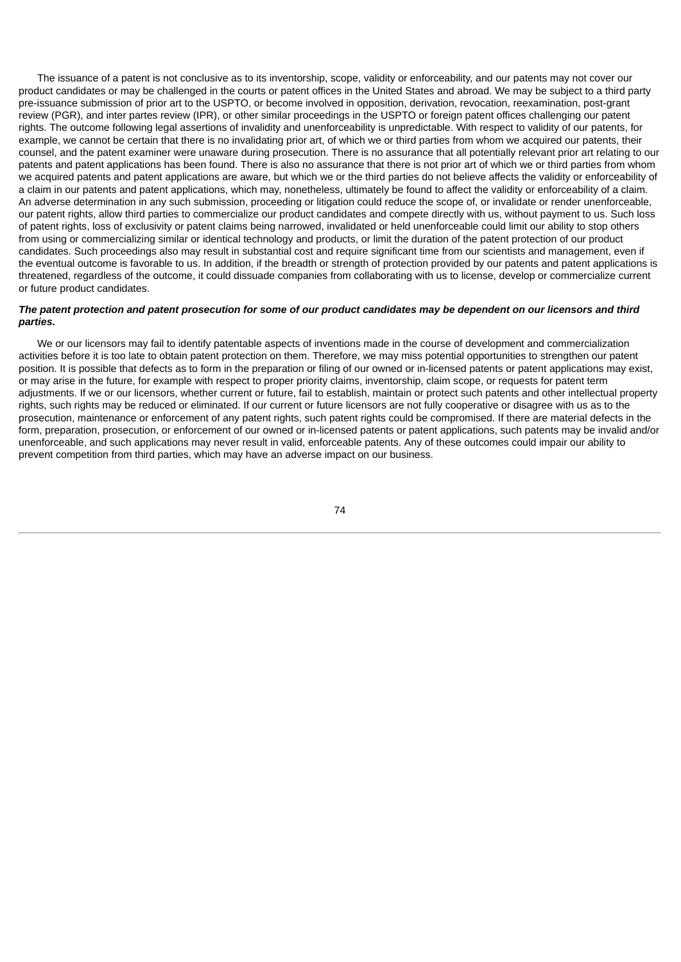The issuance of a patent is not conclusive as to its inventorship, scope, validity or enforceability, and our patents may not cover our product candidates or may be challenged in the courts or patent offices in the United States and abroad. We may be subject to a third party pre-issuance submission of prior art to the USPTO, or become involved in opposition, derivation, revocation, reexamination, post-grant review (PGR), and inter partes review (IPR), or other similar proceedings in the USPTO or foreign patent offices challenging our patent rights. The outcome following legal assertions of invalidity and unenforceability is unpredictable. With respect to validity of our patents, for example, we cannot be certain that there is no invalidating prior art, of which we or third parties from whom we acquired our patents, their counsel, and the patent examiner were unaware during prosecution. There is no assurance that all potentially relevant prior art relating to our patents and patent applications has been found. There is also no assurance that there is not prior art of which we or third parties from whom we acquired patents and patent applications are aware, but which we or the third parties do not believe affects the validity or enforceability of a claim in our patents and patent applications, which may, nonetheless, ultimately be found to affect the validity or enforceability of a claim. An adverse determination in any such submission, proceeding or litigation could reduce the scope of, or invalidate or render unenforceable, our patent rights, allow third parties to commercialize our product candidates and compete directly with us, without payment to us. Such loss of patent rights, loss of exclusivity or patent claims being narrowed, invalidated or held unenforceable could limit our ability to stop others from using or commercializing similar or identical technology and products, or limit the duration of the patent protection of our product candidates. Such proceedings also may result in substantial cost and require significant time from our scientists and management, even if the eventual outcome is favorable to us. In addition, if the breadth or strength of protection provided by our patents and patent applications is threatened, regardless of the outcome, it could dissuade companies from collaborating with us to license, develop or commercialize current or future product candidates.

## The patent protection and patent prosecution for some of our product candidates may be dependent on our licensors and third *parties.*

We or our licensors may fail to identify patentable aspects of inventions made in the course of development and commercialization activities before it is too late to obtain patent protection on them. Therefore, we may miss potential opportunities to strengthen our patent position. It is possible that defects as to form in the preparation or filing of our owned or in-licensed patents or patent applications may exist, or may arise in the future, for example with respect to proper priority claims, inventorship, claim scope, or requests for patent term adjustments. If we or our licensors, whether current or future, fail to establish, maintain or protect such patents and other intellectual property rights, such rights may be reduced or eliminated. If our current or future licensors are not fully cooperative or disagree with us as to the prosecution, maintenance or enforcement of any patent rights, such patent rights could be compromised. If there are material defects in the form, preparation, prosecution, or enforcement of our owned or in-licensed patents or patent applications, such patents may be invalid and/or unenforceable, and such applications may never result in valid, enforceable patents. Any of these outcomes could impair our ability to prevent competition from third parties, which may have an adverse impact on our business.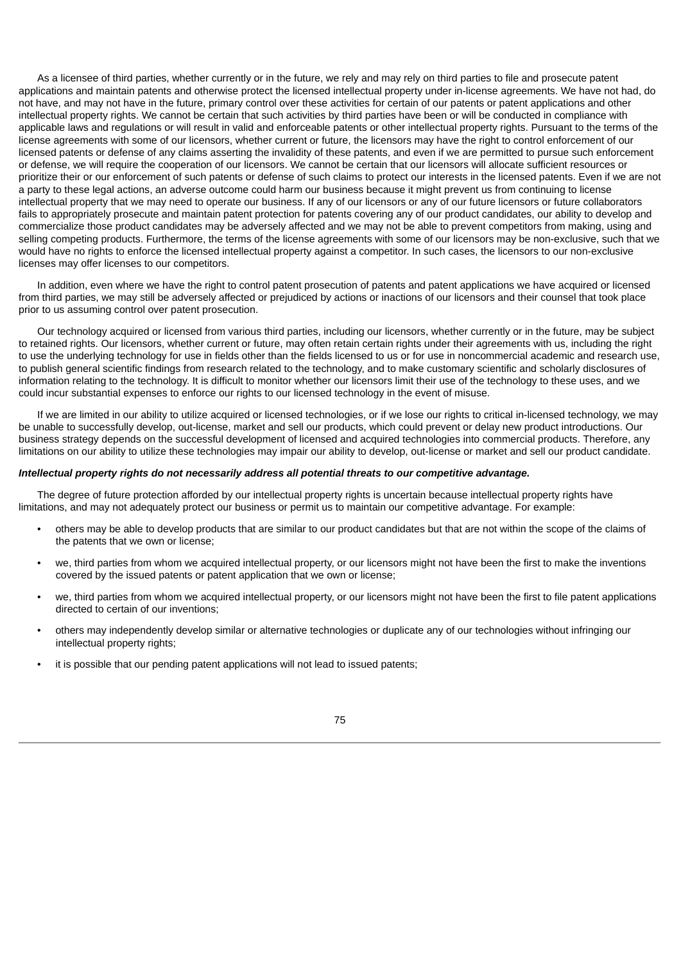As a licensee of third parties, whether currently or in the future, we rely and may rely on third parties to file and prosecute patent applications and maintain patents and otherwise protect the licensed intellectual property under in-license agreements. We have not had, do not have, and may not have in the future, primary control over these activities for certain of our patents or patent applications and other intellectual property rights. We cannot be certain that such activities by third parties have been or will be conducted in compliance with applicable laws and regulations or will result in valid and enforceable patents or other intellectual property rights. Pursuant to the terms of the license agreements with some of our licensors, whether current or future, the licensors may have the right to control enforcement of our licensed patents or defense of any claims asserting the invalidity of these patents, and even if we are permitted to pursue such enforcement or defense, we will require the cooperation of our licensors. We cannot be certain that our licensors will allocate sufficient resources or prioritize their or our enforcement of such patents or defense of such claims to protect our interests in the licensed patents. Even if we are not a party to these legal actions, an adverse outcome could harm our business because it might prevent us from continuing to license intellectual property that we may need to operate our business. If any of our licensors or any of our future licensors or future collaborators fails to appropriately prosecute and maintain patent protection for patents covering any of our product candidates, our ability to develop and commercialize those product candidates may be adversely affected and we may not be able to prevent competitors from making, using and selling competing products. Furthermore, the terms of the license agreements with some of our licensors may be non-exclusive, such that we would have no rights to enforce the licensed intellectual property against a competitor. In such cases, the licensors to our non-exclusive licenses may offer licenses to our competitors.

In addition, even where we have the right to control patent prosecution of patents and patent applications we have acquired or licensed from third parties, we may still be adversely affected or prejudiced by actions or inactions of our licensors and their counsel that took place prior to us assuming control over patent prosecution.

Our technology acquired or licensed from various third parties, including our licensors, whether currently or in the future, may be subject to retained rights. Our licensors, whether current or future, may often retain certain rights under their agreements with us, including the right to use the underlying technology for use in fields other than the fields licensed to us or for use in noncommercial academic and research use, to publish general scientific findings from research related to the technology, and to make customary scientific and scholarly disclosures of information relating to the technology. It is difficult to monitor whether our licensors limit their use of the technology to these uses, and we could incur substantial expenses to enforce our rights to our licensed technology in the event of misuse.

If we are limited in our ability to utilize acquired or licensed technologies, or if we lose our rights to critical in-licensed technology, we may be unable to successfully develop, out-license, market and sell our products, which could prevent or delay new product introductions. Our business strategy depends on the successful development of licensed and acquired technologies into commercial products. Therefore, any limitations on our ability to utilize these technologies may impair our ability to develop, out-license or market and sell our product candidate.

#### *Intellectual property rights do not necessarily address all potential threats to our competitive advantage.*

The degree of future protection afforded by our intellectual property rights is uncertain because intellectual property rights have limitations, and may not adequately protect our business or permit us to maintain our competitive advantage. For example:

- others may be able to develop products that are similar to our product candidates but that are not within the scope of the claims of the patents that we own or license;
- we, third parties from whom we acquired intellectual property, or our licensors might not have been the first to make the inventions covered by the issued patents or patent application that we own or license;
- we, third parties from whom we acquired intellectual property, or our licensors might not have been the first to file patent applications directed to certain of our inventions;
- others may independently develop similar or alternative technologies or duplicate any of our technologies without infringing our intellectual property rights;
- it is possible that our pending patent applications will not lead to issued patents;

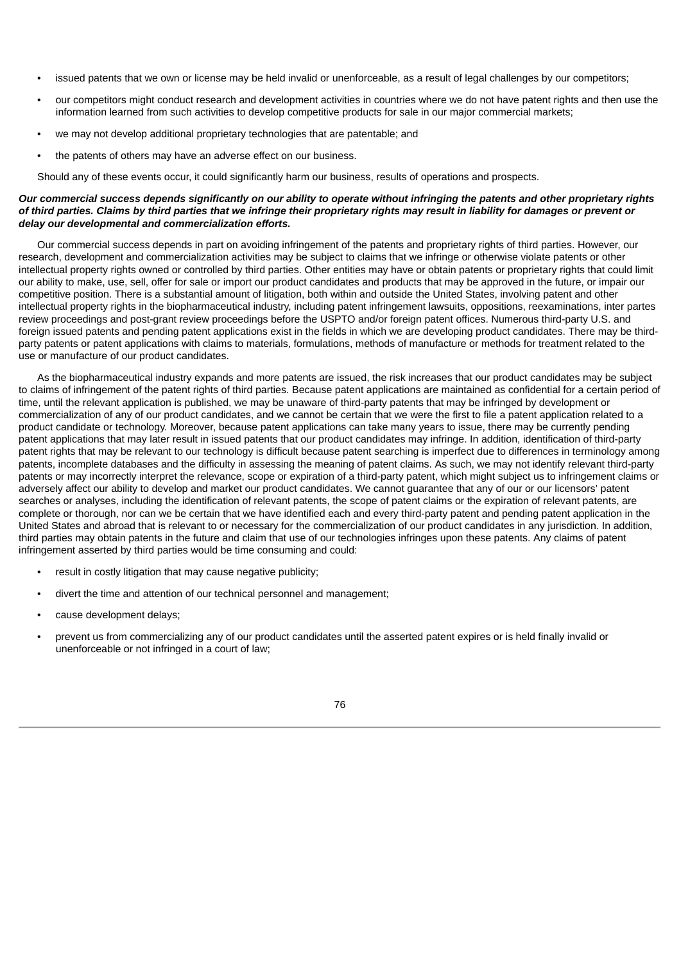- issued patents that we own or license may be held invalid or unenforceable, as a result of legal challenges by our competitors;
- our competitors might conduct research and development activities in countries where we do not have patent rights and then use the information learned from such activities to develop competitive products for sale in our major commercial markets;
- we may not develop additional proprietary technologies that are patentable; and
- the patents of others may have an adverse effect on our business.

Should any of these events occur, it could significantly harm our business, results of operations and prospects.

## Our commercial success depends significantly on our ability to operate without infringing the patents and other proprietary rights of third parties. Claims by third parties that we infringe their proprietary rights may result in liability for damages or prevent or *delay our developmental and commercialization efforts.*

Our commercial success depends in part on avoiding infringement of the patents and proprietary rights of third parties. However, our research, development and commercialization activities may be subject to claims that we infringe or otherwise violate patents or other intellectual property rights owned or controlled by third parties. Other entities may have or obtain patents or proprietary rights that could limit our ability to make, use, sell, offer for sale or import our product candidates and products that may be approved in the future, or impair our competitive position. There is a substantial amount of litigation, both within and outside the United States, involving patent and other intellectual property rights in the biopharmaceutical industry, including patent infringement lawsuits, oppositions, reexaminations, inter partes review proceedings and post-grant review proceedings before the USPTO and/or foreign patent offices. Numerous third-party U.S. and foreign issued patents and pending patent applications exist in the fields in which we are developing product candidates. There may be thirdparty patents or patent applications with claims to materials, formulations, methods of manufacture or methods for treatment related to the use or manufacture of our product candidates.

As the biopharmaceutical industry expands and more patents are issued, the risk increases that our product candidates may be subject to claims of infringement of the patent rights of third parties. Because patent applications are maintained as confidential for a certain period of time, until the relevant application is published, we may be unaware of third-party patents that may be infringed by development or commercialization of any of our product candidates, and we cannot be certain that we were the first to file a patent application related to a product candidate or technology. Moreover, because patent applications can take many years to issue, there may be currently pending patent applications that may later result in issued patents that our product candidates may infringe. In addition, identification of third-party patent rights that may be relevant to our technology is difficult because patent searching is imperfect due to differences in terminology among patents, incomplete databases and the difficulty in assessing the meaning of patent claims. As such, we may not identify relevant third-party patents or may incorrectly interpret the relevance, scope or expiration of a third-party patent, which might subject us to infringement claims or adversely affect our ability to develop and market our product candidates. We cannot guarantee that any of our or our licensors' patent searches or analyses, including the identification of relevant patents, the scope of patent claims or the expiration of relevant patents, are complete or thorough, nor can we be certain that we have identified each and every third-party patent and pending patent application in the United States and abroad that is relevant to or necessary for the commercialization of our product candidates in any jurisdiction. In addition, third parties may obtain patents in the future and claim that use of our technologies infringes upon these patents. Any claims of patent infringement asserted by third parties would be time consuming and could:

- result in costly litigation that may cause negative publicity;
- divert the time and attention of our technical personnel and management;
- cause development delays;
- prevent us from commercializing any of our product candidates until the asserted patent expires or is held finally invalid or unenforceable or not infringed in a court of law;

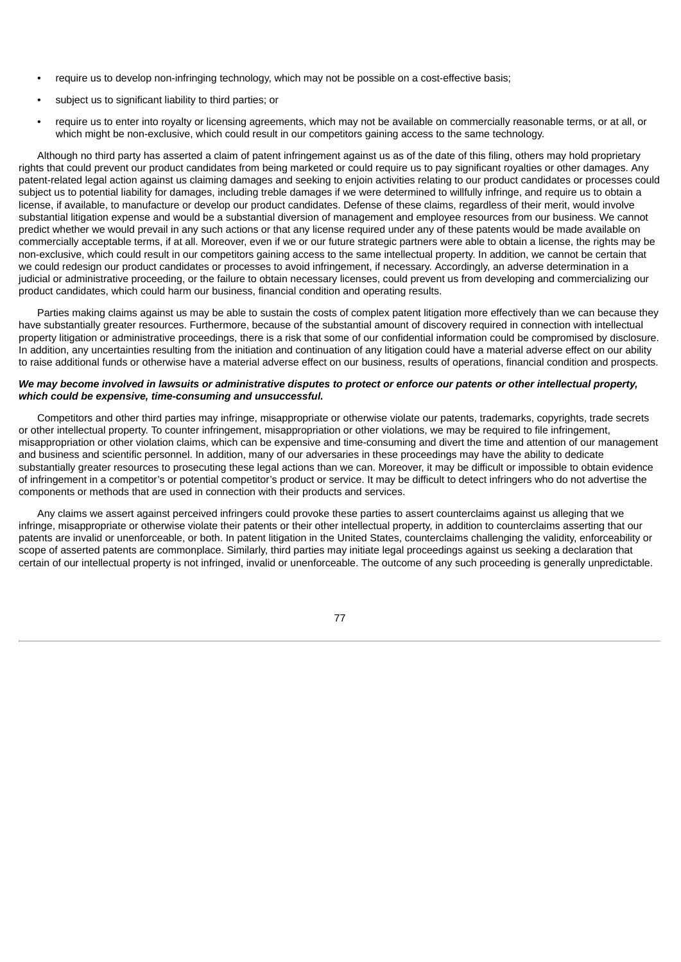- require us to develop non-infringing technology, which may not be possible on a cost-effective basis;
- subject us to significant liability to third parties: or
- require us to enter into royalty or licensing agreements, which may not be available on commercially reasonable terms, or at all, or which might be non-exclusive, which could result in our competitors gaining access to the same technology.

Although no third party has asserted a claim of patent infringement against us as of the date of this filing, others may hold proprietary rights that could prevent our product candidates from being marketed or could require us to pay significant royalties or other damages. Any patent-related legal action against us claiming damages and seeking to enjoin activities relating to our product candidates or processes could subject us to potential liability for damages, including treble damages if we were determined to willfully infringe, and require us to obtain a license, if available, to manufacture or develop our product candidates. Defense of these claims, regardless of their merit, would involve substantial litigation expense and would be a substantial diversion of management and employee resources from our business. We cannot predict whether we would prevail in any such actions or that any license required under any of these patents would be made available on commercially acceptable terms, if at all. Moreover, even if we or our future strategic partners were able to obtain a license, the rights may be non-exclusive, which could result in our competitors gaining access to the same intellectual property. In addition, we cannot be certain that we could redesign our product candidates or processes to avoid infringement, if necessary. Accordingly, an adverse determination in a judicial or administrative proceeding, or the failure to obtain necessary licenses, could prevent us from developing and commercializing our product candidates, which could harm our business, financial condition and operating results.

Parties making claims against us may be able to sustain the costs of complex patent litigation more effectively than we can because they have substantially greater resources. Furthermore, because of the substantial amount of discovery required in connection with intellectual property litigation or administrative proceedings, there is a risk that some of our confidential information could be compromised by disclosure. In addition, any uncertainties resulting from the initiation and continuation of any litigation could have a material adverse effect on our ability to raise additional funds or otherwise have a material adverse effect on our business, results of operations, financial condition and prospects.

#### We may become involved in lawsuits or administrative disputes to protect or enforce our patents or other intellectual property. *which could be expensive, time-consuming and unsuccessful.*

Competitors and other third parties may infringe, misappropriate or otherwise violate our patents, trademarks, copyrights, trade secrets or other intellectual property. To counter infringement, misappropriation or other violations, we may be required to file infringement, misappropriation or other violation claims, which can be expensive and time-consuming and divert the time and attention of our management and business and scientific personnel. In addition, many of our adversaries in these proceedings may have the ability to dedicate substantially greater resources to prosecuting these legal actions than we can. Moreover, it may be difficult or impossible to obtain evidence of infringement in a competitor's or potential competitor's product or service. It may be difficult to detect infringers who do not advertise the components or methods that are used in connection with their products and services.

Any claims we assert against perceived infringers could provoke these parties to assert counterclaims against us alleging that we infringe, misappropriate or otherwise violate their patents or their other intellectual property, in addition to counterclaims asserting that our patents are invalid or unenforceable, or both. In patent litigation in the United States, counterclaims challenging the validity, enforceability or scope of asserted patents are commonplace. Similarly, third parties may initiate legal proceedings against us seeking a declaration that certain of our intellectual property is not infringed, invalid or unenforceable. The outcome of any such proceeding is generally unpredictable.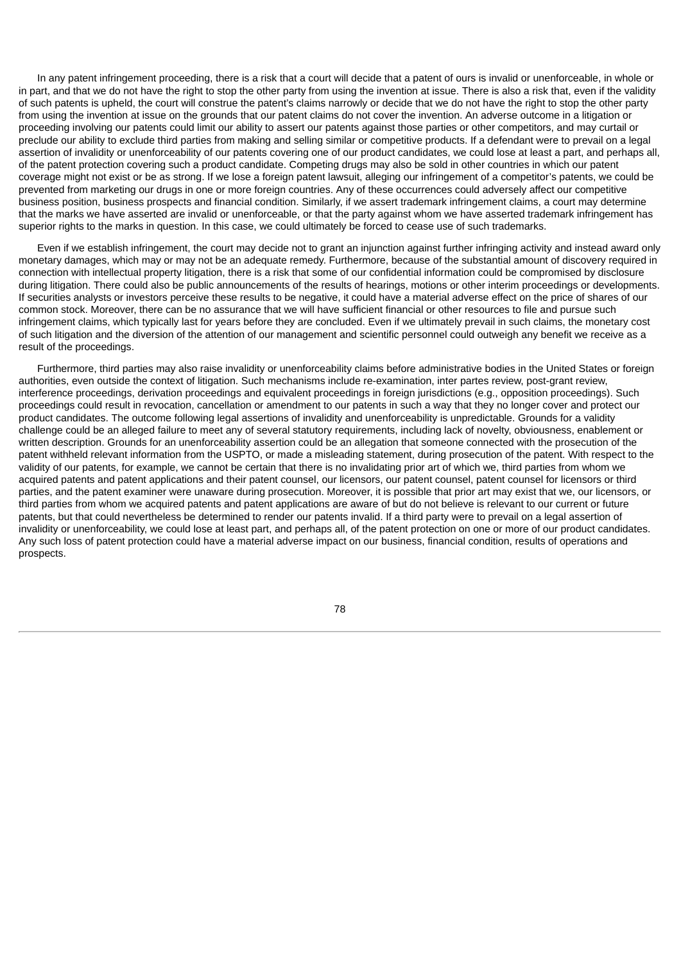In any patent infringement proceeding, there is a risk that a court will decide that a patent of ours is invalid or unenforceable, in whole or in part, and that we do not have the right to stop the other party from using the invention at issue. There is also a risk that, even if the validity of such patents is upheld, the court will construe the patent's claims narrowly or decide that we do not have the right to stop the other party from using the invention at issue on the grounds that our patent claims do not cover the invention. An adverse outcome in a litigation or proceeding involving our patents could limit our ability to assert our patents against those parties or other competitors, and may curtail or preclude our ability to exclude third parties from making and selling similar or competitive products. If a defendant were to prevail on a legal assertion of invalidity or unenforceability of our patents covering one of our product candidates, we could lose at least a part, and perhaps all, of the patent protection covering such a product candidate. Competing drugs may also be sold in other countries in which our patent coverage might not exist or be as strong. If we lose a foreign patent lawsuit, alleging our infringement of a competitor's patents, we could be prevented from marketing our drugs in one or more foreign countries. Any of these occurrences could adversely affect our competitive business position, business prospects and financial condition. Similarly, if we assert trademark infringement claims, a court may determine that the marks we have asserted are invalid or unenforceable, or that the party against whom we have asserted trademark infringement has superior rights to the marks in question. In this case, we could ultimately be forced to cease use of such trademarks.

Even if we establish infringement, the court may decide not to grant an injunction against further infringing activity and instead award only monetary damages, which may or may not be an adequate remedy. Furthermore, because of the substantial amount of discovery required in connection with intellectual property litigation, there is a risk that some of our confidential information could be compromised by disclosure during litigation. There could also be public announcements of the results of hearings, motions or other interim proceedings or developments. If securities analysts or investors perceive these results to be negative, it could have a material adverse effect on the price of shares of our common stock. Moreover, there can be no assurance that we will have sufficient financial or other resources to file and pursue such infringement claims, which typically last for years before they are concluded. Even if we ultimately prevail in such claims, the monetary cost of such litigation and the diversion of the attention of our management and scientific personnel could outweigh any benefit we receive as a result of the proceedings.

Furthermore, third parties may also raise invalidity or unenforceability claims before administrative bodies in the United States or foreign authorities, even outside the context of litigation. Such mechanisms include re-examination, inter partes review, post-grant review, interference proceedings, derivation proceedings and equivalent proceedings in foreign jurisdictions (e.g., opposition proceedings). Such proceedings could result in revocation, cancellation or amendment to our patents in such a way that they no longer cover and protect our product candidates. The outcome following legal assertions of invalidity and unenforceability is unpredictable. Grounds for a validity challenge could be an alleged failure to meet any of several statutory requirements, including lack of novelty, obviousness, enablement or written description. Grounds for an unenforceability assertion could be an allegation that someone connected with the prosecution of the patent withheld relevant information from the USPTO, or made a misleading statement, during prosecution of the patent. With respect to the validity of our patents, for example, we cannot be certain that there is no invalidating prior art of which we, third parties from whom we acquired patents and patent applications and their patent counsel, our licensors, our patent counsel, patent counsel for licensors or third parties, and the patent examiner were unaware during prosecution. Moreover, it is possible that prior art may exist that we, our licensors, or third parties from whom we acquired patents and patent applications are aware of but do not believe is relevant to our current or future patents, but that could nevertheless be determined to render our patents invalid. If a third party were to prevail on a legal assertion of invalidity or unenforceability, we could lose at least part, and perhaps all, of the patent protection on one or more of our product candidates. Any such loss of patent protection could have a material adverse impact on our business, financial condition, results of operations and prospects.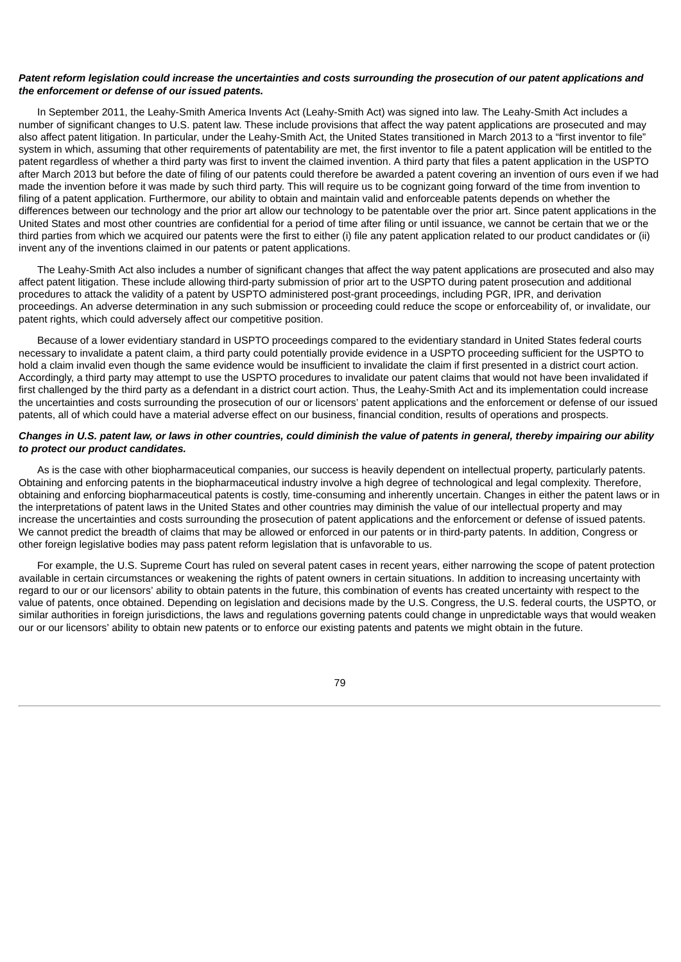## Patent reform legislation could increase the uncertainties and costs surrounding the prosecution of our patent applications and *the enforcement or defense of our issued patents.*

In September 2011, the Leahy-Smith America Invents Act (Leahy-Smith Act) was signed into law. The Leahy-Smith Act includes a number of significant changes to U.S. patent law. These include provisions that affect the way patent applications are prosecuted and may also affect patent litigation. In particular, under the Leahy-Smith Act, the United States transitioned in March 2013 to a "first inventor to file" system in which, assuming that other requirements of patentability are met, the first inventor to file a patent application will be entitled to the patent regardless of whether a third party was first to invent the claimed invention. A third party that files a patent application in the USPTO after March 2013 but before the date of filing of our patents could therefore be awarded a patent covering an invention of ours even if we had made the invention before it was made by such third party. This will require us to be cognizant going forward of the time from invention to filing of a patent application. Furthermore, our ability to obtain and maintain valid and enforceable patents depends on whether the differences between our technology and the prior art allow our technology to be patentable over the prior art. Since patent applications in the United States and most other countries are confidential for a period of time after filing or until issuance, we cannot be certain that we or the third parties from which we acquired our patents were the first to either (i) file any patent application related to our product candidates or (ii) invent any of the inventions claimed in our patents or patent applications.

The Leahy-Smith Act also includes a number of significant changes that affect the way patent applications are prosecuted and also may affect patent litigation. These include allowing third-party submission of prior art to the USPTO during patent prosecution and additional procedures to attack the validity of a patent by USPTO administered post-grant proceedings, including PGR, IPR, and derivation proceedings. An adverse determination in any such submission or proceeding could reduce the scope or enforceability of, or invalidate, our patent rights, which could adversely affect our competitive position.

Because of a lower evidentiary standard in USPTO proceedings compared to the evidentiary standard in United States federal courts necessary to invalidate a patent claim, a third party could potentially provide evidence in a USPTO proceeding sufficient for the USPTO to hold a claim invalid even though the same evidence would be insufficient to invalidate the claim if first presented in a district court action. Accordingly, a third party may attempt to use the USPTO procedures to invalidate our patent claims that would not have been invalidated if first challenged by the third party as a defendant in a district court action. Thus, the Leahy-Smith Act and its implementation could increase the uncertainties and costs surrounding the prosecution of our or licensors' patent applications and the enforcement or defense of our issued patents, all of which could have a material adverse effect on our business, financial condition, results of operations and prospects.

## Changes in U.S. patent law, or laws in other countries, could diminish the value of patents in general, thereby impairing our ability *to protect our product candidates.*

As is the case with other biopharmaceutical companies, our success is heavily dependent on intellectual property, particularly patents. Obtaining and enforcing patents in the biopharmaceutical industry involve a high degree of technological and legal complexity. Therefore, obtaining and enforcing biopharmaceutical patents is costly, time-consuming and inherently uncertain. Changes in either the patent laws or in the interpretations of patent laws in the United States and other countries may diminish the value of our intellectual property and may increase the uncertainties and costs surrounding the prosecution of patent applications and the enforcement or defense of issued patents. We cannot predict the breadth of claims that may be allowed or enforced in our patents or in third-party patents. In addition, Congress or other foreign legislative bodies may pass patent reform legislation that is unfavorable to us.

For example, the U.S. Supreme Court has ruled on several patent cases in recent years, either narrowing the scope of patent protection available in certain circumstances or weakening the rights of patent owners in certain situations. In addition to increasing uncertainty with regard to our or our licensors' ability to obtain patents in the future, this combination of events has created uncertainty with respect to the value of patents, once obtained. Depending on legislation and decisions made by the U.S. Congress, the U.S. federal courts, the USPTO, or similar authorities in foreign jurisdictions, the laws and regulations governing patents could change in unpredictable ways that would weaken our or our licensors' ability to obtain new patents or to enforce our existing patents and patents we might obtain in the future.

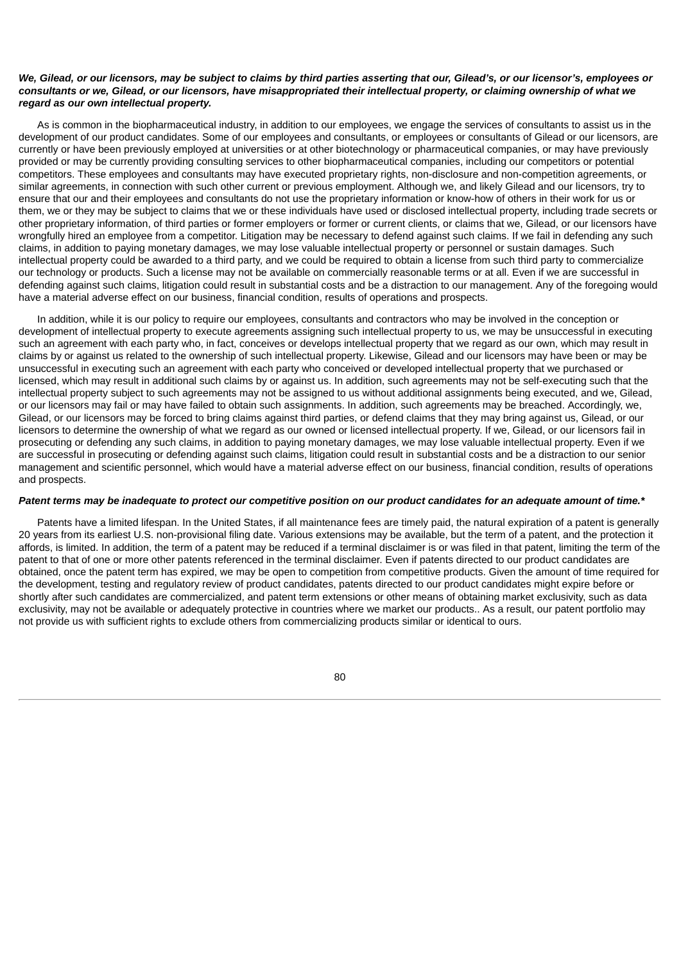## We, Gilead, or our licensors, may be subject to claims by third parties asserting that our, Gilead's, or our licensor's, employees or consultants or we, Gilead, or our licensors, have misappropriated their intellectual property, or claiming ownership of what we *regard as our own intellectual property.*

As is common in the biopharmaceutical industry, in addition to our employees, we engage the services of consultants to assist us in the development of our product candidates. Some of our employees and consultants, or employees or consultants of Gilead or our licensors, are currently or have been previously employed at universities or at other biotechnology or pharmaceutical companies, or may have previously provided or may be currently providing consulting services to other biopharmaceutical companies, including our competitors or potential competitors. These employees and consultants may have executed proprietary rights, non-disclosure and non-competition agreements, or similar agreements, in connection with such other current or previous employment. Although we, and likely Gilead and our licensors, try to ensure that our and their employees and consultants do not use the proprietary information or know-how of others in their work for us or them, we or they may be subject to claims that we or these individuals have used or disclosed intellectual property, including trade secrets or other proprietary information, of third parties or former employers or former or current clients, or claims that we, Gilead, or our licensors have wrongfully hired an employee from a competitor. Litigation may be necessary to defend against such claims. If we fail in defending any such claims, in addition to paying monetary damages, we may lose valuable intellectual property or personnel or sustain damages. Such intellectual property could be awarded to a third party, and we could be required to obtain a license from such third party to commercialize our technology or products. Such a license may not be available on commercially reasonable terms or at all. Even if we are successful in defending against such claims, litigation could result in substantial costs and be a distraction to our management. Any of the foregoing would have a material adverse effect on our business, financial condition, results of operations and prospects.

In addition, while it is our policy to require our employees, consultants and contractors who may be involved in the conception or development of intellectual property to execute agreements assigning such intellectual property to us, we may be unsuccessful in executing such an agreement with each party who, in fact, conceives or develops intellectual property that we regard as our own, which may result in claims by or against us related to the ownership of such intellectual property. Likewise, Gilead and our licensors may have been or may be unsuccessful in executing such an agreement with each party who conceived or developed intellectual property that we purchased or licensed, which may result in additional such claims by or against us. In addition, such agreements may not be self-executing such that the intellectual property subject to such agreements may not be assigned to us without additional assignments being executed, and we, Gilead, or our licensors may fail or may have failed to obtain such assignments. In addition, such agreements may be breached. Accordingly, we, Gilead, or our licensors may be forced to bring claims against third parties, or defend claims that they may bring against us, Gilead, or our licensors to determine the ownership of what we regard as our owned or licensed intellectual property. If we, Gilead, or our licensors fail in prosecuting or defending any such claims, in addition to paying monetary damages, we may lose valuable intellectual property. Even if we are successful in prosecuting or defending against such claims, litigation could result in substantial costs and be a distraction to our senior management and scientific personnel, which would have a material adverse effect on our business, financial condition, results of operations and prospects.

#### Patent terms may be inadequate to protect our competitive position on our product candidates for an adequate amount of time.\*

Patents have a limited lifespan. In the United States, if all maintenance fees are timely paid, the natural expiration of a patent is generally 20 years from its earliest U.S. non-provisional filing date. Various extensions may be available, but the term of a patent, and the protection it affords, is limited. In addition, the term of a patent may be reduced if a terminal disclaimer is or was filed in that patent, limiting the term of the patent to that of one or more other patents referenced in the terminal disclaimer. Even if patents directed to our product candidates are obtained, once the patent term has expired, we may be open to competition from competitive products. Given the amount of time required for the development, testing and regulatory review of product candidates, patents directed to our product candidates might expire before or shortly after such candidates are commercialized, and patent term extensions or other means of obtaining market exclusivity, such as data exclusivity, may not be available or adequately protective in countries where we market our products.. As a result, our patent portfolio may not provide us with sufficient rights to exclude others from commercializing products similar or identical to ours.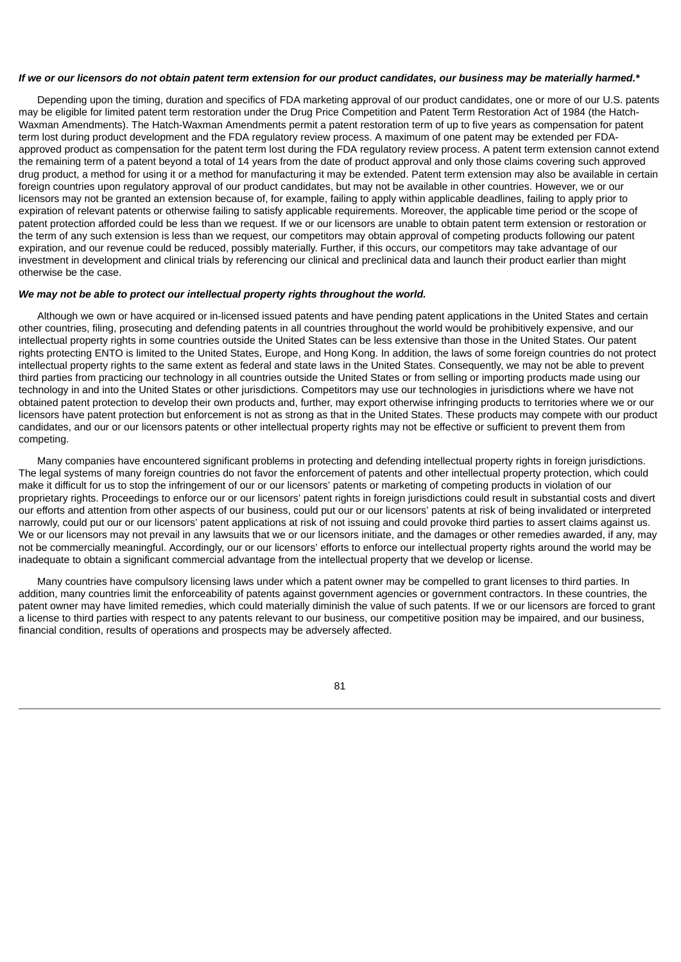#### If we or our licensors do not obtain patent term extension for our product candidates, our business may be materially harmed.\*

Depending upon the timing, duration and specifics of FDA marketing approval of our product candidates, one or more of our U.S. patents may be eligible for limited patent term restoration under the Drug Price Competition and Patent Term Restoration Act of 1984 (the Hatch-Waxman Amendments). The Hatch-Waxman Amendments permit a patent restoration term of up to five years as compensation for patent term lost during product development and the FDA regulatory review process. A maximum of one patent may be extended per FDAapproved product as compensation for the patent term lost during the FDA regulatory review process. A patent term extension cannot extend the remaining term of a patent beyond a total of 14 years from the date of product approval and only those claims covering such approved drug product, a method for using it or a method for manufacturing it may be extended. Patent term extension may also be available in certain foreign countries upon regulatory approval of our product candidates, but may not be available in other countries. However, we or our licensors may not be granted an extension because of, for example, failing to apply within applicable deadlines, failing to apply prior to expiration of relevant patents or otherwise failing to satisfy applicable requirements. Moreover, the applicable time period or the scope of patent protection afforded could be less than we request. If we or our licensors are unable to obtain patent term extension or restoration or the term of any such extension is less than we request, our competitors may obtain approval of competing products following our patent expiration, and our revenue could be reduced, possibly materially. Further, if this occurs, our competitors may take advantage of our investment in development and clinical trials by referencing our clinical and preclinical data and launch their product earlier than might otherwise be the case.

#### *We may not be able to protect our intellectual property rights throughout the world.*

Although we own or have acquired or in-licensed issued patents and have pending patent applications in the United States and certain other countries, filing, prosecuting and defending patents in all countries throughout the world would be prohibitively expensive, and our intellectual property rights in some countries outside the United States can be less extensive than those in the United States. Our patent rights protecting ENTO is limited to the United States, Europe, and Hong Kong. In addition, the laws of some foreign countries do not protect intellectual property rights to the same extent as federal and state laws in the United States. Consequently, we may not be able to prevent third parties from practicing our technology in all countries outside the United States or from selling or importing products made using our technology in and into the United States or other jurisdictions. Competitors may use our technologies in jurisdictions where we have not obtained patent protection to develop their own products and, further, may export otherwise infringing products to territories where we or our licensors have patent protection but enforcement is not as strong as that in the United States. These products may compete with our product candidates, and our or our licensors patents or other intellectual property rights may not be effective or sufficient to prevent them from competing.

Many companies have encountered significant problems in protecting and defending intellectual property rights in foreign jurisdictions. The legal systems of many foreign countries do not favor the enforcement of patents and other intellectual property protection, which could make it difficult for us to stop the infringement of our or our licensors' patents or marketing of competing products in violation of our proprietary rights. Proceedings to enforce our or our licensors' patent rights in foreign jurisdictions could result in substantial costs and divert our efforts and attention from other aspects of our business, could put our or our licensors' patents at risk of being invalidated or interpreted narrowly, could put our or our licensors' patent applications at risk of not issuing and could provoke third parties to assert claims against us. We or our licensors may not prevail in any lawsuits that we or our licensors initiate, and the damages or other remedies awarded, if any, may not be commercially meaningful. Accordingly, our or our licensors' efforts to enforce our intellectual property rights around the world may be inadequate to obtain a significant commercial advantage from the intellectual property that we develop or license.

Many countries have compulsory licensing laws under which a patent owner may be compelled to grant licenses to third parties. In addition, many countries limit the enforceability of patents against government agencies or government contractors. In these countries, the patent owner may have limited remedies, which could materially diminish the value of such patents. If we or our licensors are forced to grant a license to third parties with respect to any patents relevant to our business, our competitive position may be impaired, and our business, financial condition, results of operations and prospects may be adversely affected.

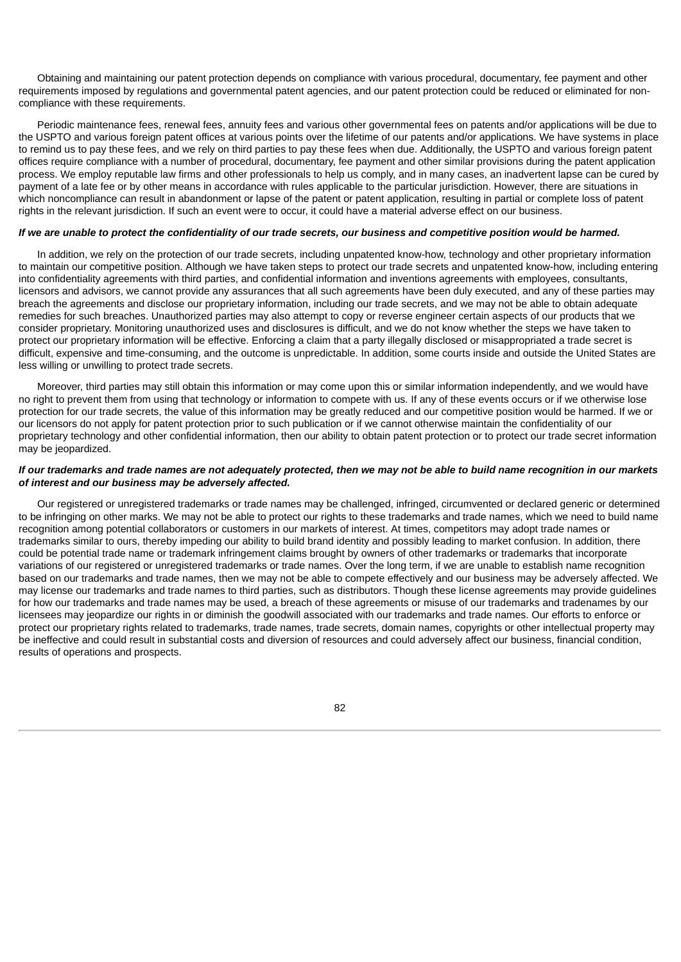Obtaining and maintaining our patent protection depends on compliance with various procedural, documentary, fee payment and other requirements imposed by regulations and governmental patent agencies, and our patent protection could be reduced or eliminated for noncompliance with these requirements.

Periodic maintenance fees, renewal fees, annuity fees and various other governmental fees on patents and/or applications will be due to the USPTO and various foreign patent offices at various points over the lifetime of our patents and/or applications. We have systems in place to remind us to pay these fees, and we rely on third parties to pay these fees when due. Additionally, the USPTO and various foreign patent offices require compliance with a number of procedural, documentary, fee payment and other similar provisions during the patent application process. We employ reputable law firms and other professionals to help us comply, and in many cases, an inadvertent lapse can be cured by payment of a late fee or by other means in accordance with rules applicable to the particular jurisdiction. However, there are situations in which noncompliance can result in abandonment or lapse of the patent or patent application, resulting in partial or complete loss of patent rights in the relevant jurisdiction. If such an event were to occur, it could have a material adverse effect on our business.

#### If we are unable to protect the confidentiality of our trade secrets, our business and competitive position would be harmed.

In addition, we rely on the protection of our trade secrets, including unpatented know-how, technology and other proprietary information to maintain our competitive position. Although we have taken steps to protect our trade secrets and unpatented know-how, including entering into confidentiality agreements with third parties, and confidential information and inventions agreements with employees, consultants, licensors and advisors, we cannot provide any assurances that all such agreements have been duly executed, and any of these parties may breach the agreements and disclose our proprietary information, including our trade secrets, and we may not be able to obtain adequate remedies for such breaches. Unauthorized parties may also attempt to copy or reverse engineer certain aspects of our products that we consider proprietary. Monitoring unauthorized uses and disclosures is difficult, and we do not know whether the steps we have taken to protect our proprietary information will be effective. Enforcing a claim that a party illegally disclosed or misappropriated a trade secret is difficult, expensive and time-consuming, and the outcome is unpredictable. In addition, some courts inside and outside the United States are less willing or unwilling to protect trade secrets.

Moreover, third parties may still obtain this information or may come upon this or similar information independently, and we would have no right to prevent them from using that technology or information to compete with us. If any of these events occurs or if we otherwise lose protection for our trade secrets, the value of this information may be greatly reduced and our competitive position would be harmed. If we or our licensors do not apply for patent protection prior to such publication or if we cannot otherwise maintain the confidentiality of our proprietary technology and other confidential information, then our ability to obtain patent protection or to protect our trade secret information may be jeopardized.

## If our trademarks and trade names are not adequately protected, then we may not be able to build name recognition in our markets *of interest and our business may be adversely affected.*

Our registered or unregistered trademarks or trade names may be challenged, infringed, circumvented or declared generic or determined to be infringing on other marks. We may not be able to protect our rights to these trademarks and trade names, which we need to build name recognition among potential collaborators or customers in our markets of interest. At times, competitors may adopt trade names or trademarks similar to ours, thereby impeding our ability to build brand identity and possibly leading to market confusion. In addition, there could be potential trade name or trademark infringement claims brought by owners of other trademarks or trademarks that incorporate variations of our registered or unregistered trademarks or trade names. Over the long term, if we are unable to establish name recognition based on our trademarks and trade names, then we may not be able to compete effectively and our business may be adversely affected. We may license our trademarks and trade names to third parties, such as distributors. Though these license agreements may provide guidelines for how our trademarks and trade names may be used, a breach of these agreements or misuse of our trademarks and tradenames by our licensees may jeopardize our rights in or diminish the goodwill associated with our trademarks and trade names. Our efforts to enforce or protect our proprietary rights related to trademarks, trade names, trade secrets, domain names, copyrights or other intellectual property may be ineffective and could result in substantial costs and diversion of resources and could adversely affect our business, financial condition, results of operations and prospects.

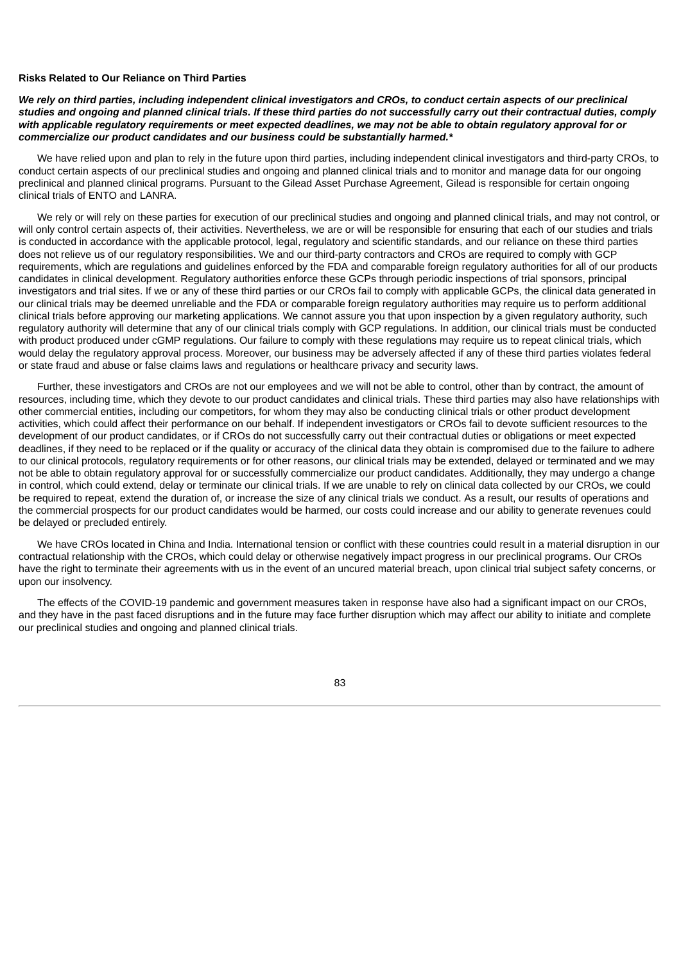## **Risks Related to Our Reliance on Third Parties**

We rely on third parties, including independent clinical investigators and CROs, to conduct certain aspects of our preclinical studies and ongoing and planned clinical trials. If these third parties do not successfully carry out their contractual duties, comply with applicable requlatory requirements or meet expected deadlines, we may not be able to obtain requlatory approval for or *commercialize our product candidates and our business could be substantially harmed.\**

We have relied upon and plan to rely in the future upon third parties, including independent clinical investigators and third-party CROs, to conduct certain aspects of our preclinical studies and ongoing and planned clinical trials and to monitor and manage data for our ongoing preclinical and planned clinical programs. Pursuant to the Gilead Asset Purchase Agreement, Gilead is responsible for certain ongoing clinical trials of ENTO and LANRA.

We rely or will rely on these parties for execution of our preclinical studies and ongoing and planned clinical trials, and may not control, or will only control certain aspects of, their activities. Nevertheless, we are or will be responsible for ensuring that each of our studies and trials is conducted in accordance with the applicable protocol, legal, regulatory and scientific standards, and our reliance on these third parties does not relieve us of our regulatory responsibilities. We and our third-party contractors and CROs are required to comply with GCP requirements, which are regulations and guidelines enforced by the FDA and comparable foreign regulatory authorities for all of our products candidates in clinical development. Regulatory authorities enforce these GCPs through periodic inspections of trial sponsors, principal investigators and trial sites. If we or any of these third parties or our CROs fail to comply with applicable GCPs, the clinical data generated in our clinical trials may be deemed unreliable and the FDA or comparable foreign regulatory authorities may require us to perform additional clinical trials before approving our marketing applications. We cannot assure you that upon inspection by a given regulatory authority, such regulatory authority will determine that any of our clinical trials comply with GCP regulations. In addition, our clinical trials must be conducted with product produced under cGMP regulations. Our failure to comply with these regulations may reguire us to repeat clinical trials, which would delay the regulatory approval process. Moreover, our business may be adversely affected if any of these third parties violates federal or state fraud and abuse or false claims laws and regulations or healthcare privacy and security laws.

Further, these investigators and CROs are not our employees and we will not be able to control, other than by contract, the amount of resources, including time, which they devote to our product candidates and clinical trials. These third parties may also have relationships with other commercial entities, including our competitors, for whom they may also be conducting clinical trials or other product development activities, which could affect their performance on our behalf. If independent investigators or CROs fail to devote sufficient resources to the development of our product candidates, or if CROs do not successfully carry out their contractual duties or obligations or meet expected deadlines, if they need to be replaced or if the quality or accuracy of the clinical data they obtain is compromised due to the failure to adhere to our clinical protocols, regulatory requirements or for other reasons, our clinical trials may be extended, delayed or terminated and we may not be able to obtain regulatory approval for or successfully commercialize our product candidates. Additionally, they may undergo a change in control, which could extend, delay or terminate our clinical trials. If we are unable to rely on clinical data collected by our CROs, we could be required to repeat, extend the duration of, or increase the size of any clinical trials we conduct. As a result, our results of operations and the commercial prospects for our product candidates would be harmed, our costs could increase and our ability to generate revenues could be delayed or precluded entirely.

We have CROs located in China and India. International tension or conflict with these countries could result in a material disruption in our contractual relationship with the CROs, which could delay or otherwise negatively impact progress in our preclinical programs. Our CROs have the right to terminate their agreements with us in the event of an uncured material breach, upon clinical trial subject safety concerns, or upon our insolvency.

The effects of the COVID-19 pandemic and government measures taken in response have also had a significant impact on our CROs, and they have in the past faced disruptions and in the future may face further disruption which may affect our ability to initiate and complete our preclinical studies and ongoing and planned clinical trials.

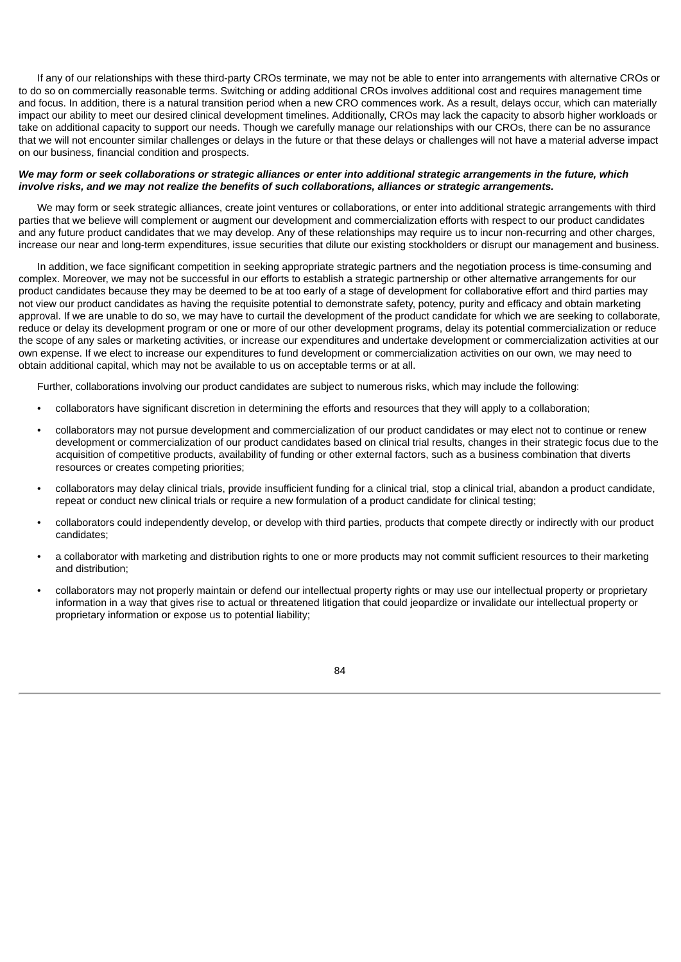If any of our relationships with these third-party CROs terminate, we may not be able to enter into arrangements with alternative CROs or to do so on commercially reasonable terms. Switching or adding additional CROs involves additional cost and requires management time and focus. In addition, there is a natural transition period when a new CRO commences work. As a result, delays occur, which can materially impact our ability to meet our desired clinical development timelines. Additionally, CROs may lack the capacity to absorb higher workloads or take on additional capacity to support our needs. Though we carefully manage our relationships with our CROs, there can be no assurance that we will not encounter similar challenges or delays in the future or that these delays or challenges will not have a material adverse impact on our business, financial condition and prospects.

## We may form or seek collaborations or strategic alliances or enter into additional strategic arrangements in the future, which *involve risks, and we may not realize the benefits of such collaborations, alliances or strategic arrangements.*

We may form or seek strategic alliances, create joint ventures or collaborations, or enter into additional strategic arrangements with third parties that we believe will complement or augment our development and commercialization efforts with respect to our product candidates and any future product candidates that we may develop. Any of these relationships may require us to incur non-recurring and other charges, increase our near and long-term expenditures, issue securities that dilute our existing stockholders or disrupt our management and business.

In addition, we face significant competition in seeking appropriate strategic partners and the negotiation process is time-consuming and complex. Moreover, we may not be successful in our efforts to establish a strategic partnership or other alternative arrangements for our product candidates because they may be deemed to be at too early of a stage of development for collaborative effort and third parties may not view our product candidates as having the requisite potential to demonstrate safety, potency, purity and efficacy and obtain marketing approval. If we are unable to do so, we may have to curtail the development of the product candidate for which we are seeking to collaborate, reduce or delay its development program or one or more of our other development programs, delay its potential commercialization or reduce the scope of any sales or marketing activities, or increase our expenditures and undertake development or commercialization activities at our own expense. If we elect to increase our expenditures to fund development or commercialization activities on our own, we may need to obtain additional capital, which may not be available to us on acceptable terms or at all.

Further, collaborations involving our product candidates are subject to numerous risks, which may include the following:

- collaborators have significant discretion in determining the efforts and resources that they will apply to a collaboration;
- collaborators may not pursue development and commercialization of our product candidates or may elect not to continue or renew development or commercialization of our product candidates based on clinical trial results, changes in their strategic focus due to the acquisition of competitive products, availability of funding or other external factors, such as a business combination that diverts resources or creates competing priorities;
- collaborators may delay clinical trials, provide insufficient funding for a clinical trial, stop a clinical trial, abandon a product candidate, repeat or conduct new clinical trials or require a new formulation of a product candidate for clinical testing;
- collaborators could independently develop, or develop with third parties, products that compete directly or indirectly with our product candidates;
- a collaborator with marketing and distribution rights to one or more products may not commit sufficient resources to their marketing and distribution;
- collaborators may not properly maintain or defend our intellectual property rights or may use our intellectual property or proprietary information in a way that gives rise to actual or threatened litigation that could jeopardize or invalidate our intellectual property or proprietary information or expose us to potential liability;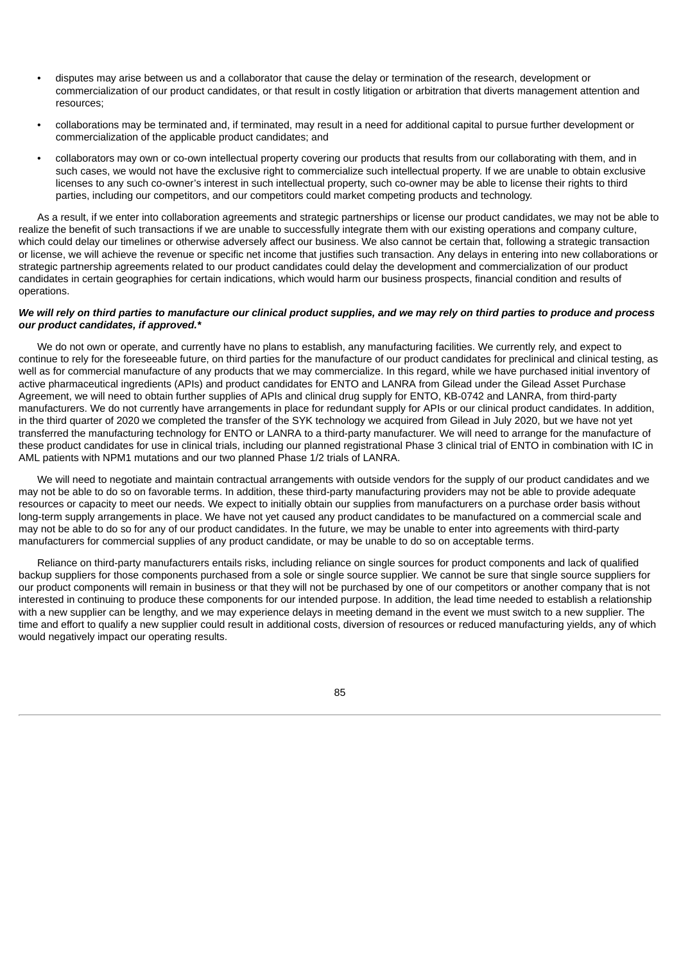- disputes may arise between us and a collaborator that cause the delay or termination of the research, development or commercialization of our product candidates, or that result in costly litigation or arbitration that diverts management attention and resources;
- collaborations may be terminated and, if terminated, may result in a need for additional capital to pursue further development or commercialization of the applicable product candidates; and
- collaborators may own or co-own intellectual property covering our products that results from our collaborating with them, and in such cases, we would not have the exclusive right to commercialize such intellectual property. If we are unable to obtain exclusive licenses to any such co-owner's interest in such intellectual property, such co-owner may be able to license their rights to third parties, including our competitors, and our competitors could market competing products and technology.

As a result, if we enter into collaboration agreements and strategic partnerships or license our product candidates, we may not be able to realize the benefit of such transactions if we are unable to successfully integrate them with our existing operations and company culture, which could delay our timelines or otherwise adversely affect our business. We also cannot be certain that, following a strategic transaction or license, we will achieve the revenue or specific net income that justifies such transaction. Any delays in entering into new collaborations or strategic partnership agreements related to our product candidates could delay the development and commercialization of our product candidates in certain geographies for certain indications, which would harm our business prospects, financial condition and results of operations.

# We will rely on third parties to manufacture our clinical product supplies, and we may rely on third parties to produce and process *our product candidates, if approved.\**

We do not own or operate, and currently have no plans to establish, any manufacturing facilities. We currently rely, and expect to continue to rely for the foreseeable future, on third parties for the manufacture of our product candidates for preclinical and clinical testing, as well as for commercial manufacture of any products that we may commercialize. In this regard, while we have purchased initial inventory of active pharmaceutical ingredients (APIs) and product candidates for ENTO and LANRA from Gilead under the Gilead Asset Purchase Agreement, we will need to obtain further supplies of APIs and clinical drug supply for ENTO, KB-0742 and LANRA, from third-party manufacturers. We do not currently have arrangements in place for redundant supply for APIs or our clinical product candidates. In addition, in the third quarter of 2020 we completed the transfer of the SYK technology we acquired from Gilead in July 2020, but we have not yet transferred the manufacturing technology for ENTO or LANRA to a third-party manufacturer. We will need to arrange for the manufacture of these product candidates for use in clinical trials, including our planned registrational Phase 3 clinical trial of ENTO in combination with IC in AML patients with NPM1 mutations and our two planned Phase 1/2 trials of LANRA.

We will need to negotiate and maintain contractual arrangements with outside vendors for the supply of our product candidates and we may not be able to do so on favorable terms. In addition, these third-party manufacturing providers may not be able to provide adequate resources or capacity to meet our needs. We expect to initially obtain our supplies from manufacturers on a purchase order basis without long-term supply arrangements in place. We have not yet caused any product candidates to be manufactured on a commercial scale and may not be able to do so for any of our product candidates. In the future, we may be unable to enter into agreements with third-party manufacturers for commercial supplies of any product candidate, or may be unable to do so on acceptable terms.

Reliance on third-party manufacturers entails risks, including reliance on single sources for product components and lack of qualified backup suppliers for those components purchased from a sole or single source supplier. We cannot be sure that single source suppliers for our product components will remain in business or that they will not be purchased by one of our competitors or another company that is not interested in continuing to produce these components for our intended purpose. In addition, the lead time needed to establish a relationship with a new supplier can be lengthy, and we may experience delays in meeting demand in the event we must switch to a new supplier. The time and effort to qualify a new supplier could result in additional costs, diversion of resources or reduced manufacturing yields, any of which would negatively impact our operating results.

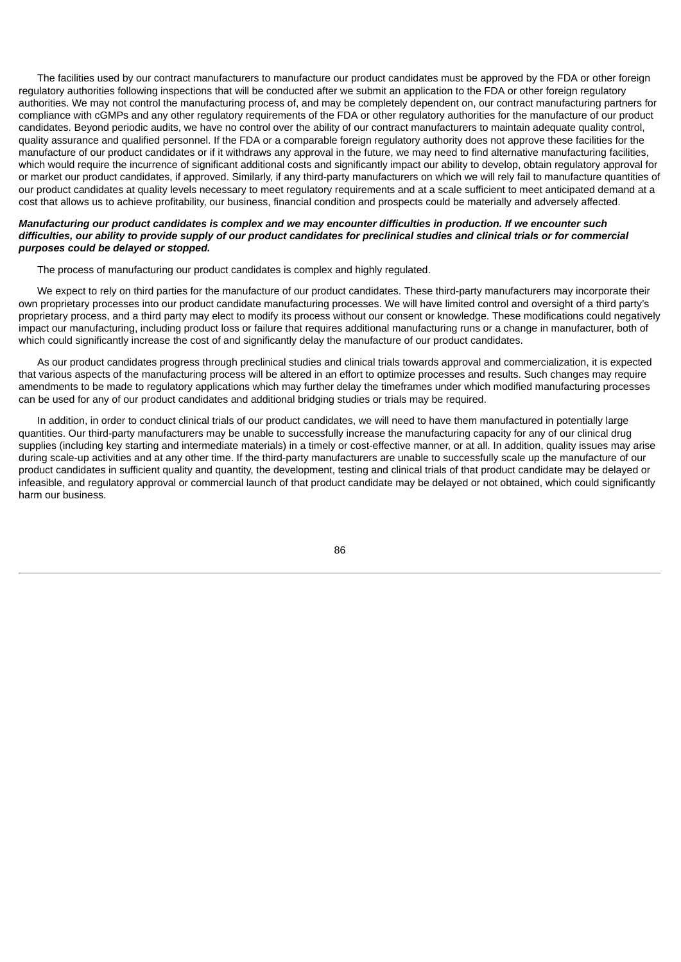The facilities used by our contract manufacturers to manufacture our product candidates must be approved by the FDA or other foreign regulatory authorities following inspections that will be conducted after we submit an application to the FDA or other foreign regulatory authorities. We may not control the manufacturing process of, and may be completely dependent on, our contract manufacturing partners for compliance with cGMPs and any other regulatory requirements of the FDA or other regulatory authorities for the manufacture of our product candidates. Beyond periodic audits, we have no control over the ability of our contract manufacturers to maintain adequate quality control, quality assurance and qualified personnel. If the FDA or a comparable foreign regulatory authority does not approve these facilities for the manufacture of our product candidates or if it withdraws any approval in the future, we may need to find alternative manufacturing facilities, which would require the incurrence of significant additional costs and significantly impact our ability to develop, obtain regulatory approval for or market our product candidates, if approved. Similarly, if any third-party manufacturers on which we will rely fail to manufacture quantities of our product candidates at quality levels necessary to meet regulatory requirements and at a scale sufficient to meet anticipated demand at a cost that allows us to achieve profitability, our business, financial condition and prospects could be materially and adversely affected.

## Manufacturing our product candidates is complex and we may encounter difficulties in production. If we encounter such difficulties, our ability to provide supply of our product candidates for preclinical studies and clinical trials or for commercial *purposes could be delayed or stopped.*

The process of manufacturing our product candidates is complex and highly regulated.

We expect to rely on third parties for the manufacture of our product candidates. These third-party manufacturers may incorporate their own proprietary processes into our product candidate manufacturing processes. We will have limited control and oversight of a third party's proprietary process, and a third party may elect to modify its process without our consent or knowledge. These modifications could negatively impact our manufacturing, including product loss or failure that requires additional manufacturing runs or a change in manufacturer, both of which could significantly increase the cost of and significantly delay the manufacture of our product candidates.

As our product candidates progress through preclinical studies and clinical trials towards approval and commercialization, it is expected that various aspects of the manufacturing process will be altered in an effort to optimize processes and results. Such changes may require amendments to be made to regulatory applications which may further delay the timeframes under which modified manufacturing processes can be used for any of our product candidates and additional bridging studies or trials may be required.

In addition, in order to conduct clinical trials of our product candidates, we will need to have them manufactured in potentially large quantities. Our third-party manufacturers may be unable to successfully increase the manufacturing capacity for any of our clinical drug supplies (including key starting and intermediate materials) in a timely or cost-effective manner, or at all. In addition, quality issues may arise during scale-up activities and at any other time. If the third-party manufacturers are unable to successfully scale up the manufacture of our product candidates in sufficient quality and quantity, the development, testing and clinical trials of that product candidate may be delayed or infeasible, and regulatory approval or commercial launch of that product candidate may be delayed or not obtained, which could significantly harm our business.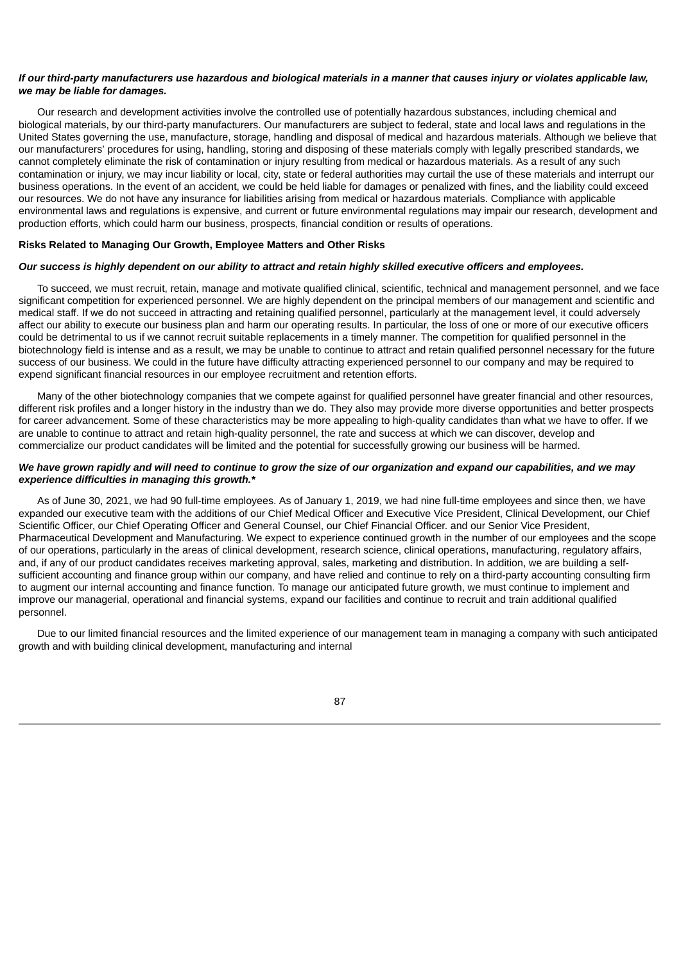## If our third-party manufacturers use hazardous and biological materials in a manner that causes injury or violates applicable law, *we may be liable for damages.*

Our research and development activities involve the controlled use of potentially hazardous substances, including chemical and biological materials, by our third-party manufacturers. Our manufacturers are subject to federal, state and local laws and regulations in the United States governing the use, manufacture, storage, handling and disposal of medical and hazardous materials. Although we believe that our manufacturers' procedures for using, handling, storing and disposing of these materials comply with legally prescribed standards, we cannot completely eliminate the risk of contamination or injury resulting from medical or hazardous materials. As a result of any such contamination or injury, we may incur liability or local, city, state or federal authorities may curtail the use of these materials and interrupt our business operations. In the event of an accident, we could be held liable for damages or penalized with fines, and the liability could exceed our resources. We do not have any insurance for liabilities arising from medical or hazardous materials. Compliance with applicable environmental laws and regulations is expensive, and current or future environmental regulations may impair our research, development and production efforts, which could harm our business, prospects, financial condition or results of operations.

## **Risks Related to Managing Our Growth, Employee Matters and Other Risks**

#### Our success is highly dependent on our ability to attract and retain highly skilled executive officers and employees.

To succeed, we must recruit, retain, manage and motivate qualified clinical, scientific, technical and management personnel, and we face significant competition for experienced personnel. We are highly dependent on the principal members of our management and scientific and medical staff. If we do not succeed in attracting and retaining qualified personnel, particularly at the management level, it could adversely affect our ability to execute our business plan and harm our operating results. In particular, the loss of one or more of our executive officers could be detrimental to us if we cannot recruit suitable replacements in a timely manner. The competition for qualified personnel in the biotechnology field is intense and as a result, we may be unable to continue to attract and retain qualified personnel necessary for the future success of our business. We could in the future have difficulty attracting experienced personnel to our company and may be required to expend significant financial resources in our employee recruitment and retention efforts.

Many of the other biotechnology companies that we compete against for qualified personnel have greater financial and other resources, different risk profiles and a longer history in the industry than we do. They also may provide more diverse opportunities and better prospects for career advancement. Some of these characteristics may be more appealing to high-quality candidates than what we have to offer. If we are unable to continue to attract and retain high-quality personnel, the rate and success at which we can discover, develop and commercialize our product candidates will be limited and the potential for successfully growing our business will be harmed.

## We have grown rapidly and will need to continue to grow the size of our organization and expand our capabilities, and we may *experience difficulties in managing this growth.\**

As of June 30, 2021, we had 90 full-time employees. As of January 1, 2019, we had nine full-time employees and since then, we have expanded our executive team with the additions of our Chief Medical Officer and Executive Vice President, Clinical Development, our Chief Scientific Officer, our Chief Operating Officer and General Counsel, our Chief Financial Officer. and our Senior Vice President, Pharmaceutical Development and Manufacturing. We expect to experience continued growth in the number of our employees and the scope of our operations, particularly in the areas of clinical development, research science, clinical operations, manufacturing, regulatory affairs, and, if any of our product candidates receives marketing approval, sales, marketing and distribution. In addition, we are building a selfsufficient accounting and finance group within our company, and have relied and continue to rely on a third-party accounting consulting firm to augment our internal accounting and finance function. To manage our anticipated future growth, we must continue to implement and improve our managerial, operational and financial systems, expand our facilities and continue to recruit and train additional qualified personnel.

Due to our limited financial resources and the limited experience of our management team in managing a company with such anticipated growth and with building clinical development, manufacturing and internal

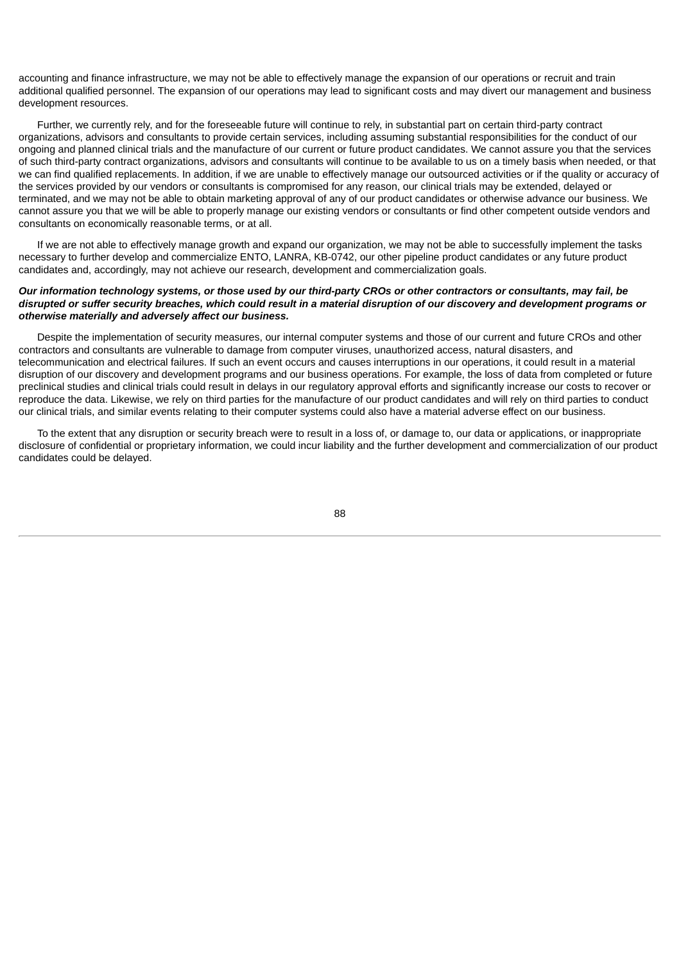accounting and finance infrastructure, we may not be able to effectively manage the expansion of our operations or recruit and train additional qualified personnel. The expansion of our operations may lead to significant costs and may divert our management and business development resources.

Further, we currently rely, and for the foreseeable future will continue to rely, in substantial part on certain third-party contract organizations, advisors and consultants to provide certain services, including assuming substantial responsibilities for the conduct of our ongoing and planned clinical trials and the manufacture of our current or future product candidates. We cannot assure you that the services of such third-party contract organizations, advisors and consultants will continue to be available to us on a timely basis when needed, or that we can find qualified replacements. In addition, if we are unable to effectively manage our outsourced activities or if the quality or accuracy of the services provided by our vendors or consultants is compromised for any reason, our clinical trials may be extended, delayed or terminated, and we may not be able to obtain marketing approval of any of our product candidates or otherwise advance our business. We cannot assure you that we will be able to properly manage our existing vendors or consultants or find other competent outside vendors and consultants on economically reasonable terms, or at all.

If we are not able to effectively manage growth and expand our organization, we may not be able to successfully implement the tasks necessary to further develop and commercialize ENTO, LANRA, KB-0742, our other pipeline product candidates or any future product candidates and, accordingly, may not achieve our research, development and commercialization goals.

## Our information technology systems, or those used by our third-party CROs or other contractors or consultants, may fail, be disrupted or suffer security breaches, which could result in a material disruption of our discovery and development programs or *otherwise materially and adversely affect our business.*

Despite the implementation of security measures, our internal computer systems and those of our current and future CROs and other contractors and consultants are vulnerable to damage from computer viruses, unauthorized access, natural disasters, and telecommunication and electrical failures. If such an event occurs and causes interruptions in our operations, it could result in a material disruption of our discovery and development programs and our business operations. For example, the loss of data from completed or future preclinical studies and clinical trials could result in delays in our regulatory approval efforts and significantly increase our costs to recover or reproduce the data. Likewise, we rely on third parties for the manufacture of our product candidates and will rely on third parties to conduct our clinical trials, and similar events relating to their computer systems could also have a material adverse effect on our business.

To the extent that any disruption or security breach were to result in a loss of, or damage to, our data or applications, or inappropriate disclosure of confidential or proprietary information, we could incur liability and the further development and commercialization of our product candidates could be delayed.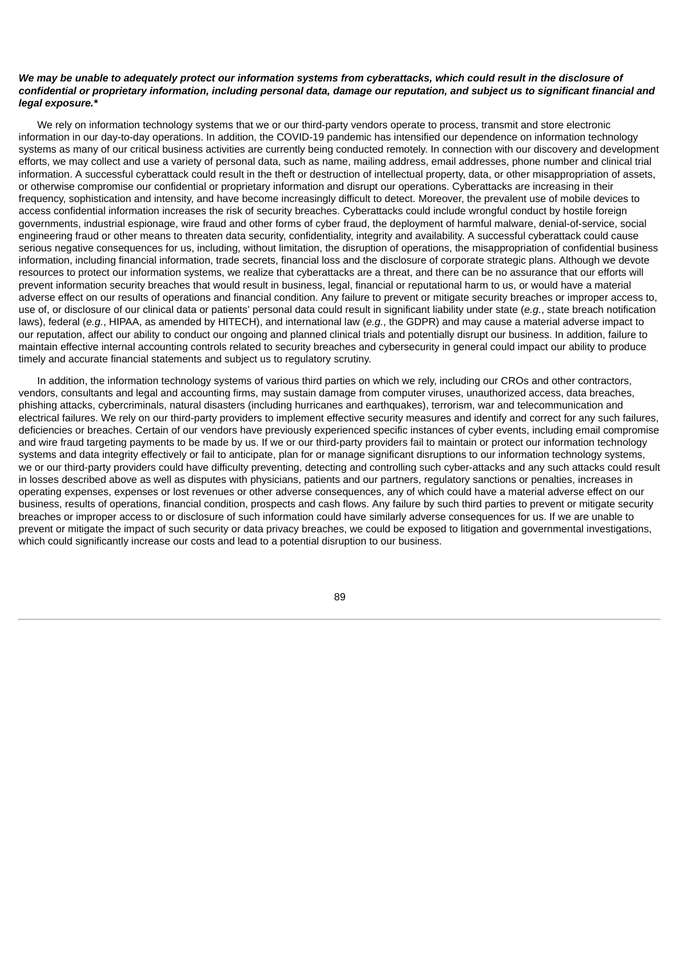#### We may be unable to adequately protect our information systems from cyberattacks, which could result in the disclosure of confidential or proprietary information, including personal data, damage our reputation, and subject us to significant financial and *legal exposure.\**

We rely on information technology systems that we or our third-party vendors operate to process, transmit and store electronic information in our day-to-day operations. In addition, the COVID-19 pandemic has intensified our dependence on information technology systems as many of our critical business activities are currently being conducted remotely. In connection with our discovery and development efforts, we may collect and use a variety of personal data, such as name, mailing address, email addresses, phone number and clinical trial information. A successful cyberattack could result in the theft or destruction of intellectual property, data, or other misappropriation of assets, or otherwise compromise our confidential or proprietary information and disrupt our operations. Cyberattacks are increasing in their frequency, sophistication and intensity, and have become increasingly difficult to detect. Moreover, the prevalent use of mobile devices to access confidential information increases the risk of security breaches. Cyberattacks could include wrongful conduct by hostile foreign governments, industrial espionage, wire fraud and other forms of cyber fraud, the deployment of harmful malware, denial-of-service, social engineering fraud or other means to threaten data security, confidentiality, integrity and availability. A successful cyberattack could cause serious negative consequences for us, including, without limitation, the disruption of operations, the misappropriation of confidential business information, including financial information, trade secrets, financial loss and the disclosure of corporate strategic plans. Although we devote resources to protect our information systems, we realize that cyberattacks are a threat, and there can be no assurance that our efforts will prevent information security breaches that would result in business, legal, financial or reputational harm to us, or would have a material adverse effect on our results of operations and financial condition. Any failure to prevent or mitigate security breaches or improper access to, use of, or disclosure of our clinical data or patients' personal data could result in significant liability under state (*e.g.*, state breach notification laws), federal (*e.g.*, HIPAA, as amended by HITECH), and international law (*e.g.*, the GDPR) and may cause a material adverse impact to our reputation, affect our ability to conduct our ongoing and planned clinical trials and potentially disrupt our business. In addition, failure to maintain effective internal accounting controls related to security breaches and cybersecurity in general could impact our ability to produce timely and accurate financial statements and subject us to regulatory scrutiny.

In addition, the information technology systems of various third parties on which we rely, including our CROs and other contractors, vendors, consultants and legal and accounting firms, may sustain damage from computer viruses, unauthorized access, data breaches, phishing attacks, cybercriminals, natural disasters (including hurricanes and earthquakes), terrorism, war and telecommunication and electrical failures. We rely on our third-party providers to implement effective security measures and identify and correct for any such failures, deficiencies or breaches. Certain of our vendors have previously experienced specific instances of cyber events, including email compromise and wire fraud targeting payments to be made by us. If we or our third-party providers fail to maintain or protect our information technology systems and data integrity effectively or fail to anticipate, plan for or manage significant disruptions to our information technology systems, we or our third-party providers could have difficulty preventing, detecting and controlling such cyber-attacks and any such attacks could result in losses described above as well as disputes with physicians, patients and our partners, regulatory sanctions or penalties, increases in operating expenses, expenses or lost revenues or other adverse consequences, any of which could have a material adverse effect on our business, results of operations, financial condition, prospects and cash flows. Any failure by such third parties to prevent or mitigate security breaches or improper access to or disclosure of such information could have similarly adverse consequences for us. If we are unable to prevent or mitigate the impact of such security or data privacy breaches, we could be exposed to litigation and governmental investigations, which could significantly increase our costs and lead to a potential disruption to our business.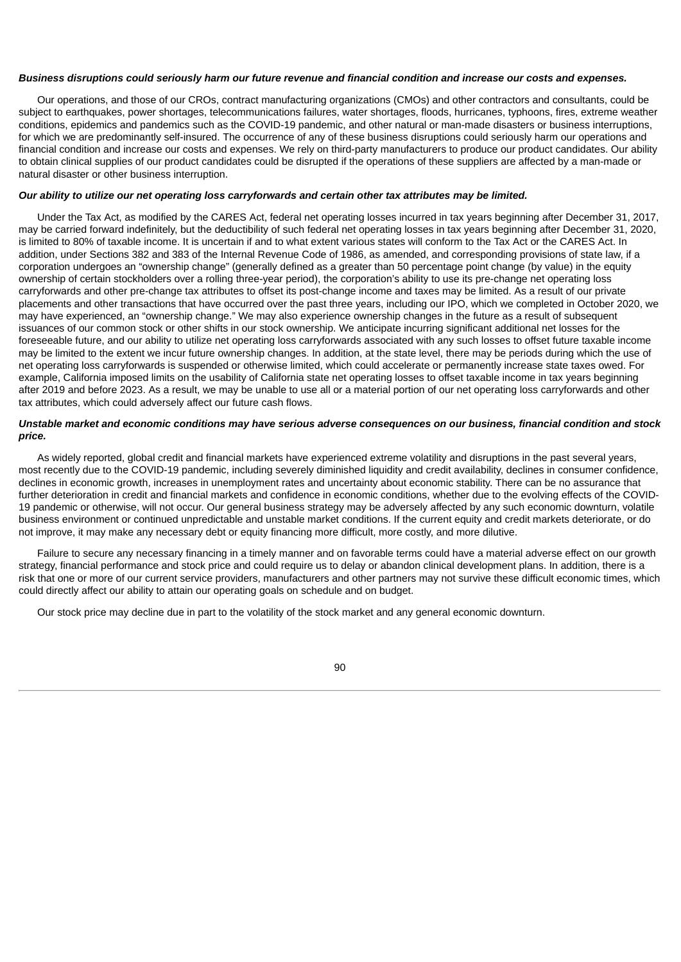#### Business disruptions could seriously harm our future revenue and financial condition and increase our costs and expenses.

Our operations, and those of our CROs, contract manufacturing organizations (CMOs) and other contractors and consultants, could be subject to earthquakes, power shortages, telecommunications failures, water shortages, floods, hurricanes, typhoons, fires, extreme weather conditions, epidemics and pandemics such as the COVID-19 pandemic, and other natural or man-made disasters or business interruptions, for which we are predominantly self-insured. The occurrence of any of these business disruptions could seriously harm our operations and financial condition and increase our costs and expenses. We rely on third-party manufacturers to produce our product candidates. Our ability to obtain clinical supplies of our product candidates could be disrupted if the operations of these suppliers are affected by a man-made or natural disaster or other business interruption.

## Our ability to utilize our net operating loss carryforwards and certain other tax attributes may be limited.

Under the Tax Act, as modified by the CARES Act, federal net operating losses incurred in tax years beginning after December 31, 2017, may be carried forward indefinitely, but the deductibility of such federal net operating losses in tax years beginning after December 31, 2020, is limited to 80% of taxable income. It is uncertain if and to what extent various states will conform to the Tax Act or the CARES Act. In addition, under Sections 382 and 383 of the Internal Revenue Code of 1986, as amended, and corresponding provisions of state law, if a corporation undergoes an "ownership change" (generally defined as a greater than 50 percentage point change (by value) in the equity ownership of certain stockholders over a rolling three-year period), the corporation's ability to use its pre-change net operating loss carryforwards and other pre-change tax attributes to offset its post-change income and taxes may be limited. As a result of our private placements and other transactions that have occurred over the past three years, including our IPO, which we completed in October 2020, we may have experienced, an "ownership change." We may also experience ownership changes in the future as a result of subsequent issuances of our common stock or other shifts in our stock ownership. We anticipate incurring significant additional net losses for the foreseeable future, and our ability to utilize net operating loss carryforwards associated with any such losses to offset future taxable income may be limited to the extent we incur future ownership changes. In addition, at the state level, there may be periods during which the use of net operating loss carryforwards is suspended or otherwise limited, which could accelerate or permanently increase state taxes owed. For example, California imposed limits on the usability of California state net operating losses to offset taxable income in tax years beginning after 2019 and before 2023. As a result, we may be unable to use all or a material portion of our net operating loss carryforwards and other tax attributes, which could adversely affect our future cash flows.

## Unstable market and economic conditions may have serious adverse consequences on our business, financial condition and stock *price.*

As widely reported, global credit and financial markets have experienced extreme volatility and disruptions in the past several years, most recently due to the COVID-19 pandemic, including severely diminished liquidity and credit availability, declines in consumer confidence, declines in economic growth, increases in unemployment rates and uncertainty about economic stability. There can be no assurance that further deterioration in credit and financial markets and confidence in economic conditions, whether due to the evolving effects of the COVID-19 pandemic or otherwise, will not occur. Our general business strategy may be adversely affected by any such economic downturn, volatile business environment or continued unpredictable and unstable market conditions. If the current equity and credit markets deteriorate, or do not improve, it may make any necessary debt or equity financing more difficult, more costly, and more dilutive.

Failure to secure any necessary financing in a timely manner and on favorable terms could have a material adverse effect on our growth strategy, financial performance and stock price and could require us to delay or abandon clinical development plans. In addition, there is a risk that one or more of our current service providers, manufacturers and other partners may not survive these difficult economic times, which could directly affect our ability to attain our operating goals on schedule and on budget.

Our stock price may decline due in part to the volatility of the stock market and any general economic downturn.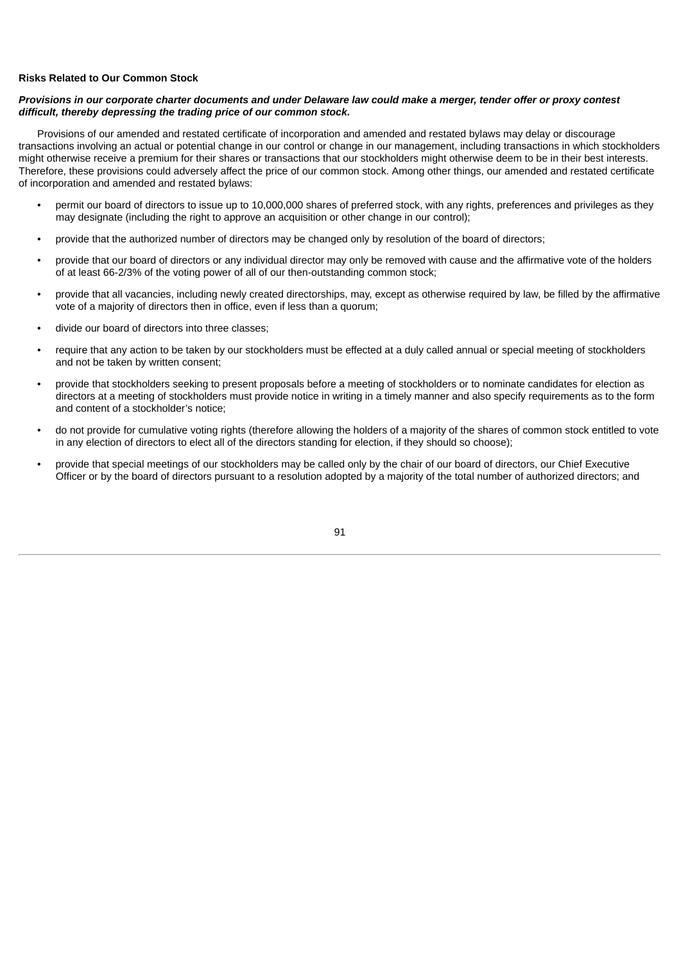### **Risks Related to Our Common Stock**

## Provisions in our corporate charter documents and under Delaware law could make a merger, tender offer or proxy contest *difficult, thereby depressing the trading price of our common stock.*

Provisions of our amended and restated certificate of incorporation and amended and restated bylaws may delay or discourage transactions involving an actual or potential change in our control or change in our management, including transactions in which stockholders might otherwise receive a premium for their shares or transactions that our stockholders might otherwise deem to be in their best interests. Therefore, these provisions could adversely affect the price of our common stock. Among other things, our amended and restated certificate of incorporation and amended and restated bylaws:

- permit our board of directors to issue up to 10,000,000 shares of preferred stock, with any rights, preferences and privileges as they may designate (including the right to approve an acquisition or other change in our control);
- provide that the authorized number of directors may be changed only by resolution of the board of directors;
- provide that our board of directors or any individual director may only be removed with cause and the affirmative vote of the holders of at least 66-2/3% of the voting power of all of our then-outstanding common stock;
- provide that all vacancies, including newly created directorships, may, except as otherwise required by law, be filled by the affirmative vote of a majority of directors then in office, even if less than a quorum;
- divide our board of directors into three classes;
- require that any action to be taken by our stockholders must be effected at a duly called annual or special meeting of stockholders and not be taken by written consent;
- provide that stockholders seeking to present proposals before a meeting of stockholders or to nominate candidates for election as directors at a meeting of stockholders must provide notice in writing in a timely manner and also specify requirements as to the form and content of a stockholder's notice;
- do not provide for cumulative voting rights (therefore allowing the holders of a majority of the shares of common stock entitled to vote in any election of directors to elect all of the directors standing for election, if they should so choose);
- provide that special meetings of our stockholders may be called only by the chair of our board of directors, our Chief Executive Officer or by the board of directors pursuant to a resolution adopted by a majority of the total number of authorized directors; and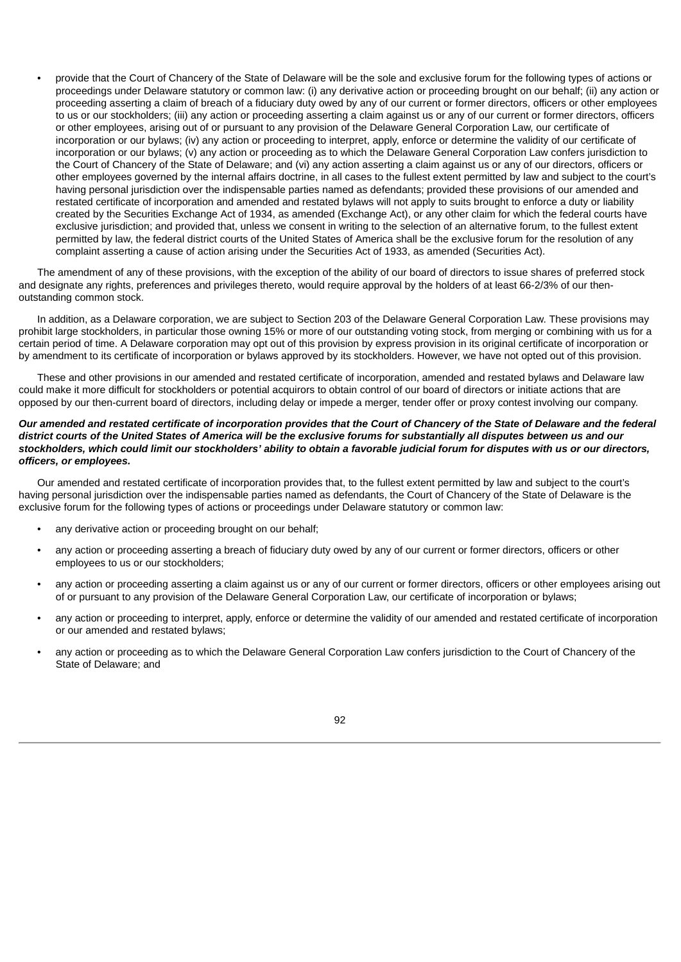• provide that the Court of Chancery of the State of Delaware will be the sole and exclusive forum for the following types of actions or proceedings under Delaware statutory or common law: (i) any derivative action or proceeding brought on our behalf; (ii) any action or proceeding asserting a claim of breach of a fiduciary duty owed by any of our current or former directors, officers or other employees to us or our stockholders; (iii) any action or proceeding asserting a claim against us or any of our current or former directors, officers or other employees, arising out of or pursuant to any provision of the Delaware General Corporation Law, our certificate of incorporation or our bylaws; (iv) any action or proceeding to interpret, apply, enforce or determine the validity of our certificate of incorporation or our bylaws; (v) any action or proceeding as to which the Delaware General Corporation Law confers jurisdiction to the Court of Chancery of the State of Delaware; and (vi) any action asserting a claim against us or any of our directors, officers or other employees governed by the internal affairs doctrine, in all cases to the fullest extent permitted by law and subject to the court's having personal jurisdiction over the indispensable parties named as defendants; provided these provisions of our amended and restated certificate of incorporation and amended and restated bylaws will not apply to suits brought to enforce a duty or liability created by the Securities Exchange Act of 1934, as amended (Exchange Act), or any other claim for which the federal courts have exclusive jurisdiction; and provided that, unless we consent in writing to the selection of an alternative forum, to the fullest extent permitted by law, the federal district courts of the United States of America shall be the exclusive forum for the resolution of any complaint asserting a cause of action arising under the Securities Act of 1933, as amended (Securities Act).

The amendment of any of these provisions, with the exception of the ability of our board of directors to issue shares of preferred stock and designate any rights, preferences and privileges thereto, would require approval by the holders of at least 66-2/3% of our thenoutstanding common stock.

In addition, as a Delaware corporation, we are subject to Section 203 of the Delaware General Corporation Law. These provisions may prohibit large stockholders, in particular those owning 15% or more of our outstanding voting stock, from merging or combining with us for a certain period of time. A Delaware corporation may opt out of this provision by express provision in its original certificate of incorporation or by amendment to its certificate of incorporation or bylaws approved by its stockholders. However, we have not opted out of this provision.

These and other provisions in our amended and restated certificate of incorporation, amended and restated bylaws and Delaware law could make it more difficult for stockholders or potential acquirors to obtain control of our board of directors or initiate actions that are opposed by our then-current board of directors, including delay or impede a merger, tender offer or proxy contest involving our company.

## Our amended and restated certificate of incorporation provides that the Court of Chancery of the State of Delaware and the federal district courts of the United States of America will be the exclusive forums for substantially all disputes between us and our stockholders, which could limit our stockholders' ability to obtain a favorable judicial forum for disputes with us or our directors, *officers, or employees.*

Our amended and restated certificate of incorporation provides that, to the fullest extent permitted by law and subject to the court's having personal jurisdiction over the indispensable parties named as defendants, the Court of Chancery of the State of Delaware is the exclusive forum for the following types of actions or proceedings under Delaware statutory or common law:

- any derivative action or proceeding brought on our behalf;
- any action or proceeding asserting a breach of fiduciary duty owed by any of our current or former directors, officers or other employees to us or our stockholders;
- any action or proceeding asserting a claim against us or any of our current or former directors, officers or other employees arising out of or pursuant to any provision of the Delaware General Corporation Law, our certificate of incorporation or bylaws;
- any action or proceeding to interpret, apply, enforce or determine the validity of our amended and restated certificate of incorporation or our amended and restated bylaws;
- any action or proceeding as to which the Delaware General Corporation Law confers jurisdiction to the Court of Chancery of the State of Delaware; and

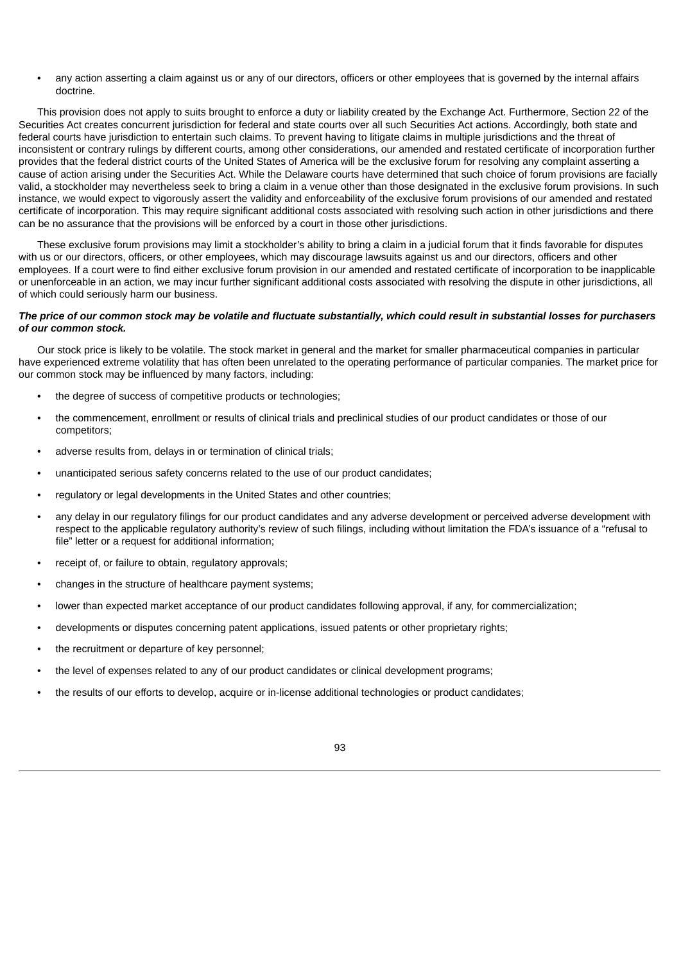• any action asserting a claim against us or any of our directors, officers or other employees that is governed by the internal affairs doctrine.

This provision does not apply to suits brought to enforce a duty or liability created by the Exchange Act. Furthermore, Section 22 of the Securities Act creates concurrent jurisdiction for federal and state courts over all such Securities Act actions. Accordingly, both state and federal courts have jurisdiction to entertain such claims. To prevent having to litigate claims in multiple jurisdictions and the threat of inconsistent or contrary rulings by different courts, among other considerations, our amended and restated certificate of incorporation further provides that the federal district courts of the United States of America will be the exclusive forum for resolving any complaint asserting a cause of action arising under the Securities Act. While the Delaware courts have determined that such choice of forum provisions are facially valid, a stockholder may nevertheless seek to bring a claim in a venue other than those designated in the exclusive forum provisions. In such instance, we would expect to vigorously assert the validity and enforceability of the exclusive forum provisions of our amended and restated certificate of incorporation. This may require significant additional costs associated with resolving such action in other jurisdictions and there can be no assurance that the provisions will be enforced by a court in those other jurisdictions.

These exclusive forum provisions may limit a stockholder's ability to bring a claim in a judicial forum that it finds favorable for disputes with us or our directors, officers, or other employees, which may discourage lawsuits against us and our directors, officers and other employees. If a court were to find either exclusive forum provision in our amended and restated certificate of incorporation to be inapplicable or unenforceable in an action, we may incur further significant additional costs associated with resolving the dispute in other jurisdictions, all of which could seriously harm our business.

## The price of our common stock may be volatile and fluctuate substantially, which could result in substantial losses for purchasers *of our common stock.*

Our stock price is likely to be volatile. The stock market in general and the market for smaller pharmaceutical companies in particular have experienced extreme volatility that has often been unrelated to the operating performance of particular companies. The market price for our common stock may be influenced by many factors, including:

- the degree of success of competitive products or technologies;
- the commencement, enrollment or results of clinical trials and preclinical studies of our product candidates or those of our competitors;
- adverse results from, delays in or termination of clinical trials;
- unanticipated serious safety concerns related to the use of our product candidates;
- regulatory or legal developments in the United States and other countries;
- any delay in our regulatory filings for our product candidates and any adverse development or perceived adverse development with respect to the applicable regulatory authority's review of such filings, including without limitation the FDA's issuance of a "refusal to file" letter or a request for additional information;
- receipt of, or failure to obtain, regulatory approvals;
- changes in the structure of healthcare payment systems;
- lower than expected market acceptance of our product candidates following approval, if any, for commercialization;
- developments or disputes concerning patent applications, issued patents or other proprietary rights;
- the recruitment or departure of key personnel;
- the level of expenses related to any of our product candidates or clinical development programs;
- the results of our efforts to develop, acquire or in-license additional technologies or product candidates;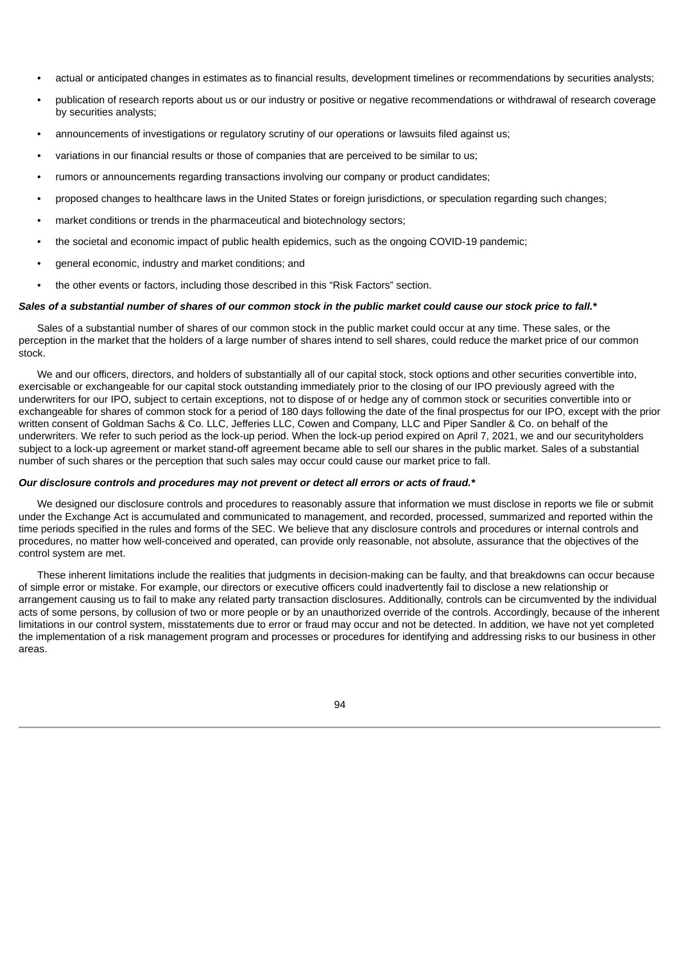- actual or anticipated changes in estimates as to financial results, development timelines or recommendations by securities analysts;
- publication of research reports about us or our industry or positive or negative recommendations or withdrawal of research coverage by securities analysts;
- announcements of investigations or regulatory scrutiny of our operations or lawsuits filed against us;
- variations in our financial results or those of companies that are perceived to be similar to us;
- rumors or announcements regarding transactions involving our company or product candidates;
- proposed changes to healthcare laws in the United States or foreign jurisdictions, or speculation regarding such changes;
- market conditions or trends in the pharmaceutical and biotechnology sectors;
- the societal and economic impact of public health epidemics, such as the ongoing COVID-19 pandemic;
- general economic, industry and market conditions; and
- the other events or factors, including those described in this "Risk Factors" section.

#### Sales of a substantial number of shares of our common stock in the public market could cause our stock price to fall.\*

Sales of a substantial number of shares of our common stock in the public market could occur at any time. These sales, or the perception in the market that the holders of a large number of shares intend to sell shares, could reduce the market price of our common stock.

We and our officers, directors, and holders of substantially all of our capital stock, stock options and other securities convertible into, exercisable or exchangeable for our capital stock outstanding immediately prior to the closing of our IPO previously agreed with the underwriters for our IPO, subject to certain exceptions, not to dispose of or hedge any of common stock or securities convertible into or exchangeable for shares of common stock for a period of 180 days following the date of the final prospectus for our IPO, except with the prior written consent of Goldman Sachs & Co. LLC, Jefferies LLC, Cowen and Company, LLC and Piper Sandler & Co. on behalf of the underwriters. We refer to such period as the lock-up period. When the lock-up period expired on April 7, 2021, we and our securityholders subject to a lock-up agreement or market stand-off agreement became able to sell our shares in the public market. Sales of a substantial number of such shares or the perception that such sales may occur could cause our market price to fall.

#### *Our disclosure controls and procedures may not prevent or detect all errors or acts of fraud.\**

We designed our disclosure controls and procedures to reasonably assure that information we must disclose in reports we file or submit under the Exchange Act is accumulated and communicated to management, and recorded, processed, summarized and reported within the time periods specified in the rules and forms of the SEC. We believe that any disclosure controls and procedures or internal controls and procedures, no matter how well-conceived and operated, can provide only reasonable, not absolute, assurance that the objectives of the control system are met.

These inherent limitations include the realities that judgments in decision-making can be faulty, and that breakdowns can occur because of simple error or mistake. For example, our directors or executive officers could inadvertently fail to disclose a new relationship or arrangement causing us to fail to make any related party transaction disclosures. Additionally, controls can be circumvented by the individual acts of some persons, by collusion of two or more people or by an unauthorized override of the controls. Accordingly, because of the inherent limitations in our control system, misstatements due to error or fraud may occur and not be detected. In addition, we have not yet completed the implementation of a risk management program and processes or procedures for identifying and addressing risks to our business in other areas.

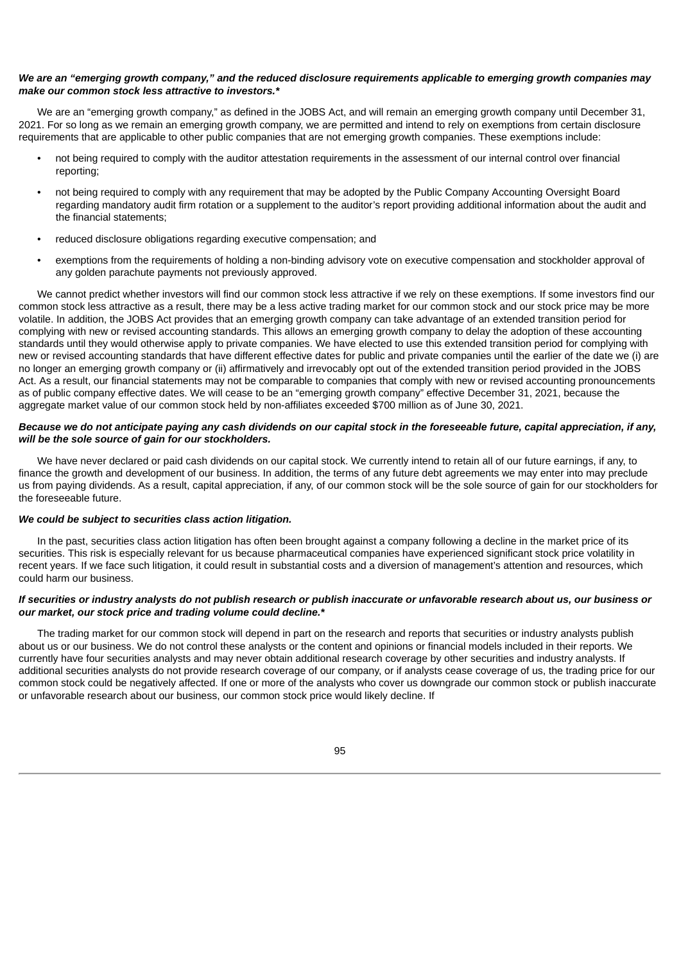## We are an "emerging growth company," and the reduced disclosure requirements applicable to emerging growth companies may *make our common stock less attractive to investors.\**

We are an "emerging growth company," as defined in the JOBS Act, and will remain an emerging growth company until December 31, 2021. For so long as we remain an emerging growth company, we are permitted and intend to rely on exemptions from certain disclosure requirements that are applicable to other public companies that are not emerging growth companies. These exemptions include:

- not being required to comply with the auditor attestation requirements in the assessment of our internal control over financial reporting;
- not being required to comply with any requirement that may be adopted by the Public Company Accounting Oversight Board regarding mandatory audit firm rotation or a supplement to the auditor's report providing additional information about the audit and the financial statements;
- reduced disclosure obligations regarding executive compensation; and
- exemptions from the requirements of holding a non-binding advisory vote on executive compensation and stockholder approval of any golden parachute payments not previously approved.

We cannot predict whether investors will find our common stock less attractive if we rely on these exemptions. If some investors find our common stock less attractive as a result, there may be a less active trading market for our common stock and our stock price may be more volatile. In addition, the JOBS Act provides that an emerging growth company can take advantage of an extended transition period for complying with new or revised accounting standards. This allows an emerging growth company to delay the adoption of these accounting standards until they would otherwise apply to private companies. We have elected to use this extended transition period for complying with new or revised accounting standards that have different effective dates for public and private companies until the earlier of the date we (i) are no longer an emerging growth company or (ii) affirmatively and irrevocably opt out of the extended transition period provided in the JOBS Act. As a result, our financial statements may not be comparable to companies that comply with new or revised accounting pronouncements as of public company effective dates. We will cease to be an "emerging growth company" effective December 31, 2021, because the aggregate market value of our common stock held by non-affiliates exceeded \$700 million as of June 30, 2021.

## Because we do not anticipate paying any cash dividends on our capital stock in the foreseeable future, capital appreciation, if any, *will be the sole source of gain for our stockholders.*

We have never declared or paid cash dividends on our capital stock. We currently intend to retain all of our future earnings, if any, to finance the growth and development of our business. In addition, the terms of any future debt agreements we may enter into may preclude us from paying dividends. As a result, capital appreciation, if any, of our common stock will be the sole source of gain for our stockholders for the foreseeable future.

# *We could be subject to securities class action litigation.*

In the past, securities class action litigation has often been brought against a company following a decline in the market price of its securities. This risk is especially relevant for us because pharmaceutical companies have experienced significant stock price volatility in recent years. If we face such litigation, it could result in substantial costs and a diversion of management's attention and resources, which could harm our business.

## If securities or industry analysts do not publish research or publish inaccurate or unfavorable research about us, our business or *our market, our stock price and trading volume could decline.\**

The trading market for our common stock will depend in part on the research and reports that securities or industry analysts publish about us or our business. We do not control these analysts or the content and opinions or financial models included in their reports. We currently have four securities analysts and may never obtain additional research coverage by other securities and industry analysts. If additional securities analysts do not provide research coverage of our company, or if analysts cease coverage of us, the trading price for our common stock could be negatively affected. If one or more of the analysts who cover us downgrade our common stock or publish inaccurate or unfavorable research about our business, our common stock price would likely decline. If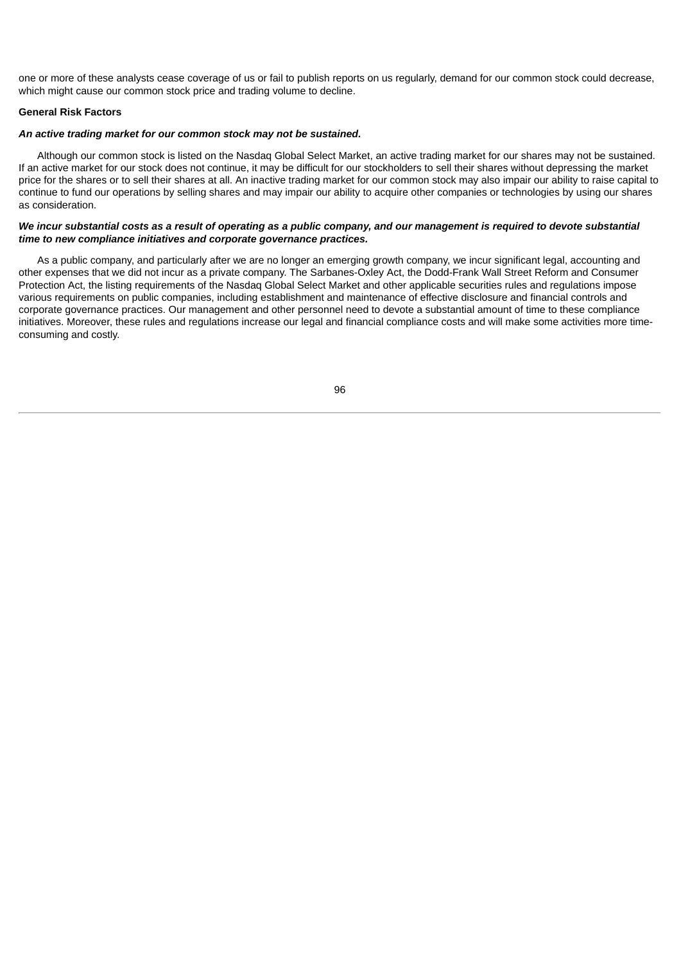one or more of these analysts cease coverage of us or fail to publish reports on us regularly, demand for our common stock could decrease, which might cause our common stock price and trading volume to decline.

## **General Risk Factors**

#### *An active trading market for our common stock may not be sustained.*

Although our common stock is listed on the Nasdaq Global Select Market, an active trading market for our shares may not be sustained. If an active market for our stock does not continue, it may be difficult for our stockholders to sell their shares without depressing the market price for the shares or to sell their shares at all. An inactive trading market for our common stock may also impair our ability to raise capital to continue to fund our operations by selling shares and may impair our ability to acquire other companies or technologies by using our shares as consideration.

#### We incur substantial costs as a result of operating as a public company, and our management is required to devote substantial *time to new compliance initiatives and corporate governance practices.*

As a public company, and particularly after we are no longer an emerging growth company, we incur significant legal, accounting and other expenses that we did not incur as a private company. The Sarbanes-Oxley Act, the Dodd-Frank Wall Street Reform and Consumer Protection Act, the listing requirements of the Nasdaq Global Select Market and other applicable securities rules and regulations impose various requirements on public companies, including establishment and maintenance of effective disclosure and financial controls and corporate governance practices. Our management and other personnel need to devote a substantial amount of time to these compliance initiatives. Moreover, these rules and regulations increase our legal and financial compliance costs and will make some activities more timeconsuming and costly.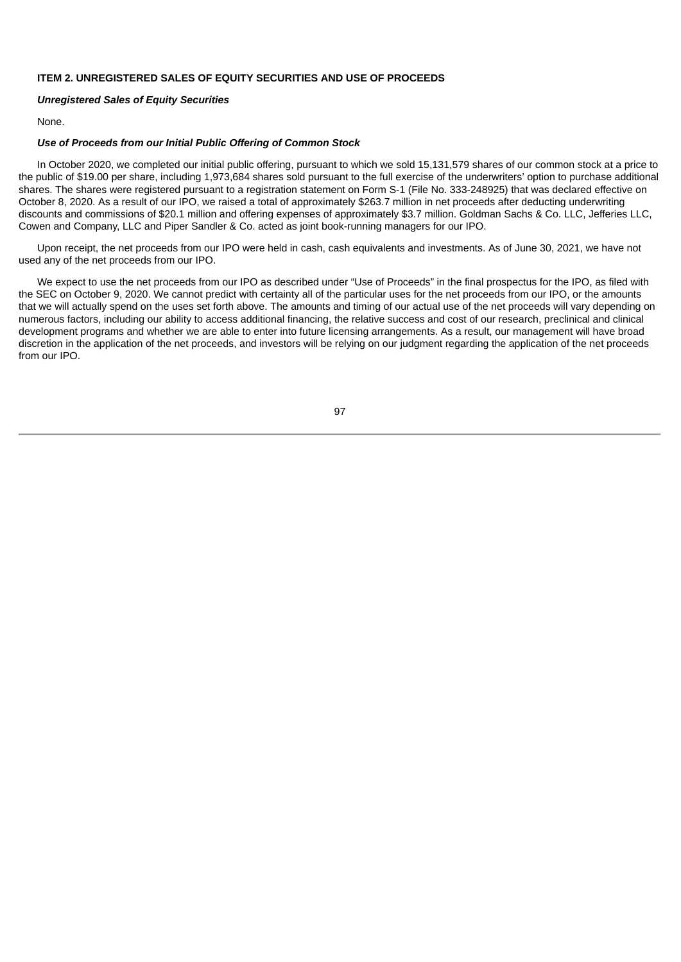## **ITEM 2. UNREGISTERED SALES OF EQUITY SECURITIES AND USE OF PROCEEDS**

#### *Unregistered Sales of Equity Securities*

None.

#### *Use of Proceeds from our Initial Public Offering of Common Stock*

In October 2020, we completed our initial public offering, pursuant to which we sold 15,131,579 shares of our common stock at a price to the public of \$19.00 per share, including 1,973,684 shares sold pursuant to the full exercise of the underwriters' option to purchase additional shares. The shares were registered pursuant to a registration statement on Form S-1 (File No. 333-248925) that was declared effective on October 8, 2020. As a result of our IPO, we raised a total of approximately \$263.7 million in net proceeds after deducting underwriting discounts and commissions of \$20.1 million and offering expenses of approximately \$3.7 million. Goldman Sachs & Co. LLC, Jefferies LLC, Cowen and Company, LLC and Piper Sandler & Co. acted as joint book-running managers for our IPO.

Upon receipt, the net proceeds from our IPO were held in cash, cash equivalents and investments. As of June 30, 2021, we have not used any of the net proceeds from our IPO.

We expect to use the net proceeds from our IPO as described under "Use of Proceeds" in the final prospectus for the IPO, as filed with the SEC on October 9, 2020. We cannot predict with certainty all of the particular uses for the net proceeds from our IPO, or the amounts that we will actually spend on the uses set forth above. The amounts and timing of our actual use of the net proceeds will vary depending on numerous factors, including our ability to access additional financing, the relative success and cost of our research, preclinical and clinical development programs and whether we are able to enter into future licensing arrangements. As a result, our management will have broad discretion in the application of the net proceeds, and investors will be relying on our judgment regarding the application of the net proceeds from our IPO.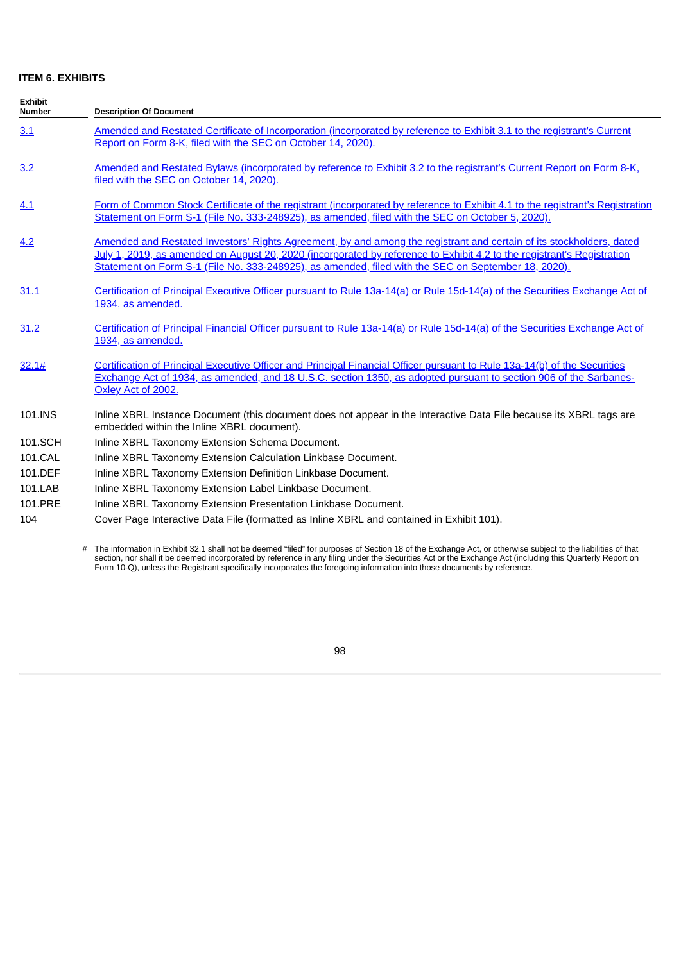# **ITEM 6. EXHIBITS**

**Exhibit**

| ᄃᄉᆝᄞᄓᄔ<br><b>Number</b> | <b>Description Of Document</b>                                                                                                                                                                                                                                                                                                                        |  |  |
|-------------------------|-------------------------------------------------------------------------------------------------------------------------------------------------------------------------------------------------------------------------------------------------------------------------------------------------------------------------------------------------------|--|--|
| 3.1                     | Amended and Restated Certificate of Incorporation (incorporated by reference to Exhibit 3.1 to the registrant's Current<br>Report on Form 8-K, filed with the SEC on October 14, 2020).                                                                                                                                                               |  |  |
| 3.2                     | Amended and Restated Bylaws (incorporated by reference to Exhibit 3.2 to the registrant's Current Report on Form 8-K,<br>filed with the SEC on October 14, 2020).                                                                                                                                                                                     |  |  |
| 4.1                     | Form of Common Stock Certificate of the registrant (incorporated by reference to Exhibit 4.1 to the registrant's Registration<br>Statement on Form S-1 (File No. 333-248925), as amended, filed with the SEC on October 5, 2020).                                                                                                                     |  |  |
| 4.2                     | Amended and Restated Investors' Rights Agreement, by and among the registrant and certain of its stockholders, dated<br>July 1, 2019, as amended on August 20, 2020 (incorporated by reference to Exhibit 4.2 to the registrant's Registration<br>Statement on Form S-1 (File No. 333-248925), as amended, filed with the SEC on September 18, 2020). |  |  |
| 31.1                    | Certification of Principal Executive Officer pursuant to Rule 13a-14(a) or Rule 15d-14(a) of the Securities Exchange Act of<br>1934, as amended.                                                                                                                                                                                                      |  |  |
| 31.2                    | Certification of Principal Financial Officer pursuant to Rule 13a-14(a) or Rule 15d-14(a) of the Securities Exchange Act of<br>1934, as amended.                                                                                                                                                                                                      |  |  |
| 32.1#                   | Certification of Principal Executive Officer and Principal Financial Officer pursuant to Rule 13a-14(b) of the Securities<br>Exchange Act of 1934, as amended, and 18 U.S.C. section 1350, as adopted pursuant to section 906 of the Sarbanes-<br>Oxley Act of 2002.                                                                                  |  |  |
| 101.INS                 | Inline XBRL Instance Document (this document does not appear in the Interactive Data File because its XBRL tags are<br>embedded within the Inline XBRL document).                                                                                                                                                                                     |  |  |
| 101.SCH                 | Inline XBRL Taxonomy Extension Schema Document.                                                                                                                                                                                                                                                                                                       |  |  |
| 101.CAL                 | Inline XBRL Taxonomy Extension Calculation Linkbase Document.                                                                                                                                                                                                                                                                                         |  |  |
| 101.DEF                 | Inline XBRL Taxonomy Extension Definition Linkbase Document.                                                                                                                                                                                                                                                                                          |  |  |
| 101.LAB                 | Inline XBRL Taxonomy Extension Label Linkbase Document.                                                                                                                                                                                                                                                                                               |  |  |
| 101.PRE                 | Inline XBRL Taxonomy Extension Presentation Linkbase Document.                                                                                                                                                                                                                                                                                        |  |  |
| 104                     | Cover Page Interactive Data File (formatted as Inline XBRL and contained in Exhibit 101).                                                                                                                                                                                                                                                             |  |  |

# The information in Exhibit 32.1 shall not be deemed "filed" for purposes of Section 18 of the Exchange Act, or otherwise subject to the liabilities of that section, nor shall it be deemed incorporated by reference in any filing under the Securities Act or the Exchange Act (including this Quarterly Report on Form 10-Q), unless the Registrant specifically incorporates the foregoing information into those documents by reference.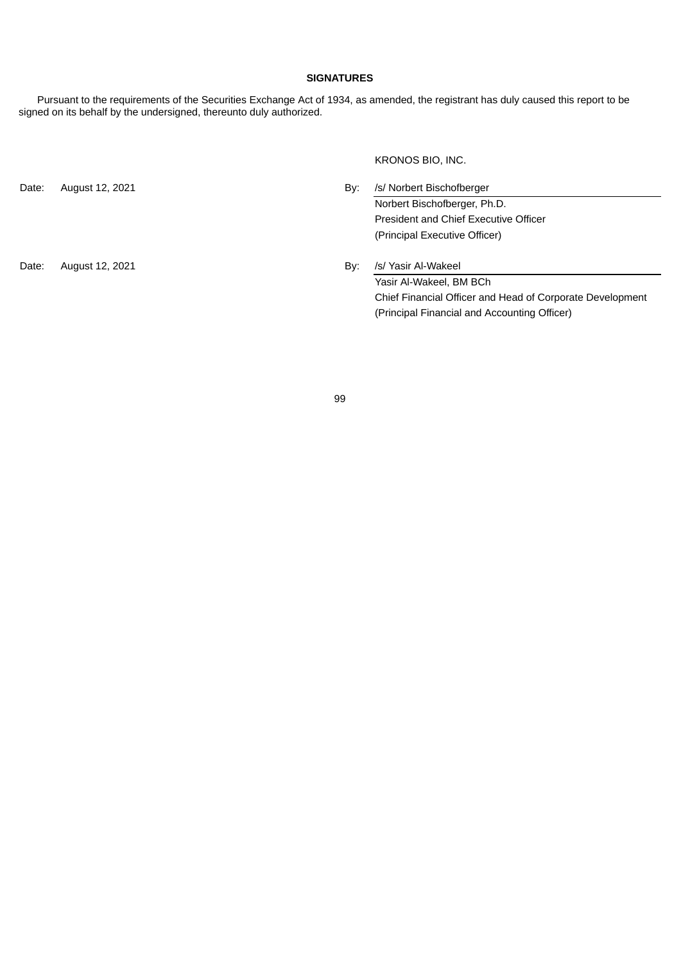# **SIGNATURES**

Pursuant to the requirements of the Securities Exchange Act of 1934, as amended, the registrant has duly caused this report to be signed on its behalf by the undersigned, thereunto duly authorized.

# KRONOS BIO, INC.

| Date: | August 12, 2021 | By: | /s/ Norbert Bischofberger                                 |
|-------|-----------------|-----|-----------------------------------------------------------|
|       |                 |     | Norbert Bischofberger, Ph.D.                              |
|       |                 |     | <b>President and Chief Executive Officer</b>              |
|       |                 |     | (Principal Executive Officer)                             |
| Date: | August 12, 2021 | By: | /s/ Yasir Al-Wakeel                                       |
|       |                 |     | Yasir Al-Wakeel, BM BCh                                   |
|       |                 |     | Chief Financial Officer and Head of Corporate Development |
|       |                 |     | (Principal Financial and Accounting Officer)              |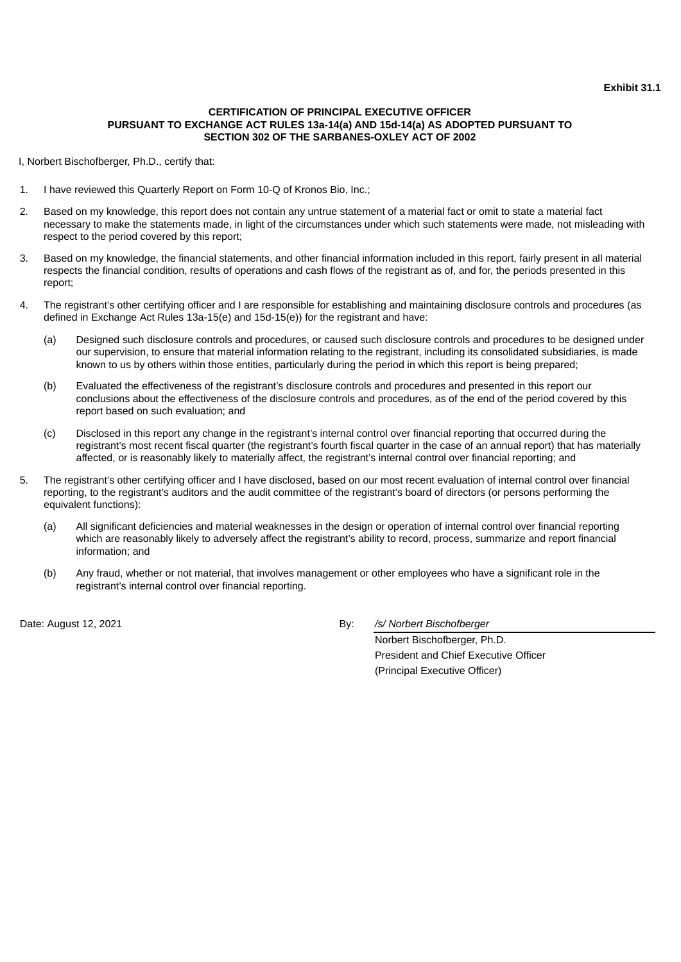## <span id="page-99-0"></span>**CERTIFICATION OF PRINCIPAL EXECUTIVE OFFICER PURSUANT TO EXCHANGE ACT RULES 13a-14(a) AND 15d-14(a) AS ADOPTED PURSUANT TO SECTION 302 OF THE SARBANES-OXLEY ACT OF 2002**

I, Norbert Bischofberger, Ph.D., certify that:

- 1. I have reviewed this Quarterly Report on Form 10-Q of Kronos Bio, Inc.;
- 2. Based on my knowledge, this report does not contain any untrue statement of a material fact or omit to state a material fact necessary to make the statements made, in light of the circumstances under which such statements were made, not misleading with respect to the period covered by this report;
- 3. Based on my knowledge, the financial statements, and other financial information included in this report, fairly present in all material respects the financial condition, results of operations and cash flows of the registrant as of, and for, the periods presented in this report;
- 4. The registrant's other certifying officer and I are responsible for establishing and maintaining disclosure controls and procedures (as defined in Exchange Act Rules 13a-15(e) and 15d-15(e)) for the registrant and have:
	- (a) Designed such disclosure controls and procedures, or caused such disclosure controls and procedures to be designed under our supervision, to ensure that material information relating to the registrant, including its consolidated subsidiaries, is made known to us by others within those entities, particularly during the period in which this report is being prepared;
	- (b) Evaluated the effectiveness of the registrant's disclosure controls and procedures and presented in this report our conclusions about the effectiveness of the disclosure controls and procedures, as of the end of the period covered by this report based on such evaluation; and
	- (c) Disclosed in this report any change in the registrant's internal control over financial reporting that occurred during the registrant's most recent fiscal quarter (the registrant's fourth fiscal quarter in the case of an annual report) that has materially affected, or is reasonably likely to materially affect, the registrant's internal control over financial reporting; and
- 5. The registrant's other certifying officer and I have disclosed, based on our most recent evaluation of internal control over financial reporting, to the registrant's auditors and the audit committee of the registrant's board of directors (or persons performing the equivalent functions):
	- (a) All significant deficiencies and material weaknesses in the design or operation of internal control over financial reporting which are reasonably likely to adversely affect the registrant's ability to record, process, summarize and report financial information; and
	- (b) Any fraud, whether or not material, that involves management or other employees who have a significant role in the registrant's internal control over financial reporting.

Date: August 12, 2021 By: */s/ Norbert Bischofberger*

Norbert Bischofberger, Ph.D. President and Chief Executive Officer (Principal Executive Officer)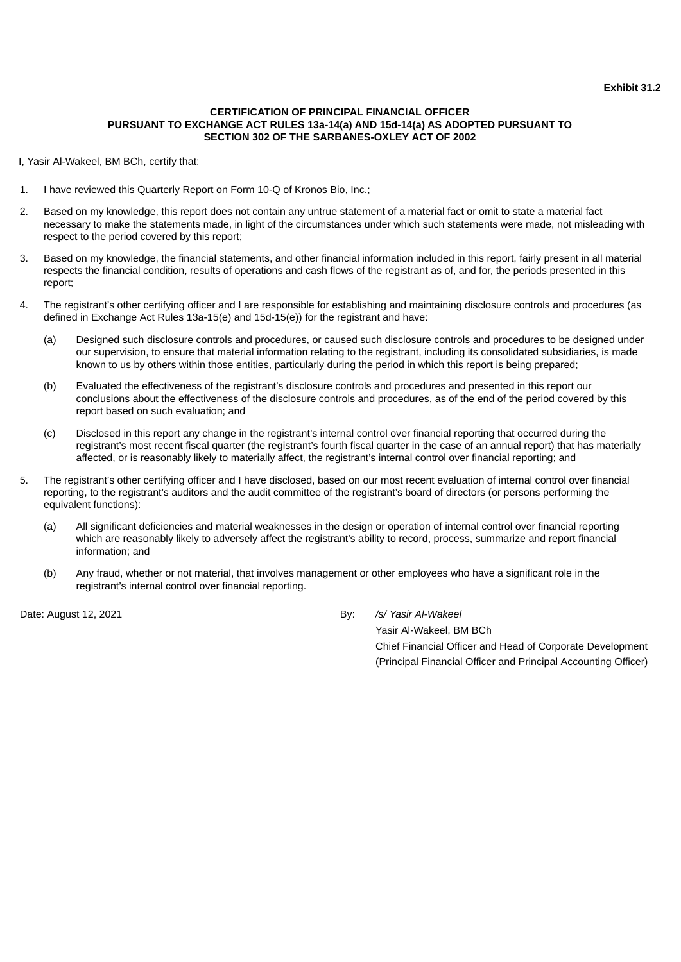## <span id="page-100-0"></span>**CERTIFICATION OF PRINCIPAL FINANCIAL OFFICER PURSUANT TO EXCHANGE ACT RULES 13a-14(a) AND 15d-14(a) AS ADOPTED PURSUANT TO SECTION 302 OF THE SARBANES-OXLEY ACT OF 2002**

I, Yasir Al-Wakeel, BM BCh, certify that:

- 1. I have reviewed this Quarterly Report on Form 10-Q of Kronos Bio, Inc.;
- 2. Based on my knowledge, this report does not contain any untrue statement of a material fact or omit to state a material fact necessary to make the statements made, in light of the circumstances under which such statements were made, not misleading with respect to the period covered by this report;
- 3. Based on my knowledge, the financial statements, and other financial information included in this report, fairly present in all material respects the financial condition, results of operations and cash flows of the registrant as of, and for, the periods presented in this report;
- 4. The registrant's other certifying officer and I are responsible for establishing and maintaining disclosure controls and procedures (as defined in Exchange Act Rules 13a-15(e) and 15d-15(e)) for the registrant and have:
	- (a) Designed such disclosure controls and procedures, or caused such disclosure controls and procedures to be designed under our supervision, to ensure that material information relating to the registrant, including its consolidated subsidiaries, is made known to us by others within those entities, particularly during the period in which this report is being prepared;
	- (b) Evaluated the effectiveness of the registrant's disclosure controls and procedures and presented in this report our conclusions about the effectiveness of the disclosure controls and procedures, as of the end of the period covered by this report based on such evaluation; and
	- (c) Disclosed in this report any change in the registrant's internal control over financial reporting that occurred during the registrant's most recent fiscal quarter (the registrant's fourth fiscal quarter in the case of an annual report) that has materially affected, or is reasonably likely to materially affect, the registrant's internal control over financial reporting; and
- 5. The registrant's other certifying officer and I have disclosed, based on our most recent evaluation of internal control over financial reporting, to the registrant's auditors and the audit committee of the registrant's board of directors (or persons performing the equivalent functions):
	- (a) All significant deficiencies and material weaknesses in the design or operation of internal control over financial reporting which are reasonably likely to adversely affect the registrant's ability to record, process, summarize and report financial information; and
	- (b) Any fraud, whether or not material, that involves management or other employees who have a significant role in the registrant's internal control over financial reporting.

Date: August 12, 2021 By: */s/ Yasir Al-Wakeel*

Yasir Al-Wakeel, BM BCh Chief Financial Officer and Head of Corporate Development (Principal Financial Officer and Principal Accounting Officer)